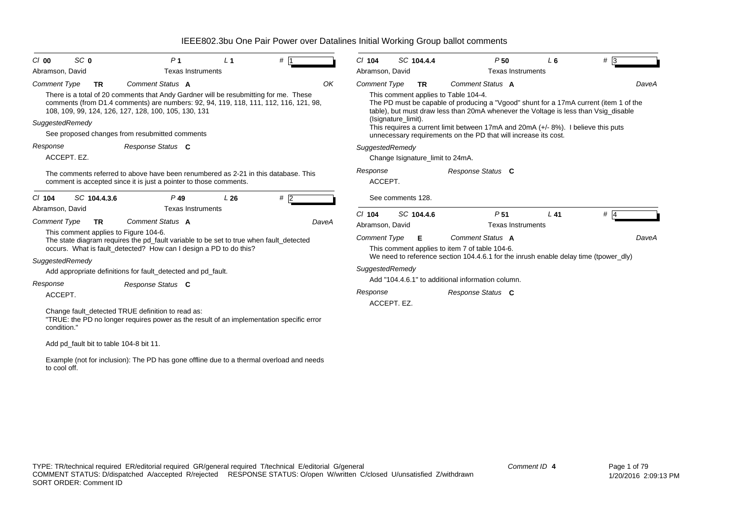| SC 0<br>C/00                                             | P <sub>1</sub>                                                                                                                                                                                                                                           | L <sub>1</sub> | $#$ 1 | $Cl$ 104            | SC 104.4.4                       | P50                                                                                                                                                                                                                                                                                                                           | L6                       | $#$ 3 |
|----------------------------------------------------------|----------------------------------------------------------------------------------------------------------------------------------------------------------------------------------------------------------------------------------------------------------|----------------|-------|---------------------|----------------------------------|-------------------------------------------------------------------------------------------------------------------------------------------------------------------------------------------------------------------------------------------------------------------------------------------------------------------------------|--------------------------|-------|
| Abramson, David                                          | <b>Texas Instruments</b>                                                                                                                                                                                                                                 |                |       | Abramson, David     |                                  |                                                                                                                                                                                                                                                                                                                               | <b>Texas Instruments</b> |       |
| <b>Comment Type</b><br><b>TR</b><br>SuggestedRemedy      | Comment Status A<br>There is a total of 20 comments that Andy Gardner will be resubmitting for me. These<br>comments (from D1.4 comments) are numbers: 92, 94, 119, 118, 111, 112, 116, 121, 98,<br>108, 109, 99, 124, 126, 127, 128, 100, 105, 130, 131 |                | OK    | <b>Comment Type</b> | <b>TR</b><br>(Isignature_limit). | Comment Status A<br>This comment applies to Table 104-4.<br>The PD must be capable of producing a "Vgood" shunt for a 17mA current (item 1 of the<br>table), but must draw less than 20mA whenever the Voltage is less than Vsig_disable<br>This requires a current limit between 17mA and 20mA (+/- 8%). I believe this puts |                          | DaveA |
|                                                          | See proposed changes from resubmitted comments                                                                                                                                                                                                           |                |       |                     |                                  | unnecessary requirements on the PD that will increase its cost.                                                                                                                                                                                                                                                               |                          |       |
| Response<br>ACCEPT. EZ.                                  | Response Status C                                                                                                                                                                                                                                        |                |       | SuggestedRemedy     | Change Isignature_limit to 24mA. |                                                                                                                                                                                                                                                                                                                               |                          |       |
|                                                          | The comments referred to above have been renumbered as 2-21 in this database. This<br>comment is accepted since it is just a pointer to those comments.                                                                                                  |                |       | Response<br>ACCEPT. |                                  | Response Status C                                                                                                                                                                                                                                                                                                             |                          |       |
| SC 104.4.3.6<br>$Cl$ 104                                 | $P$ 49                                                                                                                                                                                                                                                   | L26            | $#$ 2 |                     | See comments 128.                |                                                                                                                                                                                                                                                                                                                               |                          |       |
| Abramson, David                                          | <b>Texas Instruments</b>                                                                                                                                                                                                                                 |                |       | $Cl$ 104            | SC 104.4.6                       | P <sub>51</sub>                                                                                                                                                                                                                                                                                                               | $L$ 41                   | $#$ 4 |
| <b>Comment Type</b><br>TR                                | Comment Status A                                                                                                                                                                                                                                         |                | DaveA | Abramson, David     |                                  |                                                                                                                                                                                                                                                                                                                               | <b>Texas Instruments</b> |       |
| This comment applies to Figure 104-6.<br>SuggestedRemedy | The state diagram requires the pd_fault variable to be set to true when fault_detected<br>occurs. What is fault_detected? How can I design a PD to do this?                                                                                              |                |       | Comment Type        | Е                                | Comment Status A<br>This comment applies to item 7 of table 104-6.<br>We need to reference section 104.4.6.1 for the inrush enable delay time (tpower dly)                                                                                                                                                                    |                          | DaveA |
|                                                          | Add appropriate definitions for fault_detected and pd_fault.                                                                                                                                                                                             |                |       | SuggestedRemedy     |                                  |                                                                                                                                                                                                                                                                                                                               |                          |       |
| Response<br>ACCEPT.                                      | Response Status C                                                                                                                                                                                                                                        |                |       | Response            | ACCEPT. EZ.                      | Add "104.4.6.1" to additional information column.<br>Response Status C                                                                                                                                                                                                                                                        |                          |       |
| condition."                                              | Change fault detected TRUE definition to read as:<br>"TRUE: the PD no longer requires power as the result of an implementation specific error                                                                                                            |                |       |                     |                                  |                                                                                                                                                                                                                                                                                                                               |                          |       |
| Add pd_fault bit to table 104-8 bit 11.                  |                                                                                                                                                                                                                                                          |                |       |                     |                                  |                                                                                                                                                                                                                                                                                                                               |                          |       |
| to cool off.                                             | Example (not for inclusion): The PD has gone offline due to a thermal overload and needs                                                                                                                                                                 |                |       |                     |                                  |                                                                                                                                                                                                                                                                                                                               |                          |       |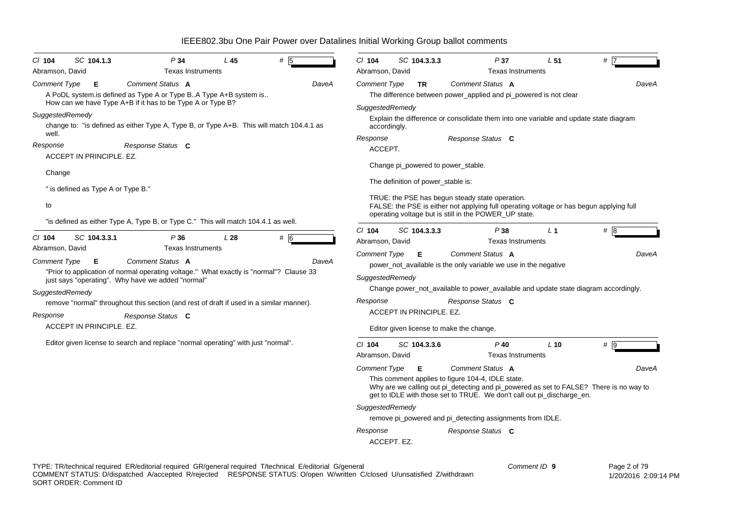| #<br>SC 104.1.3<br>P34<br>CI 104<br>L45<br>5<br>Abramson, David<br><b>Texas Instruments</b>                             | $Cl$ 104<br>SC 104.3.3.3<br>P37<br>L <sub>51</sub><br>#<br>Abramson, David<br><b>Texas Instruments</b>                                                                                                                                                                                                                                                                                                                                                                                                                        |
|-------------------------------------------------------------------------------------------------------------------------|-------------------------------------------------------------------------------------------------------------------------------------------------------------------------------------------------------------------------------------------------------------------------------------------------------------------------------------------------------------------------------------------------------------------------------------------------------------------------------------------------------------------------------|
| Comment Status A                                                                                                        | Comment Type                                                                                                                                                                                                                                                                                                                                                                                                                                                                                                                  |
| <b>Comment Type</b>                                                                                                     | Comment Status A                                                                                                                                                                                                                                                                                                                                                                                                                                                                                                              |
| Е                                                                                                                       | DaveA                                                                                                                                                                                                                                                                                                                                                                                                                                                                                                                         |
| DaveA                                                                                                                   | <b>TR</b>                                                                                                                                                                                                                                                                                                                                                                                                                                                                                                                     |
| A PoDL system.is defined as Type A or Type BA Type A+B system is                                                        | The difference between power_applied and pi_powered is not clear                                                                                                                                                                                                                                                                                                                                                                                                                                                              |
| How can we have Type A+B if it has to be Type A or Type B?                                                              | SuggestedRemedy                                                                                                                                                                                                                                                                                                                                                                                                                                                                                                               |
| SuggestedRemedy                                                                                                         | Explain the difference or consolidate them into one variable and update state diagram                                                                                                                                                                                                                                                                                                                                                                                                                                         |
| change to: "is defined as either Type A, Type B, or Type A+B. This will match 104.4.1 as                                | accordingly.                                                                                                                                                                                                                                                                                                                                                                                                                                                                                                                  |
| well.                                                                                                                   | Response                                                                                                                                                                                                                                                                                                                                                                                                                                                                                                                      |
| Response                                                                                                                | Response Status C                                                                                                                                                                                                                                                                                                                                                                                                                                                                                                             |
| Response Status C                                                                                                       | ACCEPT.                                                                                                                                                                                                                                                                                                                                                                                                                                                                                                                       |
| ACCEPT IN PRINCIPLE. EZ.                                                                                                | Change pi_powered to power_stable.                                                                                                                                                                                                                                                                                                                                                                                                                                                                                            |
| Change                                                                                                                  | The definition of power_stable is:                                                                                                                                                                                                                                                                                                                                                                                                                                                                                            |
| " is defined as Type A or Type B."                                                                                      | TRUE: the PSE has begun steady state operation.                                                                                                                                                                                                                                                                                                                                                                                                                                                                               |
| to                                                                                                                      | FALSE: the PSE is either not applying full operating voltage or has begun applying full                                                                                                                                                                                                                                                                                                                                                                                                                                       |
| "is defined as either Type A, Type B, or Type C." This will match 104.4.1 as well.                                      | operating voltage but is still in the POWER_UP state.                                                                                                                                                                                                                                                                                                                                                                                                                                                                         |
| $#$ 6                                                                                                                   | #8                                                                                                                                                                                                                                                                                                                                                                                                                                                                                                                            |
| $Cl$ 104                                                                                                                | $Cl$ 104                                                                                                                                                                                                                                                                                                                                                                                                                                                                                                                      |
| SC 104.3.3.1                                                                                                            | SC 104.3.3.3                                                                                                                                                                                                                                                                                                                                                                                                                                                                                                                  |
| P36                                                                                                                     | P38                                                                                                                                                                                                                                                                                                                                                                                                                                                                                                                           |
| L28                                                                                                                     | L <sub>1</sub>                                                                                                                                                                                                                                                                                                                                                                                                                                                                                                                |
| Abramson, David                                                                                                         | Abramson, David                                                                                                                                                                                                                                                                                                                                                                                                                                                                                                               |
| <b>Texas Instruments</b>                                                                                                | <b>Texas Instruments</b>                                                                                                                                                                                                                                                                                                                                                                                                                                                                                                      |
| <b>Comment Type</b>                                                                                                     | <b>Comment Type</b>                                                                                                                                                                                                                                                                                                                                                                                                                                                                                                           |
| Comment Status A                                                                                                        | Е                                                                                                                                                                                                                                                                                                                                                                                                                                                                                                                             |
| DaveA                                                                                                                   | Comment Status A                                                                                                                                                                                                                                                                                                                                                                                                                                                                                                              |
| Е                                                                                                                       | DaveA                                                                                                                                                                                                                                                                                                                                                                                                                                                                                                                         |
| "Prior to application of normal operating voltage." What exactly is "normal"? Clause 33                                 | power_not_available is the only variable we use in the negative                                                                                                                                                                                                                                                                                                                                                                                                                                                               |
| just says "operating". Why have we added "normal"                                                                       | SuggestedRemedy                                                                                                                                                                                                                                                                                                                                                                                                                                                                                                               |
| SuggestedRemedy                                                                                                         | Change power_not_available to power_available and update state diagram accordingly.                                                                                                                                                                                                                                                                                                                                                                                                                                           |
| remove "normal" throughout this section (and rest of draft if used in a similar manner).                                | Response                                                                                                                                                                                                                                                                                                                                                                                                                                                                                                                      |
| Response                                                                                                                | Response Status C                                                                                                                                                                                                                                                                                                                                                                                                                                                                                                             |
| Response Status C                                                                                                       | ACCEPT IN PRINCIPLE. EZ.                                                                                                                                                                                                                                                                                                                                                                                                                                                                                                      |
| ACCEPT IN PRINCIPLE. EZ.                                                                                                | Editor given license to make the change.                                                                                                                                                                                                                                                                                                                                                                                                                                                                                      |
| Editor given license to search and replace "normal operating" with just "normal".                                       | #   9<br>$Cl$ 104<br>SC 104.3.3.6<br>$P$ 40<br>$L$ 10<br><b>Texas Instruments</b><br>Abramson, David<br><b>Comment Status A</b><br><b>Comment Type</b><br>Е<br>DaveA<br>This comment applies to figure 104-4, IDLE state.<br>Why are we calling out pi_detecting and pi_powered as set to FALSE? There is no way to<br>get to IDLE with those set to TRUE. We don't call out pi_discharge_en.<br>SuggestedRemedy<br>remove pi_powered and pi_detecting assignments from IDLE.<br>Response<br>Response Status C<br>ACCEPT. EZ. |
| TYPE: TR/technical required ER/editorial required GR/general required T/technical E/editorial G/general                 | Comment ID 9                                                                                                                                                                                                                                                                                                                                                                                                                                                                                                                  |
| COMMENT STATUS: D/dispatched A/accepted R/rejected RESPONSE STATUS: O/open W/written C/closed U/unsatisfied Z/withdrawn | Page 2 of 79                                                                                                                                                                                                                                                                                                                                                                                                                                                                                                                  |
| SORT ORDER: Comment ID                                                                                                  | 1/20/2016 2:09:14 PM                                                                                                                                                                                                                                                                                                                                                                                                                                                                                                          |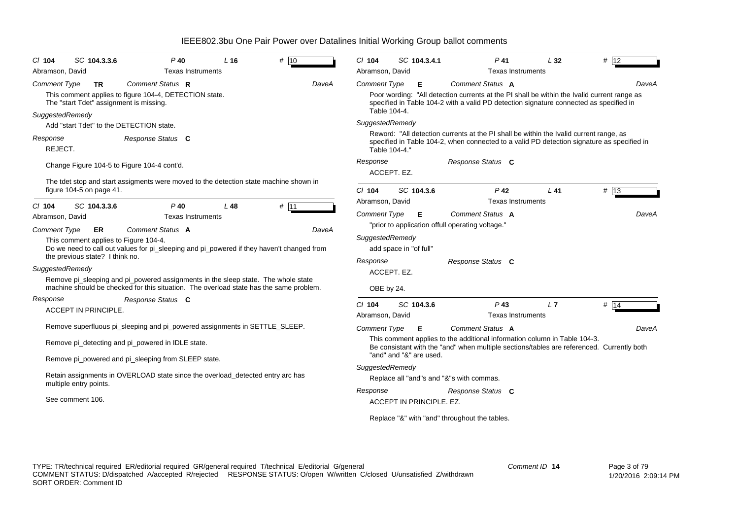| $CI$ 104                               | SC 104.3.3.6                                                                   | $P$ 40                                                                                                                                                                      | L <sub>16</sub> | # 10  | $Cl$ 104                            | SC 104.3.4.1             | P 41                                                                                                                                                                                                      | L32 | # 12  |
|----------------------------------------|--------------------------------------------------------------------------------|-----------------------------------------------------------------------------------------------------------------------------------------------------------------------------|-----------------|-------|-------------------------------------|--------------------------|-----------------------------------------------------------------------------------------------------------------------------------------------------------------------------------------------------------|-----|-------|
| Abramson, David                        |                                                                                | <b>Texas Instruments</b>                                                                                                                                                    |                 |       | Abramson, David                     |                          | <b>Texas Instruments</b>                                                                                                                                                                                  |     |       |
| <b>Comment Type</b><br>SuggestedRemedy | TR<br>The "start Tdet" assignment is missing.                                  | Comment Status R<br>This comment applies to figure 104-4, DETECTION state.                                                                                                  |                 | DaveA | <b>Comment Type</b><br>Table 104-4. | Е                        | Comment Status A<br>Poor wording: "All detection currents at the PI shall be within the Ivalid current range as<br>specified in Table 104-2 with a valid PD detection signature connected as specified in |     | DaveA |
|                                        |                                                                                | Add "start Tdet" to the DETECTION state.                                                                                                                                    |                 |       | SuggestedRemedy                     |                          |                                                                                                                                                                                                           |     |       |
| Response<br>REJECT.                    |                                                                                | Response Status C                                                                                                                                                           |                 |       |                                     | Table 104-4."            | Reword: "All detection currents at the PI shall be within the Ivalid current range, as<br>specified in Table 104-2, when connected to a valid PD detection signature as specified in                      |     |       |
|                                        |                                                                                | Change Figure 104-5 to Figure 104-4 cont'd.                                                                                                                                 |                 |       | Response                            | ACCEPT. EZ.              | Response Status C                                                                                                                                                                                         |     |       |
|                                        | figure 104-5 on page 41.                                                       | The tdet stop and start assigments were moved to the detection state machine shown in                                                                                       |                 |       | $Cl$ 104<br>Abramson, David         | SC 104.3.6               | $P$ 42<br><b>Texas Instruments</b>                                                                                                                                                                        | L41 | # 13  |
| $Cl$ 104                               | SC 104.3.3.6                                                                   | $P$ 40                                                                                                                                                                      | L48             | # 11  | <b>Comment Type</b>                 | Е                        | Comment Status A                                                                                                                                                                                          |     | DaveA |
| Abramson, David                        |                                                                                | <b>Texas Instruments</b>                                                                                                                                                    |                 |       |                                     |                          | "prior to application offull operating voltage."                                                                                                                                                          |     |       |
| <b>Comment Type</b>                    | ER<br>This comment applies to Figure 104-4.<br>the previous state? I think no. | <b>Comment Status A</b><br>Do we need to call out values for pi_sleeping and pi_powered if they haven't changed from                                                        |                 | DaveA | SuggestedRemedy                     | add space in "of full"   |                                                                                                                                                                                                           |     |       |
| SuggestedRemedy                        |                                                                                |                                                                                                                                                                             |                 |       | Response                            | ACCEPT. EZ.              | Response Status C                                                                                                                                                                                         |     |       |
|                                        |                                                                                | Remove pi_sleeping and pi_powered assignments in the sleep state. The whole state<br>machine should be checked for this situation. The overload state has the same problem. |                 |       | OBE by 24.                          |                          |                                                                                                                                                                                                           |     |       |
| Response                               |                                                                                | Response Status C                                                                                                                                                           |                 |       | $Cl$ 104                            | SC 104.3.6               | $P$ 43                                                                                                                                                                                                    | L7  | # 14  |
|                                        | <b>ACCEPT IN PRINCIPLE.</b>                                                    |                                                                                                                                                                             |                 |       | Abramson, David                     |                          | <b>Texas Instruments</b>                                                                                                                                                                                  |     |       |
|                                        |                                                                                | Remove superfluous pi_sleeping and pi_powered assignments in SETTLE_SLEEP.                                                                                                  |                 |       | <b>Comment Type</b>                 | E                        | Comment Status A                                                                                                                                                                                          |     | DaveA |
|                                        |                                                                                | Remove pi_detecting and pi_powered in IDLE state.                                                                                                                           |                 |       |                                     |                          | This comment applies to the additional information column in Table 104-3.<br>Be consistant with the "and" when multiple sections/tables are referenced. Currently both                                    |     |       |
|                                        |                                                                                | Remove pi_powered and pi_sleeping from SLEEP state.                                                                                                                         |                 |       |                                     | "and" and "&" are used.  |                                                                                                                                                                                                           |     |       |
|                                        | multiple entry points.                                                         | Retain assignments in OVERLOAD state since the overload_detected entry arc has                                                                                              |                 |       | SuggestedRemedy<br>Response         |                          | Replace all "and"s and "&"s with commas.<br>Response Status C                                                                                                                                             |     |       |
|                                        | See comment 106.                                                               |                                                                                                                                                                             |                 |       |                                     | ACCEPT IN PRINCIPLE, EZ. |                                                                                                                                                                                                           |     |       |
|                                        |                                                                                |                                                                                                                                                                             |                 |       |                                     |                          | Replace "&" with "and" throughout the tables.                                                                                                                                                             |     |       |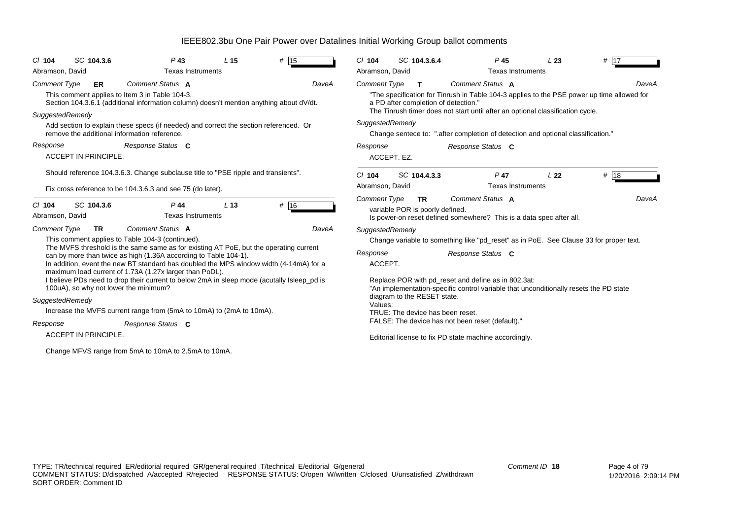| IEEE802.3bu One Pair Power over Datalines Initial Working Group ballot comments |  |  |  |
|---------------------------------------------------------------------------------|--|--|--|
|                                                                                 |  |  |  |

| $#$ 15<br>SC 104.3.6<br>$P$ 43<br>L <sub>15</sub><br>$Cl$ 104                                                                                                                                                                                                                                                                                                                                                                          | # 17<br>$Cl$ 104<br>SC 104.3.6.4<br>P <sub>45</sub><br>L23                                                                                                                                                                                                                                                                                                                                                                           |
|----------------------------------------------------------------------------------------------------------------------------------------------------------------------------------------------------------------------------------------------------------------------------------------------------------------------------------------------------------------------------------------------------------------------------------------|--------------------------------------------------------------------------------------------------------------------------------------------------------------------------------------------------------------------------------------------------------------------------------------------------------------------------------------------------------------------------------------------------------------------------------------|
| Abramson, David<br><b>Texas Instruments</b>                                                                                                                                                                                                                                                                                                                                                                                            | Abramson, David<br><b>Texas Instruments</b>                                                                                                                                                                                                                                                                                                                                                                                          |
| Comment Status A<br><b>Comment Type</b><br><b>ER</b><br>DaveA<br>This comment applies to Item 3 in Table 104-3.<br>Section 104.3.6.1 (additional information column) doesn't mention anything about dV/dt.<br>SuggestedRemedy<br>Add section to explain these specs (if needed) and correct the section referenced. Or<br>remove the additional information reference.<br>Response Status C<br>Response<br><b>ACCEPT IN PRINCIPLE.</b> | <b>Comment Type</b><br>Comment Status A<br>DaveA<br>T<br>"The specification for Tinrush in Table 104-3 applies to the PSE power up time allowed for<br>a PD after completion of detection."<br>The Tinrush timer does not start until after an optional classification cycle.<br>SuggestedRemedy<br>Change sentece to: ".after completion of detection and optional classification."<br>Response<br>Response Status C<br>ACCEPT. EZ. |
| Should reference 104.3.6.3. Change subclause title to "PSE ripple and transients".                                                                                                                                                                                                                                                                                                                                                     | # 18<br>SC 104.4.3.3<br>$Cl$ 104<br>$P$ 47<br>L <sub>22</sub>                                                                                                                                                                                                                                                                                                                                                                        |
| Fix cross reference to be 104.3.6.3 and see 75 (do later).                                                                                                                                                                                                                                                                                                                                                                             | Abramson, David<br><b>Texas Instruments</b>                                                                                                                                                                                                                                                                                                                                                                                          |
| # 16<br>SC 104.3.6<br>L <sub>13</sub><br>P 44<br>$Cl$ 104<br><b>Texas Instruments</b><br>Abramson, David                                                                                                                                                                                                                                                                                                                               | <b>Comment Type</b><br><b>Comment Status A</b><br>DaveA<br><b>TR</b><br>variable POR is poorly defined.<br>Is power-on reset defined somewhere? This is a data spec after all.                                                                                                                                                                                                                                                       |
| Comment Status A<br><b>Comment Type</b><br><b>TR</b><br>DaveA                                                                                                                                                                                                                                                                                                                                                                          | SuggestedRemedy                                                                                                                                                                                                                                                                                                                                                                                                                      |
| This comment applies to Table 104-3 (continued).                                                                                                                                                                                                                                                                                                                                                                                       | Change variable to something like "pd_reset" as in PoE. See Clause 33 for proper text.                                                                                                                                                                                                                                                                                                                                               |
| The MVFS threshold is the same same as for existing AT PoE, but the operating current<br>can by more than twice as high (1.36A according to Table 104-1).<br>In addition, event the new BT standard has doubled the MPS window width (4-14mA) for a<br>maximum load current of 1.73A (1.27x larger than PoDL).                                                                                                                         | Response<br>Response Status C<br>ACCEPT.                                                                                                                                                                                                                                                                                                                                                                                             |
| I believe PDs need to drop their current to below 2mA in sleep mode (acutally Isleep_pd is<br>100uA), so why not lower the minimum?<br>SuggestedRemedy                                                                                                                                                                                                                                                                                 | Replace POR with pd_reset and define as in 802.3at:<br>"An implementation-specific control variable that unconditionally resets the PD state<br>diagram to the RESET state.                                                                                                                                                                                                                                                          |
| Increase the MVFS current range from (5mA to 10mA) to (2mA to 10mA).                                                                                                                                                                                                                                                                                                                                                                   | Values:                                                                                                                                                                                                                                                                                                                                                                                                                              |
| Response<br>Response Status C                                                                                                                                                                                                                                                                                                                                                                                                          | TRUE: The device has been reset.<br>FALSE: The device has not been reset (default)."                                                                                                                                                                                                                                                                                                                                                 |
| <b>ACCEPT IN PRINCIPLE.</b>                                                                                                                                                                                                                                                                                                                                                                                                            | Editorial license to fix PD state machine accordingly.                                                                                                                                                                                                                                                                                                                                                                               |
| Change MFVS range from 5mA to 10mA to 2.5mA to 10mA.                                                                                                                                                                                                                                                                                                                                                                                   |                                                                                                                                                                                                                                                                                                                                                                                                                                      |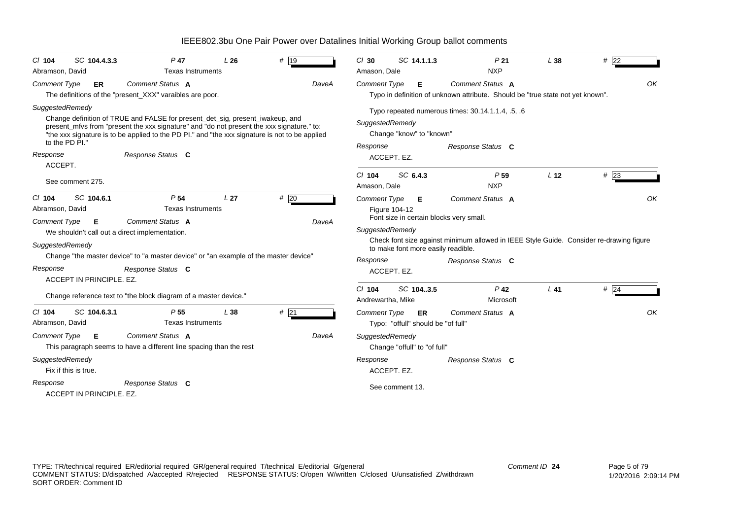| IEEE802.3bu One Pair Power over Datalines Initial Working Group ballot comments |  |  |
|---------------------------------------------------------------------------------|--|--|
|                                                                                 |  |  |

| SC 104.4.3.3<br>$CI$ 104                                              | $P$ 47                                                                                                                                                                                                                                                                                            | L26             | # 19         | $Cl$ 30                                                        | SC 14.1.1.3                              | P <sub>21</sub>                                                                                    | L38             | #22    |
|-----------------------------------------------------------------------|---------------------------------------------------------------------------------------------------------------------------------------------------------------------------------------------------------------------------------------------------------------------------------------------------|-----------------|--------------|----------------------------------------------------------------|------------------------------------------|----------------------------------------------------------------------------------------------------|-----------------|--------|
| Abramson, David                                                       | <b>Texas Instruments</b>                                                                                                                                                                                                                                                                          |                 |              | Amason, Dale                                                   |                                          | <b>NXP</b>                                                                                         |                 |        |
| Comment Type<br>ER                                                    | Comment Status A<br>The definitions of the "present_XXX" varaibles are poor.                                                                                                                                                                                                                      |                 | DaveA        | <b>Comment Type</b>                                            | Е                                        | Comment Status A<br>Typo in definition of unknown attribute. Should be "true state not yet known". |                 | OK     |
| SuggestedRemedy<br>to the PD PI."<br>Response<br>ACCEPT.              | Change definition of TRUE and FALSE for present_det_sig, present_iwakeup, and<br>present_mfvs from "present the xxx signature" and "do not present the xxx signature." to:<br>"the xxx signature is to be applied to the PD PI." and "the xxx signature is not to be applied<br>Response Status C |                 |              | SuggestedRemedy<br>Response<br>ACCEPT. EZ.<br>$Cl$ 104         | Change "know" to "known"<br>SC 6.4.3     | Typo repeated numerous times: 30.14.1.1.4, .5, .6<br>Response Status C<br>P <sub>59</sub>          | L <sub>12</sub> | $#$ 23 |
| See comment 275.                                                      |                                                                                                                                                                                                                                                                                                   |                 |              | Amason, Dale                                                   |                                          | <b>NXP</b>                                                                                         |                 |        |
| $Cl$ 104<br>SC 104.6.1<br>Abramson, David<br><b>Comment Type</b><br>E | P <sub>54</sub><br><b>Texas Instruments</b><br>Comment Status A<br>We shouldn't call out a direct implementation.                                                                                                                                                                                 | L <sub>27</sub> | #20<br>DaveA | <b>Comment Type</b><br><b>Figure 104-12</b><br>SuggestedRemedy | Е                                        | Comment Status A<br>Font size in certain blocks very small.                                        |                 | OK     |
| SuggestedRemedy                                                       |                                                                                                                                                                                                                                                                                                   |                 |              |                                                                | to make font more easily readible.       | Check font size against minimum allowed in IEEE Style Guide. Consider re-drawing figure            |                 |        |
| Response<br>ACCEPT IN PRINCIPLE. EZ.                                  | Change "the master device" to "a master device" or "an example of the master device"<br>Response Status C                                                                                                                                                                                         |                 |              | Response<br>ACCEPT. EZ.                                        |                                          | Response Status C                                                                                  |                 |        |
|                                                                       | Change reference text to "the block diagram of a master device."                                                                                                                                                                                                                                  |                 |              | $Cl$ 104<br>Andrewartha, Mike                                  | SC 104.3.5                               | $P$ 42<br>Microsoft                                                                                | $L$ 41          | $#$ 24 |
| SC 104.6.3.1<br>$CI$ 104<br>Abramson, David                           | P 55<br><b>Texas Instruments</b>                                                                                                                                                                                                                                                                  | L38             | #21          | <b>Comment Type</b>                                            | ER<br>Typo: "offull" should be "of full" | Comment Status A                                                                                   |                 | OK     |
| Comment Type<br>E                                                     | Comment Status A<br>This paragraph seems to have a different line spacing than the rest                                                                                                                                                                                                           |                 | DaveA        | SuggestedRemedy                                                | Change "offull" to "of full"             |                                                                                                    |                 |        |
| SuggestedRemedy<br>Fix if this is true.                               |                                                                                                                                                                                                                                                                                                   |                 |              | Response<br>ACCEPT. EZ.                                        |                                          | Response Status C                                                                                  |                 |        |
| Response<br>ACCEPT IN PRINCIPLE, EZ.                                  | Response Status C                                                                                                                                                                                                                                                                                 |                 |              |                                                                | See comment 13.                          |                                                                                                    |                 |        |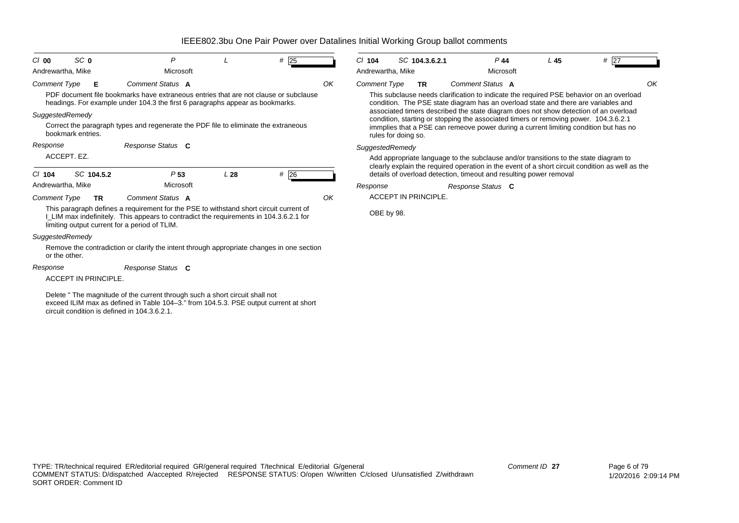| C/00<br>Andrewartha, Mike            | SC <sub>0</sub>      | P<br>Microsoft                                                                                                                                                                                                                   |     | #25 |    | $CI$ 104<br>Andrewartha, Mike | SC 104.3.6.2.1              | $P$ 44<br>Microsoft                                                                                                                                                                                                                                                  | L <sub>45</sub> | # 27                                                                                            |
|--------------------------------------|----------------------|----------------------------------------------------------------------------------------------------------------------------------------------------------------------------------------------------------------------------------|-----|-----|----|-------------------------------|-----------------------------|----------------------------------------------------------------------------------------------------------------------------------------------------------------------------------------------------------------------------------------------------------------------|-----------------|-------------------------------------------------------------------------------------------------|
| <b>Comment Type</b>                  | Е                    | Comment Status A<br>PDF document file bookmarks have extraneous entries that are not clause or subclause<br>headings. For example under 104.3 the first 6 paragraphs appear as bookmarks.                                        |     |     | OK | <b>Comment Type</b>           | <b>TR</b>                   | Comment Status A<br>This subclause needs clarification to indicate the required PSE behavior on an overload<br>condition. The PSE state diagram has an overload state and there are variables and                                                                    |                 |                                                                                                 |
| SuggestedRemedy<br>bookmark entries. |                      | Correct the paragraph types and regenerate the PDF file to eliminate the extraneous                                                                                                                                              |     |     |    |                               | rules for doing so.         | associated timers described the state diagram does not show detection of an overload<br>condition, starting or stopping the associated timers or removing power. 104.3.6.2.1<br>immplies that a PSE can remeove power during a current limiting condition but has no |                 |                                                                                                 |
| Response                             |                      | Response Status C                                                                                                                                                                                                                |     |     |    | SuggestedRemedy               |                             |                                                                                                                                                                                                                                                                      |                 |                                                                                                 |
| ACCEPT. EZ.                          |                      |                                                                                                                                                                                                                                  |     |     |    |                               |                             | Add appropriate language to the subclause and/or transitions to the state diagram to                                                                                                                                                                                 |                 |                                                                                                 |
| $Cl$ 104                             | SC 104.5.2           | P <sub>53</sub>                                                                                                                                                                                                                  | L28 | #26 |    |                               |                             | details of overload detection, timeout and resulting power removal                                                                                                                                                                                                   |                 | clearly explain the required operation in the event of a short circuit condition as well as the |
| Andrewartha, Mike                    |                      | Microsoft                                                                                                                                                                                                                        |     |     |    | Response                      |                             | Response Status C                                                                                                                                                                                                                                                    |                 |                                                                                                 |
| <b>Comment Type</b>                  | <b>TR</b>            | Comment Status A                                                                                                                                                                                                                 |     |     | OK |                               | <b>ACCEPT IN PRINCIPLE.</b> |                                                                                                                                                                                                                                                                      |                 |                                                                                                 |
|                                      |                      | This paragraph defines a requirement for the PSE to withstand short circuit current of<br>LLIM max indefinitely. This appears to contradict the requirements in 104.3.6.2.1 for<br>limiting output current for a period of TLIM. |     |     |    | OBE by 98.                    |                             |                                                                                                                                                                                                                                                                      |                 |                                                                                                 |
| SuggestedRemedy                      |                      |                                                                                                                                                                                                                                  |     |     |    |                               |                             |                                                                                                                                                                                                                                                                      |                 |                                                                                                 |
| or the other.                        |                      | Remove the contradiction or clarify the intent through appropriate changes in one section                                                                                                                                        |     |     |    |                               |                             |                                                                                                                                                                                                                                                                      |                 |                                                                                                 |
| Response                             |                      | Response Status C                                                                                                                                                                                                                |     |     |    |                               |                             |                                                                                                                                                                                                                                                                      |                 |                                                                                                 |
|                                      | ACCEPT IN PRINCIPLE. |                                                                                                                                                                                                                                  |     |     |    |                               |                             |                                                                                                                                                                                                                                                                      |                 |                                                                                                 |
|                                      |                      | Delete " The magnitude of the current through such a short circuit shall not                                                                                                                                                     |     |     |    |                               |                             |                                                                                                                                                                                                                                                                      |                 |                                                                                                 |

exceed ILIM max as defined in Table 104–3." from 104.5.3. PSE output current at short circuit condition is defined in 104.3.6.2.1.

*Comment ID* **27**

*OK*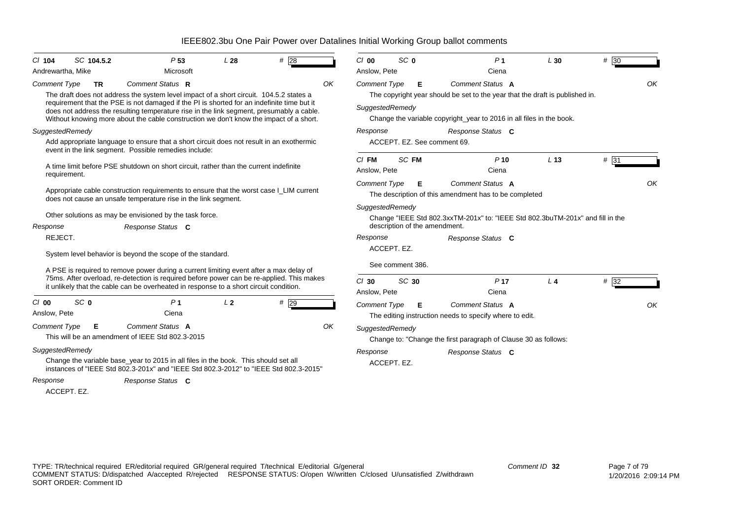| $Cl$ 104<br>Andrewartha, Mike              | SC 104.5.2 | P <sub>53</sub><br>Microsoft                                                                                                                                                                              | L28            | #28  |    | C/00<br>Anslow, Pete    | SC <sub>0</sub>  |    | P <sub>1</sub><br>Ciena                                                                                         | L30             | $# \overline{30}$ |    |
|--------------------------------------------|------------|-----------------------------------------------------------------------------------------------------------------------------------------------------------------------------------------------------------|----------------|------|----|-------------------------|------------------|----|-----------------------------------------------------------------------------------------------------------------|-----------------|-------------------|----|
| <b>Comment Type</b>                        | <b>TR</b>  | Comment Status R<br>The draft does not address the system level impact of a short circuit. 104.5.2 states a<br>requirement that the PSE is not damaged if the PI is shorted for an indefinite time but it |                |      | OK | <b>Comment Type</b>     |                  | Е  | Comment Status A<br>The copyright year should be set to the year that the draft is published in.                |                 |                   | OK |
|                                            |            | does not address the resulting temperature rise in the link segment, presumably a cable.<br>Without knowing more about the cable construction we don't know the impact of a short.                        |                |      |    | SuggestedRemedy         |                  |    | Change the variable copyright_year to 2016 in all files in the book.                                            |                 |                   |    |
| SuggestedRemedy                            |            |                                                                                                                                                                                                           |                |      |    | Response                |                  |    | Response Status C                                                                                               |                 |                   |    |
|                                            |            | Add appropriate language to ensure that a short circuit does not result in an exothermic<br>event in the link segment. Possible remedies include:                                                         |                |      |    |                         |                  |    | ACCEPT. EZ. See comment 69.                                                                                     |                 |                   |    |
| requirement.                               |            | A time limit before PSE shutdown on short circuit, rather than the current indefinite                                                                                                                     |                |      |    | $CI$ FM<br>Anslow, Pete | SC FM            |    | $P$ 10<br>Ciena                                                                                                 | L <sub>13</sub> | # 31              |    |
|                                            |            | Appropriate cable construction requirements to ensure that the worst case I_LIM current<br>does not cause an unsafe temperature rise in the link segment.                                                 |                |      |    | <b>Comment Type</b>     |                  | E. | Comment Status A<br>The description of this amendment has to be completed                                       |                 |                   | OK |
| Response                                   |            | Other solutions as may be envisioned by the task force.<br>Response Status C                                                                                                                              |                |      |    | SuggestedRemedy         |                  |    | Change "IEEE Std 802.3xxTM-201x" to: "IEEE Std 802.3buTM-201x" and fill in the<br>description of the amendment. |                 |                   |    |
| REJECT.                                    |            |                                                                                                                                                                                                           |                |      |    | Response                |                  |    | Response Status C                                                                                               |                 |                   |    |
|                                            |            | System level behavior is beyond the scope of the standard.                                                                                                                                                |                |      |    |                         | ACCEPT. EZ.      |    |                                                                                                                 |                 |                   |    |
|                                            |            | A PSE is required to remove power during a current limiting event after a max delay of                                                                                                                    |                |      |    |                         | See comment 386. |    |                                                                                                                 |                 |                   |    |
|                                            |            | 75ms. After overload, re-detection is required before power can be re-applied. This makes<br>it unlikely that the cable can be overheated in response to a short circuit condition.                       |                |      |    | $Cl$ 30<br>Anslow, Pete | SC 30            |    | P <sub>17</sub><br>Ciena                                                                                        | L <sub>4</sub>  | #32               |    |
| SC <sub>0</sub><br>$Cl$ 00<br>Anslow, Pete |            | P <sub>1</sub><br>Ciena                                                                                                                                                                                   | L <sub>2</sub> | # 29 |    | <b>Comment Type</b>     |                  | Е  | Comment Status A<br>The editing instruction needs to specify where to edit.                                     |                 |                   | OK |
| <b>Comment Type</b>                        | Е          | Comment Status A<br>This will be an amendment of IEEE Std 802.3-2015                                                                                                                                      |                |      | OK | SuggestedRemedy         |                  |    | Change to: "Change the first paragraph of Clause 30 as follows:                                                 |                 |                   |    |
| SuggestedRemedy                            |            | Change the variable base_year to 2015 in all files in the book. This should set all<br>instances of "IEEE Std 802.3-201x" and "IEEE Std 802.3-2012" to "IEEE Std 802.3-2015"                              |                |      |    | Response                | ACCEPT. EZ.      |    | Response Status C                                                                                               |                 |                   |    |
| Response<br>ACCEPT. EZ.                    |            | Response Status C                                                                                                                                                                                         |                |      |    |                         |                  |    |                                                                                                                 |                 |                   |    |

*Comment ID* **32**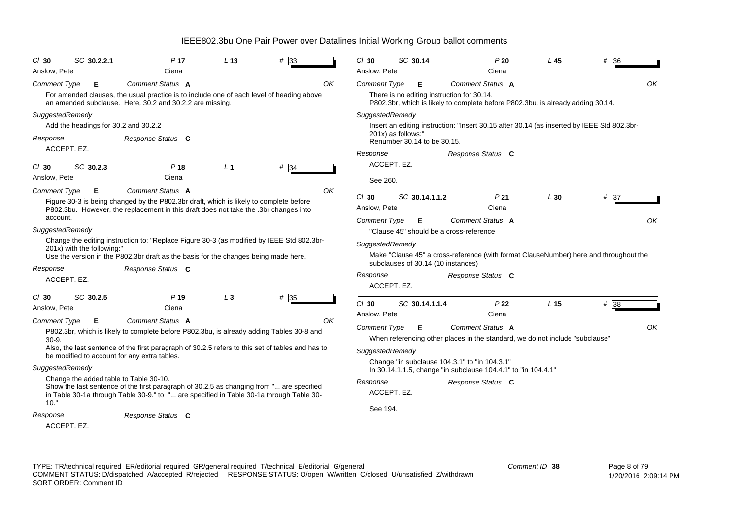| $CI$ 30             | SC 30.2.2.1                            | P <sub>17</sub>                                                                                                                                                                | L <sub>13</sub> | #33  | $Cl$ 30             | SC 30.14           |                                            | P20                                                                                        | L <sub>45</sub> | # 36              |    |
|---------------------|----------------------------------------|--------------------------------------------------------------------------------------------------------------------------------------------------------------------------------|-----------------|------|---------------------|--------------------|--------------------------------------------|--------------------------------------------------------------------------------------------|-----------------|-------------------|----|
| Anslow, Pete        |                                        | Ciena                                                                                                                                                                          |                 |      | Anslow, Pete        |                    |                                            | Ciena                                                                                      |                 |                   |    |
| <b>Comment Type</b> | Е                                      | <b>Comment Status A</b>                                                                                                                                                        |                 | OK   | <b>Comment Type</b> | Е                  |                                            | Comment Status A                                                                           |                 |                   | OK |
|                     |                                        | For amended clauses, the usual practice is to include one of each level of heading above<br>an amended subclause. Here, 30.2 and 30.2.2 are missing.                           |                 |      |                     |                    | There is no editing instruction for 30.14. | P802.3br, which is likely to complete before P802.3bu, is already adding 30.14.            |                 |                   |    |
| SuggestedRemedy     |                                        |                                                                                                                                                                                |                 |      | SuggestedRemedy     |                    |                                            |                                                                                            |                 |                   |    |
|                     | Add the headings for 30.2 and 30.2.2   |                                                                                                                                                                                |                 |      |                     |                    |                                            | Insert an editing instruction: "Insert 30.15 after 30.14 (as inserted by IEEE Std 802.3br- |                 |                   |    |
| Response            |                                        | Response Status C                                                                                                                                                              |                 |      |                     | 201x) as follows:" | Renumber 30.14 to be 30.15.                |                                                                                            |                 |                   |    |
|                     | ACCEPT. EZ.                            |                                                                                                                                                                                |                 |      | Response            |                    |                                            | Response Status C                                                                          |                 |                   |    |
| $Cl$ 30             | SC 30.2.3                              | P <sub>18</sub>                                                                                                                                                                | L <sub>1</sub>  | #34  |                     | ACCEPT. EZ.        |                                            |                                                                                            |                 |                   |    |
| Anslow, Pete        |                                        | Ciena                                                                                                                                                                          |                 |      | See 260.            |                    |                                            |                                                                                            |                 |                   |    |
| <b>Comment Type</b> | Е                                      | Comment Status A                                                                                                                                                               |                 | OK   | $Cl$ 30             | SC 30.14.1.1.2     |                                            | P <sub>21</sub>                                                                            | L30             | # 37              |    |
|                     |                                        | Figure 30-3 is being changed by the P802.3br draft, which is likely to complete before<br>P802.3bu. However, the replacement in this draft does not take the .3br changes into |                 |      | Anslow, Pete        |                    |                                            | Ciena                                                                                      |                 |                   |    |
| account.            |                                        |                                                                                                                                                                                |                 |      | <b>Comment Type</b> | Е                  |                                            | Comment Status A                                                                           |                 |                   | OK |
| SuggestedRemedy     |                                        |                                                                                                                                                                                |                 |      |                     |                    | "Clause 45" should be a cross-reference    |                                                                                            |                 |                   |    |
|                     |                                        | Change the editing instruction to: "Replace Figure 30-3 (as modified by IEEE Std 802.3br-                                                                                      |                 |      | SuggestedRemedy     |                    |                                            |                                                                                            |                 |                   |    |
|                     | 201x) with the following:"             |                                                                                                                                                                                |                 |      |                     |                    |                                            | Make "Clause 45" a cross-reference (with format ClauseNumber) here and throughout the      |                 |                   |    |
|                     |                                        | Use the version in the P802.3br draft as the basis for the changes being made here.                                                                                            |                 |      |                     |                    | subclauses of 30.14 (10 instances)         |                                                                                            |                 |                   |    |
| Response            |                                        | Response Status C                                                                                                                                                              |                 |      | Response            |                    |                                            | Response Status C                                                                          |                 |                   |    |
|                     | ACCEPT. EZ.                            |                                                                                                                                                                                |                 |      |                     | ACCEPT. EZ.        |                                            |                                                                                            |                 |                   |    |
| $Cl$ 30             | SC 30.2.5                              | P <sub>19</sub>                                                                                                                                                                | $L_3$           | # 35 |                     |                    |                                            |                                                                                            |                 |                   |    |
| Anslow, Pete        |                                        | Ciena                                                                                                                                                                          |                 |      | $Cl$ 30             | SC 30.14.1.1.4     |                                            | P <sub>22</sub>                                                                            | L <sub>15</sub> | $# \overline{38}$ |    |
| Comment Type        | Е                                      | Comment Status A                                                                                                                                                               |                 | OK   | Anslow, Pete        |                    |                                            | Ciena                                                                                      |                 |                   |    |
|                     |                                        | P802.3br, which is likely to complete before P802.3bu, is already adding Tables 30-8 and                                                                                       |                 |      | <b>Comment Type</b> | Е                  |                                            | Comment Status A                                                                           |                 |                   | OK |
| $30-9.$             |                                        |                                                                                                                                                                                |                 |      |                     |                    |                                            | When referencing other places in the standard, we do not include "subclause"               |                 |                   |    |
|                     |                                        | Also, the last sentence of the first paragraph of 30.2.5 refers to this set of tables and has to<br>be modified to account for any extra tables.                               |                 |      | SuggestedRemedy     |                    |                                            |                                                                                            |                 |                   |    |
|                     |                                        |                                                                                                                                                                                |                 |      |                     |                    |                                            | Change "in subclause 104.3.1" to "in 104.3.1"                                              |                 |                   |    |
| SuggestedRemedy     | Change the added table to Table 30-10. |                                                                                                                                                                                |                 |      |                     |                    |                                            | In 30.14.1.1.5, change "in subclause 104.4.1" to "in 104.4.1"                              |                 |                   |    |
|                     |                                        | Show the last sentence of the first paragraph of 30.2.5 as changing from " are specified                                                                                       |                 |      | Response            |                    |                                            | Response Status C                                                                          |                 |                   |    |
| 10."                |                                        | in Table 30-1a through Table 30-9." to " are specified in Table 30-1a through Table 30-                                                                                        |                 |      |                     | ACCEPT. EZ.        |                                            |                                                                                            |                 |                   |    |
| Response            |                                        | Response Status C                                                                                                                                                              |                 |      | See 194.            |                    |                                            |                                                                                            |                 |                   |    |
|                     | ACCEPT. EZ.                            |                                                                                                                                                                                |                 |      |                     |                    |                                            |                                                                                            |                 |                   |    |
|                     |                                        |                                                                                                                                                                                |                 |      |                     |                    |                                            |                                                                                            |                 |                   |    |

TYPE: TR/technical required ER/editorial required GR/general required T/technical E/editorial G/general COMMENT STATUS: D/dispatched A/accepted R/rejected RESPONSE STATUS: O/open W/written C/closed U/unsatisfied Z/withdrawn SORT ORDER: Comment ID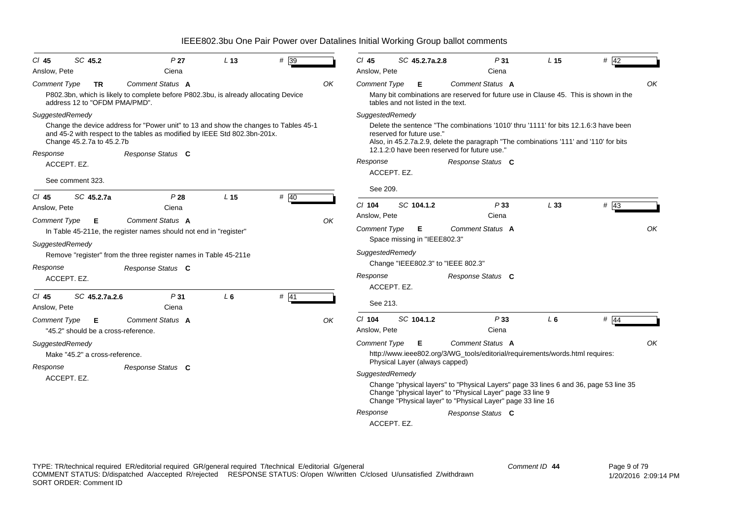| $CI$ 45<br>Anslow, Pete         | SC 45.2                                                                         | P <sub>27</sub><br>Ciena                                                                                                                                                               | L <sub>13</sub> | # 39   |    | $Cl$ 45<br>Anslow, Pete                     | SC 45.2.7a.2.8                                                                         | P31<br>Ciena                                                                                                                                                                                                                                       | L <sub>15</sub> | $#$ 42 |
|---------------------------------|---------------------------------------------------------------------------------|----------------------------------------------------------------------------------------------------------------------------------------------------------------------------------------|-----------------|--------|----|---------------------------------------------|----------------------------------------------------------------------------------------|----------------------------------------------------------------------------------------------------------------------------------------------------------------------------------------------------------------------------------------------------|-----------------|--------|
| <b>Comment Type</b>             | TR<br>address 12 to "OFDM PMA/PMD".                                             | Comment Status A<br>P802.3bn, which is likely to complete before P802.3bu, is already allocating Device                                                                                |                 |        | OK | <b>Comment Type</b>                         | Е<br>tables and not listed in the text.                                                | <b>Comment Status A</b><br>Many bit combinations are reserved for future use in Clause 45. This is shown in the                                                                                                                                    |                 | OK     |
| Response                        | SuggestedRemedy<br>Change 45.2.7a to 45.2.7b<br>ACCEPT. EZ.<br>See comment 323. | Change the device address for "Power unit" to 13 and show the changes to Tables 45-1<br>and 45-2 with respect to the tables as modified by IEEE Std 802.3bn-201x.<br>Response Status C |                 |        |    | SuggestedRemedy<br>Response                 | reserved for future use."<br>ACCEPT. EZ.                                               | Delete the sentence "The combinations '1010' thru '1111' for bits 12.1.6:3 have been<br>Also, in 45.2.7a.2.9, delete the paragraph "The combinations '111' and '110' for bits<br>12.1.2:0 have been reserved for future use."<br>Response Status C |                 |        |
| $CI$ 45                         | SC 45.2.7a                                                                      | P28                                                                                                                                                                                    | L <sub>15</sub> | # 40   |    | See 209.                                    |                                                                                        |                                                                                                                                                                                                                                                    |                 |        |
| Anslow, Pete                    |                                                                                 | Ciena                                                                                                                                                                                  |                 |        |    | $Cl$ 104<br>Anslow, Pete                    | SC 104.1.2                                                                             | P33<br>Ciena                                                                                                                                                                                                                                       | L33             | # 43   |
| <b>Comment Type</b><br>Response | Е<br>SuggestedRemedy<br>ACCEPT. EZ.                                             | Comment Status A<br>In Table 45-211e, the register names should not end in "register"<br>Remove "register" from the three register names in Table 45-211e<br>Response Status C         |                 |        | ΟK | Comment Type<br>SuggestedRemedy<br>Response | Е<br>Space missing in "IEEE802.3"<br>Change "IEEE802.3" to "IEEE 802.3"<br>ACCEPT. EZ. | <b>Comment Status A</b><br>Response Status C                                                                                                                                                                                                       |                 | OK     |
| $CI$ 45<br>Anslow, Pete         | SC 45.2.7a.2.6                                                                  | P31<br>Ciena                                                                                                                                                                           | $L_6$           | $#$ 41 |    | See 213.                                    |                                                                                        |                                                                                                                                                                                                                                                    |                 |        |
| <b>Comment Type</b>             | Е<br>"45.2" should be a cross-reference.                                        | <b>Comment Status A</b>                                                                                                                                                                |                 |        | OK | $Cl$ 104<br>Anslow, Pete                    | SC 104.1.2                                                                             | P33<br>Ciena                                                                                                                                                                                                                                       | $L_6$           | # $44$ |
|                                 | SuggestedRemedy<br>Make "45.2" a cross-reference.                               |                                                                                                                                                                                        |                 |        |    | <b>Comment Type</b>                         | E                                                                                      | <b>Comment Status A</b><br>http://www.ieee802.org/3/WG_tools/editorial/requirements/words.html requires:                                                                                                                                           |                 | OK     |
| Response                        | ACCEPT. EZ.                                                                     | Response Status C                                                                                                                                                                      |                 |        |    | SuggestedRemedy<br>Response                 | Physical Layer (always capped)<br>ACCEPT. EZ.                                          | Change "physical layers" to "Physical Layers" page 33 lines 6 and 36, page 53 line 35<br>Change "physical layer" to "Physical Layer" page 33 line 9<br>Change "Physical layer" to "Physical Layer" page 33 line 16<br>Response Status C            |                 |        |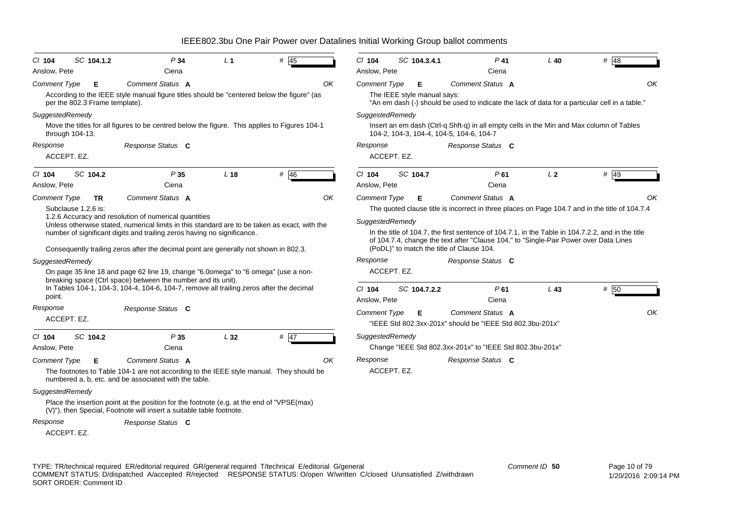| $CI$ 104                           | SC 104.1.2                          | P <sub>34</sub>                                                                                                                                                                                                                                                                                                                                                                                                                                                                                                                                                               |   | L <sub>1</sub>  | #<br>45        |    |
|------------------------------------|-------------------------------------|-------------------------------------------------------------------------------------------------------------------------------------------------------------------------------------------------------------------------------------------------------------------------------------------------------------------------------------------------------------------------------------------------------------------------------------------------------------------------------------------------------------------------------------------------------------------------------|---|-----------------|----------------|----|
| Anslow, Pete                       |                                     | Ciena                                                                                                                                                                                                                                                                                                                                                                                                                                                                                                                                                                         |   |                 |                |    |
| <b>Comment Type</b>                | Е<br>per the 802.3 Frame template). | Comment Status A<br>According to the IEEE style manual figure titles should be "centered below the figure" (as                                                                                                                                                                                                                                                                                                                                                                                                                                                                |   |                 |                | ΟK |
| SuggestedRemedy<br>through 104-13. |                                     | Move the titles for all figures to be centred below the figure. This applies to Figures 104-1                                                                                                                                                                                                                                                                                                                                                                                                                                                                                 |   |                 |                |    |
| Response<br>ACCEPT. EZ.            |                                     | Response Status C                                                                                                                                                                                                                                                                                                                                                                                                                                                                                                                                                             |   |                 |                |    |
| $Cl$ 104                           | SC 104.2                            | P <sub>35</sub>                                                                                                                                                                                                                                                                                                                                                                                                                                                                                                                                                               |   | L <sub>18</sub> | # $46$         |    |
| Anslow, Pete                       |                                     | Ciena                                                                                                                                                                                                                                                                                                                                                                                                                                                                                                                                                                         |   |                 |                |    |
| SuggestedRemedy<br>point.          | Subclause 1.2.6 is:                 | 1.2.6 Accuracy and resolution of numerical quantities<br>Unless otherwise stated, numerical limits in this standard are to be taken as exact, with the<br>number of significant digits and trailing zeros having no significance.<br>Consequently trailing zeros after the decimal point are generally not shown in 802.3.<br>On page 35 line 18 and page 62 line 19, change "6.0omega" to "6 omega" (use a non-<br>breaking space (Ctrl space) between the number and its unit).<br>In Tables 104-1, 104-3, 104-4, 104-6, 104-7, remove all trailing zeros after the decimal |   |                 |                |    |
| Response                           |                                     | Response Status C                                                                                                                                                                                                                                                                                                                                                                                                                                                                                                                                                             |   |                 |                |    |
| ACCEPT. EZ.                        |                                     |                                                                                                                                                                                                                                                                                                                                                                                                                                                                                                                                                                               |   |                 |                |    |
| $Cl$ 104<br>Anslow, Pete           | SC 104.2                            | P35<br>Ciena                                                                                                                                                                                                                                                                                                                                                                                                                                                                                                                                                                  |   | L32             | #<br><b>47</b> |    |
| <b>Comment Type</b>                | Е                                   | Comment Status A                                                                                                                                                                                                                                                                                                                                                                                                                                                                                                                                                              |   |                 |                | OΚ |
|                                    |                                     | The footnotes to Table 104-1 are not according to the IEEE style manual. They should be<br>numbered a, b, etc. and be associated with the table.                                                                                                                                                                                                                                                                                                                                                                                                                              |   |                 |                |    |
| SuggestedRemedy                    |                                     |                                                                                                                                                                                                                                                                                                                                                                                                                                                                                                                                                                               |   |                 |                |    |
|                                    |                                     | Place the insertion point at the position for the footnote (e.g. at the end of "VPSE(max)<br>(V)"), then Special, Footnote will insert a suitable table footnote.                                                                                                                                                                                                                                                                                                                                                                                                             |   |                 |                |    |
| Response                           |                                     | <b>Response Status</b>                                                                                                                                                                                                                                                                                                                                                                                                                                                                                                                                                        | C |                 |                |    |

ACCEPT. EZ.

|                                        |             | SC 104.3.4.1                     | $P$ 41                                                                                                                                                                                                                  | $L$ 40         | # 48 |
|----------------------------------------|-------------|----------------------------------|-------------------------------------------------------------------------------------------------------------------------------------------------------------------------------------------------------------------------|----------------|------|
| Anslow, Pete                           |             |                                  | Ciena                                                                                                                                                                                                                   |                |      |
| <b>Comment Type</b>                    |             | Е<br>The IEEE style manual says: | Comment Status A<br>"An em dash (-) should be used to indicate the lack of data for a particular cell in a table."                                                                                                      |                |      |
| SuggestedRemedy                        |             |                                  | Insert an em dash (Ctrl-q Shft-q) in all empty cells in the Min and Max column of Tables<br>104-2, 104-3, 104-4, 104-5, 104-6, 104-7                                                                                    |                |      |
| Response                               | ACCEPT. EZ. |                                  | Response Status C                                                                                                                                                                                                       |                |      |
| $Cl$ 104<br>Anslow, Pete               |             | SC 104.7                         | P61<br>Ciena                                                                                                                                                                                                            | L <sub>2</sub> | # 49 |
|                                        |             |                                  |                                                                                                                                                                                                                         |                |      |
| <b>Comment Type</b><br>SuggestedRemedy |             | Е                                | Comment Status A<br>The quoted clause title is incorrect in three places on Page 104.7 and in the title of 104.7.4<br>In the title of 104.7, the first sentence of 104.7.1, in the Table in 104.7.2.2, and in the title |                |      |
| Response                               |             |                                  | of 104.7.4, change the text after "Clause 104," to "Single-Pair Power over Data Lines<br>(PoDL)" to match the title of Clause 104.<br>Response Status C                                                                 |                |      |
|                                        | ACCEPT. EZ. |                                  |                                                                                                                                                                                                                         |                |      |
| $Cl$ 104<br>Anslow, Pete               |             | SC 104.7.2.2                     | P61<br>Ciena                                                                                                                                                                                                            | L43            | # 50 |
| <b>Comment Type</b>                    |             | Е                                | Comment Status A<br>"IEEE Std 802.3xx-201x" should be "IEEE Std 802.3bu-201x"                                                                                                                                           |                |      |
| SuggestedRemedy                        |             |                                  | Change "IEEE Std 802.3xx-201x" to "IEEE Std 802.3bu-201x"                                                                                                                                                               |                |      |

TYPE: TR/technical required ER/editorial required GR/general required T/technical E/editorial G/general COMMENT STATUS: D/dispatched A/accepted R/rejected RESPONSE STATUS: O/open W/written C/closed U/unsatisfied Z/withdrawn SORT ORDER: Comment ID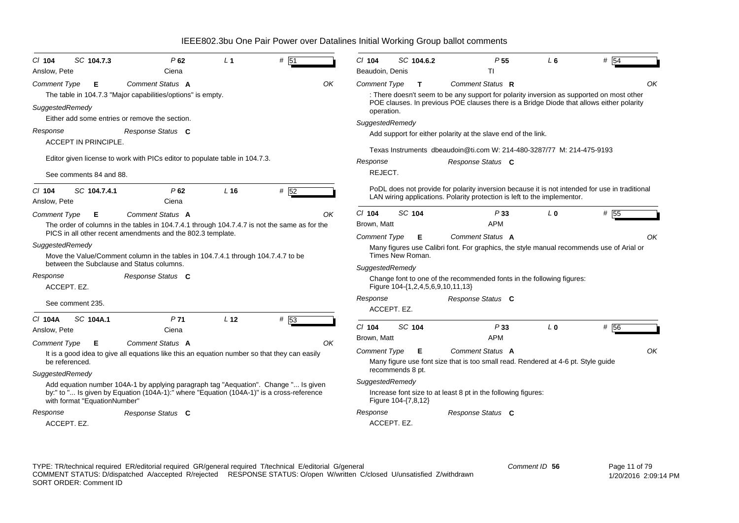| $CI$ 104                 | SC 104.7.3                   | P62                                                                                                                                                                             | L <sub>1</sub>  | # 51 |    | $Cl$ 104            |        | SC 104.6.2 | P <sub>55</sub>                                                                                                                                                            | L6             | # 54 |
|--------------------------|------------------------------|---------------------------------------------------------------------------------------------------------------------------------------------------------------------------------|-----------------|------|----|---------------------|--------|------------|----------------------------------------------------------------------------------------------------------------------------------------------------------------------------|----------------|------|
| Anslow, Pete             |                              | Ciena                                                                                                                                                                           |                 |      |    | Beaudoin, Denis     |        |            | Τl                                                                                                                                                                         |                |      |
| Comment Type             | Е                            | Comment Status A                                                                                                                                                                |                 |      | OK | <b>Comment Type</b> |        | T.         | Comment Status R                                                                                                                                                           |                | OK   |
|                          |                              | The table in 104.7.3 "Major capabilities/options" is empty.                                                                                                                     |                 |      |    |                     |        |            | : There doesn't seem to be any support for polarity inversion as supported on most other                                                                                   |                |      |
| SuggestedRemedy          |                              | Either add some entries or remove the section.                                                                                                                                  |                 |      |    | operation.          |        |            | POE clauses. In previous POE clauses there is a Bridge Diode that allows either polarity                                                                                   |                |      |
|                          |                              |                                                                                                                                                                                 |                 |      |    | SuggestedRemedy     |        |            |                                                                                                                                                                            |                |      |
| Response                 |                              | Response Status C                                                                                                                                                               |                 |      |    |                     |        |            | Add support for either polarity at the slave end of the link.                                                                                                              |                |      |
|                          | <b>ACCEPT IN PRINCIPLE.</b>  |                                                                                                                                                                                 |                 |      |    |                     |        |            | Texas Instruments dbeaudoin@ti.com W: 214-480-3287/77 M: 214-475-9193                                                                                                      |                |      |
|                          |                              | Editor given license to work with PICs editor to populate table in 104.7.3.                                                                                                     |                 |      |    | Response            |        |            | Response Status C                                                                                                                                                          |                |      |
|                          | See comments 84 and 88.      |                                                                                                                                                                                 |                 |      |    | REJECT.             |        |            |                                                                                                                                                                            |                |      |
| $CI$ 104<br>Anslow, Pete | SC 104.7.4.1                 | P62<br>Ciena                                                                                                                                                                    | L <sub>16</sub> | # 52 |    |                     |        |            | PoDL does not provide for polarity inversion because it is not intended for use in traditional<br>LAN wiring applications. Polarity protection is left to the implementor. |                |      |
| <b>Comment Type</b>      | Е                            | Comment Status A                                                                                                                                                                |                 |      | OK | $Cl$ 104            | SC 104 |            | P33                                                                                                                                                                        | L <sub>0</sub> | # 55 |
|                          |                              | The order of columns in the tables in 104.7.4.1 through 104.7.4.7 is not the same as for the                                                                                    |                 |      |    | Brown, Matt         |        |            | <b>APM</b>                                                                                                                                                                 |                |      |
|                          |                              | PICS in all other recent amendments and the 802.3 template.                                                                                                                     |                 |      |    | <b>Comment Type</b> |        | Е          | Comment Status A                                                                                                                                                           |                | OK   |
| SuggestedRemedy          |                              | Move the Value/Comment column in the tables in 104.7.4.1 through 104.7.4.7 to be                                                                                                |                 |      |    | Times New Roman.    |        |            | Many figures use Calibri font. For graphics, the style manual recommends use of Arial or                                                                                   |                |      |
|                          |                              | between the Subclause and Status columns.                                                                                                                                       |                 |      |    | SuggestedRemedy     |        |            |                                                                                                                                                                            |                |      |
| Response<br>ACCEPT. EZ.  |                              | Response Status C                                                                                                                                                               |                 |      |    |                     |        |            | Change font to one of the recommended fonts in the following figures:<br>Figure 104-{1,2,4,5,6,9,10,11,13}                                                                 |                |      |
|                          | See comment 235.             |                                                                                                                                                                                 |                 |      |    | Response            |        |            | Response Status C                                                                                                                                                          |                |      |
|                          |                              |                                                                                                                                                                                 |                 |      |    | ACCEPT. EZ.         |        |            |                                                                                                                                                                            |                |      |
| C/ 104A                  | SC 104A.1                    | P <sub>71</sub>                                                                                                                                                                 | L <sub>12</sub> | # 53 |    | $Cl$ 104            | SC 104 |            | P33                                                                                                                                                                        | L <sub>0</sub> | # 56 |
| Anslow, Pete             |                              | Ciena                                                                                                                                                                           |                 |      |    | Brown. Matt         |        |            | APM                                                                                                                                                                        |                |      |
| <b>Comment Type</b>      | Е                            | Comment Status A                                                                                                                                                                |                 |      | ΟK |                     |        |            | Comment Status A                                                                                                                                                           |                | OK   |
| be referenced.           |                              | It is a good idea to give all equations like this an equation number so that they can easily                                                                                    |                 |      |    | <b>Comment Type</b> |        | Е          | Many figure use font size that is too small read. Rendered at 4-6 pt. Style guide                                                                                          |                |      |
|                          |                              |                                                                                                                                                                                 |                 |      |    | recommends 8 pt.    |        |            |                                                                                                                                                                            |                |      |
| SuggestedRemedy          |                              |                                                                                                                                                                                 |                 |      |    | SuggestedRemedy     |        |            |                                                                                                                                                                            |                |      |
|                          |                              | Add equation number 104A-1 by applying paragraph tag "Aequation". Change " Is given<br>by:" to " Is given by Equation (104A-1):" where "Equation (104A-1)" is a cross-reference |                 |      |    |                     |        |            | Increase font size to at least 8 pt in the following figures:                                                                                                              |                |      |
|                          | with format "EquationNumber" |                                                                                                                                                                                 |                 |      |    | Figure 104-{7,8,12} |        |            |                                                                                                                                                                            |                |      |
| Response                 |                              | Response Status C                                                                                                                                                               |                 |      |    | Response            |        |            | Response Status C                                                                                                                                                          |                |      |
| ACCEPT. EZ.              |                              |                                                                                                                                                                                 |                 |      |    | ACCEPT. EZ.         |        |            |                                                                                                                                                                            |                |      |
|                          |                              |                                                                                                                                                                                 |                 |      |    |                     |        |            |                                                                                                                                                                            |                |      |

TYPE: TR/technical required ER/editorial required GR/general required T/technical E/editorial G/general COMMENT STATUS: D/dispatched A/accepted R/rejected RESPONSE STATUS: O/open W/written C/closed U/unsatisfied Z/withdrawn SORT ORDER: Comment ID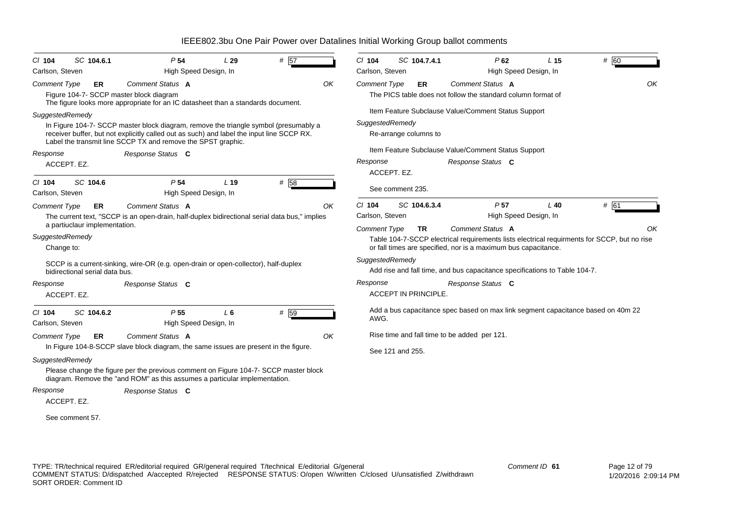| $Cl$ 104                      | SC 104.6.1                     | P <sub>54</sub>                                                                                                                                                                                                                                   | L29   | # 57 |    | $Cl$ 104            | SC 104.7.4.1                |              | $P$ 62                                                                                                                                                                            | L <sub>15</sub>       | # 60 |    |
|-------------------------------|--------------------------------|---------------------------------------------------------------------------------------------------------------------------------------------------------------------------------------------------------------------------------------------------|-------|------|----|---------------------|-----------------------------|--------------|-----------------------------------------------------------------------------------------------------------------------------------------------------------------------------------|-----------------------|------|----|
| Carlson, Steven               |                                | High Speed Design, In                                                                                                                                                                                                                             |       |      |    | Carlson, Steven     |                             |              |                                                                                                                                                                                   | High Speed Design, In |      |    |
| <b>Comment Type</b>           | ER                             | Comment Status A<br>Figure 104-7- SCCP master block diagram<br>The figure looks more appropriate for an IC datasheet than a standards document.                                                                                                   |       |      | OK | <b>Comment Type</b> |                             | ER           | Comment Status A<br>The PICS table does not follow the standard column format of                                                                                                  |                       |      | OK |
|                               |                                |                                                                                                                                                                                                                                                   |       |      |    |                     |                             |              | Item Feature Subclause Value/Comment Status Support                                                                                                                               |                       |      |    |
| SuggestedRemedy               |                                | In Figure 104-7- SCCP master block diagram, remove the triangle symbol (presumably a<br>receiver buffer, but not explicitly called out as such) and label the input line SCCP RX.<br>Label the transmit line SCCP TX and remove the SPST graphic. |       |      |    | SuggestedRemedy     | Re-arrange columns to       |              |                                                                                                                                                                                   |                       |      |    |
| Response                      |                                | Response Status C                                                                                                                                                                                                                                 |       |      |    |                     |                             |              | Item Feature Subclause Value/Comment Status Support                                                                                                                               |                       |      |    |
| ACCEPT. EZ.                   |                                |                                                                                                                                                                                                                                                   |       |      |    | Response            | ACCEPT. EZ.                 |              | Response Status C                                                                                                                                                                 |                       |      |    |
| $CI$ 104<br>Carlson, Steven   | SC 104.6                       | P <sub>54</sub><br>High Speed Design, In                                                                                                                                                                                                          | L 19  | # 58 |    |                     | See comment 235.            |              |                                                                                                                                                                                   |                       |      |    |
| <b>Comment Type</b>           | ER                             | Comment Status A                                                                                                                                                                                                                                  |       |      | OK | $Cl$ 104            |                             | SC 104.6.3.4 | P <sub>57</sub>                                                                                                                                                                   | $L$ 40                | # 61 |    |
|                               | a partiuclaur implementation.  | The current text, "SCCP is an open-drain, half-duplex bidirectional serial data bus," implies                                                                                                                                                     |       |      |    | Carlson, Steven     |                             |              |                                                                                                                                                                                   | High Speed Design, In |      |    |
| SuggestedRemedy<br>Change to: |                                |                                                                                                                                                                                                                                                   |       |      |    | <b>Comment Type</b> |                             | <b>TR</b>    | Comment Status A<br>Table 104-7-SCCP electrical requirements lists electrical requirments for SCCP, but no rise<br>or fall times are specified, nor is a maximum bus capacitance. |                       |      | OK |
|                               | bidirectional serial data bus. | SCCP is a current-sinking, wire-OR (e.g. open-drain or open-collector), half-duplex                                                                                                                                                               |       |      |    | SuggestedRemedy     |                             |              | Add rise and fall time, and bus capacitance specifications to Table 104-7.                                                                                                        |                       |      |    |
| Response<br>ACCEPT. EZ.       |                                | Response Status C                                                                                                                                                                                                                                 |       |      |    | Response            | <b>ACCEPT IN PRINCIPLE.</b> |              | Response Status C                                                                                                                                                                 |                       |      |    |
| $Cl$ 104<br>Carlson, Steven   | SC 104.6.2                     | P <sub>55</sub><br>High Speed Design, In                                                                                                                                                                                                          | $L_6$ | # 59 |    | AWG.                |                             |              | Add a bus capacitance spec based on max link segment capacitance based on 40m 22                                                                                                  |                       |      |    |
| <b>Comment Type</b>           | ER.                            | Comment Status A                                                                                                                                                                                                                                  |       |      | OK |                     |                             |              | Rise time and fall time to be added per 121.                                                                                                                                      |                       |      |    |
|                               |                                | In Figure 104-8-SCCP slave block diagram, the same issues are present in the figure.                                                                                                                                                              |       |      |    |                     | See 121 and 255.            |              |                                                                                                                                                                                   |                       |      |    |
| SuggestedRemedy               |                                |                                                                                                                                                                                                                                                   |       |      |    |                     |                             |              |                                                                                                                                                                                   |                       |      |    |
|                               |                                | Please change the figure per the previous comment on Figure 104-7- SCCP master block<br>diagram. Remove the "and ROM" as this assumes a particular implementation.                                                                                |       |      |    |                     |                             |              |                                                                                                                                                                                   |                       |      |    |
| Response<br>ACCEPT. EZ.       |                                | Response Status C                                                                                                                                                                                                                                 |       |      |    |                     |                             |              |                                                                                                                                                                                   |                       |      |    |
| See comment 57.               |                                |                                                                                                                                                                                                                                                   |       |      |    |                     |                             |              |                                                                                                                                                                                   |                       |      |    |

TYPE: TR/technical required ER/editorial required GR/general required T/technical E/editorial G/general COMMENT STATUS: D/dispatched A/accepted R/rejected RESPONSE STATUS: O/open W/written C/closed U/unsatisfied Z/withdrawn SORT ORDER: Comment ID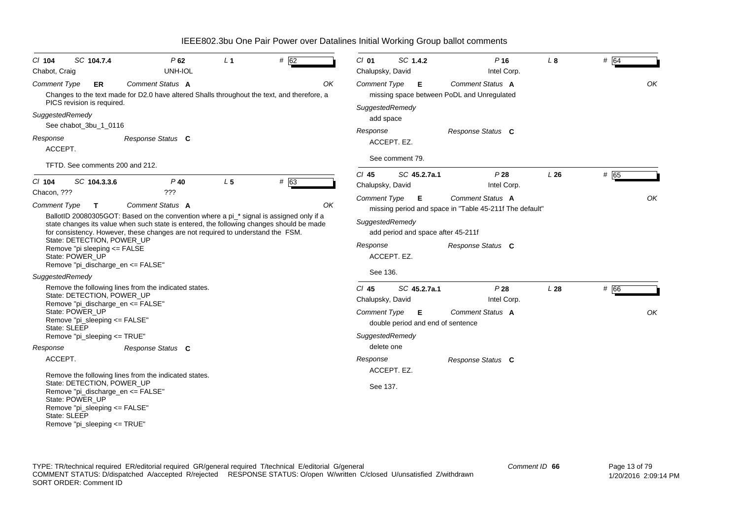| SC 104.7.4<br>$CI$ 104<br>Chabot, Craig                                                                                             | P62<br>UNH-IOL                                                                                                                                                                                                                                                         | L <sub>1</sub> | # 62 | $CI$ 01<br>Chalupsky, David | SC 1.4.2                                                             | $P$ 16<br>Intel Corp.                                                        | L 8 | # 64 |
|-------------------------------------------------------------------------------------------------------------------------------------|------------------------------------------------------------------------------------------------------------------------------------------------------------------------------------------------------------------------------------------------------------------------|----------------|------|-----------------------------|----------------------------------------------------------------------|------------------------------------------------------------------------------|-----|------|
| Comment Type<br>ER<br>PICS revision is required.                                                                                    | Comment Status A<br>Changes to the text made for D2.0 have altered Shalls throughout the text, and therefore, a                                                                                                                                                        |                | OK   | <b>Comment Type</b>         | E.<br>SuggestedRemedy                                                | Comment Status A<br>missing space between PoDL and Unregulated               |     | OK   |
| SuggestedRemedy<br>See chabot_3bu_1_0116                                                                                            |                                                                                                                                                                                                                                                                        |                |      |                             | add space                                                            |                                                                              |     |      |
| Response<br>ACCEPT.                                                                                                                 | Response Status C                                                                                                                                                                                                                                                      |                |      | Response                    | ACCEPT. EZ.<br>See comment 79.                                       | Response Status C                                                            |     |      |
| TFTD. See comments 200 and 212.                                                                                                     |                                                                                                                                                                                                                                                                        |                |      |                             |                                                                      |                                                                              |     |      |
| SC 104.3.3.6<br>$CI$ 104                                                                                                            | $P$ 40                                                                                                                                                                                                                                                                 | L <sub>5</sub> | # 63 | $Cl$ 45<br>Chalupsky, David | SC 45.2.7a.1                                                         | P28<br>Intel Corp.                                                           | L26 | # 65 |
| Chacon, ???<br><b>Comment Type</b>                                                                                                  | ???<br>Comment Status A                                                                                                                                                                                                                                                |                | OK   | <b>Comment Type</b>         | E                                                                    | <b>Comment Status A</b>                                                      |     | OK   |
| State: DETECTION, POWER_UP<br>Remove "pi sleeping <= FALSE<br>State: POWER UP<br>Remove "pi_discharge_en <= FALSE"                  | BallotID 20080305GOT: Based on the convention where a pi_* signal is assigned only if a<br>state changes its value when such state is entered, the following changes should be made<br>for consistency. However, these changes are not required to understand the FSM. |                |      | Response<br>See 136.        | SuggestedRemedy<br>add period and space after 45-211f<br>ACCEPT. EZ. | missing period and space in "Table 45-211f The default"<br>Response Status C |     |      |
| SuggestedRemedy                                                                                                                     |                                                                                                                                                                                                                                                                        |                |      |                             |                                                                      |                                                                              |     |      |
| State: DETECTION, POWER UP<br>Remove "pi discharge en <= FALSE"                                                                     | Remove the following lines from the indicated states.                                                                                                                                                                                                                  |                |      | $Cl$ 45<br>Chalupsky, David | SC 45.2.7a.1                                                         | P28<br>Intel Corp.                                                           | L28 | # 66 |
| State: POWER_UP<br>Remove "pi_sleeping <= FALSE"<br>State: SLEEP                                                                    |                                                                                                                                                                                                                                                                        |                |      | <b>Comment Type</b>         | E.<br>double period and end of sentence                              | Comment Status A                                                             |     | OK   |
| Remove "pi_sleeping <= TRUE"                                                                                                        |                                                                                                                                                                                                                                                                        |                |      |                             | SuggestedRemedy                                                      |                                                                              |     |      |
| Response                                                                                                                            | Response Status C                                                                                                                                                                                                                                                      |                |      |                             | delete one                                                           |                                                                              |     |      |
| ACCEPT.                                                                                                                             | Remove the following lines from the indicated states.                                                                                                                                                                                                                  |                |      | Response                    | ACCEPT. EZ.                                                          | Response Status C                                                            |     |      |
| State: DETECTION, POWER UP<br>Remove "pi_discharge_en <= FALSE"<br>State: POWER UP<br>Remove "pi_sleeping <= FALSE"<br>State: SLEEP |                                                                                                                                                                                                                                                                        |                |      | See 137.                    |                                                                      |                                                                              |     |      |

Remove "pi\_sleeping <= TRUE"

TYPE: TR/technical required ER/editorial required GR/general required T/technical E/editorial G/general COMMENT STATUS: D/dispatched A/accepted R/rejected RESPONSE STATUS: O/open W/written C/closed U/unsatisfied Z/withdrawn SORT ORDER: Comment ID *Comment ID* **66**

IEEE802.3bu One Pair Power over Datalines Initial Working Group ballot comments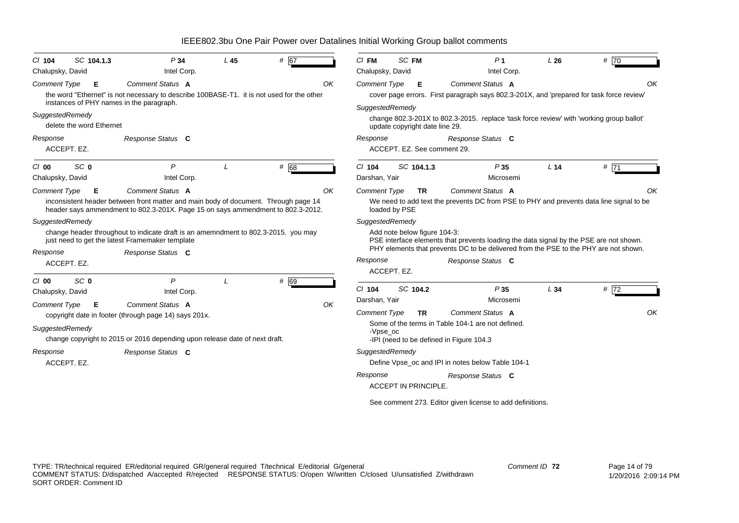| $CI$ 104<br>Chalupsky, David                    | SC 104.1.3               | P34<br>Intel Corp.                                                                                                                                                                         | L <sub>45</sub> | # 67 |    | $CI$ FM<br>Chalupsky, David                              | SC FM                          | P <sub>1</sub><br>Intel Corp.                                                                                                                                                                       | L26             | # 70 |    |
|-------------------------------------------------|--------------------------|--------------------------------------------------------------------------------------------------------------------------------------------------------------------------------------------|-----------------|------|----|----------------------------------------------------------|--------------------------------|-----------------------------------------------------------------------------------------------------------------------------------------------------------------------------------------------------|-----------------|------|----|
| <b>Comment Type</b>                             | Е                        | Comment Status A<br>the word "Ethernet" is not necessary to describe 100BASE-T1. it is not used for the other<br>instances of PHY names in the paragraph.                                  |                 |      | OK | <b>Comment Type</b>                                      | E                              | <b>Comment Status A</b><br>cover page errors. First paragraph says 802.3-201X, and 'prepared for task force review'                                                                                 |                 |      | OK |
| SuggestedRemedy                                 | delete the word Ethernet |                                                                                                                                                                                            |                 |      |    | SuggestedRemedy                                          | update copyright date line 29. | change 802.3-201X to 802.3-2015. replace 'task force review' with 'working group ballot'                                                                                                            |                 |      |    |
| Response<br>ACCEPT. EZ.                         |                          | Response Status C                                                                                                                                                                          |                 |      |    | Response                                                 | ACCEPT. EZ. See comment 29.    | Response Status C                                                                                                                                                                                   |                 |      |    |
| C/00<br>Chalupsky, David                        | SC <sub>0</sub>          | P<br>Intel Corp.                                                                                                                                                                           |                 | # 68 |    | $Cl$ 104<br>Darshan, Yair                                | SC 104.1.3                     | P35<br>Microsemi                                                                                                                                                                                    | L <sub>14</sub> | #71  |    |
| <b>Comment Type</b>                             | Е                        | Comment Status A<br>inconsistent header between front matter and main body of document. Through page 14<br>header says ammendment to 802.3-201X. Page 15 on says ammendment to 802.3-2012. |                 |      | OK | <b>Comment Type</b><br>loaded by PSE                     | <b>TR</b>                      | <b>Comment Status A</b><br>We need to add text the prevents DC from PSE to PHY and prevents data line signal to be                                                                                  |                 |      | ΟK |
| SuggestedRemedy<br>Response<br>ACCEPT. EZ.      |                          | change header throughout to indicate draft is an amemndment to 802.3-2015. you may<br>just need to get the latest Framemaker template<br>Response Status C                                 |                 |      |    | SuggestedRemedy<br>Response                              | Add note below figure 104-3:   | PSE interface elements that prevents loading the data signal by the PSE are not shown.<br>PHY elements that prevents DC to be delivered from the PSE to the PHY are not shown.<br>Response Status C |                 |      |    |
| C/00<br>Chalupsky, David<br><b>Comment Type</b> | SC <sub>0</sub><br>E     | P<br>Intel Corp.<br>Comment Status A<br>copyright date in footer (through page 14) says 201x.                                                                                              |                 | # 69 | OK | ACCEPT. EZ.<br>$Cl$ 104<br>Darshan, Yair<br>Comment Type | SC 104.2<br><b>TR</b>          | P35<br>Microsemi<br><b>Comment Status A</b>                                                                                                                                                         | L34             | #72  | OK |
| SuggestedRemedy                                 |                          | change copyright to 2015 or 2016 depending upon release date of next draft.                                                                                                                |                 |      |    | -Vpse oc                                                 |                                | Some of the terms in Table 104-1 are not defined.<br>-IPI (need to be defined in Figure 104.3                                                                                                       |                 |      |    |
| Response<br>ACCEPT. EZ.                         |                          | Response Status C                                                                                                                                                                          |                 |      |    | SuggestedRemedy                                          |                                | Define Vpse_oc and IPI in notes below Table 104-1                                                                                                                                                   |                 |      |    |
|                                                 |                          |                                                                                                                                                                                            |                 |      |    | Response                                                 | ACCEPT IN PRINCIPLE.           | Response Status C                                                                                                                                                                                   |                 |      |    |
|                                                 |                          |                                                                                                                                                                                            |                 |      |    |                                                          |                                | See comment 273. Editor given license to add definitions.                                                                                                                                           |                 |      |    |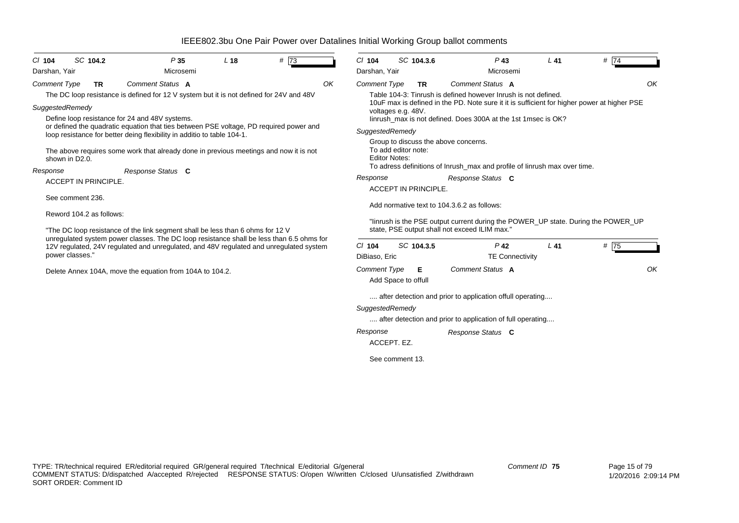| $CI$ 104<br>Darshan, Yair              |                  | SC 104.2                                                | P35<br>Microsemi                                                                                                                                                                                                                                        | L <sub>18</sub> | # 73 |    | $CI$ 104<br>Darshan, Yair                           | SC 104.3.6               |           | $P$ 43<br>Microsemi                                                                                                                                                                                                                                | $L$ 41 | $#$ 74 |    |
|----------------------------------------|------------------|---------------------------------------------------------|---------------------------------------------------------------------------------------------------------------------------------------------------------------------------------------------------------------------------------------------------------|-----------------|------|----|-----------------------------------------------------|--------------------------|-----------|----------------------------------------------------------------------------------------------------------------------------------------------------------------------------------------------------------------------------------------------------|--------|--------|----|
| <b>Comment Type</b><br>SuggestedRemedy |                  | <b>TR</b>                                               | Comment Status A<br>The DC loop resistance is defined for 12 V system but it is not defined for 24V and 48V<br>Define loop resistance for 24 and 48V systems.<br>or defined the quadratic equation that ties between PSE voltage, PD required power and |                 |      | OK | <b>Comment Type</b>                                 | voltages e.g. 48V.       | <b>TR</b> | Comment Status A<br>Table 104-3: Tinrush is defined however Inrush is not defined.<br>10uF max is defined in the PD. Note sure it it is sufficient for higher power at higher PSE<br>linrush_max is not defined. Does 300A at the 1st 1msec is OK? |        |        | ΟK |
| Response                               | shown in D2.0.   |                                                         | loop resistance for better deing flexibility in additio to table 104-1.<br>The above requires some work that already done in previous meetings and now it is not<br>Response Status C                                                                   |                 |      |    | SuggestedRemedy<br><b>Editor Notes:</b><br>Response | To add editor note:      |           | Group to discuss the above concerns.<br>To adress definitions of Inrush_max and profile of Iinrush max over time.<br>Response Status C                                                                                                             |        |        |    |
|                                        | See comment 236. | <b>ACCEPT IN PRINCIPLE.</b><br>Reword 104.2 as follows: | "The DC loop resistance of the link segment shall be less than 6 ohms for 12 V                                                                                                                                                                          |                 |      |    |                                                     | ACCEPT IN PRINCIPLE.     |           | Add normative text to 104.3.6.2 as follows:<br>"linrush is the PSE output current during the POWER_UP state. During the POWER_UP<br>state, PSE output shall not exceed ILIM max."                                                                  |        |        |    |
|                                        | power classes."  |                                                         | unregulated system power classes. The DC loop resistance shall be less than 6.5 ohms for<br>12V regulated, 24V regulated and unregulated, and 48V regulated and unregulated system                                                                      |                 |      |    | $Cl$ 104<br>DiBiaso, Eric                           | SC 104.3.5               |           | $P$ 42<br><b>TE Connectivity</b>                                                                                                                                                                                                                   | $L$ 41 | # 75   |    |
|                                        |                  |                                                         | Delete Annex 104A, move the equation from 104A to 104.2.                                                                                                                                                                                                |                 |      |    | <b>Comment Type</b>                                 | Е<br>Add Space to offull |           | Comment Status A                                                                                                                                                                                                                                   |        |        | OK |
|                                        |                  |                                                         |                                                                                                                                                                                                                                                         |                 |      |    | SuggestedRemedy<br>Response                         |                          |           | after detection and prior to application offull operating<br>after detection and prior to application of full operating<br>Response Status C                                                                                                       |        |        |    |
|                                        |                  |                                                         |                                                                                                                                                                                                                                                         |                 |      |    | ACCEPT. EZ.                                         | See comment 13.          |           |                                                                                                                                                                                                                                                    |        |        |    |
|                                        |                  |                                                         |                                                                                                                                                                                                                                                         |                 |      |    |                                                     |                          |           |                                                                                                                                                                                                                                                    |        |        |    |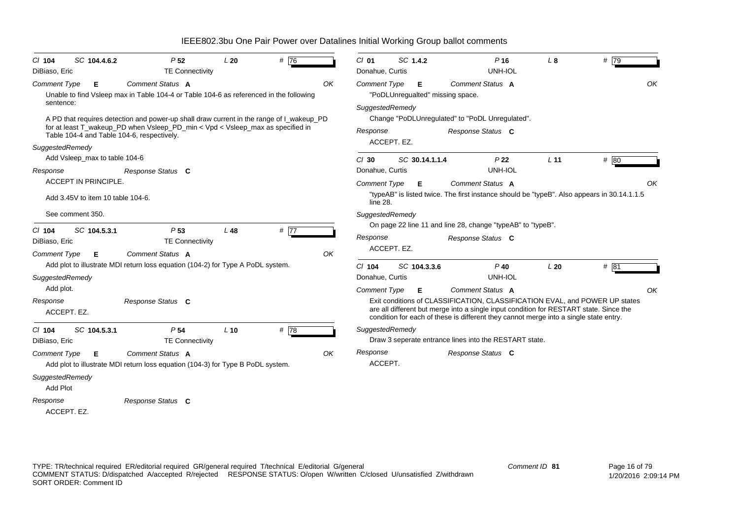| $Cl$ 104                               | SC 104.4.6.2                      | P <sub>52</sub>                                                                                                                                                                                                          | L20    | # 76              |    | $Cl$ 01                     | SC 1.4.2    |                | $P$ 16                                                                                                                                                                                                                                                         | $L_{\rm 8}$     | #79  |
|----------------------------------------|-----------------------------------|--------------------------------------------------------------------------------------------------------------------------------------------------------------------------------------------------------------------------|--------|-------------------|----|-----------------------------|-------------|----------------|----------------------------------------------------------------------------------------------------------------------------------------------------------------------------------------------------------------------------------------------------------------|-----------------|------|
| DiBiaso, Eric                          |                                   | <b>TE Connectivity</b><br>Comment Status A                                                                                                                                                                               |        |                   | OK | Donahue, Curtis             |             |                | UNH-IOL<br>Comment Status A                                                                                                                                                                                                                                    |                 | OK   |
| <b>Comment Type</b>                    | Е                                 | Unable to find Vsleep max in Table 104-4 or Table 104-6 as referenced in the following                                                                                                                                   |        |                   |    | Comment Type                |             | Е              | "PoDLUnregualted" missing space.                                                                                                                                                                                                                               |                 |      |
| sentence:<br>SuggestedRemedy           |                                   | A PD that requires detection and power-up shall draw current in the range of I_wakeup_PD<br>for at least T_wakeup_PD when Vsleep_PD_min < Vpd < Vsleep_max as specified in<br>Table 104-4 and Table 104-6, respectively. |        |                   |    | SuggestedRemedy<br>Response | ACCEPT. EZ. |                | Change "PoDLUnregulated" to "PoDL Unregulated".<br>Response Status C                                                                                                                                                                                           |                 |      |
|                                        | Add Vsleep_max to table 104-6     |                                                                                                                                                                                                                          |        |                   |    | $Cl$ 30                     |             | SC 30.14.1.1.4 | P <sub>22</sub>                                                                                                                                                                                                                                                | L <sub>11</sub> | # 80 |
| Response                               |                                   | Response Status C                                                                                                                                                                                                        |        |                   |    | Donahue, Curtis             |             |                | UNH-IOL                                                                                                                                                                                                                                                        |                 |      |
|                                        | ACCEPT IN PRINCIPLE.              |                                                                                                                                                                                                                          |        |                   |    | <b>Comment Type</b>         |             | Е              | Comment Status A                                                                                                                                                                                                                                               |                 | OK   |
|                                        | Add 3.45V to item 10 table 104-6. |                                                                                                                                                                                                                          |        |                   |    | line 28.                    |             |                | "typeAB" is listed twice. The first instance should be "typeB". Also appears in 30.14.1.1.5                                                                                                                                                                    |                 |      |
|                                        | See comment 350.                  |                                                                                                                                                                                                                          |        |                   |    | SuggestedRemedy             |             |                |                                                                                                                                                                                                                                                                |                 |      |
| $Cl$ 104                               | SC 104.5.3.1                      | P <sub>53</sub>                                                                                                                                                                                                          | $L$ 48 | # $\overline{77}$ |    |                             |             |                | On page 22 line 11 and line 28, change "typeAB" to "typeB".                                                                                                                                                                                                    |                 |      |
| DiBiaso, Eric                          |                                   | <b>TE Connectivity</b>                                                                                                                                                                                                   |        |                   |    | Response                    |             |                | Response Status C                                                                                                                                                                                                                                              |                 |      |
| <b>Comment Type</b>                    | E.                                | Comment Status A                                                                                                                                                                                                         |        |                   | OK |                             | ACCEPT. EZ. |                |                                                                                                                                                                                                                                                                |                 |      |
|                                        |                                   | Add plot to illustrate MDI return loss equation (104-2) for Type A PoDL system.                                                                                                                                          |        |                   |    | $Cl$ 104                    |             | SC 104.3.3.6   | $P$ 40                                                                                                                                                                                                                                                         | L20             | #81  |
| SuggestedRemedy                        |                                   |                                                                                                                                                                                                                          |        |                   |    | Donahue, Curtis             |             |                | UNH-IOL                                                                                                                                                                                                                                                        |                 |      |
| Add plot.                              |                                   |                                                                                                                                                                                                                          |        |                   |    | <b>Comment Type</b>         |             | Е.             | Comment Status A                                                                                                                                                                                                                                               |                 | OK   |
| Response<br>ACCEPT. EZ.                |                                   | Response Status C                                                                                                                                                                                                        |        |                   |    |                             |             |                | Exit conditions of CLASSIFICATION, CLASSIFICATION EVAL, and POWER UP states<br>are all different but merge into a single input condition for RESTART state. Since the<br>condition for each of these is different they cannot merge into a single state entry. |                 |      |
| $CI$ 104                               | SC 104.5.3.1                      | P <sub>54</sub>                                                                                                                                                                                                          | $L$ 10 | #78               |    | SuggestedRemedy             |             |                |                                                                                                                                                                                                                                                                |                 |      |
| DiBiaso, Eric                          |                                   | <b>TE Connectivity</b>                                                                                                                                                                                                   |        |                   |    |                             |             |                | Draw 3 seperate entrance lines into the RESTART state.                                                                                                                                                                                                         |                 |      |
| <b>Comment Type</b><br>SuggestedRemedy | Е                                 | Comment Status A<br>Add plot to illustrate MDI return loss equation (104-3) for Type B PoDL system.                                                                                                                      |        |                   | OK | Response<br>ACCEPT.         |             |                | Response Status C                                                                                                                                                                                                                                              |                 |      |
| Add Plot                               |                                   |                                                                                                                                                                                                                          |        |                   |    |                             |             |                |                                                                                                                                                                                                                                                                |                 |      |
| Response<br>ACCEPT. EZ.                |                                   | Response Status C                                                                                                                                                                                                        |        |                   |    |                             |             |                |                                                                                                                                                                                                                                                                |                 |      |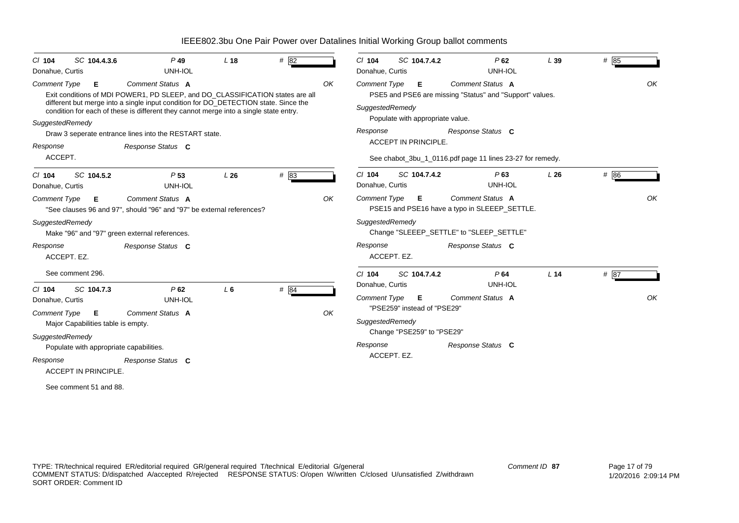| $Cl$ 104<br>Donahue, Curtis            | SC 104.4.3.6                            | $P$ 49<br><b>UNH-IOL</b>                                                                                                                                                                                                                                                                 | L <sub>18</sub> | # $82$ |    | SC 104.7.4.2<br>$Cl$ 104<br>Donahue, Curtis                                     | $P$ 62<br>UNH-IOL                                                                   | L39             | # $85$ |    |
|----------------------------------------|-----------------------------------------|------------------------------------------------------------------------------------------------------------------------------------------------------------------------------------------------------------------------------------------------------------------------------------------|-----------------|--------|----|---------------------------------------------------------------------------------|-------------------------------------------------------------------------------------|-----------------|--------|----|
| <b>Comment Type</b><br>SuggestedRemedy | Е.                                      | <b>Comment Status A</b><br>Exit conditions of MDI POWER1, PD SLEEP, and DO_CLASSIFICATION states are all<br>different but merge into a single input condition for DO_DETECTION state. Since the<br>condition for each of these is different they cannot merge into a single state entry. |                 |        | OK | <b>Comment Type</b><br>Е<br>SuggestedRemedy<br>Populate with appropriate value. | <b>Comment Status A</b><br>PSE5 and PSE6 are missing "Status" and "Support" values. |                 |        | OK |
|                                        |                                         | Draw 3 seperate entrance lines into the RESTART state.                                                                                                                                                                                                                                   |                 |        |    | Response                                                                        | Response Status C                                                                   |                 |        |    |
| Response                               |                                         | Response Status C                                                                                                                                                                                                                                                                        |                 |        |    | ACCEPT IN PRINCIPLE.                                                            |                                                                                     |                 |        |    |
| ACCEPT.                                |                                         |                                                                                                                                                                                                                                                                                          |                 |        |    |                                                                                 | See chabot_3bu_1_0116.pdf page 11 lines 23-27 for remedy.                           |                 |        |    |
| $CI$ 104<br>Donahue, Curtis            | SC 104.5.2                              | P <sub>53</sub><br><b>UNH-IOL</b>                                                                                                                                                                                                                                                        | L26             | # 83   |    | SC 104.7.4.2<br>$Cl$ 104<br>Donahue, Curtis                                     | $P$ 63<br>UNH-IOL                                                                   | L26             | # 86   |    |
| Comment Type                           | Е                                       | <b>Comment Status A</b><br>"See clauses 96 and 97", should "96" and "97" be external references?                                                                                                                                                                                         |                 |        | OK | <b>Comment Type</b><br>E.                                                       | <b>Comment Status A</b><br>PSE15 and PSE16 have a typo in SLEEEP_SETTLE.            |                 |        | OK |
| SuggestedRemedy                        |                                         | Make "96" and "97" green external references.                                                                                                                                                                                                                                            |                 |        |    | SuggestedRemedy                                                                 | Change "SLEEEP_SETTLE" to "SLEEP_SETTLE"                                            |                 |        |    |
| Response                               | ACCEPT. EZ.                             | Response Status C                                                                                                                                                                                                                                                                        |                 |        |    | Response<br>ACCEPT. EZ.                                                         | Response Status C                                                                   |                 |        |    |
|                                        | See comment 296.                        |                                                                                                                                                                                                                                                                                          |                 |        |    | $Cl$ 104<br>SC 104.7.4.2                                                        | P64                                                                                 | L <sub>14</sub> | # 87   |    |
| $CI$ 104                               | SC 104.7.3                              | P62                                                                                                                                                                                                                                                                                      | $L_6$           | # $84$ |    | Donahue, Curtis                                                                 | UNH-IOL                                                                             |                 |        |    |
| Donahue, Curtis                        |                                         | UNH-IOL                                                                                                                                                                                                                                                                                  |                 |        |    | <b>Comment Type</b><br>Е                                                        | Comment Status A                                                                    |                 |        | OK |
| <b>Comment Type</b>                    | Е<br>Major Capabilities table is empty. | Comment Status A                                                                                                                                                                                                                                                                         |                 |        | OK | "PSE259" instead of "PSE29"<br>SuggestedRemedy<br>Change "PSE259" to "PSE29"    |                                                                                     |                 |        |    |
| SuggestedRemedy                        | Populate with appropriate capabilities. |                                                                                                                                                                                                                                                                                          |                 |        |    | Response                                                                        | Response Status C                                                                   |                 |        |    |
| Response                               |                                         |                                                                                                                                                                                                                                                                                          |                 |        |    | ACCEPT. EZ.                                                                     |                                                                                     |                 |        |    |
|                                        | <b>ACCEPT IN PRINCIPLE.</b>             | Response Status C                                                                                                                                                                                                                                                                        |                 |        |    |                                                                                 |                                                                                     |                 |        |    |
|                                        | See comment 51 and 88.                  |                                                                                                                                                                                                                                                                                          |                 |        |    |                                                                                 |                                                                                     |                 |        |    |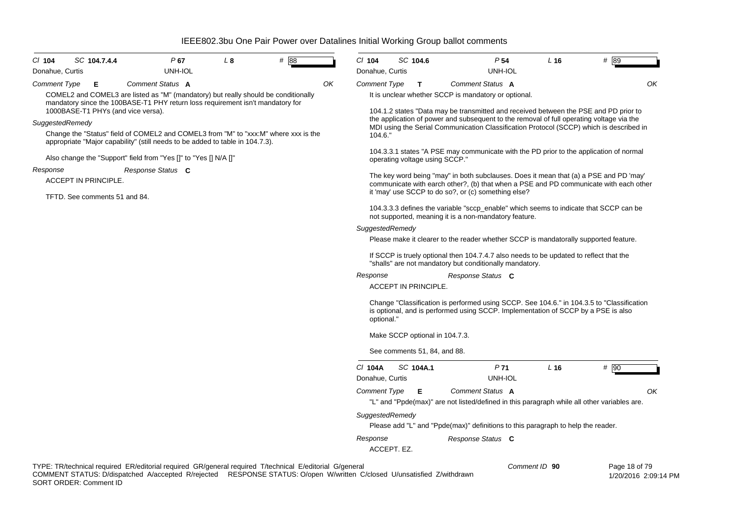| CI 104<br>Donahue, Curtis | SC 104.7.4.4                  |                                                                  | P 67<br>UNH-IOL | L <sub>8</sub>                                                                 | # 88                                                                                                    |    | $Cl$ 104<br>Donahue, Curtis |             | SC 104.6                    |                                                                                                                                                   | P 54<br>UNH-IOL | L16           | # 89                                                                                                                                                                           |
|---------------------------|-------------------------------|------------------------------------------------------------------|-----------------|--------------------------------------------------------------------------------|---------------------------------------------------------------------------------------------------------|----|-----------------------------|-------------|-----------------------------|---------------------------------------------------------------------------------------------------------------------------------------------------|-----------------|---------------|--------------------------------------------------------------------------------------------------------------------------------------------------------------------------------|
| Comment Type              | Е                             | Comment Status A                                                 |                 |                                                                                | COMEL2 and COMEL3 are listed as "M" (mandatory) but really should be conditionally                      | ΟK | Comment Type                |             | T.                          | Comment Status A<br>It is unclear whether SCCP is mandatory or optional.                                                                          |                 |               | OK                                                                                                                                                                             |
|                           |                               | 1000BASE-T1 PHYs (and vice versa).                               |                 | mandatory since the 100BASE-T1 PHY return loss requirement isn't mandatory for |                                                                                                         |    |                             |             |                             | 104.1.2 states "Data may be transmitted and received between the PSE and PD prior to                                                              |                 |               |                                                                                                                                                                                |
| SuggestedRemedy           |                               |                                                                  |                 |                                                                                |                                                                                                         |    |                             |             |                             | the application of power and subsequent to the removal of full operating voltage via the                                                          |                 |               | MDI using the Serial Communication Classification Protocol (SCCP) which is described in                                                                                        |
|                           |                               |                                                                  |                 | appropriate "Major capability" (still needs to be added to table in 104.7.3).  | Change the "Status" field of COMEL2 and COMEL3 from "M" to "xxx:M" where xxx is the                     |    | 104.6."                     |             |                             |                                                                                                                                                   |                 |               |                                                                                                                                                                                |
|                           |                               | Also change the "Support" field from "Yes []" to "Yes [] N/A []" |                 |                                                                                |                                                                                                         |    |                             |             |                             | operating voltage using SCCP."                                                                                                                    |                 |               | 104.3.3.1 states "A PSE may communicate with the PD prior to the application of normal                                                                                         |
| Response                  | ACCEPT IN PRINCIPLE.          | Response Status C                                                |                 |                                                                                |                                                                                                         |    |                             |             |                             |                                                                                                                                                   |                 |               | The key word being "may" in both subclauses. Does it mean that (a) a PSE and PD 'may'<br>communicate with earch other?, (b) that when a PSE and PD communicate with each other |
|                           | TFTD. See comments 51 and 84. |                                                                  |                 |                                                                                |                                                                                                         |    |                             |             |                             | it 'may' use SCCP to do so?, or (c) something else?<br>104.3.3.3 defines the variable "sccp_enable" which seems to indicate that SCCP can be      |                 |               |                                                                                                                                                                                |
|                           |                               |                                                                  |                 |                                                                                |                                                                                                         |    | SuggestedRemedy             |             |                             | not supported, meaning it is a non-mandatory feature.                                                                                             |                 |               |                                                                                                                                                                                |
|                           |                               |                                                                  |                 |                                                                                |                                                                                                         |    |                             |             |                             | Please make it clearer to the reader whether SCCP is mandatorally supported feature.                                                              |                 |               |                                                                                                                                                                                |
|                           |                               |                                                                  |                 |                                                                                |                                                                                                         |    |                             |             |                             | If SCCP is truely optional then 104.7.4.7 also needs to be updated to reflect that the<br>"shalls" are not mandatory but conditionally mandatory. |                 |               |                                                                                                                                                                                |
|                           |                               |                                                                  |                 |                                                                                |                                                                                                         |    | Response                    |             | <b>ACCEPT IN PRINCIPLE.</b> | Response Status C                                                                                                                                 |                 |               |                                                                                                                                                                                |
|                           |                               |                                                                  |                 |                                                                                |                                                                                                         |    | optional."                  |             |                             | is optional, and is performed using SCCP. Implementation of SCCP by a PSE is also                                                                 |                 |               | Change "Classification is performed using SCCP. See 104.6." in 104.3.5 to "Classification                                                                                      |
|                           |                               |                                                                  |                 |                                                                                |                                                                                                         |    |                             |             |                             | Make SCCP optional in 104.7.3.                                                                                                                    |                 |               |                                                                                                                                                                                |
|                           |                               |                                                                  |                 |                                                                                |                                                                                                         |    |                             |             |                             | See comments 51, 84, and 88.                                                                                                                      |                 |               |                                                                                                                                                                                |
|                           |                               |                                                                  |                 |                                                                                |                                                                                                         |    | C/ 104A<br>Donahue, Curtis  |             | SC 104A.1                   | P <sub>71</sub>                                                                                                                                   | UNH-IOL         | L16           | $#$ 90                                                                                                                                                                         |
|                           |                               |                                                                  |                 |                                                                                |                                                                                                         |    | <b>Comment Type</b>         |             | Е                           | Comment Status A<br>"L" and "Ppde(max)" are not listed/defined in this paragraph while all other variables are.                                   |                 |               | OK                                                                                                                                                                             |
|                           |                               |                                                                  |                 |                                                                                |                                                                                                         |    | SuggestedRemedy             |             |                             | Please add "L" and "Ppde(max)" definitions to this paragraph to help the reader.                                                                  |                 |               |                                                                                                                                                                                |
|                           |                               |                                                                  |                 |                                                                                |                                                                                                         |    | Response                    | ACCEPT. EZ. |                             | Response Status C                                                                                                                                 |                 |               |                                                                                                                                                                                |
|                           |                               |                                                                  |                 |                                                                                | TYPE: TR/technical required ER/editorial required GR/general required T/technical E/editorial G/general |    |                             |             |                             |                                                                                                                                                   |                 | Comment ID 90 | Page 18 of 79                                                                                                                                                                  |

COMMENT STATUS: D/dispatched A/accepted R/rejected RESPONSE STATUS: O/open W/written C/closed U/unsatisfied Z/withdrawn SORT ORDER: Comment ID

1/20/2016 2:09:14 PM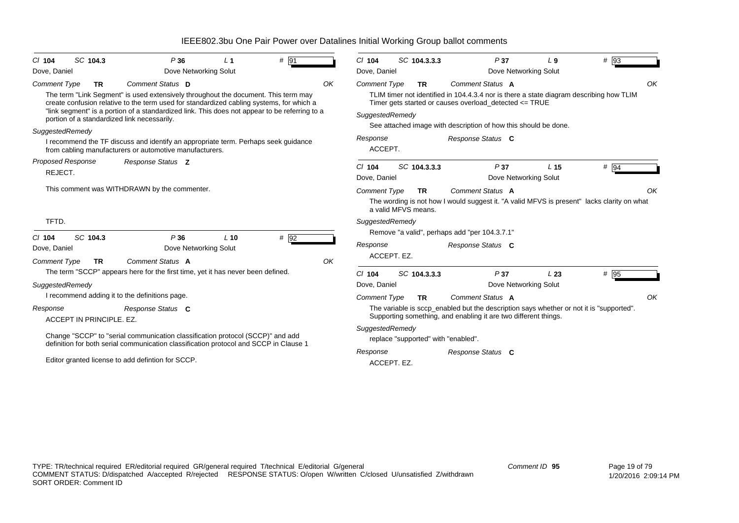| # 91<br>SC 104.3<br>P36<br>$CI$ 104<br>L <sub>1</sub>                                                                                                                                                                                                                                                                          | SC 104.3.3.3<br>$Cl$ 104<br>P37<br>$#$ 93<br>L9                                                                                                                      |
|--------------------------------------------------------------------------------------------------------------------------------------------------------------------------------------------------------------------------------------------------------------------------------------------------------------------------------|----------------------------------------------------------------------------------------------------------------------------------------------------------------------|
| Dove Networking Solut<br>Dove, Daniel                                                                                                                                                                                                                                                                                          | Dove, Daniel<br>Dove Networking Solut                                                                                                                                |
| Comment Status D<br>OK<br><b>Comment Type</b><br><b>TR</b>                                                                                                                                                                                                                                                                     | OK<br>Comment Status A<br><b>Comment Type</b><br>TR.                                                                                                                 |
| The term "Link Segment" is used extensively throughout the document. This term may<br>create confusion relative to the term used for standardized cabling systems, for which a<br>"link segment" is a portion of a standardized link. This does not appear to be referring to a<br>portion of a standardized link necessarily. | TLIM timer not identified in 104.4.3.4 nor is there a state diagram describing how TLIM<br>Timer gets started or causes overload detected <= TRUE<br>SuggestedRemedy |
| SuggestedRemedy                                                                                                                                                                                                                                                                                                                | See attached image with description of how this should be done.                                                                                                      |
| I recommend the TF discuss and identify an appropriate term. Perhaps seek guidance<br>from cabling manufacturers or automotive manufacturers.                                                                                                                                                                                  | Response<br>Response Status C<br>ACCEPT.                                                                                                                             |
| <b>Proposed Response</b><br>Response Status Z                                                                                                                                                                                                                                                                                  | SC 104.3.3.3<br>P37<br>$#$ 94<br>$Cl$ 104<br>L <sub>15</sub>                                                                                                         |
| REJECT.                                                                                                                                                                                                                                                                                                                        | Dove, Daniel<br>Dove Networking Solut                                                                                                                                |
| This comment was WITHDRAWN by the commenter.                                                                                                                                                                                                                                                                                   | Comment Status A<br><b>Comment Type</b><br>OK<br>TR.                                                                                                                 |
|                                                                                                                                                                                                                                                                                                                                | The wording is not how I would suggest it. "A valid MFVS is present" lacks clarity on what<br>a valid MFVS means.                                                    |
| TFTD.                                                                                                                                                                                                                                                                                                                          | SuggestedRemedy                                                                                                                                                      |
| # 92<br>SC 104.3<br>P36<br>$L$ 10<br>$CI$ 104                                                                                                                                                                                                                                                                                  | Remove "a valid", perhaps add "per 104.3.7.1"                                                                                                                        |
| Dove Networking Solut<br>Dove, Daniel                                                                                                                                                                                                                                                                                          | Response<br>Response Status C                                                                                                                                        |
| OK<br>Comment Status A<br><b>Comment Type</b><br><b>TR</b>                                                                                                                                                                                                                                                                     | ACCEPT. EZ.                                                                                                                                                          |
| The term "SCCP" appears here for the first time, yet it has never been defined.                                                                                                                                                                                                                                                | SC 104.3.3.3<br># 95<br>$Cl$ 104<br>P37<br>L23                                                                                                                       |
| SuggestedRemedy                                                                                                                                                                                                                                                                                                                | Dove Networking Solut<br>Dove, Daniel                                                                                                                                |
| I recommend adding it to the definitions page.                                                                                                                                                                                                                                                                                 | Comment Status A<br>OK<br><b>Comment Type</b><br><b>TR</b>                                                                                                           |
| Response<br>Response Status C<br>ACCEPT IN PRINCIPLE. EZ.                                                                                                                                                                                                                                                                      | The variable is sccp_enabled but the description says whether or not it is "supported".<br>Supporting something, and enabling it are two different things.           |
| Change "SCCP" to "serial communication classification protocol (SCCP)" and add<br>definition for both serial communication classification protocol and SCCP in Clause 1                                                                                                                                                        | SuggestedRemedy<br>replace "supported" with "enabled".                                                                                                               |
| Editor granted license to add defintion for SCCP.                                                                                                                                                                                                                                                                              | Response Status C<br>Response<br>ACCEPT. EZ.                                                                                                                         |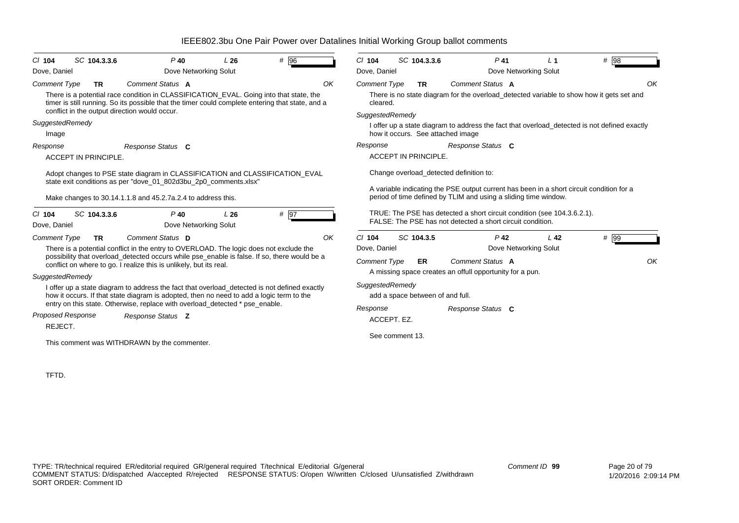| SC 104.3.3.6<br>$Cl$ 104<br>Dove, Daniel                                          | $P$ 40<br>Dove Networking Solut                                                                                                                                                                                                                                                                                                                                                                                                                                                                                                                               | L26 | # 96              |    | $Cl$ 104<br>Dove, Daniel                                                          | SC 104.3.3.6                                              |                                                                                                                                                                                                                                                     | $P$ 41<br>Dove Networking Solut | $L_1$           | # 98                                                                                           |
|-----------------------------------------------------------------------------------|---------------------------------------------------------------------------------------------------------------------------------------------------------------------------------------------------------------------------------------------------------------------------------------------------------------------------------------------------------------------------------------------------------------------------------------------------------------------------------------------------------------------------------------------------------------|-----|-------------------|----|-----------------------------------------------------------------------------------|-----------------------------------------------------------|-----------------------------------------------------------------------------------------------------------------------------------------------------------------------------------------------------------------------------------------------------|---------------------------------|-----------------|------------------------------------------------------------------------------------------------|
| <b>Comment Type</b><br><b>TR</b><br>conflict in the output direction would occur. | Comment Status A<br>There is a potential race condition in CLASSIFICATION_EVAL. Going into that state, the<br>timer is still running. So its possible that the timer could complete entering that state, and a                                                                                                                                                                                                                                                                                                                                                |     |                   | OK | <b>Comment Type</b><br>cleared.<br>SuggestedRemedy                                | <b>TR</b>                                                 | Comment Status A                                                                                                                                                                                                                                    |                                 |                 | OK<br>There is no state diagram for the overload_detected variable to show how it gets set and |
| SuggestedRemedy<br>Image                                                          |                                                                                                                                                                                                                                                                                                                                                                                                                                                                                                                                                               |     |                   |    |                                                                                   |                                                           | how it occurs. See attached image                                                                                                                                                                                                                   |                                 |                 | I offer up a state diagram to address the fact that overload_detected is not defined exactly   |
| Response<br>ACCEPT IN PRINCIPLE.                                                  | Response Status C                                                                                                                                                                                                                                                                                                                                                                                                                                                                                                                                             |     |                   |    | Response                                                                          | <b>ACCEPT IN PRINCIPLE.</b>                               | Response Status C                                                                                                                                                                                                                                   |                                 |                 |                                                                                                |
| SC 104.3.3.6<br>$CI$ 104<br>Dove, Daniel                                          | Adopt changes to PSE state diagram in CLASSIFICATION and CLASSIFICATION_EVAL<br>state exit conditions as per "dove_01_802d3bu_2p0_comments.xlsx"<br>Make changes to 30.14.1.1.8 and 45.2.7a.2.4 to address this.<br>$P$ 40<br>Dove Networking Solut                                                                                                                                                                                                                                                                                                           | L26 | # $\overline{97}$ |    |                                                                                   |                                                           | Change overload_detected definition to:<br>period of time defined by TLIM and using a sliding time window.<br>TRUE: The PSE has detected a short circuit condition (see 104.3.6.2.1).<br>FALSE: The PSE has not detected a short circuit condition. |                                 |                 | A variable indicating the PSE output current has been in a short circuit condition for a       |
| <b>Comment Type</b><br><b>TR</b>                                                  | Comment Status D                                                                                                                                                                                                                                                                                                                                                                                                                                                                                                                                              |     |                   | OK | $Cl$ 104                                                                          | SC 104.3.5                                                |                                                                                                                                                                                                                                                     | $P$ 42                          | L <sub>42</sub> | # 99                                                                                           |
| SuggestedRemedy<br><b>Proposed Response</b><br>REJECT.                            | There is a potential conflict in the entry to OVERLOAD. The logic does not exclude the<br>possibility that overload_detected occurs while pse_enable is false. If so, there would be a<br>conflict on where to go. I realize this is unlikely, but its real.<br>I offer up a state diagram to address the fact that overload_detected is not defined exactly<br>how it occurs. If that state diagram is adopted, then no need to add a logic term to the<br>entry on this state. Otherwise, replace with overload_detected * pse_enable.<br>Response Status Z |     |                   |    | Dove, Daniel<br><b>Comment Type</b><br>SuggestedRemedy<br>Response<br>ACCEPT. EZ. | ER<br>add a space between of and full.<br>See comment 13. | Comment Status A<br>A missing space creates an offull opportunity for a pun.<br>Response Status C                                                                                                                                                   | Dove Networking Solut           |                 | OK                                                                                             |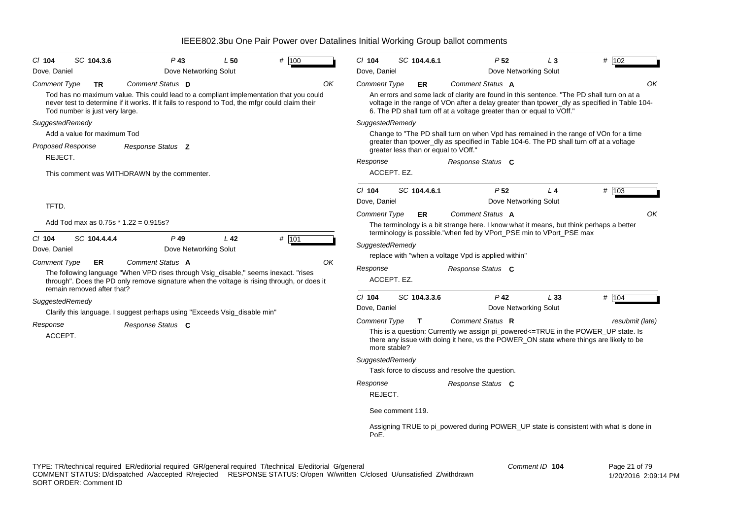| CI 104<br>Dove, Daniel   | SC 104.3.6                     | $P$ 43<br>Dove Networking Solut                                                                                                                                                          | L50             | # 100 | $Cl$ 104<br>Dove, Daniel | SC 104.4.6.1                         | P <sub>52</sub>                                                                                                                                                               | $L_3$<br>Dove Networking Solut | # 102                                                                                        |
|--------------------------|--------------------------------|------------------------------------------------------------------------------------------------------------------------------------------------------------------------------------------|-----------------|-------|--------------------------|--------------------------------------|-------------------------------------------------------------------------------------------------------------------------------------------------------------------------------|--------------------------------|----------------------------------------------------------------------------------------------|
| <b>Comment Type</b>      | TR                             | Comment Status D                                                                                                                                                                         |                 | OK    | <b>Comment Type</b>      | ER                                   | Comment Status A                                                                                                                                                              |                                | OK                                                                                           |
|                          | Tod number is just very large. | Tod has no maximum value. This could lead to a compliant implementation that you could<br>never test to determine if it works. If it fails to respond to Tod, the mfgr could claim their |                 |       |                          |                                      | An errors and some lack of clarity are found in this sentence. "The PD shall turn on at a<br>6. The PD shall turn off at a voltage greater than or equal to VOff."            |                                | voltage in the range of VOn after a delay greater than tpower_dly as specified in Table 104- |
| SuggestedRemedy          |                                |                                                                                                                                                                                          |                 |       | SuggestedRemedy          |                                      |                                                                                                                                                                               |                                |                                                                                              |
|                          | Add a value for maximum Tod    |                                                                                                                                                                                          |                 |       |                          |                                      | Change to "The PD shall turn on when Vpd has remained in the range of VOn for a time                                                                                          |                                |                                                                                              |
| <b>Proposed Response</b> |                                | Response Status <b>Z</b>                                                                                                                                                                 |                 |       |                          | greater less than or equal to VOff." | greater than tpower_dly as specified in Table 104-6. The PD shall turn off at a voltage                                                                                       |                                |                                                                                              |
| REJECT.                  |                                |                                                                                                                                                                                          |                 |       | Response                 |                                      | Response Status C                                                                                                                                                             |                                |                                                                                              |
|                          |                                | This comment was WITHDRAWN by the commenter.                                                                                                                                             |                 |       |                          | ACCEPT. EZ.                          |                                                                                                                                                                               |                                |                                                                                              |
|                          |                                |                                                                                                                                                                                          |                 |       | $CI$ 104                 | SC 104.4.6.1                         | P <sub>52</sub>                                                                                                                                                               | L <sub>4</sub>                 | # 103                                                                                        |
| TFTD.                    |                                |                                                                                                                                                                                          |                 |       | Dove, Daniel             |                                      |                                                                                                                                                                               | Dove Networking Solut          |                                                                                              |
|                          |                                |                                                                                                                                                                                          |                 |       | <b>Comment Type</b>      | <b>ER</b>                            | Comment Status A                                                                                                                                                              |                                | OK                                                                                           |
|                          |                                | Add Tod max as $0.75s * 1.22 = 0.915s$ ?                                                                                                                                                 |                 |       |                          |                                      | The terminology is a bit strange here. I know what it means, but think perhaps a better<br>terminology is possible."when fed by VPort_PSE min to VPort_PSE max                |                                |                                                                                              |
| CI 104<br>Dove, Daniel   | SC 104.4.4.4                   | $P$ 49<br>Dove Networking Solut                                                                                                                                                          | L <sub>42</sub> | # 101 | SuggestedRemedy          |                                      |                                                                                                                                                                               |                                |                                                                                              |
| <b>Comment Type</b>      | ER                             | Comment Status A                                                                                                                                                                         |                 | ΟK    |                          |                                      | replace with "when a voltage Vpd is applied within"                                                                                                                           |                                |                                                                                              |
|                          | remain removed after that?     | The following language "When VPD rises through Vsig_disable," seems inexact. "rises<br>through". Does the PD only remove signature when the voltage is rising through, or does it        |                 |       | Response                 | ACCEPT. EZ.                          | Response Status C                                                                                                                                                             |                                |                                                                                              |
| SuggestedRemedy          |                                |                                                                                                                                                                                          |                 |       | $Cl$ 104                 | SC 104.3.3.6                         | $P$ 42                                                                                                                                                                        | L33                            | # 104                                                                                        |
|                          |                                | Clarify this language. I suggest perhaps using "Exceeds Vsig_disable min"                                                                                                                |                 |       | Dove, Daniel             |                                      |                                                                                                                                                                               | Dove Networking Solut          |                                                                                              |
| Response                 |                                | Response Status C                                                                                                                                                                        |                 |       | <b>Comment Type</b>      | T.                                   | Comment Status R                                                                                                                                                              |                                | resubmit (late)                                                                              |
| ACCEPT.                  |                                |                                                                                                                                                                                          |                 |       | more stable?             |                                      | This is a question: Currently we assign pi_powered<=TRUE in the POWER_UP state. Is<br>there any issue with doing it here, vs the POWER_ON state where things are likely to be |                                |                                                                                              |
|                          |                                |                                                                                                                                                                                          |                 |       | SuggestedRemedy          |                                      | Task force to discuss and resolve the question.                                                                                                                               |                                |                                                                                              |
|                          |                                |                                                                                                                                                                                          |                 |       | Response                 |                                      | Response Status C                                                                                                                                                             |                                |                                                                                              |
|                          |                                |                                                                                                                                                                                          |                 |       | REJECT.                  |                                      |                                                                                                                                                                               |                                |                                                                                              |
|                          |                                |                                                                                                                                                                                          |                 |       |                          | See comment 119.                     |                                                                                                                                                                               |                                |                                                                                              |
|                          |                                |                                                                                                                                                                                          |                 |       | PoE.                     |                                      |                                                                                                                                                                               |                                | Assigning TRUE to pi_powered during POWER_UP state is consistent with what is done in        |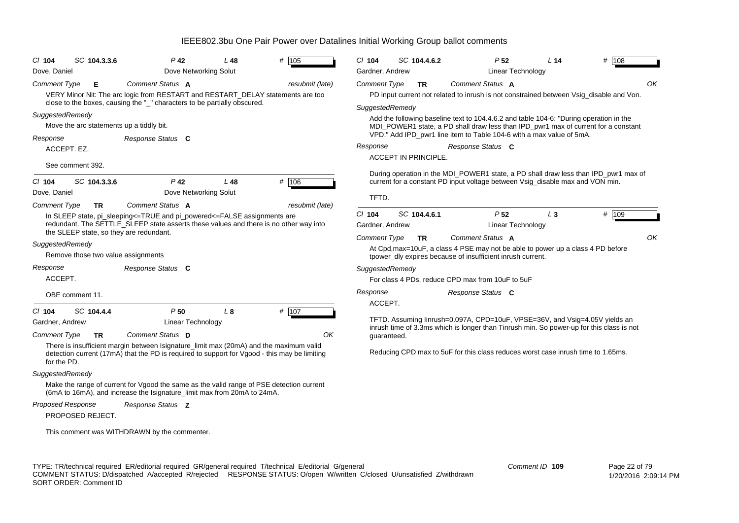| $CI$ 104            | SC 104.3.3.6                             | $P$ 42                                                                                                                                                              | L48             | # 105           | $CI$ 104            | SC 104.4.6.2                | P <sub>52</sub>                                                                        | L <sub>14</sub> | # 108                                                                                    |
|---------------------|------------------------------------------|---------------------------------------------------------------------------------------------------------------------------------------------------------------------|-----------------|-----------------|---------------------|-----------------------------|----------------------------------------------------------------------------------------|-----------------|------------------------------------------------------------------------------------------|
| Dove, Daniel        |                                          | Dove Networking Solut                                                                                                                                               |                 |                 | Gardner, Andrew     |                             | <b>Linear Technology</b>                                                               |                 |                                                                                          |
| <b>Comment Type</b> | Е                                        | Comment Status A                                                                                                                                                    |                 | resubmit (late) | Comment Type        | <b>TR</b>                   | Comment Status A                                                                       |                 | OK                                                                                       |
|                     |                                          | VERY Minor Nit: The arc logic from RESTART and RESTART_DELAY statements are too<br>close to the boxes, causing the "_" characters to be partially obscured.         |                 |                 |                     |                             |                                                                                        |                 | PD input current not related to inrush is not constrained between Vsig_disable and Von.  |
| SuggestedRemedy     |                                          |                                                                                                                                                                     |                 |                 | SuggestedRemedy     |                             |                                                                                        |                 |                                                                                          |
|                     | Move the arc statements up a tiddly bit. |                                                                                                                                                                     |                 |                 |                     |                             | Add the following baseline text to 104.4.6.2 and table 104-6: "During operation in the |                 | MDI_POWER1 state, a PD shall draw less than IPD_pwr1 max of current for a constant       |
|                     |                                          |                                                                                                                                                                     |                 |                 |                     |                             | VPD." Add IPD_pwr1 line item to Table 104-6 with a max value of 5mA.                   |                 |                                                                                          |
| Response            | ACCEPT. EZ.                              | Response Status C                                                                                                                                                   |                 |                 | Response            |                             | Response Status C                                                                      |                 |                                                                                          |
|                     |                                          |                                                                                                                                                                     |                 |                 |                     | <b>ACCEPT IN PRINCIPLE.</b> |                                                                                        |                 |                                                                                          |
|                     | See comment 392.                         |                                                                                                                                                                     |                 |                 |                     |                             |                                                                                        |                 |                                                                                          |
| $Cl$ 104            | SC 104.3.3.6                             | $P$ 42                                                                                                                                                              | L <sub>48</sub> | # 106           |                     |                             | current for a constant PD input voltage between Vsig_disable max and VON min.          |                 | During operation in the MDI_POWER1 state, a PD shall draw less than IPD_pwr1 max of      |
| Dove, Daniel        |                                          | Dove Networking Solut                                                                                                                                               |                 |                 |                     |                             |                                                                                        |                 |                                                                                          |
| <b>Comment Type</b> | TR.                                      | Comment Status A                                                                                                                                                    |                 | resubmit (late) | TFTD.               |                             |                                                                                        |                 |                                                                                          |
|                     |                                          | In SLEEP state, pi_sleeping<=TRUE and pi_powered<=FALSE assignments are                                                                                             |                 |                 | $Cl$ 104            | SC 104.4.6.1                | P <sub>52</sub>                                                                        | $L_3$           | # 109                                                                                    |
|                     |                                          | redundant. The SETTLE_SLEEP state asserts these values and there is no other way into                                                                               |                 |                 | Gardner, Andrew     |                             | Linear Technology                                                                      |                 |                                                                                          |
|                     |                                          | the SLEEP state, so they are redundant.                                                                                                                             |                 |                 | <b>Comment Type</b> | TR                          | Comment Status A                                                                       |                 | OK                                                                                       |
| SuggestedRemedy     |                                          |                                                                                                                                                                     |                 |                 |                     |                             | At Cpd, max=10uF, a class 4 PSE may not be able to power up a class 4 PD before        |                 |                                                                                          |
|                     | Remove those two value assignments       |                                                                                                                                                                     |                 |                 |                     |                             | tpower_dly expires because of insufficient inrush current.                             |                 |                                                                                          |
| Response            |                                          | Response Status C                                                                                                                                                   |                 |                 | SuggestedRemedy     |                             |                                                                                        |                 |                                                                                          |
| ACCEPT.             |                                          |                                                                                                                                                                     |                 |                 |                     |                             | For class 4 PDs, reduce CPD max from 10uF to 5uF                                       |                 |                                                                                          |
|                     | OBE comment 11.                          |                                                                                                                                                                     |                 |                 | Response            |                             | Response Status C                                                                      |                 |                                                                                          |
| $CI$ 104            | SC 104.4.4                               | P50                                                                                                                                                                 | L8              | # 107           | ACCEPT.             |                             |                                                                                        |                 |                                                                                          |
| Gardner, Andrew     |                                          | Linear Technology                                                                                                                                                   |                 |                 |                     |                             | TFTD. Assuming linrush=0.097A, CPD=10uF, VPSE=36V, and Vsig=4.05V yields an            |                 |                                                                                          |
|                     |                                          |                                                                                                                                                                     |                 |                 |                     |                             |                                                                                        |                 | inrush time of 3.3ms which is longer than Tinrush min. So power-up for this class is not |
| <b>Comment Type</b> | <b>TR</b>                                | Comment Status D<br>There is insufficient margin between Isignature_limit max (20mA) and the maximum valid                                                          |                 | ΟK              | guaranteed.         |                             |                                                                                        |                 |                                                                                          |
|                     |                                          | detection current (17mA) that the PD is required to support for Vgood - this may be limiting                                                                        |                 |                 |                     |                             | Reducing CPD max to 5uF for this class reduces worst case inrush time to 1.65ms.       |                 |                                                                                          |
| for the PD.         |                                          |                                                                                                                                                                     |                 |                 |                     |                             |                                                                                        |                 |                                                                                          |
| SuggestedRemedy     |                                          |                                                                                                                                                                     |                 |                 |                     |                             |                                                                                        |                 |                                                                                          |
|                     |                                          | Make the range of current for Vgood the same as the valid range of PSE detection current<br>(6mA to 16mA), and increase the Isignature_limit max from 20mA to 24mA. |                 |                 |                     |                             |                                                                                        |                 |                                                                                          |
| Proposed Response   |                                          | Response Status Z                                                                                                                                                   |                 |                 |                     |                             |                                                                                        |                 |                                                                                          |
|                     | PROPOSED REJECT.                         |                                                                                                                                                                     |                 |                 |                     |                             |                                                                                        |                 |                                                                                          |
|                     |                                          | This comment was WITHDRAWN by the commenter.                                                                                                                        |                 |                 |                     |                             |                                                                                        |                 |                                                                                          |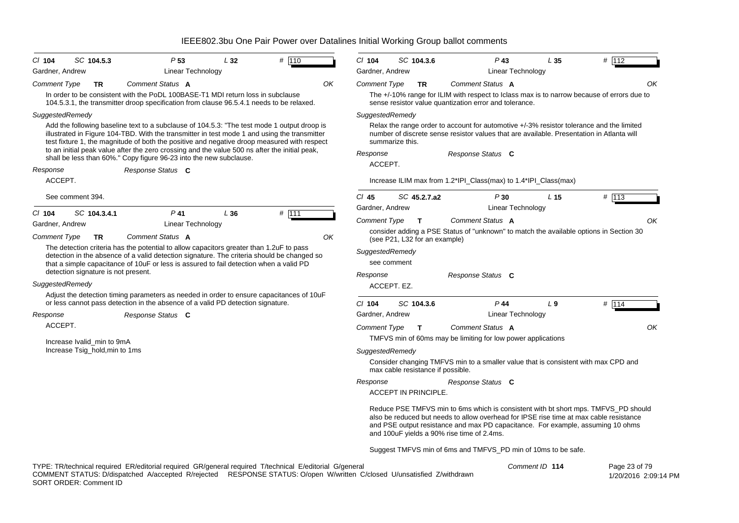| $CI$ 104<br>SC 104.5.3                                       | P <sub>53</sub>                                                                                                                                                                                                                                                                                                                                                                                                                                                   | L32                                                                                                                     | # $110$ |    | $Cl$ 104            | SC 104.3.6                        |              | $P$ 43                                                                                                                                                                                                                                                                                                        | L35             | # 112         |
|--------------------------------------------------------------|-------------------------------------------------------------------------------------------------------------------------------------------------------------------------------------------------------------------------------------------------------------------------------------------------------------------------------------------------------------------------------------------------------------------------------------------------------------------|-------------------------------------------------------------------------------------------------------------------------|---------|----|---------------------|-----------------------------------|--------------|---------------------------------------------------------------------------------------------------------------------------------------------------------------------------------------------------------------------------------------------------------------------------------------------------------------|-----------------|---------------|
| Gardner, Andrew                                              | Linear Technology                                                                                                                                                                                                                                                                                                                                                                                                                                                 |                                                                                                                         |         |    | Gardner, Andrew     |                                   |              | Linear Technology                                                                                                                                                                                                                                                                                             |                 |               |
| <b>Comment Type</b><br><b>TR</b>                             | Comment Status A<br>In order to be consistent with the PoDL 100BASE-T1 MDI return loss in subclause<br>104.5.3.1, the transmitter droop specification from clause 96.5.4.1 needs to be relaxed.                                                                                                                                                                                                                                                                   |                                                                                                                         |         | ΟK | Comment Type        |                                   | <b>TR</b>    | Comment Status A<br>The +/-10% range for ILIM with respect to Iclass max is to narrow because of errors due to<br>sense resistor value quantization error and tolerance.                                                                                                                                      |                 | ΟK            |
| SuggestedRemedy                                              |                                                                                                                                                                                                                                                                                                                                                                                                                                                                   |                                                                                                                         |         |    | SuggestedRemedy     |                                   |              |                                                                                                                                                                                                                                                                                                               |                 |               |
|                                                              | Add the following baseline text to a subclause of 104.5.3: "The test mode 1 output droop is<br>illustrated in Figure 104-TBD. With the transmitter in test mode 1 and using the transmitter<br>test fixture 1, the magnitude of both the positive and negative droop measured with respect<br>to an initial peak value after the zero crossing and the value 500 ns after the initial peak,<br>shall be less than 60%." Copy figure 96-23 into the new subclause. |                                                                                                                         |         |    | Response<br>ACCEPT. | summarize this.                   |              | Relax the range order to account for automotive +/-3% resistor tolerance and the limited<br>number of discrete sense resistor values that are available. Presentation in Atlanta will<br>Response Status C                                                                                                    |                 |               |
| Response                                                     | Response Status C                                                                                                                                                                                                                                                                                                                                                                                                                                                 |                                                                                                                         |         |    |                     |                                   |              |                                                                                                                                                                                                                                                                                                               |                 |               |
| ACCEPT.                                                      |                                                                                                                                                                                                                                                                                                                                                                                                                                                                   |                                                                                                                         |         |    |                     |                                   |              | Increase ILIM max from 1.2*IPI_Class(max) to 1.4*IPI_Class(max)                                                                                                                                                                                                                                               |                 |               |
| See comment 394.                                             |                                                                                                                                                                                                                                                                                                                                                                                                                                                                   |                                                                                                                         |         |    | $Cl$ 45             |                                   | SC 45.2.7.a2 | P30                                                                                                                                                                                                                                                                                                           | L <sub>15</sub> | # $113$       |
| $CI$ 104<br>SC 104.3.4.1                                     | $P$ 41                                                                                                                                                                                                                                                                                                                                                                                                                                                            | L36                                                                                                                     | # 111   |    | Gardner, Andrew     |                                   |              | Linear Technology                                                                                                                                                                                                                                                                                             |                 |               |
| Gardner, Andrew                                              | Linear Technology                                                                                                                                                                                                                                                                                                                                                                                                                                                 |                                                                                                                         |         |    | Comment Type        |                                   | $\mathbf{T}$ | Comment Status A                                                                                                                                                                                                                                                                                              |                 | OK            |
| <b>Comment Type</b><br><b>TR</b>                             | OK                                                                                                                                                                                                                                                                                                                                                                                                                                                                | consider adding a PSE Status of "unknown" to match the available options in Section 30<br>(see P21, L32 for an example) |         |    |                     |                                   |              |                                                                                                                                                                                                                                                                                                               |                 |               |
|                                                              | The detection criteria has the potential to allow capacitors greater than 1.2uF to pass<br>detection in the absence of a valid detection signature. The criteria should be changed so                                                                                                                                                                                                                                                                             |                                                                                                                         |         |    | SuggestedRemedy     |                                   |              |                                                                                                                                                                                                                                                                                                               |                 |               |
|                                                              | that a simple capacitance of 10uF or less is assured to fail detection when a valid PD                                                                                                                                                                                                                                                                                                                                                                            |                                                                                                                         |         |    |                     | see comment                       |              |                                                                                                                                                                                                                                                                                                               |                 |               |
| detection signature is not present.                          |                                                                                                                                                                                                                                                                                                                                                                                                                                                                   |                                                                                                                         |         |    | Response            |                                   |              | Response Status C                                                                                                                                                                                                                                                                                             |                 |               |
| SuggestedRemedy                                              |                                                                                                                                                                                                                                                                                                                                                                                                                                                                   |                                                                                                                         |         |    |                     | ACCEPT. EZ.                       |              |                                                                                                                                                                                                                                                                                                               |                 |               |
|                                                              | Adjust the detection timing parameters as needed in order to ensure capacitances of 10uF<br>or less cannot pass detection in the absence of a valid PD detection signature.                                                                                                                                                                                                                                                                                       |                                                                                                                         |         |    | $CI$ 104            | SC 104.3.6                        |              | $P$ 44                                                                                                                                                                                                                                                                                                        | L <sub>9</sub>  | # 114         |
| Response                                                     | Response Status C                                                                                                                                                                                                                                                                                                                                                                                                                                                 |                                                                                                                         |         |    | Gardner, Andrew     |                                   |              | Linear Technology                                                                                                                                                                                                                                                                                             |                 |               |
| ACCEPT.                                                      |                                                                                                                                                                                                                                                                                                                                                                                                                                                                   |                                                                                                                         |         |    | <b>Comment Type</b> |                                   | $\mathbf{T}$ | Comment Status A<br>TMFVS min of 60ms may be limiting for low power applications                                                                                                                                                                                                                              |                 | OK            |
| Increase Ivalid min to 9mA<br>Increase Tsig_hold, min to 1ms |                                                                                                                                                                                                                                                                                                                                                                                                                                                                   |                                                                                                                         |         |    | SuggestedRemedy     |                                   |              |                                                                                                                                                                                                                                                                                                               |                 |               |
|                                                              |                                                                                                                                                                                                                                                                                                                                                                                                                                                                   |                                                                                                                         |         |    |                     | max cable resistance if possible. |              | Consider changing TMFVS min to a smaller value that is consistent with max CPD and                                                                                                                                                                                                                            |                 |               |
|                                                              |                                                                                                                                                                                                                                                                                                                                                                                                                                                                   |                                                                                                                         |         |    | Response            |                                   |              | Response Status C                                                                                                                                                                                                                                                                                             |                 |               |
|                                                              |                                                                                                                                                                                                                                                                                                                                                                                                                                                                   |                                                                                                                         |         |    |                     | ACCEPT IN PRINCIPLE.              |              |                                                                                                                                                                                                                                                                                                               |                 |               |
|                                                              |                                                                                                                                                                                                                                                                                                                                                                                                                                                                   |                                                                                                                         |         |    |                     |                                   |              | Reduce PSE TMFVS min to 6ms which is consistent with bt short mps. TMFVS PD should<br>also be reduced but needs to allow overhead for IPSE rise time at max cable resistance<br>and PSE output resistance and max PD capacitance. For example, assuming 10 ohms<br>and 100uF yields a 90% rise time of 2.4ms. |                 |               |
|                                                              |                                                                                                                                                                                                                                                                                                                                                                                                                                                                   |                                                                                                                         |         |    |                     |                                   |              | Suggest TMFVS min of 6ms and TMFVS_PD min of 10ms to be safe.                                                                                                                                                                                                                                                 |                 |               |
|                                                              | TYPE: TR/technical required ER/editorial required GR/general required T/technical E/editorial G/general                                                                                                                                                                                                                                                                                                                                                           |                                                                                                                         |         |    |                     |                                   |              | Comment ID 114                                                                                                                                                                                                                                                                                                |                 | Page 23 of 79 |

COMMENT STATUS: D/dispatched A/accepted R/rejected RESPONSE STATUS: O/open W/written C/closed U/unsatisfied Z/withdrawn SORT ORDER: Comment ID

1/20/2016 2:09:14 PM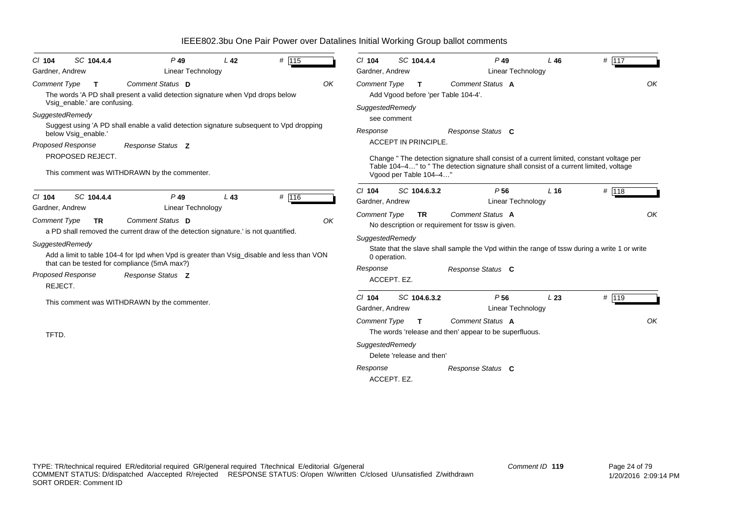| SC 104.4.4<br>$CI$ 104<br>Gardner, Andrew                   | $P$ 49<br>Linear Technology                                                                                                                | L <sub>42</sub> | $#$ 115 |    | $Cl$ 104<br>Gardner, Andrew            | SC 104.4.4                                | $P$ 49<br>Linear Technology                                                                                                                                                       | $L$ 46 | # $ 117$ |    |
|-------------------------------------------------------------|--------------------------------------------------------------------------------------------------------------------------------------------|-----------------|---------|----|----------------------------------------|-------------------------------------------|-----------------------------------------------------------------------------------------------------------------------------------------------------------------------------------|--------|----------|----|
| <b>Comment Type</b><br>т<br>Vsig enable.' are confusing.    | Comment Status D<br>The words 'A PD shall present a valid detection signature when Vpd drops below                                         |                 |         | OK | <b>Comment Type</b><br>SuggestedRemedy | T<br>Add Vgood before 'per Table 104-4'.  | Comment Status A                                                                                                                                                                  |        |          | OK |
| SuggestedRemedy<br>below Vsig_enable.'<br>Proposed Response | Suggest using 'A PD shall enable a valid detection signature subsequent to Vpd dropping<br>Response Status Z                               |                 |         |    | Response                               | see comment<br><b>ACCEPT IN PRINCIPLE</b> | Response Status C                                                                                                                                                                 |        |          |    |
| PROPOSED REJECT.                                            | This comment was WITHDRAWN by the commenter.                                                                                               |                 |         |    |                                        | Vgood per Table 104-4"                    | Change "The detection signature shall consist of a current limited, constant voltage per<br>Table 104–4" to " The detection signature shall consist of a current limited, voltage |        |          |    |
| SC 104.4.4<br>$CI$ 104<br>Gardner, Andrew                   | $P$ 49<br><b>Linear Technology</b>                                                                                                         | $L$ 43          | # 116   |    | $Cl$ 104<br>Gardner, Andrew            | SC 104.6.3.2                              | P <sub>56</sub><br>Linear Technology                                                                                                                                              | L16    | # 118    |    |
| Comment Type<br><b>TR</b>                                   | Comment Status D<br>a PD shall removed the current draw of the detection signature. is not quantified.                                     |                 |         | OK | <b>Comment Type</b><br>SuggestedRemedy | <b>TR</b>                                 | Comment Status A<br>No description or requirement for tssw is given.                                                                                                              |        |          | OK |
| SuggestedRemedy                                             | Add a limit to table 104-4 for lpd when Vpd is greater than Vsig_disable and less than VON<br>that can be tested for compliance (5mA max?) |                 |         |    | 0 operation.<br>Response               |                                           | State that the slave shall sample the Vpd within the range of tssw during a write 1 or write                                                                                      |        |          |    |
| Proposed Response<br>REJECT.                                | Response Status Z                                                                                                                          |                 |         |    |                                        | ACCEPT. EZ.                               | Response Status C                                                                                                                                                                 |        |          |    |
|                                                             | This comment was WITHDRAWN by the commenter.                                                                                               |                 |         |    | $Cl$ 104<br>Gardner, Andrew            | SC 104.6.3.2                              | P <sub>56</sub><br><b>Linear Technology</b>                                                                                                                                       | L23    | # 119    |    |
| TFTD.                                                       |                                                                                                                                            |                 |         |    | <b>Comment Type</b><br>SuggestedRemedy | Т<br>Delete 'release and then'            | Comment Status A<br>The words 'release and then' appear to be superfluous.                                                                                                        |        |          | OK |
|                                                             |                                                                                                                                            |                 |         |    | Response                               | ACCEPT. EZ.                               | Response Status C                                                                                                                                                                 |        |          |    |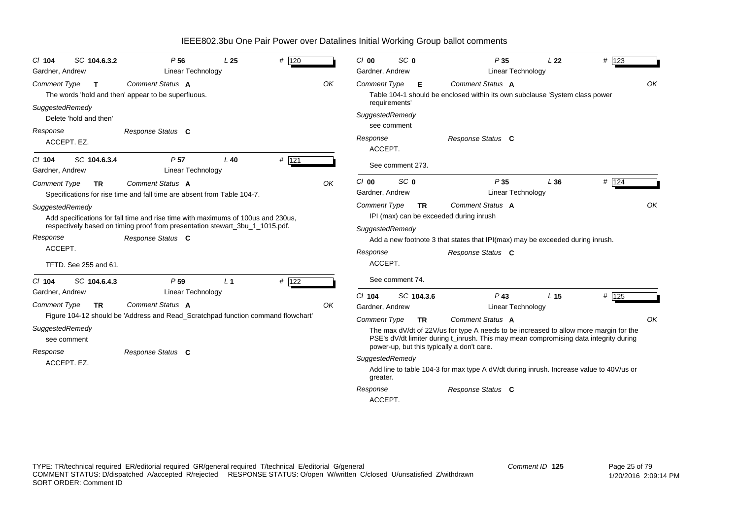| SC 104.6.3.2<br>$Cl$ 104                                  | P <sub>56</sub>                                                                                                                                                                       | L <sub>25</sub> | # 120              |    | SC <sub>0</sub><br>$Cl$ 00                                                                                                                                                                                | P35                                                                                                                                                                                                                                                                                           | L <sub>22</sub> | # 123 |  |  |  |
|-----------------------------------------------------------|---------------------------------------------------------------------------------------------------------------------------------------------------------------------------------------|-----------------|--------------------|----|-----------------------------------------------------------------------------------------------------------------------------------------------------------------------------------------------------------|-----------------------------------------------------------------------------------------------------------------------------------------------------------------------------------------------------------------------------------------------------------------------------------------------|-----------------|-------|--|--|--|
| Gardner, Andrew                                           | <b>Linear Technology</b>                                                                                                                                                              |                 |                    |    | Gardner, Andrew                                                                                                                                                                                           | Linear Technology                                                                                                                                                                                                                                                                             |                 |       |  |  |  |
| <b>Comment Type</b><br>$\mathbf{T}$                       | Comment Status A<br>The words 'hold and then' appear to be superfluous.                                                                                                               |                 |                    | OK | <b>Comment Type</b><br>E                                                                                                                                                                                  | Comment Status A<br>Table 104-1 should be enclosed within its own subclause 'System class power                                                                                                                                                                                               |                 | OK    |  |  |  |
| SuggestedRemedy<br>Delete 'hold and then'                 |                                                                                                                                                                                       |                 |                    |    | requirements'<br>SuggestedRemedy<br>see comment                                                                                                                                                           |                                                                                                                                                                                                                                                                                               |                 |       |  |  |  |
| Response<br>ACCEPT. EZ.                                   | Response Status C                                                                                                                                                                     |                 |                    |    | Response<br>ACCEPT.                                                                                                                                                                                       | Response Status C                                                                                                                                                                                                                                                                             |                 |       |  |  |  |
| SC 104.6.3.4<br>$CI$ 104<br>Gardner, Andrew               | P <sub>57</sub><br><b>Linear Technology</b>                                                                                                                                           | $L$ 40          | # 121              |    | See comment 273.                                                                                                                                                                                          |                                                                                                                                                                                                                                                                                               |                 |       |  |  |  |
| <b>Comment Type</b><br><b>TR</b>                          | Comment Status A<br>Specifications for rise time and fall time are absent from Table 104-7.                                                                                           |                 |                    | OK | SC <sub>0</sub><br>CI 00<br>Gardner, Andrew                                                                                                                                                               | P35<br>Linear Technology                                                                                                                                                                                                                                                                      | L36             | # 124 |  |  |  |
| SuggestedRemedy<br>Response<br>ACCEPT.                    | Add specifications for fall time and rise time with maximums of 100us and 230us,<br>respectively based on timing proof from presentation stewart_3bu_1_1015.pdf.<br>Response Status C |                 |                    |    | OK<br><b>Comment Type</b><br>Comment Status A<br><b>TR</b><br>IPI (max) can be exceeded during inrush<br>SuggestedRemedy<br>Add a new footnote 3 that states that IPI(max) may be exceeded during inrush. |                                                                                                                                                                                                                                                                                               |                 |       |  |  |  |
| TFTD. See 255 and 61.                                     |                                                                                                                                                                                       |                 |                    |    | Response<br>ACCEPT.                                                                                                                                                                                       | Response Status C                                                                                                                                                                                                                                                                             |                 |       |  |  |  |
| SC 104.6.4.3<br>$CI$ 104                                  | P <sub>59</sub>                                                                                                                                                                       | L <sub>1</sub>  | # $\overline{122}$ |    | See comment 74.                                                                                                                                                                                           |                                                                                                                                                                                                                                                                                               |                 |       |  |  |  |
| Gardner, Andrew<br><b>Comment Type</b><br><b>TR</b>       | <b>Linear Technology</b><br>Comment Status A                                                                                                                                          |                 |                    | OK | $Cl$ 104<br>SC 104.3.6<br>Gardner, Andrew                                                                                                                                                                 | $P$ 43<br><b>Linear Technology</b>                                                                                                                                                                                                                                                            | L <sub>15</sub> | # 125 |  |  |  |
| SuggestedRemedy<br>see comment<br>Response<br>ACCEPT. EZ. | Figure 104-12 should be 'Address and Read_Scratchpad function command flowchart'<br>Response Status C                                                                                 |                 |                    |    | <b>Comment Type</b><br><b>TR</b><br>power-up, but this typically a don't care.<br>SuggestedRemedy<br>greater.                                                                                             | Comment Status A<br>The max dV/dt of 22V/us for type A needs to be increased to allow more margin for the<br>PSE's dV/dt limiter during t inrush. This may mean compromising data integrity during<br>Add line to table 104-3 for max type A dV/dt during inrush. Increase value to 40V/us or |                 | OK    |  |  |  |
|                                                           |                                                                                                                                                                                       |                 |                    |    | Response<br>ACCEPT.                                                                                                                                                                                       | Response Status C                                                                                                                                                                                                                                                                             |                 |       |  |  |  |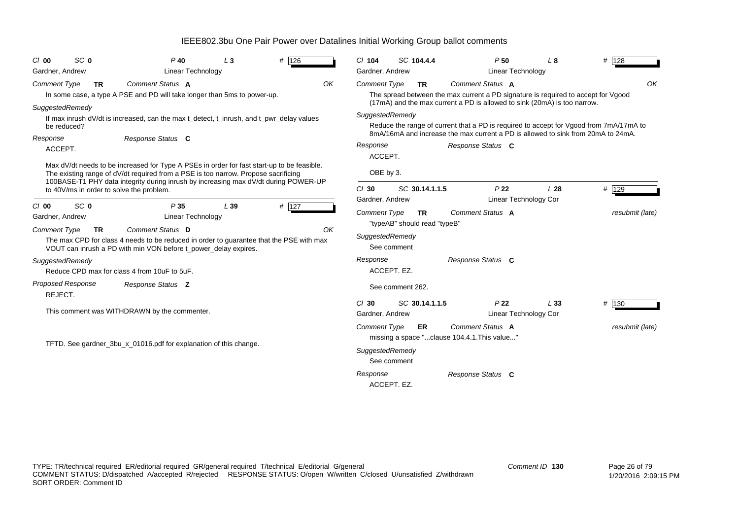| SC <sub>0</sub><br>C/00<br>Gardner, Andrew                                        | $P$ 40<br>Linear Technology                                                                                                                                                                                           | $L_3$ | # 126 |    | $Cl$ 104<br>Gardner, Andrew                                       | SC 104.4.4                                | P50                                                                                                                                                                                             | L8<br>Linear Technology             | # 128           |
|-----------------------------------------------------------------------------------|-----------------------------------------------------------------------------------------------------------------------------------------------------------------------------------------------------------------------|-------|-------|----|-------------------------------------------------------------------|-------------------------------------------|-------------------------------------------------------------------------------------------------------------------------------------------------------------------------------------------------|-------------------------------------|-----------------|
| Comment Type<br><b>TR</b>                                                         | Comment Status A<br>In some case, a type A PSE and PD will take longer than 5ms to power-up.                                                                                                                          |       |       | OK | <b>Comment Type</b>                                               | <b>TR</b>                                 | Comment Status A<br>The spread between the max current a PD signature is required to accept for Vgood<br>(17mA) and the max current a PD is allowed to sink (20mA) is too narrow.               |                                     | OK              |
| SuggestedRemedy<br>be reduced?<br>Response<br>ACCEPT.                             | If max inrush dV/dt is increased, can the max t detect, t inrush, and t pwr delay values<br>Response Status C<br>Max dV/dt needs to be increased for Type A PSEs in order for fast start-up to be feasible.           |       |       |    | SuggestedRemedy<br>Response<br>ACCEPT.                            |                                           | Reduce the range of current that a PD is required to accept for Vgood from 7mA/17mA to<br>8mA/16mA and increase the max current a PD is allowed to sink from 20mA to 24mA.<br>Response Status C |                                     |                 |
|                                                                                   | The existing range of dV/dt required from a PSE is too narrow. Propose sacrificing<br>100BASE-T1 PHY data integrity during inrush by increasing max dV/dt during POWER-UP<br>to 40V/ms in order to solve the problem. |       |       |    | OBE by 3.<br>$Cl$ 30<br>Gardner, Andrew                           | SC 30.14.1.1.5                            | P <sub>22</sub>                                                                                                                                                                                 | L28<br><b>Linear Technology Cor</b> | # 129           |
| SC <sub>0</sub><br>$Cl$ 00<br>Gardner, Andrew<br><b>Comment Type</b><br><b>TR</b> | P35<br><b>Linear Technology</b><br>Comment Status D<br>The max CPD for class 4 needs to be reduced in order to guarantee that the PSE with max<br>VOUT can inrush a PD with min VON before t power delay expires.     | L39   | # 127 | OK | <b>Comment Type</b><br>SuggestedRemedy<br>See comment             | <b>TR</b><br>"typeAB" should read "typeB" | Comment Status A                                                                                                                                                                                |                                     | resubmit (late) |
| SuggestedRemedy                                                                   | Reduce CPD max for class 4 from 10uF to 5uF.                                                                                                                                                                          |       |       |    | Response<br>ACCEPT. EZ.                                           |                                           | Response Status C                                                                                                                                                                               |                                     |                 |
| <b>Proposed Response</b><br>REJECT.                                               | Response Status Z                                                                                                                                                                                                     |       |       |    |                                                                   | See comment 262.                          |                                                                                                                                                                                                 |                                     |                 |
|                                                                                   | This comment was WITHDRAWN by the commenter.                                                                                                                                                                          |       |       |    | $Cl$ 30<br>Gardner, Andrew                                        | SC 30.14.1.1.5                            | P <sub>22</sub>                                                                                                                                                                                 | L33<br>Linear Technology Cor        | # 130           |
|                                                                                   | TFTD. See gardner_3bu_x_01016.pdf for explanation of this change.                                                                                                                                                     |       |       |    | <b>Comment Type</b><br>SuggestedRemedy<br>See comment<br>Response | ER                                        | Comment Status A<br>missing a space "clause 104.4.1. This value"<br>Response Status C                                                                                                           |                                     | resubmit (late) |
|                                                                                   |                                                                                                                                                                                                                       |       |       |    | ACCEPT. EZ.                                                       |                                           |                                                                                                                                                                                                 |                                     |                 |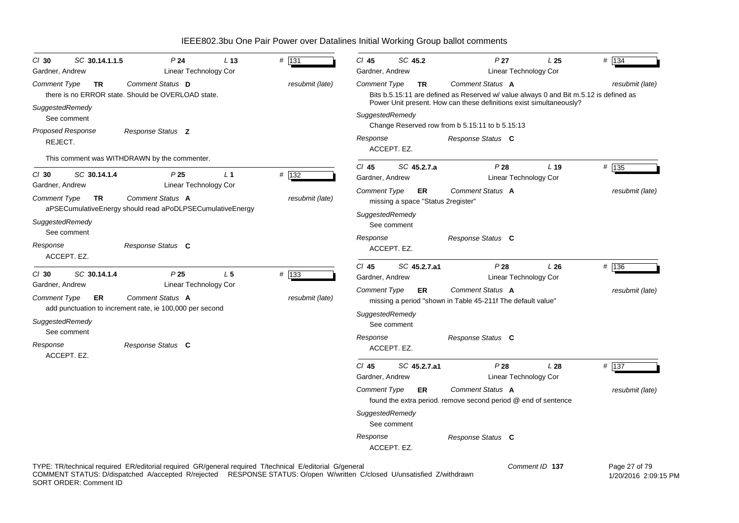| SC 30.14.1.1.5<br>$Cl$ 30<br>Gardner, Andrew                                               | P <sub>24</sub><br>Linear Technology Cor                                                                                 | L <sub>13</sub> | # 131                    | $Cl$ 45<br>Gardner, Andrew                                           | SC 45.2                    |                    | P <sub>27</sub>                                                                                                                                                                  | Linear Technology Cor | L25             | # 134                    |
|--------------------------------------------------------------------------------------------|--------------------------------------------------------------------------------------------------------------------------|-----------------|--------------------------|----------------------------------------------------------------------|----------------------------|--------------------|----------------------------------------------------------------------------------------------------------------------------------------------------------------------------------|-----------------------|-----------------|--------------------------|
| <b>Comment Type</b><br>TR<br>SuggestedRemedy<br>See comment                                | Comment Status D<br>there is no ERROR state. Should be OVERLOAD state.                                                   |                 | resubmit (late)          | <b>Comment Type</b><br>SuggestedRemedy                               |                            | TR                 | Comment Status A<br>Bits b.5.15:11 are defined as Reserved w/ value always 0 and Bit m.5.12 is defined as<br>Power Unit present. How can these definitions exist simultaneously? |                       |                 | resubmit (late)          |
| Proposed Response<br>REJECT.                                                               | Response Status Z<br>This comment was WITHDRAWN by the commenter.                                                        |                 |                          | Response                                                             | ACCEPT. EZ.                |                    | Change Reserved row from b 5.15:11 to b 5.15:13<br>Response Status C                                                                                                             |                       |                 |                          |
| SC 30.14.1.4<br>$CI$ 30<br>Gardner, Andrew                                                 | P25<br>Linear Technology Cor                                                                                             | L <sub>1</sub>  | # 132                    | $Cl$ 45<br>Gardner, Andrew                                           |                            | SC 45.2.7.a        | P28                                                                                                                                                                              | Linear Technology Cor | L <sub>19</sub> | # 135                    |
| <b>Comment Type</b><br>TR<br>SuggestedRemedy<br>See comment<br>Response<br>ACCEPT. EZ.     | Comment Status A<br>aPSECumulativeEnergy should read aPoDLPSECumulativeEnergy<br>Response Status C                       |                 | resubmit (late)          | <b>Comment Type</b><br>SuggestedRemedy<br>Response                   | See comment<br>ACCEPT. EZ. | <b>ER</b>          | Comment Status A<br>missing a space "Status 2register"<br>Response Status C                                                                                                      |                       |                 | resubmit (late)          |
| SC 30.14.1.4<br>$CI$ 30<br>Gardner, Andrew<br><b>Comment Type</b><br>ER<br>SuggestedRemedy | P <sub>25</sub><br>Linear Technology Cor<br>Comment Status A<br>add punctuation to increment rate, ie 100,000 per second | L <sub>5</sub>  | # 133<br>resubmit (late) | $CI$ 45<br>Gardner, Andrew<br><b>Comment Type</b><br>SuggestedRemedy |                            | SC 45.2.7.a1<br>ER | P28<br>Comment Status A<br>missing a period "shown in Table 45-211f The default value"                                                                                           | Linear Technology Cor | L26             | # 136<br>resubmit (late) |
| See comment<br>Response                                                                    | Response Status C                                                                                                        |                 |                          | Response                                                             | See comment<br>ACCEPT. EZ. |                    | Response Status C                                                                                                                                                                |                       |                 |                          |
| ACCEPT. EZ.                                                                                |                                                                                                                          |                 |                          | $CI$ 45<br>Gardner, Andrew<br><b>Comment Type</b><br>SuggestedRemedy |                            | SC 45.2.7.a1<br>ER | P28<br>Comment Status A<br>found the extra period. remove second period @ end of sentence                                                                                        | Linear Technology Cor | L28             | # 137<br>resubmit (late) |
|                                                                                            |                                                                                                                          |                 |                          | Response                                                             | See comment<br>ACCEPT. EZ. |                    | Response Status C                                                                                                                                                                |                       |                 |                          |
|                                                                                            | TYPE: TR/technical required ER/editorial required GR/general required T/technical E/editorial G/general                  |                 |                          |                                                                      |                            |                    |                                                                                                                                                                                  | Comment ID 137        |                 | Page 27 of 79            |

COMMENT STATUS: D/dispatched A/accepted R/rejected RESPONSE STATUS: O/open W/written C/closed U/unsatisfied Z/withdrawn SORT ORDER: Comment ID

1/20/2016 2:09:15 PM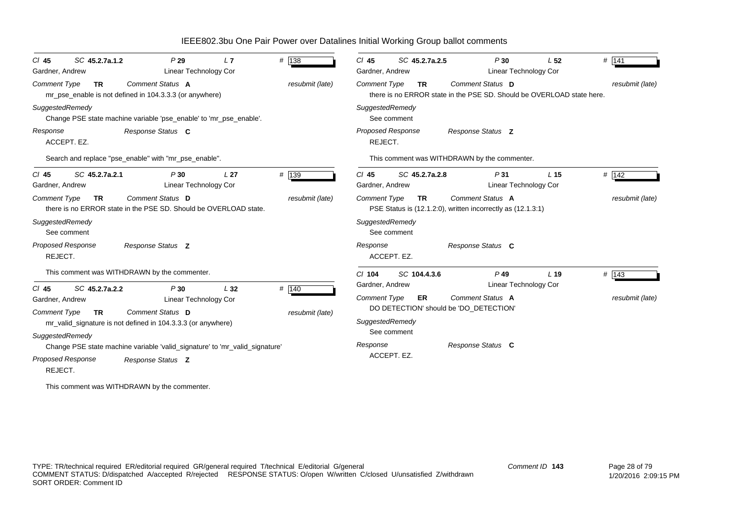| SC 45.2.7a.1.2<br>$CI$ 45<br>Gardner, Andrew                                     |                                                                                  | P29<br>L7<br>Linear Technology Cor                                          | # 138                    | $Cl$ 45<br>SC 45.2.7a.2.5<br>Gardner, Andrew                                   | P30<br>Linear Technology Cor                                                              | L <sub>52</sub> | # 141           |
|----------------------------------------------------------------------------------|----------------------------------------------------------------------------------|-----------------------------------------------------------------------------|--------------------------|--------------------------------------------------------------------------------|-------------------------------------------------------------------------------------------|-----------------|-----------------|
| <b>Comment Type</b><br><b>TR</b>                                                 | Comment Status A<br>mr_pse_enable is not defined in 104.3.3.3 (or anywhere)      |                                                                             | resubmit (late)          | <b>Comment Type</b><br><b>TR</b>                                               | Comment Status D<br>there is no ERROR state in the PSE SD. Should be OVERLOAD state here. |                 | resubmit (late) |
| SuggestedRemedy                                                                  |                                                                                  | Change PSE state machine variable 'pse_enable' to 'mr_pse_enable'.          |                          | SuggestedRemedy<br>See comment                                                 |                                                                                           |                 |                 |
| Response<br>ACCEPT. EZ.                                                          | Response Status C                                                                |                                                                             |                          | <b>Proposed Response</b><br>REJECT.                                            | Response Status Z                                                                         |                 |                 |
|                                                                                  | Search and replace "pse_enable" with "mr_pse_enable".                            |                                                                             |                          |                                                                                | This comment was WITHDRAWN by the commenter.                                              |                 |                 |
| SC 45.2.7a.2.1<br>$CI$ 45<br>Gardner, Andrew                                     |                                                                                  | P30<br>L <sub>27</sub><br><b>Linear Technology Cor</b>                      | # 139                    | $CI$ 45<br>SC 45.2.7a.2.8<br>Gardner, Andrew                                   | P31<br>Linear Technology Cor                                                              | L <sub>15</sub> | # 142           |
| <b>Comment Type</b><br><b>TR</b>                                                 | Comment Status D                                                                 | there is no ERROR state in the PSE SD. Should be OVERLOAD state.            | resubmit (late)          | <b>Comment Type</b><br><b>TR</b>                                               | Comment Status A<br>PSE Status is (12.1.2.0), written incorrectly as (12.1.3.1)           |                 | resubmit (late) |
| SuggestedRemedy<br>See comment                                                   |                                                                                  |                                                                             |                          | SuggestedRemedy<br>See comment                                                 |                                                                                           |                 |                 |
| Proposed Response<br>REJECT.                                                     | Response Status Z                                                                |                                                                             |                          | Response<br>ACCEPT. EZ.                                                        | Response Status C                                                                         |                 |                 |
|                                                                                  | This comment was WITHDRAWN by the commenter.                                     |                                                                             |                          | SC 104.4.3.6<br>$Cl$ 104                                                       | $P$ 49                                                                                    | L <sub>19</sub> | # 143           |
| SC 45.2.7a.2.2<br>$Cl$ 45<br>Gardner, Andrew<br><b>Comment Type</b><br><b>TR</b> | Comment Status D<br>mr_valid_signature is not defined in 104.3.3.3 (or anywhere) | L32<br>P30<br><b>Linear Technology Cor</b>                                  | # 140<br>resubmit (late) | Gardner, Andrew<br><b>Comment Type</b><br>ER<br>SuggestedRemedy<br>See comment | Linear Technology Cor<br>Comment Status A<br>DO DETECTION' should be 'DO DETECTION'       |                 | resubmit (late) |
| SuggestedRemedy<br>Proposed Response<br>REJECT.                                  | Response Status Z                                                                | Change PSE state machine variable 'valid_signature' to 'mr_valid_signature' |                          | Response<br>ACCEPT. EZ.                                                        | Response Status C                                                                         |                 |                 |

This comment was WITHDRAWN by the commenter.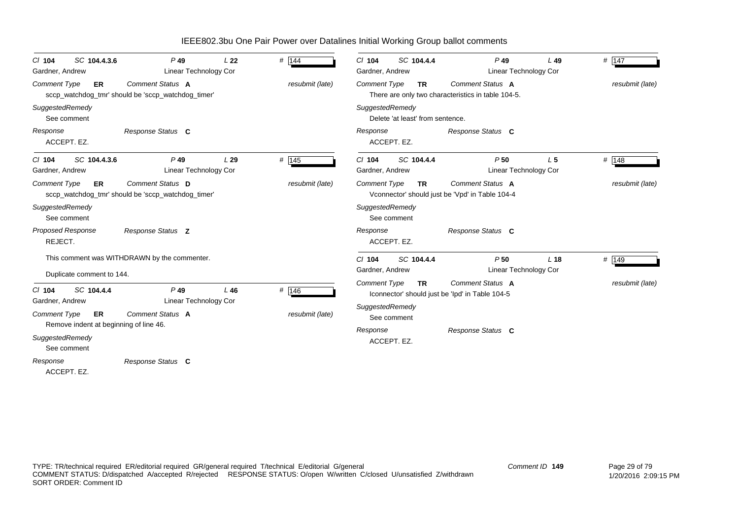| SC 104.4.3.6<br>$CI$ 104<br>Gardner, Andrew | $P$ 49<br>Linear Technology Cor                                        | L22    | # 144           | SC 104.4.4<br>$CI$ 104<br>Gardner, Andrew                                                                                     | $P$ 49<br>Linear Technology Cor                                     | $L$ 49          | $\#$ 147        |  |
|---------------------------------------------|------------------------------------------------------------------------|--------|-----------------|-------------------------------------------------------------------------------------------------------------------------------|---------------------------------------------------------------------|-----------------|-----------------|--|
| <b>Comment Type</b><br>ER                   | Comment Status A<br>sccp_watchdog_tmr' should be 'sccp_watchdog_timer' |        | resubmit (late) | Comment Status A<br><b>Comment Type</b><br>resubmit (late)<br><b>TR</b><br>There are only two characteristics in table 104-5. |                                                                     |                 |                 |  |
| SuggestedRemedy<br>See comment              |                                                                        |        |                 | SuggestedRemedy<br>Delete 'at least' from sentence.                                                                           |                                                                     |                 |                 |  |
| Response<br>ACCEPT. EZ.                     | Response Status C                                                      |        |                 | Response<br>ACCEPT. EZ.                                                                                                       | Response Status C                                                   |                 |                 |  |
| SC 104.4.3.6<br>$CI$ 104<br>Gardner, Andrew | $P$ 49<br>Linear Technology Cor                                        | L29    | # 145           | $Cl$ 104<br>SC 104.4.4<br>Gardner, Andrew                                                                                     | P50<br>Linear Technology Cor                                        | L <sub>5</sub>  | # 148           |  |
| <b>Comment Type</b><br>ER                   | Comment Status D<br>sccp_watchdog_tmr' should be 'sccp_watchdog_timer' |        | resubmit (late) | Comment Type<br><b>TR</b>                                                                                                     | Comment Status A<br>Vconnector' should just be 'Vpd' in Table 104-4 |                 | resubmit (late) |  |
| SuggestedRemedy<br>See comment              |                                                                        |        |                 | SuggestedRemedy<br>See comment                                                                                                |                                                                     |                 |                 |  |
| <b>Proposed Response</b><br>REJECT.         | Response Status Z                                                      |        |                 | Response<br>ACCEPT. EZ.                                                                                                       | Response Status C                                                   |                 |                 |  |
| Duplicate comment to 144.                   | This comment was WITHDRAWN by the commenter.                           |        |                 | SC 104.4.4<br>$Cl$ 104<br>Gardner, Andrew                                                                                     | P50<br>Linear Technology Cor                                        | L <sub>18</sub> | # 149           |  |
| SC 104.4.4<br>$CI$ 104<br>Gardner, Andrew   | $P$ 49<br>Linear Technology Cor                                        | $L$ 46 | # 146           | <b>Comment Type</b><br><b>TR</b>                                                                                              | Comment Status A<br>Iconnector' should just be 'Ipd' in Table 104-5 |                 | resubmit (late) |  |
| <b>Comment Type</b><br>ER                   | Comment Status A<br>Remove indent at beginning of line 46.             |        | resubmit (late) | SuggestedRemedy<br>See comment                                                                                                |                                                                     |                 |                 |  |
| SuggestedRemedy<br>See comment              |                                                                        |        |                 | Response<br>ACCEPT. EZ.                                                                                                       | Response Status C                                                   |                 |                 |  |
| Response<br>ACCEPT. EZ.                     | Response Status C                                                      |        |                 |                                                                                                                               |                                                                     |                 |                 |  |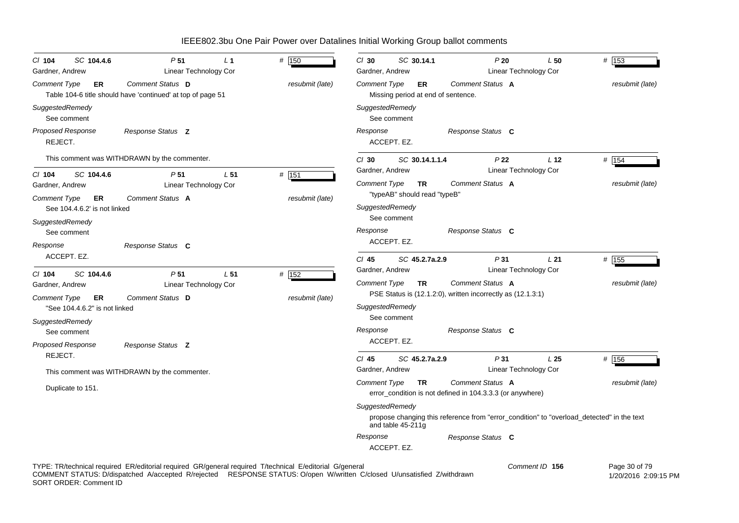| SC 104.4.6<br>CI 104<br>Gardner, Andrew             | P <sub>51</sub><br>L <sub>1</sub><br>Linear Technology Cor                                              | # 150           | $Cl$ 30<br>SC 30.14.1<br>Gardner, Andrew                                                                       | P20<br>Linear Technology Cor              | L50             | # 153           |
|-----------------------------------------------------|---------------------------------------------------------------------------------------------------------|-----------------|----------------------------------------------------------------------------------------------------------------|-------------------------------------------|-----------------|-----------------|
| Comment Type<br>ER                                  | Comment Status D<br>Table 104-6 title should have 'continued' at top of page 51                         | resubmit (late) | Comment Type<br>ER<br>Missing period at end of sentence.                                                       | Comment Status A                          |                 | resubmit (late) |
| SuggestedRemedy<br>See comment                      |                                                                                                         |                 | SuggestedRemedy<br>See comment                                                                                 |                                           |                 |                 |
| <b>Proposed Response</b><br>REJECT.                 | Response Status Z                                                                                       |                 | Response<br>ACCEPT. EZ.                                                                                        | Response Status C                         |                 |                 |
|                                                     | This comment was WITHDRAWN by the commenter.                                                            |                 | $Cl$ 30<br>SC 30.14.1.1.4                                                                                      | P <sub>22</sub>                           | L <sub>12</sub> | # $154$         |
| $Cl$ 104<br>SC 104.4.6<br>Gardner, Andrew           | P <sub>51</sub><br>L <sub>51</sub><br>Linear Technology Cor                                             | $#$ 151         | Gardner, Andrew<br>Comment Type<br><b>TR</b>                                                                   | Linear Technology Cor<br>Comment Status A |                 | resubmit (late) |
| Comment Type<br>ER<br>See 104.4.6.2' is not linked  | Comment Status A                                                                                        | resubmit (late) | "typeAB" should read "typeB"<br>SuggestedRemedy                                                                |                                           |                 |                 |
| SuggestedRemedy<br>See comment                      |                                                                                                         |                 | See comment<br>Response                                                                                        | Response Status C                         |                 |                 |
| Response<br>ACCEPT. EZ.                             | Response Status C                                                                                       |                 | ACCEPT. EZ.<br>$Cl$ 45<br>SC 45.2.7a.2.9                                                                       | P31                                       | L21             | # 155           |
| SC 104.4.6<br>CI 104                                | P <sub>51</sub><br>L <sub>51</sub>                                                                      | # 152           | Gardner, Andrew                                                                                                | Linear Technology Cor                     |                 |                 |
| Gardner, Andrew                                     | Linear Technology Cor                                                                                   |                 | Comment Type<br>TR                                                                                             | Comment Status A                          |                 | resubmit (late) |
| Comment Type<br>ER<br>"See 104.4.6.2" is not linked | Comment Status D                                                                                        | resubmit (late) | PSE Status is (12.1.2.0), written incorrectly as (12.1.3.1)<br>SuggestedRemedy                                 |                                           |                 |                 |
| SuggestedRemedy<br>See comment                      |                                                                                                         |                 | See comment<br>Response                                                                                        | Response Status C                         |                 |                 |
| <b>Proposed Response</b>                            | Response Status Z                                                                                       |                 | ACCEPT. EZ.                                                                                                    |                                           |                 |                 |
| REJECT.                                             | This comment was WITHDRAWN by the commenter.                                                            |                 | $CI$ 45<br>SC 45.2.7a.2.9<br>Gardner, Andrew                                                                   | P31<br>Linear Technology Cor              | L <sub>25</sub> | # 156           |
| Duplicate to 151.                                   |                                                                                                         |                 | <b>Comment Type</b><br><b>TR</b><br>error_condition is not defined in 104.3.3.3 (or anywhere)                  | Comment Status A                          |                 | resubmit (late) |
|                                                     |                                                                                                         |                 | SuggestedRemedy                                                                                                |                                           |                 |                 |
|                                                     |                                                                                                         |                 | propose changing this reference from "error_condition" to "overload_detected" in the text<br>and table 45-211g |                                           |                 |                 |
|                                                     |                                                                                                         |                 | Response<br>ACCEPT. EZ.                                                                                        | Response Status C                         |                 |                 |
|                                                     | TYPE: TR/technical required ER/editorial required GR/general required T/technical E/editorial G/general |                 |                                                                                                                |                                           | Comment ID 156  | Page 30 of 79   |

COMMENT STATUS: D/dispatched A/accepted R/rejected RESPONSE STATUS: O/open W/written C/closed U/unsatisfied Z/withdrawn SORT ORDER: Comment ID

1/20/2016 2:09:15 PM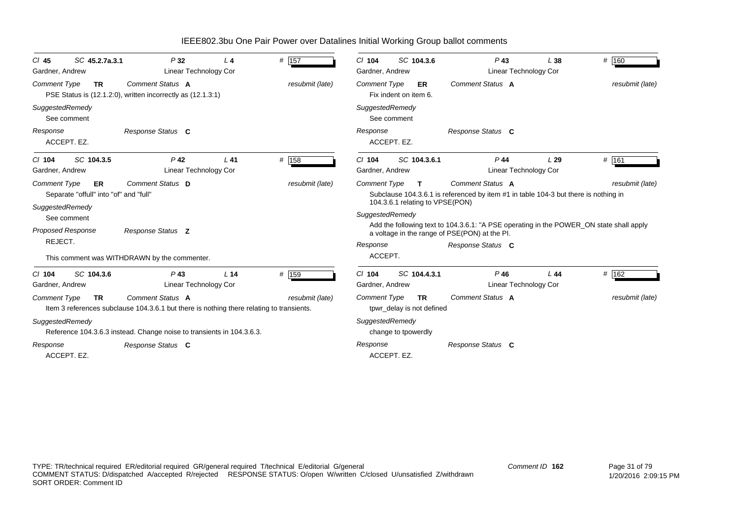| SC 45.2.7a.3.1<br>CI 45<br>Gardner, Andrew                | P32<br>Linear Technology Cor                                                             | L <sub>4</sub>  | $#$ 157         | SC 104.3.6<br>$CI$ 104<br>Gardner, Andrew          | $P$ 43<br>Linear Technology Cor                                                         | L38 | # 160           |
|-----------------------------------------------------------|------------------------------------------------------------------------------------------|-----------------|-----------------|----------------------------------------------------|-----------------------------------------------------------------------------------------|-----|-----------------|
| <b>Comment Type</b><br><b>TR</b>                          | Comment Status A<br>PSE Status is (12.1.2.0), written incorrectly as (12.1.3.1)          |                 | resubmit (late) | <b>Comment Type</b><br>ER<br>Fix indent on item 6. | Comment Status A                                                                        |     | resubmit (late) |
| SuggestedRemedy<br>See comment                            |                                                                                          |                 |                 | SuggestedRemedy<br>See comment                     |                                                                                         |     |                 |
| Response<br>ACCEPT. EZ.                                   | Response Status C                                                                        |                 |                 | Response<br>ACCEPT. EZ.                            | Response Status C                                                                       |     |                 |
| SC 104.3.5<br>$CI$ 104                                    | $P$ 42                                                                                   | $L$ 41          | # 158           | SC 104.3.6.1<br>$CI$ 104                           | $P$ 44                                                                                  | L29 | # 161           |
| Gardner, Andrew                                           | Linear Technology Cor                                                                    |                 |                 | Gardner, Andrew                                    | Linear Technology Cor                                                                   |     |                 |
| <b>Comment Type</b><br>ER                                 | Comment Status D                                                                         |                 | resubmit (late) | <b>Comment Type</b><br>$\mathbf T$                 | Comment Status A                                                                        |     | resubmit (late) |
| Separate "offull" into "of" and "full"<br>SuggestedRemedy |                                                                                          |                 |                 | 104.3.6.1 relating to VPSE(PON)                    | Subclause 104.3.6.1 is referenced by item #1 in table 104-3 but there is nothing in     |     |                 |
| See comment                                               |                                                                                          |                 |                 | SuggestedRemedy                                    |                                                                                         |     |                 |
| <b>Proposed Response</b>                                  | Response Status Z                                                                        |                 |                 | a voltage in the range of PSE(PON) at the PI.      | Add the following text to 104.3.6.1: "A PSE operating in the POWER_ON state shall apply |     |                 |
| REJECT.                                                   |                                                                                          |                 |                 | Response                                           | Response Status C                                                                       |     |                 |
|                                                           | This comment was WITHDRAWN by the commenter.                                             |                 |                 | ACCEPT.                                            |                                                                                         |     |                 |
| SC 104.3.6<br>$Cl$ 104                                    | $P$ 43                                                                                   | L <sub>14</sub> | # 159           | SC 104.4.3.1<br>$Cl$ 104                           | $P$ 46                                                                                  | L44 | $#$ 162         |
| Gardner, Andrew                                           | Linear Technology Cor                                                                    |                 |                 | Gardner, Andrew                                    | <b>Linear Technology Cor</b>                                                            |     |                 |
| <b>Comment Type</b><br><b>TR</b>                          | <b>Comment Status A</b>                                                                  |                 | resubmit (late) | <b>Comment Type</b><br><b>TR</b>                   | Comment Status A                                                                        |     | resubmit (late) |
|                                                           | Item 3 references subclause 104.3.6.1 but there is nothing there relating to transients. |                 |                 | tpwr_delay is not defined                          |                                                                                         |     |                 |
| SuggestedRemedy                                           |                                                                                          |                 |                 | SuggestedRemedy                                    |                                                                                         |     |                 |
|                                                           | Reference 104.3.6.3 instead. Change noise to transients in 104.3.6.3.                    |                 |                 | change to tpowerdly                                |                                                                                         |     |                 |
| Response                                                  | Response Status C                                                                        |                 |                 | Response                                           | Response Status C                                                                       |     |                 |
| ACCEPT. EZ.                                               |                                                                                          |                 |                 | ACCEPT. EZ.                                        |                                                                                         |     |                 |
|                                                           |                                                                                          |                 |                 |                                                    |                                                                                         |     |                 |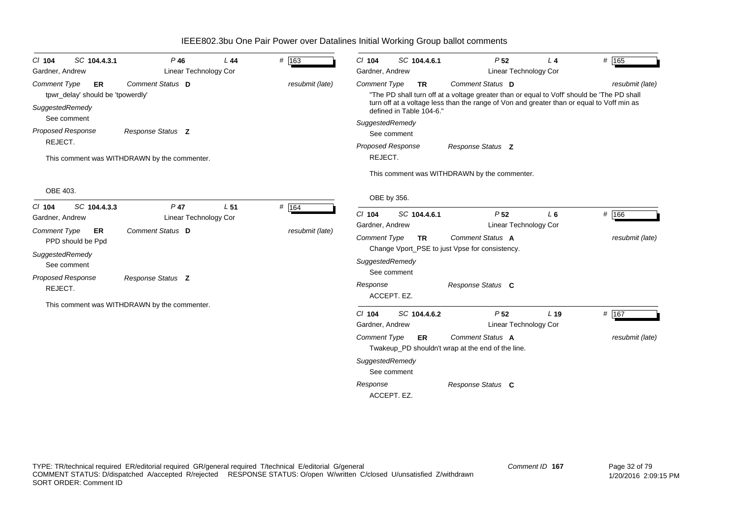| $Cl$ 104                               | SC 104.4.3.1                                   | $P$ 46                                       | L44             | # 163           | $Cl$ 104                               | SC 104.4.6.1                         | P <sub>52</sub>                                                                                                                                                                                             | $L_4$           | # 165           |
|----------------------------------------|------------------------------------------------|----------------------------------------------|-----------------|-----------------|----------------------------------------|--------------------------------------|-------------------------------------------------------------------------------------------------------------------------------------------------------------------------------------------------------------|-----------------|-----------------|
| Gardner, Andrew                        |                                                | <b>Linear Technology Cor</b>                 |                 |                 | Gardner, Andrew                        |                                      | Linear Technology Cor                                                                                                                                                                                       |                 |                 |
| <b>Comment Type</b><br>SuggestedRemedy | <b>ER</b><br>tpwr_delay' should be 'tpowerdly' | Comment Status D                             |                 | resubmit (late) | <b>Comment Type</b>                    | <b>TR</b><br>defined in Table 104-6. | Comment Status D<br>"The PD shall turn off at a voltage greater than or equal to Voff' should be 'The PD shall<br>turn off at a voltage less than the range of Von and greater than or equal to Voff min as |                 | resubmit (late) |
|                                        | See comment                                    |                                              |                 |                 | SuggestedRemedy                        |                                      |                                                                                                                                                                                                             |                 |                 |
| <b>Proposed Response</b><br>REJECT.    |                                                | Response Status Z                            |                 |                 |                                        | See comment                          |                                                                                                                                                                                                             |                 |                 |
|                                        |                                                | This comment was WITHDRAWN by the commenter. |                 |                 | Proposed Response<br>REJECT.           |                                      | Response Status Z                                                                                                                                                                                           |                 |                 |
|                                        |                                                |                                              |                 |                 |                                        |                                      | This comment was WITHDRAWN by the commenter.                                                                                                                                                                |                 |                 |
| OBE 403.                               |                                                |                                              |                 |                 | OBE by 356.                            |                                      |                                                                                                                                                                                                             |                 |                 |
| $Cl$ 104<br>Gardner, Andrew            | SC 104.4.3.3                                   | $P$ 47<br><b>Linear Technology Cor</b>       | L <sub>51</sub> | # 164           | $Cl$ 104                               | SC 104.4.6.1                         | P <sub>52</sub>                                                                                                                                                                                             | L <sub>6</sub>  | # 166           |
| <b>Comment Type</b>                    | <b>ER</b><br>PPD should be Ppd                 | Comment Status D                             |                 | resubmit (late) | Gardner, Andrew<br><b>Comment Type</b> | <b>TR</b>                            | <b>Linear Technology Cor</b><br>Comment Status A                                                                                                                                                            |                 | resubmit (late) |
| SuggestedRemedy                        | See comment                                    |                                              |                 |                 | SuggestedRemedy                        |                                      | Change Vport_PSE to just Vpse for consistency.                                                                                                                                                              |                 |                 |
| <b>Proposed Response</b><br>REJECT.    |                                                | Response Status Z                            |                 |                 | Response                               | See comment<br>ACCEPT. EZ.           | Response Status C                                                                                                                                                                                           |                 |                 |
|                                        |                                                | This comment was WITHDRAWN by the commenter. |                 |                 |                                        |                                      |                                                                                                                                                                                                             |                 |                 |
|                                        |                                                |                                              |                 |                 | $Cl$ 104<br>Gardner, Andrew            | SC 104.4.6.2                         | P <sub>52</sub><br><b>Linear Technology Cor</b>                                                                                                                                                             | L <sub>19</sub> | # 167           |
|                                        |                                                |                                              |                 |                 | <b>Comment Type</b>                    | ER.                                  | Comment Status A<br>Twakeup_PD shouldn't wrap at the end of the line.                                                                                                                                       |                 | resubmit (late) |
|                                        |                                                |                                              |                 |                 | SuggestedRemedy                        | See comment                          |                                                                                                                                                                                                             |                 |                 |
|                                        |                                                |                                              |                 |                 | Response                               | ACCEPT. EZ.                          | Response Status C                                                                                                                                                                                           |                 |                 |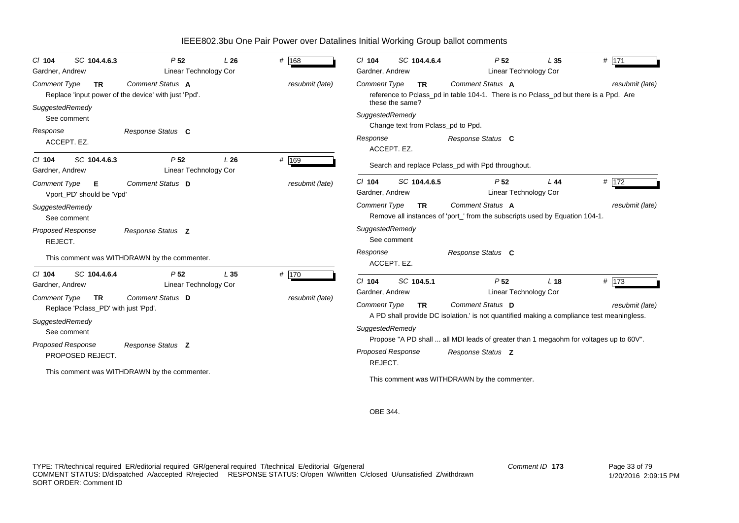| SC 104.4.6.3<br>$CI$ 104<br>Gardner, Andrew                                                                                                                                                               | P <sub>52</sub><br>Linear Technology Cor                                                                                          | L26 | # $168$                  | SC 104.4.6.4<br>$Cl$ 104<br>Gardner, Andrew                                                                                                                                                                                                                                                                                                                                   | P <sub>52</sub><br>Linear Technology Cor                                          | L35             | # 171                                 |
|-----------------------------------------------------------------------------------------------------------------------------------------------------------------------------------------------------------|-----------------------------------------------------------------------------------------------------------------------------------|-----|--------------------------|-------------------------------------------------------------------------------------------------------------------------------------------------------------------------------------------------------------------------------------------------------------------------------------------------------------------------------------------------------------------------------|-----------------------------------------------------------------------------------|-----------------|---------------------------------------|
| <b>Comment Type</b><br><b>TR</b><br>SuggestedRemedy<br>See comment<br>Response                                                                                                                            | Comment Status A<br>Replace 'input power of the device' with just 'Ppd'.<br>Response Status C                                     |     | resubmit (late)          | <b>Comment Type</b><br>TR.<br>reference to Pclass_pd in table 104-1. There is no Pclass_pd but there is a Ppd. Are<br>these the same?<br>SuggestedRemedy<br>Change text from Pclass_pd to Ppd.<br>Response                                                                                                                                                                    | Comment Status A<br>Response Status C                                             |                 | resubmit (late)                       |
| ACCEPT. EZ.<br>SC 104.4.6.3<br>$CI$ 104<br>Gardner, Andrew                                                                                                                                                | P <sub>52</sub><br><b>Linear Technology Cor</b>                                                                                   | L26 | # 169                    | ACCEPT. EZ.<br>Search and replace Pclass_pd with Ppd throughout.                                                                                                                                                                                                                                                                                                              |                                                                                   |                 |                                       |
| <b>Comment Type</b><br>Е<br>Vport_PD' should be 'Vpd'<br>SuggestedRemedy<br>See comment                                                                                                                   | Comment Status D                                                                                                                  |     | resubmit (late)          | SC 104.4.6.5<br>$Cl$ 104<br>Gardner, Andrew<br>Comment Type<br><b>TR</b><br>Remove all instances of 'port_' from the subscripts used by Equation 104-1.                                                                                                                                                                                                                       | P <sub>52</sub><br>Linear Technology Cor<br>Comment Status A                      | L44             | # 172<br>resubmit (late)              |
| Proposed Response<br>REJECT.                                                                                                                                                                              | Response Status Z<br>This comment was WITHDRAWN by the commenter.                                                                 |     |                          | SuggestedRemedy<br>See comment<br>Response<br>ACCEPT. EZ.                                                                                                                                                                                                                                                                                                                     | Response Status C                                                                 |                 |                                       |
| SC 104.4.6.4<br>$CI$ 104<br>Gardner, Andrew<br><b>Comment Type</b><br><b>TR</b><br>Replace 'Pclass_PD' with just 'Ppd'.<br>SuggestedRemedy<br>See comment<br><b>Proposed Response</b><br>PROPOSED REJECT. | P <sub>52</sub><br>Linear Technology Cor<br>Comment Status D<br>Response Status Z<br>This comment was WITHDRAWN by the commenter. | L35 | # 170<br>resubmit (late) | $Cl$ 104<br>SC 104.5.1<br>Gardner, Andrew<br><b>Comment Type</b><br><b>TR</b><br>A PD shall provide DC isolation.' is not quantified making a compliance test meaningless.<br>SuggestedRemedy<br>Propose "A PD shall  all MDI leads of greater than 1 megaohm for voltages up to 60V".<br><b>Proposed Response</b><br>REJECT.<br>This comment was WITHDRAWN by the commenter. | P <sub>52</sub><br>Linear Technology Cor<br>Comment Status D<br>Response Status Z | L <sub>18</sub> | $# \overline{173}$<br>resubmit (late) |

OBE 344.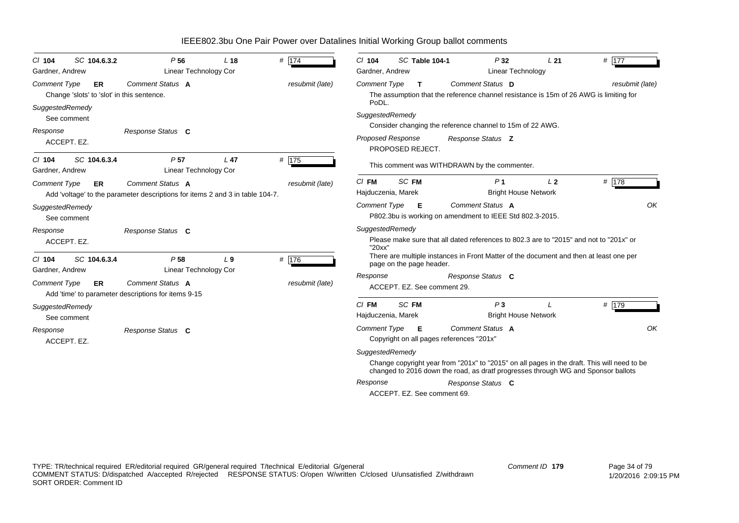| SC 104.6.3.2<br>$Cl$ 104<br>Gardner, Andrew                                                                                     |    | P <sub>56</sub><br>Linear Technology Cor                                                   | L <sub>18</sub>                                                                                                                                                     | # 174                                                                                                               | $Cl$ 104<br>Gardner, Andrew                                                                                                                                                                         | SC Table 104-1                                                                                                     | P32                                                                                 | Linear Technology           | # $\overline{177}$<br>L21 |  |  |  |  |
|---------------------------------------------------------------------------------------------------------------------------------|----|--------------------------------------------------------------------------------------------|---------------------------------------------------------------------------------------------------------------------------------------------------------------------|---------------------------------------------------------------------------------------------------------------------|-----------------------------------------------------------------------------------------------------------------------------------------------------------------------------------------------------|--------------------------------------------------------------------------------------------------------------------|-------------------------------------------------------------------------------------|-----------------------------|---------------------------|--|--|--|--|
| <b>Comment Status A</b><br><b>Comment Type</b><br>resubmit (late)<br>ER<br>Change 'slots' to 'slot' in this sentence.           |    |                                                                                            | Comment Status D<br><b>Comment Type</b><br>$\mathbf{T}$<br>resubmit (late)<br>The assumption that the reference channel resistance is 15m of 26 AWG is limiting for |                                                                                                                     |                                                                                                                                                                                                     |                                                                                                                    |                                                                                     |                             |                           |  |  |  |  |
| SuggestedRemedy<br>See comment<br>Response<br>ACCEPT. EZ.                                                                       |    | Response Status C                                                                          |                                                                                                                                                                     |                                                                                                                     | PoDL.<br>SuggestedRemedy<br><b>Proposed Response</b>                                                                                                                                                | PROPOSED REJECT.                                                                                                   | Consider changing the reference channel to 15m of 22 AWG.<br>Response Status Z      |                             |                           |  |  |  |  |
| SC 104.6.3.4<br>$CI$ 104<br>Gardner, Andrew                                                                                     |    | P <sub>57</sub><br>Linear Technology Cor                                                   | L <sub>47</sub>                                                                                                                                                     | $#$ 175                                                                                                             | This comment was WITHDRAWN by the commenter.                                                                                                                                                        |                                                                                                                    |                                                                                     |                             |                           |  |  |  |  |
| Comment Status A<br><b>Comment Type</b><br>ER.<br>Add 'voltage' to the parameter descriptions for items 2 and 3 in table 104-7. |    |                                                                                            | resubmit (late)                                                                                                                                                     | $CI$ FM<br>Hajduczenia, Marek                                                                                       | SC FM                                                                                                                                                                                               | P <sub>1</sub>                                                                                                     | L <sub>2</sub><br><b>Bright House Network</b>                                       | # 178                       |                           |  |  |  |  |
| SuggestedRemedy<br>See comment                                                                                                  |    |                                                                                            |                                                                                                                                                                     |                                                                                                                     | Comment Type                                                                                                                                                                                        | - E                                                                                                                | <b>Comment Status A</b><br>P802.3bu is working on amendment to IEEE Std 802.3-2015. |                             | OK                        |  |  |  |  |
| Response Status C<br>Response<br>ACCEPT. EZ.                                                                                    |    |                                                                                            |                                                                                                                                                                     | SuggestedRemedy<br>Please make sure that all dated references to 802.3 are to "2015" and not to "201x" or<br>"20xx" |                                                                                                                                                                                                     |                                                                                                                    |                                                                                     |                             |                           |  |  |  |  |
| SC 104.6.3.4<br>$CI$ 104<br>Gardner, Andrew                                                                                     |    | # $176$<br>P <sub>58</sub><br>L <sub>9</sub><br><b>Linear Technology Cor</b>               |                                                                                                                                                                     |                                                                                                                     |                                                                                                                                                                                                     | There are multiple instances in Front Matter of the document and then at least one per<br>page on the page header. |                                                                                     |                             |                           |  |  |  |  |
| <b>Comment Type</b>                                                                                                             | ER | Comment Status A<br>resubmit (late)<br>Add 'time' to parameter descriptions for items 9-15 |                                                                                                                                                                     |                                                                                                                     | Response<br>Response Status C<br>ACCEPT. EZ. See comment 29.                                                                                                                                        |                                                                                                                    |                                                                                     |                             |                           |  |  |  |  |
| SuggestedRemedy<br>See comment                                                                                                  |    |                                                                                            |                                                                                                                                                                     |                                                                                                                     | $Cl$ FM<br>Hajduczenia, Marek                                                                                                                                                                       | SC FM                                                                                                              | P <sub>3</sub>                                                                      | <b>Bright House Network</b> | # 179                     |  |  |  |  |
| Response<br>ACCEPT. EZ.                                                                                                         |    | Response Status C                                                                          |                                                                                                                                                                     |                                                                                                                     | <b>Comment Type</b>                                                                                                                                                                                 | E                                                                                                                  | Comment Status A<br>Copyright on all pages references "201x"                        |                             | OK                        |  |  |  |  |
|                                                                                                                                 |    |                                                                                            |                                                                                                                                                                     |                                                                                                                     | SuggestedRemedy<br>Change copyright year from "201x" to "2015" on all pages in the draft. This will need to be<br>changed to 2016 down the road, as dratf progresses through WG and Sponsor ballots |                                                                                                                    |                                                                                     |                             |                           |  |  |  |  |
|                                                                                                                                 |    |                                                                                            |                                                                                                                                                                     |                                                                                                                     | Response                                                                                                                                                                                            |                                                                                                                    | Response Status C                                                                   |                             |                           |  |  |  |  |
|                                                                                                                                 |    |                                                                                            |                                                                                                                                                                     |                                                                                                                     | ACCEPT, EZ. See comment 69.                                                                                                                                                                         |                                                                                                                    |                                                                                     |                             |                           |  |  |  |  |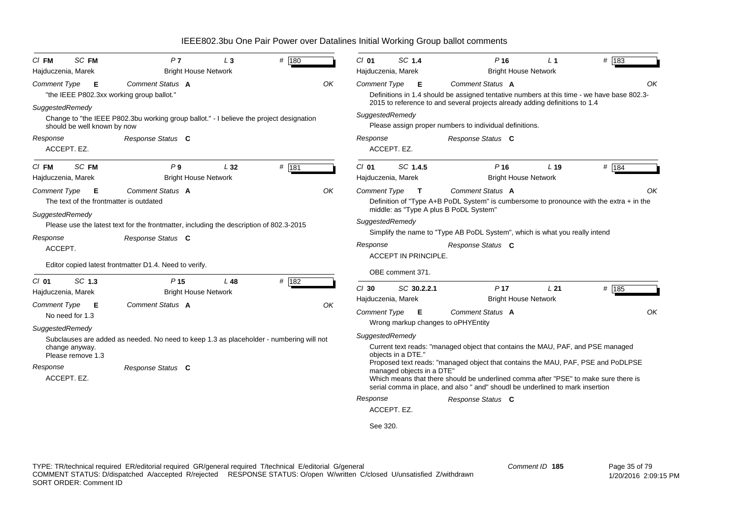| SC FM<br>$CI$ FM                                                                                                               | P <sub>7</sub>                                                                                               | $L_3$                                                                                                                    | # 180              |  | $Cl$ 01                                                                                                                                                                                                                                                                               | SC 1.4                      |                                                                                                                                                                                                      | P <sub>16</sub>                                                              | L <sub>1</sub>                                 | # 183 |  |  |  |  |
|--------------------------------------------------------------------------------------------------------------------------------|--------------------------------------------------------------------------------------------------------------|--------------------------------------------------------------------------------------------------------------------------|--------------------|--|---------------------------------------------------------------------------------------------------------------------------------------------------------------------------------------------------------------------------------------------------------------------------------------|-----------------------------|------------------------------------------------------------------------------------------------------------------------------------------------------------------------------------------------------|------------------------------------------------------------------------------|------------------------------------------------|-------|--|--|--|--|
| <b>Bright House Network</b><br>Hajduczenia, Marek                                                                              |                                                                                                              |                                                                                                                          | Hajduczenia, Marek |  |                                                                                                                                                                                                                                                                                       | <b>Bright House Network</b> |                                                                                                                                                                                                      |                                                                              |                                                |       |  |  |  |  |
| Comment Status A<br>OK<br><b>Comment Type</b><br>E<br>"the IEEE P802.3xx working group ballot."                                |                                                                                                              |                                                                                                                          |                    |  | <b>Comment Type</b><br>Comment Status A<br>E<br>Definitions in 1.4 should be assigned tentative numbers at this time - we have base 802.3-<br>2015 to reference to and several projects already adding definitions to 1.4                                                             |                             |                                                                                                                                                                                                      |                                                                              |                                                |       |  |  |  |  |
| SuggestedRemedy<br>should be well known by now<br>Response                                                                     | Change to "the IEEE P802.3bu working group ballot." - I believe the project designation<br>Response Status C |                                                                                                                          |                    |  | SuggestedRemedy<br>Response                                                                                                                                                                                                                                                           |                             |                                                                                                                                                                                                      | Please assign proper numbers to individual definitions.<br>Response Status C |                                                |       |  |  |  |  |
| ACCEPT. EZ.                                                                                                                    |                                                                                                              |                                                                                                                          |                    |  |                                                                                                                                                                                                                                                                                       | ACCEPT. EZ.                 |                                                                                                                                                                                                      |                                                                              |                                                |       |  |  |  |  |
| SC FM<br>$CI$ FM<br>Hajduczenia, Marek                                                                                         | P <sub>9</sub><br><b>Bright House Network</b>                                                                | L32                                                                                                                      | # 181              |  | $Cl$ 01<br>Hajduczenia, Marek                                                                                                                                                                                                                                                         |                             | SC 1.4.5                                                                                                                                                                                             | $P$ 16                                                                       | L <sub>19</sub><br><b>Bright House Network</b> | # 184 |  |  |  |  |
| <b>Comment Type</b><br>Е                                                                                                       | Comment Status A<br>OK<br>The text of the frontmatter is outdated                                            |                                                                                                                          |                    |  |                                                                                                                                                                                                                                                                                       |                             | OK<br><b>Comment Type</b><br>Comment Status A<br>$\mathbf{T}$<br>Definition of "Type A+B PoDL System" is cumbersome to pronounce with the extra $+$ in the<br>middle: as "Type A plus B PoDL System" |                                                                              |                                                |       |  |  |  |  |
| SuggestedRemedy<br>Please use the latest text for the frontmatter, including the description of 802.3-2015                     |                                                                                                              | SuggestedRemedy<br>Simplify the name to "Type AB PoDL System", which is what you really intend                           |                    |  |                                                                                                                                                                                                                                                                                       |                             |                                                                                                                                                                                                      |                                                                              |                                                |       |  |  |  |  |
| Response<br>ACCEPT.                                                                                                            | Response Status C                                                                                            |                                                                                                                          |                    |  | Response                                                                                                                                                                                                                                                                              |                             | <b>ACCEPT IN PRINCIPLE.</b>                                                                                                                                                                          | Response Status C                                                            |                                                |       |  |  |  |  |
|                                                                                                                                | Editor copied latest frontmatter D1.4. Need to verify.                                                       |                                                                                                                          |                    |  |                                                                                                                                                                                                                                                                                       | OBE comment 371.            |                                                                                                                                                                                                      |                                                                              |                                                |       |  |  |  |  |
| SC 1.3<br>$CI$ 01<br>Hajduczenia, Marek                                                                                        | P <sub>15</sub><br><b>Bright House Network</b>                                                               | L48                                                                                                                      | # 182              |  | $Cl$ 30                                                                                                                                                                                                                                                                               |                             | SC 30.2.2.1                                                                                                                                                                                          | P <sub>17</sub>                                                              | L21                                            | # 185 |  |  |  |  |
| <b>Comment Type</b><br>E<br>No need for 1.3                                                                                    | Comment Status A                                                                                             |                                                                                                                          |                    |  | Hajduczenia, Marek<br>Comment Type                                                                                                                                                                                                                                                    |                             | - E                                                                                                                                                                                                  | Comment Status A                                                             | <b>Bright House Network</b>                    | OK    |  |  |  |  |
| SuggestedRemedy                                                                                                                |                                                                                                              |                                                                                                                          |                    |  |                                                                                                                                                                                                                                                                                       |                             |                                                                                                                                                                                                      | Wrong markup changes to oPHYEntity                                           |                                                |       |  |  |  |  |
| Subclauses are added as needed. No need to keep 1.3 as placeholder - numbering will not<br>change anyway.<br>Please remove 1.3 |                                                                                                              | SuggestedRemedy<br>Current text reads: "managed object that contains the MAU, PAF, and PSE managed<br>obiects in a DTE." |                    |  |                                                                                                                                                                                                                                                                                       |                             |                                                                                                                                                                                                      |                                                                              |                                                |       |  |  |  |  |
| Response<br>ACCEPT. EZ.                                                                                                        | Response Status C                                                                                            |                                                                                                                          |                    |  | Proposed text reads: "managed object that contains the MAU, PAF, PSE and PoDLPSE<br>managed objects in a DTE"<br>Which means that there should be underlined comma after "PSE" to make sure there is<br>serial comma in place, and also " and" shoudl be underlined to mark insertion |                             |                                                                                                                                                                                                      |                                                                              |                                                |       |  |  |  |  |
|                                                                                                                                |                                                                                                              |                                                                                                                          |                    |  | Response                                                                                                                                                                                                                                                                              | ACCEPT. EZ.                 |                                                                                                                                                                                                      | Response Status C                                                            |                                                |       |  |  |  |  |
|                                                                                                                                |                                                                                                              |                                                                                                                          |                    |  | See 320.                                                                                                                                                                                                                                                                              |                             |                                                                                                                                                                                                      |                                                                              |                                                |       |  |  |  |  |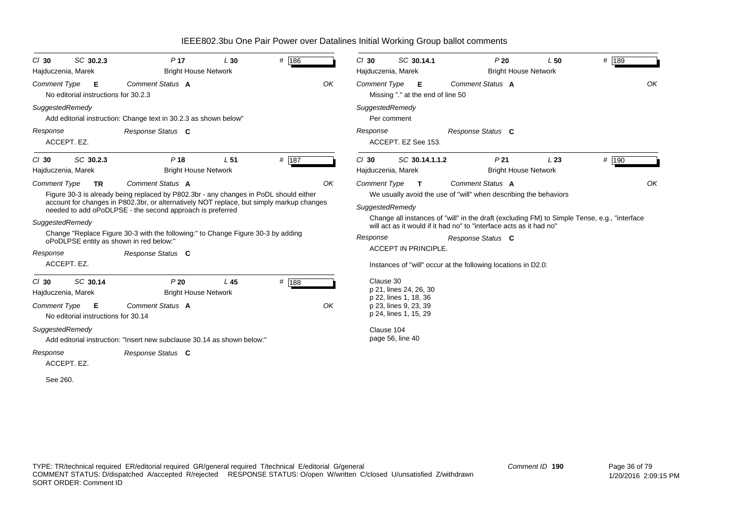| SC 30.2.3<br>$Cl$ 30<br>Hajduczenia, Marek                                                              | P <sub>17</sub><br>L30<br><b>Bright House Network</b>                                                                                                                                                                                                              |                 | # 186 |                                                                                         | $Cl$ 30             | SC 30.14.1<br>Hajduczenia, Marek                                                                                                                                           |  | P20<br>L50<br><b>Bright House Network</b>      |                                                                                              |       |    |
|---------------------------------------------------------------------------------------------------------|--------------------------------------------------------------------------------------------------------------------------------------------------------------------------------------------------------------------------------------------------------------------|-----------------|-------|-----------------------------------------------------------------------------------------|---------------------|----------------------------------------------------------------------------------------------------------------------------------------------------------------------------|--|------------------------------------------------|----------------------------------------------------------------------------------------------|-------|----|
| Comment Status A<br>OK<br><b>Comment Type</b><br>Е<br>No editorial instructions for 30.2.3              |                                                                                                                                                                                                                                                                    |                 |       | Comment Status A<br>OK<br><b>Comment Type</b><br>Е<br>Missing "." at the end of line 50 |                     |                                                                                                                                                                            |  |                                                |                                                                                              |       |    |
| SuggestedRemedy                                                                                         | Add editorial instruction: Change text in 30.2.3 as shown below"                                                                                                                                                                                                   |                 |       |                                                                                         |                     | SuggestedRemedy<br>Per comment                                                                                                                                             |  |                                                |                                                                                              |       |    |
| Response<br>ACCEPT. EZ.                                                                                 | Response Status C                                                                                                                                                                                                                                                  |                 |       |                                                                                         | Response            | ACCEPT. EZ See 153.                                                                                                                                                        |  | Response Status C                              |                                                                                              |       |    |
| SC 30.2.3<br>$Cl$ 30<br>Hajduczenia, Marek                                                              | P <sub>18</sub><br><b>Bright House Network</b>                                                                                                                                                                                                                     | L <sub>51</sub> | # 187 |                                                                                         | $Cl$ 30             | SC 30.14.1.1.2<br>Hajduczenia, Marek                                                                                                                                       |  | P <sub>21</sub><br><b>Bright House Network</b> | L23                                                                                          | # 190 |    |
| <b>Comment Type</b><br><b>TR</b><br>SuggestedRemedy                                                     | Comment Status A<br>Figure 30-3 is already being replaced by P802.3br - any changes in PoDL should either<br>account for changes in P802.3br, or alternatively NOT replace, but simply markup changes<br>needed to add oPoDLPSE - the second approach is preferred |                 |       | OK                                                                                      | <b>Comment Type</b> | $\mathbf{T}$<br>We usually avoid the use of "will" when describing the behaviors<br>SuggestedRemedy<br>will act as it would if it had no" to "interface acts as it had no" |  | Comment Status A                               | Change all instances of "will" in the draft (excluding FM) to Simple Tense, e.g., "interface |       | OK |
| oPoDLPSE entity as shown in red below:"                                                                 | Change "Replace Figure 30-3 with the following:" to Change Figure 30-3 by adding                                                                                                                                                                                   |                 |       |                                                                                         | Response            |                                                                                                                                                                            |  | Response Status C                              |                                                                                              |       |    |
| Response<br>ACCEPT. EZ.                                                                                 | Response Status C                                                                                                                                                                                                                                                  |                 |       |                                                                                         |                     | <b>ACCEPT IN PRINCIPLE.</b><br>Instances of "will" occur at the following locations in D2.0:                                                                               |  |                                                |                                                                                              |       |    |
| SC 30.14<br>$Cl$ 30<br>Hajduczenia, Marek<br>Comment Type<br>- E<br>No editorial instructions for 30.14 | P20<br><b>Bright House Network</b><br>Comment Status A                                                                                                                                                                                                             | L45             | # 188 | OK                                                                                      | Clause 30           | p 21, lines 24, 26, 30<br>p 22, lines 1, 18, 36<br>p 23, lines 9, 23, 39<br>p 24, lines 1, 15, 29                                                                          |  |                                                |                                                                                              |       |    |
| SuggestedRemedy                                                                                         | Add editorial instruction: "Insert new subclause 30.14 as shown below:"                                                                                                                                                                                            |                 |       |                                                                                         |                     | Clause 104<br>page 56, line 40                                                                                                                                             |  |                                                |                                                                                              |       |    |
| Response<br>ACCEPT. EZ.                                                                                 | Response Status C                                                                                                                                                                                                                                                  |                 |       |                                                                                         |                     |                                                                                                                                                                            |  |                                                |                                                                                              |       |    |
| See 260.                                                                                                |                                                                                                                                                                                                                                                                    |                 |       |                                                                                         |                     |                                                                                                                                                                            |  |                                                |                                                                                              |       |    |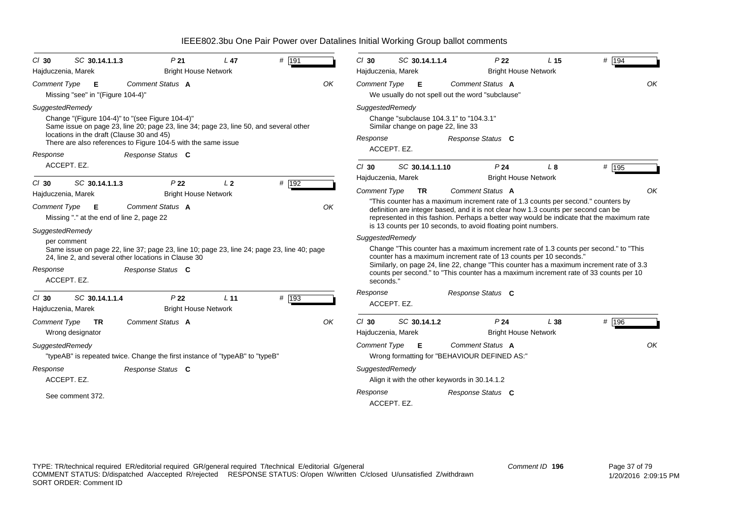| $Cl$ 30                         | SC 30.14.1.1.3                                   | P <sub>21</sub>                                                                                                                                    | L <sub>47</sub>                                | $#$ 191 | $Cl$ 30                                                               | SC 30.14.1.1.4                                                                                   |  | P <sub>22</sub>                                                                                                                                                                                                                          | L <sub>15</sub> | # 194                                                                                                                                                                             |
|---------------------------------|--------------------------------------------------|----------------------------------------------------------------------------------------------------------------------------------------------------|------------------------------------------------|---------|-----------------------------------------------------------------------|--------------------------------------------------------------------------------------------------|--|------------------------------------------------------------------------------------------------------------------------------------------------------------------------------------------------------------------------------------------|-----------------|-----------------------------------------------------------------------------------------------------------------------------------------------------------------------------------|
| Hajduczenia, Marek              |                                                  |                                                                                                                                                    | <b>Bright House Network</b>                    |         | <b>Bright House Network</b><br>Hajduczenia, Marek<br>Comment Status A |                                                                                                  |  |                                                                                                                                                                                                                                          |                 |                                                                                                                                                                                   |
| <b>Comment Type</b>             | E<br>Missing "see" in "(Figure 104-4)"           | Comment Status A                                                                                                                                   |                                                | OK      |                                                                       | Comment Type <b>E</b><br>We usually do not spell out the word "subclause"                        |  | OK                                                                                                                                                                                                                                       |                 |                                                                                                                                                                                   |
| SuggestedRemedy                 | locations in the draft (Clause 30 and 45)        | Change "(Figure 104-4)" to "(see Figure 104-4)"<br>Same issue on page 23, line 20; page 23, line 34; page 23, line 50, and several other           |                                                |         | Response                                                              | SuggestedRemedy<br>Change "subclause 104.3.1" to "104.3.1"<br>Similar change on page 22, line 33 |  | Response Status C                                                                                                                                                                                                                        |                 |                                                                                                                                                                                   |
| Response                        |                                                  | There are also references to Figure 104-5 with the same issue<br>Response Status C                                                                 |                                                |         |                                                                       | ACCEPT. EZ.                                                                                      |  |                                                                                                                                                                                                                                          |                 |                                                                                                                                                                                   |
|                                 | ACCEPT. EZ.                                      |                                                                                                                                                    |                                                |         | $Cl$ 30                                                               | SC 30.14.1.1.10                                                                                  |  | P <sub>24</sub>                                                                                                                                                                                                                          | L <sub>8</sub>  | # 195                                                                                                                                                                             |
| $CI$ 30                         | SC 30.14.1.1.3                                   | P <sub>22</sub>                                                                                                                                    | L <sub>2</sub>                                 | # 192   |                                                                       | Hajduczenia, Marek                                                                               |  | <b>Bright House Network</b>                                                                                                                                                                                                              |                 |                                                                                                                                                                                   |
|                                 | Hajduczenia, Marek                               |                                                                                                                                                    | <b>Bright House Network</b>                    |         | <b>Comment Type</b>                                                   | <b>TR</b>                                                                                        |  | Comment Status A                                                                                                                                                                                                                         |                 | OK                                                                                                                                                                                |
| Comment Type<br>SuggestedRemedy | - E<br>Missing "." at the end of line 2, page 22 | Comment Status A                                                                                                                                   |                                                | OK      |                                                                       |                                                                                                  |  | "This counter has a maximum increment rate of 1.3 counts per second." counters by<br>definition are integer based, and it is not clear how 1.3 counts per second can be<br>is 13 counts per 10 seconds, to avoid floating point numbers. |                 | represented in this fashion. Perhaps a better way would be indicate that the maximum rate                                                                                         |
|                                 | per comment                                      |                                                                                                                                                    |                                                |         |                                                                       | SuggestedRemedy                                                                                  |  |                                                                                                                                                                                                                                          |                 |                                                                                                                                                                                   |
|                                 |                                                  | Same issue on page 22, line 37; page 23, line 10; page 23, line 24; page 23, line 40; page<br>24, line 2, and several other locations in Clause 30 |                                                |         |                                                                       |                                                                                                  |  | counter has a maximum increment rate of 13 counts per 10 seconds."                                                                                                                                                                       |                 | Change "This counter has a maximum increment rate of 1.3 counts per second." to "This                                                                                             |
| Response                        | ACCEPT. EZ.                                      | Response Status C                                                                                                                                  |                                                |         | seconds."                                                             |                                                                                                  |  |                                                                                                                                                                                                                                          |                 | Similarly, on page 24, line 22, change "This counter has a maximum increment rate of 3.3<br>counts per second." to "This counter has a maximum increment rate of 33 counts per 10 |
| $Cl$ 30<br>Hajduczenia, Marek   | SC 30.14.1.1.4                                   | P <sub>22</sub>                                                                                                                                    | L <sub>11</sub><br><b>Bright House Network</b> | # 193   | Response                                                              | ACCEPT. EZ.                                                                                      |  | Response Status C                                                                                                                                                                                                                        |                 |                                                                                                                                                                                   |
| <b>Comment Type</b>             | <b>TR</b><br>Wrong designator                    | Comment Status A                                                                                                                                   |                                                | OK      | $Cl$ 30                                                               | SC 30.14.1.2<br>Hajduczenia, Marek                                                               |  | P <sub>24</sub><br><b>Bright House Network</b>                                                                                                                                                                                           | L38             | # 196                                                                                                                                                                             |
| SuggestedRemedy                 |                                                  | "typeAB" is repeated twice. Change the first instance of "typeAB" to "typeB"                                                                       |                                                |         | <b>Comment Type</b>                                                   | Е                                                                                                |  | <b>Comment Status A</b><br>Wrong formatting for "BEHAVIOUR DEFINED AS:"                                                                                                                                                                  |                 | OK                                                                                                                                                                                |
| Response                        | ACCEPT. EZ.                                      | Response Status C                                                                                                                                  |                                                |         |                                                                       | SuggestedRemedy<br>Align it with the other keywords in 30.14.1.2                                 |  |                                                                                                                                                                                                                                          |                 |                                                                                                                                                                                   |
|                                 | See comment 372.                                 |                                                                                                                                                    |                                                |         | Response                                                              | ACCEPT. EZ.                                                                                      |  | Response Status C                                                                                                                                                                                                                        |                 |                                                                                                                                                                                   |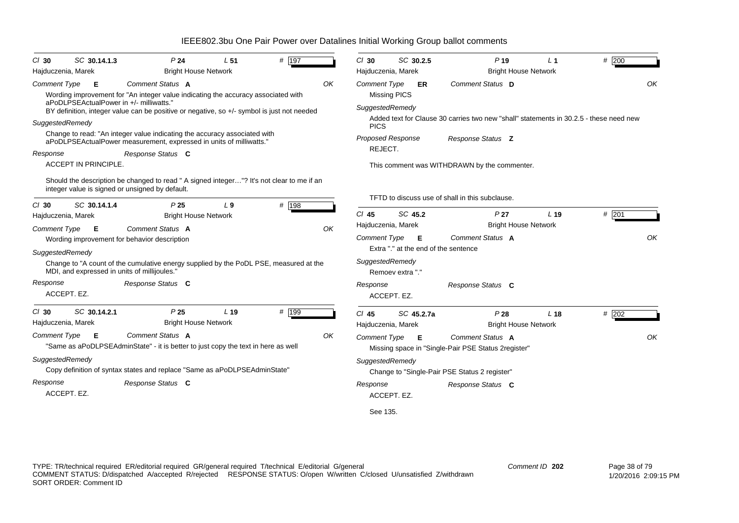| $CI$ 30                       | SC 30.14.1.3                | P <sub>24</sub>                                                                                                                                  | L <sub>51</sub> | # 197 |    | $Cl$ 30             | SC 30.2.5                            | $P$ 19                                                                                 | L <sub>1</sub>  | # 200   |
|-------------------------------|-----------------------------|--------------------------------------------------------------------------------------------------------------------------------------------------|-----------------|-------|----|---------------------|--------------------------------------|----------------------------------------------------------------------------------------|-----------------|---------|
| Hajduczenia, Marek            |                             | <b>Bright House Network</b>                                                                                                                      |                 |       |    | Hajduczenia, Marek  |                                      | <b>Bright House Network</b>                                                            |                 |         |
| <b>Comment Type</b>           | E                           | Comment Status A<br>Wording improvement for "An integer value indicating the accuracy associated with                                            |                 |       | OK | <b>Comment Type</b> | ER<br><b>Missing PICS</b>            | Comment Status D                                                                       |                 | OK      |
|                               |                             | aPoDLPSEActualPower in +/- milliwatts."<br>BY definition, integer value can be positive or negative, so +/- symbol is just not needed            |                 |       |    | SuggestedRemedy     |                                      |                                                                                        |                 |         |
| SuggestedRemedy               |                             |                                                                                                                                                  |                 |       |    | <b>PICS</b>         |                                      | Added text for Clause 30 carries two new "shall" statements in 30.2.5 - these need new |                 |         |
|                               |                             | Change to read: "An integer value indicating the accuracy associated with<br>aPoDLPSEActualPower measurement, expressed in units of milliwatts.' |                 |       |    |                     | Proposed Response                    | Response Status Z                                                                      |                 |         |
| Response                      |                             | Response Status C                                                                                                                                |                 |       |    | REJECT.             |                                      |                                                                                        |                 |         |
|                               | <b>ACCEPT IN PRINCIPLE.</b> |                                                                                                                                                  |                 |       |    |                     |                                      | This comment was WITHDRAWN by the commenter.                                           |                 |         |
|                               |                             | Should the description be changed to read " A signed integer"? It's not clear to me if an                                                        |                 |       |    |                     |                                      |                                                                                        |                 |         |
|                               |                             | integer value is signed or unsigned by default.                                                                                                  |                 |       |    |                     |                                      | TFTD to discuss use of shall in this subclause.                                        |                 |         |
| $Cl$ 30<br>Hajduczenia, Marek | SC 30.14.1.4                | P <sub>25</sub><br><b>Bright House Network</b>                                                                                                   | L <sub>9</sub>  | # 198 |    | $Cl$ 45             | SC 45.2                              | P <sub>27</sub>                                                                        | L <sub>19</sub> | $#$ 201 |
| <b>Comment Type</b>           | Е                           | Comment Status A                                                                                                                                 |                 |       | OK | Hajduczenia, Marek  |                                      | <b>Bright House Network</b>                                                            |                 |         |
|                               |                             | Wording improvement for behavior description                                                                                                     |                 |       |    | Comment Type        | - E                                  | Comment Status A                                                                       |                 | OK      |
| SuggestedRemedy               |                             |                                                                                                                                                  |                 |       |    |                     | Extra "." at the end of the sentence |                                                                                        |                 |         |
|                               |                             | Change to "A count of the cumulative energy supplied by the PoDL PSE, measured at the<br>MDI, and expressed in units of millijoules."            |                 |       |    | SuggestedRemedy     | Remoev extra "."                     |                                                                                        |                 |         |
| Response                      |                             | Response Status C                                                                                                                                |                 |       |    | Response            |                                      | Response Status C                                                                      |                 |         |
| ACCEPT. EZ.                   |                             |                                                                                                                                                  |                 |       |    |                     | ACCEPT. EZ.                          |                                                                                        |                 |         |
| $Cl$ 30                       | SC 30.14.2.1                | P <sub>25</sub>                                                                                                                                  | L <sub>19</sub> | # 199 |    | $Cl$ 45             | SC 45.2.7a                           | P28                                                                                    | L <sub>18</sub> | # 202   |
| Hajduczenia, Marek            |                             | <b>Bright House Network</b>                                                                                                                      |                 |       |    | Hajduczenia, Marek  |                                      | <b>Bright House Network</b>                                                            |                 |         |
| <b>Comment Type</b>           | E                           | Comment Status A<br>"Same as aPoDLPSEAdminState" - it is better to just copy the text in here as well                                            |                 |       | OK | <b>Comment Type</b> | - E                                  | Comment Status A<br>Missing space in "Single-Pair PSE Status 2register"                |                 | OK      |
| SuggestedRemedy               |                             |                                                                                                                                                  |                 |       |    | SuggestedRemedy     |                                      |                                                                                        |                 |         |
|                               |                             | Copy definition of syntax states and replace "Same as aPoDLPSEAdminState"                                                                        |                 |       |    |                     |                                      | Change to "Single-Pair PSE Status 2 register"                                          |                 |         |
| Response                      |                             | Response Status C                                                                                                                                |                 |       |    | Response            |                                      | Response Status C                                                                      |                 |         |
| ACCEPT. EZ.                   |                             |                                                                                                                                                  |                 |       |    |                     | ACCEPT. EZ.                          |                                                                                        |                 |         |
|                               |                             |                                                                                                                                                  |                 |       |    | See 135.            |                                      |                                                                                        |                 |         |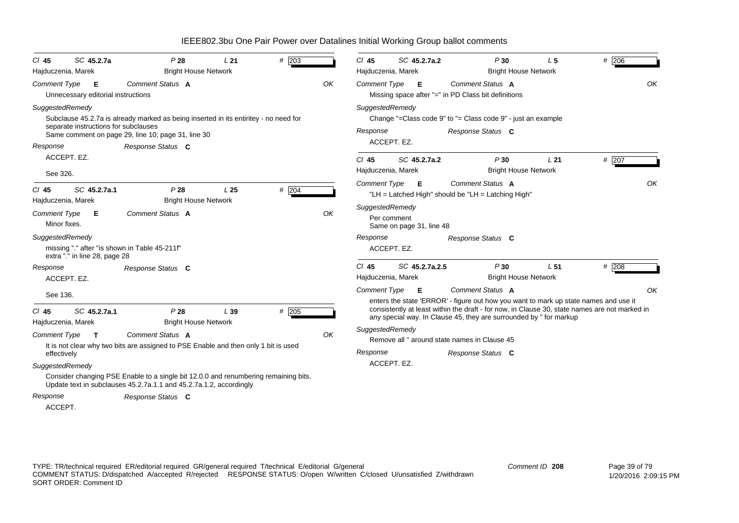| $Cl$ 45                             | SC 45.2.7a                              | P28                                                                                                                                                       | L21             | $#$ 203 |    | $Cl$ 45             | SC 45.2.7a.2                            |                                                                        | P30                                                                           | L <sub>5</sub>  | $#$ 206                                                                                       |    |
|-------------------------------------|-----------------------------------------|-----------------------------------------------------------------------------------------------------------------------------------------------------------|-----------------|---------|----|---------------------|-----------------------------------------|------------------------------------------------------------------------|-------------------------------------------------------------------------------|-----------------|-----------------------------------------------------------------------------------------------|----|
| Hajduczenia, Marek                  |                                         | <b>Bright House Network</b>                                                                                                                               |                 |         |    |                     | Hajduczenia, Marek                      |                                                                        | <b>Bright House Network</b>                                                   |                 |                                                                                               |    |
| <b>Comment Type</b>                 | E<br>Unnecessary editorial instructions | Comment Status A                                                                                                                                          |                 |         | OK |                     | Comment Type <b>E</b>                   |                                                                        | Comment Status A<br>OK<br>Missing space after "=" in PD Class bit definitions |                 |                                                                                               |    |
| SuggestedRemedy                     | separate instructions for subclauses    | Subclause 45.2.7a is already marked as being inserted in its entiritey - no need for                                                                      |                 |         |    | SuggestedRemedy     |                                         | Change "=Class code $9"$ to "= Class code $9"$ - just an example       |                                                                               |                 |                                                                                               |    |
|                                     |                                         | Same comment on page 29, line 10; page 31, line 30                                                                                                        |                 |         |    | Response            |                                         | Response Status C                                                      |                                                                               |                 |                                                                                               |    |
| Response                            |                                         | Response Status C                                                                                                                                         |                 |         |    |                     | ACCEPT. EZ.                             |                                                                        |                                                                               |                 |                                                                                               |    |
|                                     | ACCEPT. EZ.                             |                                                                                                                                                           |                 |         |    | $Cl$ 45             | SC 45.2.7a.2                            |                                                                        | P30                                                                           | L <sub>21</sub> | # 207                                                                                         |    |
| See 326.                            |                                         |                                                                                                                                                           |                 |         |    |                     | Hajduczenia, Marek                      |                                                                        | <b>Bright House Network</b>                                                   |                 |                                                                                               |    |
| $CI$ 45<br>Hajduczenia, Marek       | SC 45.2.7a.1                            | P28<br><b>Bright House Network</b>                                                                                                                        | L <sub>25</sub> | # 204   |    | <b>Comment Type</b> | E                                       | Comment Status A<br>"LH = Latched High" should be "LH = Latching High" |                                                                               |                 |                                                                                               | OK |
| <b>Comment Type</b><br>Minor fixes. | Е                                       | Comment Status A                                                                                                                                          |                 |         | OK | SuggestedRemedy     | Per comment<br>Same on page 31, line 48 |                                                                        |                                                                               |                 |                                                                                               |    |
| SuggestedRemedy                     | extra "." in line 28, page 28           | missing "." after "is shown in Table 45-211f"                                                                                                             |                 |         |    | Response            | ACCEPT. EZ.                             | Response Status C                                                      |                                                                               |                 |                                                                                               |    |
| Response                            | ACCEPT. EZ.                             | Response Status C                                                                                                                                         |                 |         |    | $CI$ 45             | SC 45.2.7a.2.5<br>Hajduczenia, Marek    |                                                                        | P30<br><b>Bright House Network</b>                                            | L <sub>51</sub> | $#$ 208                                                                                       |    |
| See 136.                            |                                         |                                                                                                                                                           |                 |         |    | <b>Comment Type</b> | - E                                     | Comment Status A                                                       |                                                                               |                 | enters the state 'ERROR' - figure out how you want to mark up state names and use it          | OK |
| CI 45<br>Hajduczenia, Marek         | SC 45.2.7a.1                            | P28<br><b>Bright House Network</b>                                                                                                                        | L39             | $#$ 205 |    |                     |                                         | any special way. In Clause 45, they are surrounded by " for markup     |                                                                               |                 | consistently at least within the draft - for now, in Clause 30, state names are not marked in |    |
| <b>Comment Type</b>                 | $\mathbf{T}$                            | Comment Status A<br>It is not clear why two bits are assigned to PSE Enable and then only 1 bit is used                                                   |                 |         | OK | SuggestedRemedy     |                                         | Remove all " around state names in Clause 45                           |                                                                               |                 |                                                                                               |    |
| effectively                         |                                         |                                                                                                                                                           |                 |         |    | Response            |                                         | Response Status C                                                      |                                                                               |                 |                                                                                               |    |
| SuggestedRemedy                     |                                         |                                                                                                                                                           |                 |         |    |                     | ACCEPT. EZ.                             |                                                                        |                                                                               |                 |                                                                                               |    |
|                                     |                                         | Consider changing PSE Enable to a single bit 12.0.0 and renumbering remaining bits.<br>Update text in subclauses 45.2.7a.1.1 and 45.2.7a.1.2, accordingly |                 |         |    |                     |                                         |                                                                        |                                                                               |                 |                                                                                               |    |
| Response                            |                                         | Response Status C                                                                                                                                         |                 |         |    |                     |                                         |                                                                        |                                                                               |                 |                                                                                               |    |
| ACCEPT.                             |                                         |                                                                                                                                                           |                 |         |    |                     |                                         |                                                                        |                                                                               |                 |                                                                                               |    |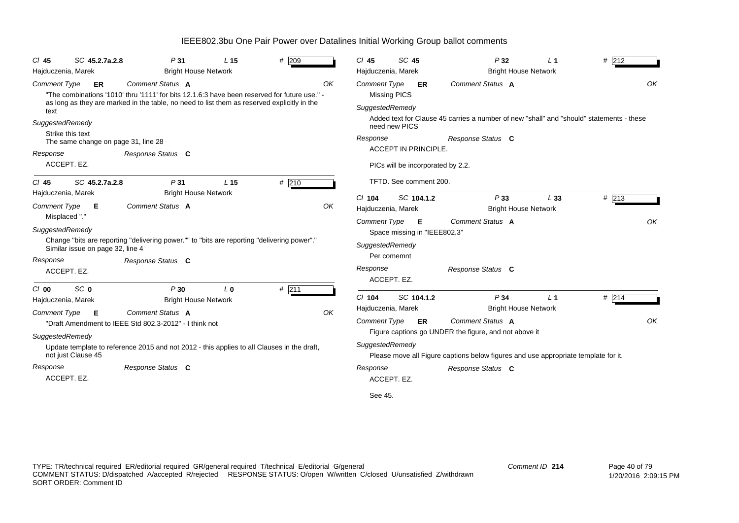| SC 45.2.7a.2.8<br>$CI$ 45           | P31                                                                                                                                                                                                             | L <sub>15</sub> | # 209   |    | $CI$ 45             | SC 45               |                                          | P32                                                                                      | L <sub>1</sub>              | # 212   |
|-------------------------------------|-----------------------------------------------------------------------------------------------------------------------------------------------------------------------------------------------------------------|-----------------|---------|----|---------------------|---------------------|------------------------------------------|------------------------------------------------------------------------------------------|-----------------------------|---------|
| Hajduczenia, Marek                  | <b>Bright House Network</b>                                                                                                                                                                                     |                 |         |    | Hajduczenia, Marek  |                     |                                          |                                                                                          | <b>Bright House Network</b> |         |
| <b>Comment Type</b><br>ER           | Comment Status A<br>"The combinations '1010' thru '1111' for bits 12.1.6.3 have been reserved for future use." -<br>as long as they are marked in the table, no need to list them as reserved explicitly in the |                 |         | OK | <b>Comment Type</b> | <b>Missing PICS</b> | <b>ER</b>                                | Comment Status A                                                                         |                             | OK      |
| text                                |                                                                                                                                                                                                                 |                 |         |    | SuggestedRemedy     |                     |                                          |                                                                                          |                             |         |
| SuggestedRemedy<br>Strike this text |                                                                                                                                                                                                                 |                 |         |    |                     | need new PICS       |                                          | Added text for Clause 45 carries a number of new "shall" and "should" statements - these |                             |         |
| The same change on page 31, line 28 |                                                                                                                                                                                                                 |                 |         |    | Response            |                     |                                          | Response Status C                                                                        |                             |         |
| Response                            | Response Status C                                                                                                                                                                                               |                 |         |    |                     |                     | <b>ACCEPT IN PRINCIPLE.</b>              |                                                                                          |                             |         |
| ACCEPT. EZ.                         |                                                                                                                                                                                                                 |                 |         |    |                     |                     |                                          | PICs will be incorporated by 2.2.                                                        |                             |         |
| SC 45.2.7a.2.8<br>CI 45             | P31                                                                                                                                                                                                             | L <sub>15</sub> | $#$ 210 |    |                     |                     | TFTD. See comment 200.                   |                                                                                          |                             |         |
| Hajduczenia, Marek                  | <b>Bright House Network</b>                                                                                                                                                                                     |                 |         |    | $Cl$ 104            |                     | SC 104.1.2                               | P33                                                                                      | L33                         | $#$ 213 |
| <b>Comment Type</b><br>Е            | Comment Status A<br>OK                                                                                                                                                                                          |                 |         |    |                     |                     |                                          |                                                                                          | <b>Bright House Network</b> |         |
| Misplaced "."<br>SuggestedRemedy    |                                                                                                                                                                                                                 |                 |         |    | <b>Comment Type</b> |                     | <b>E</b><br>Space missing in "IEEE802.3" | Comment Status A                                                                         |                             | OK      |
| Similar issue on page 32, line 4    | Change "bits are reporting "delivering power."" to "bits are reporting "delivering power"."                                                                                                                     |                 |         |    | SuggestedRemedy     |                     |                                          |                                                                                          |                             |         |
| Response                            | Response Status C                                                                                                                                                                                               |                 |         |    |                     | Per comemnt         |                                          |                                                                                          |                             |         |
| ACCEPT. EZ.                         |                                                                                                                                                                                                                 |                 |         |    | Response            | ACCEPT. EZ.         |                                          | Response Status C                                                                        |                             |         |
| SC <sub>0</sub><br>C/O              | P30                                                                                                                                                                                                             | $L_0$           | # 211   |    |                     |                     |                                          |                                                                                          |                             |         |
| Hajduczenia, Marek                  | <b>Bright House Network</b>                                                                                                                                                                                     |                 |         |    | $Cl$ 104            |                     | SC 104.1.2                               | P <sub>34</sub>                                                                          | L <sub>1</sub>              | # 214   |
| <b>Comment Type</b><br>Е            | Comment Status A                                                                                                                                                                                                |                 |         | OK | Hajduczenia, Marek  |                     |                                          |                                                                                          | <b>Bright House Network</b> |         |
|                                     | "Draft Amendment to IEEE Std 802.3-2012" - I think not                                                                                                                                                          |                 |         |    | <b>Comment Type</b> |                     | ER                                       | Comment Status A                                                                         |                             | OK      |
| SuggestedRemedy                     |                                                                                                                                                                                                                 |                 |         |    |                     |                     |                                          | Figure captions go UNDER the figure, and not above it                                    |                             |         |
| not just Clause 45                  | Update template to reference 2015 and not 2012 - this applies to all Clauses in the draft,                                                                                                                      |                 |         |    | SuggestedRemedy     |                     |                                          | Please move all Figure captions below figures and use appropriate template for it.       |                             |         |
| Response                            | Response Status C                                                                                                                                                                                               |                 |         |    | Response            |                     |                                          | Response Status C                                                                        |                             |         |
| ACCEPT. EZ.                         |                                                                                                                                                                                                                 |                 |         |    |                     | ACCEPT. EZ.         |                                          |                                                                                          |                             |         |
|                                     |                                                                                                                                                                                                                 |                 |         |    | See 45.             |                     |                                          |                                                                                          |                             |         |

TYPE: TR/technical required ER/editorial required GR/general required T/technical E/editorial G/general COMMENT STATUS: D/dispatched A/accepted R/rejected RESPONSE STATUS: O/open W/written C/closed U/unsatisfied Z/withdrawn SORT ORDER: Comment ID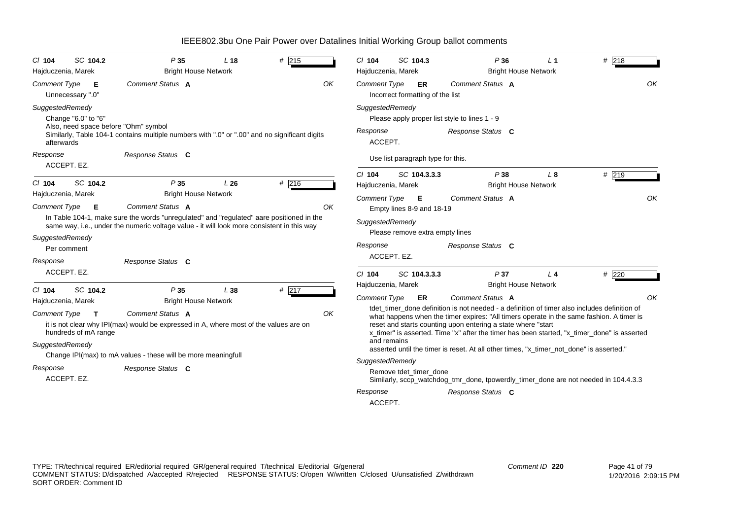| SC 104.2<br>$CI$ 104<br>Hajduczenia, Marek                                                           | P35<br><b>Bright House Network</b>                                                                                                                                                                                                        | L <sub>18</sub> | $#$ 215 | SC 104.3<br>P36<br># 218<br>$Cl$ 104<br>L <sub>1</sub><br>Hajduczenia, Marek<br><b>Bright House Network</b>                                                                                                                                                                                                                                                                                                                                                                                                        |    |
|------------------------------------------------------------------------------------------------------|-------------------------------------------------------------------------------------------------------------------------------------------------------------------------------------------------------------------------------------------|-----------------|---------|--------------------------------------------------------------------------------------------------------------------------------------------------------------------------------------------------------------------------------------------------------------------------------------------------------------------------------------------------------------------------------------------------------------------------------------------------------------------------------------------------------------------|----|
|                                                                                                      |                                                                                                                                                                                                                                           |                 |         |                                                                                                                                                                                                                                                                                                                                                                                                                                                                                                                    |    |
| <b>Comment Type</b><br>-E.<br>Unnecessary ".0"                                                       | Comment Status A                                                                                                                                                                                                                          |                 | OK      | Comment Status A<br><b>Comment Type</b><br>ER<br>Incorrect formatting of the list                                                                                                                                                                                                                                                                                                                                                                                                                                  | OK |
| SuggestedRemedy<br>Change "6.0" to "6"                                                               |                                                                                                                                                                                                                                           |                 |         | SuggestedRemedy<br>Please apply proper list style to lines 1 - 9                                                                                                                                                                                                                                                                                                                                                                                                                                                   |    |
| Also, need space before "Ohm" symbol<br>afterwards                                                   | Similarly, Table 104-1 contains multiple numbers with ".0" or ".00" and no significant digits                                                                                                                                             |                 |         | Response<br>Response Status C<br>ACCEPT.                                                                                                                                                                                                                                                                                                                                                                                                                                                                           |    |
| Response<br>ACCEPT. EZ.                                                                              | Response Status C                                                                                                                                                                                                                         |                 |         | Use list paragraph type for this.                                                                                                                                                                                                                                                                                                                                                                                                                                                                                  |    |
| SC 104.2<br>$CI$ 104                                                                                 | P35                                                                                                                                                                                                                                       | L26             | #216    | #219<br>$Cl$ 104<br>SC 104.3.3.3<br>P38<br>$L_{\rm 8}$<br>Hajduczenia, Marek<br><b>Bright House Network</b>                                                                                                                                                                                                                                                                                                                                                                                                        |    |
| Hajduczenia, Marek<br><b>Comment Type</b><br>E                                                       | <b>Bright House Network</b><br>Comment Status A<br>In Table 104-1, make sure the words "unregulated" and "regulated" aare positioned in the<br>same way, i.e., under the numeric voltage value - it will look more consistent in this way |                 | OK      | Comment Status A<br>Comment Type <b>E</b><br>Empty lines 8-9 and 18-19<br>SuggestedRemedy<br>Please remove extra empty lines                                                                                                                                                                                                                                                                                                                                                                                       | OK |
| SuggestedRemedy<br>Per comment<br>Response                                                           | Response Status C                                                                                                                                                                                                                         |                 |         | Response<br>Response Status C<br>ACCEPT. EZ.                                                                                                                                                                                                                                                                                                                                                                                                                                                                       |    |
| ACCEPT. EZ.                                                                                          |                                                                                                                                                                                                                                           |                 |         | P37<br># 220<br>$Cl$ 104<br>SC 104.3.3.3<br>$L_4$                                                                                                                                                                                                                                                                                                                                                                                                                                                                  |    |
| SC 104.2<br>$CI$ 104                                                                                 | P35                                                                                                                                                                                                                                       | L38             | # 217   | <b>Bright House Network</b><br>Hajduczenia, Marek                                                                                                                                                                                                                                                                                                                                                                                                                                                                  |    |
| Hajduczenia, Marek<br><b>Comment Type</b><br>$\mathbf{T}$<br>hundreds of mA range<br>SuggestedRemedy | <b>Bright House Network</b><br>Comment Status A<br>it is not clear why IPI(max) would be expressed in A, where most of the values are on<br>Change IPI(max) to mA values - these will be more meaningfull                                 |                 | OK      | Comment Status A<br><b>Comment Type</b><br>ER<br>tdet timer done definition is not needed - a definition of timer also includes definition of<br>what happens when the timer expires: "All timers operate in the same fashion. A timer is<br>reset and starts counting upon entering a state where "start<br>x timer" is asserted. Time "x" after the timer has been started, "x timer done" is asserted<br>and remains<br>asserted until the timer is reset. At all other times, "x_timer_not_done" is asserted." | OK |
| Response<br>ACCEPT. EZ.                                                                              | Response Status C                                                                                                                                                                                                                         |                 |         | SuggestedRemedy<br>Remove tdet timer done<br>Similarly, sccp_watchdog_tmr_done, tpowerdly_timer_done are not needed in 104.4.3.3<br>Response<br>Response Status C<br>ACCEPT.                                                                                                                                                                                                                                                                                                                                       |    |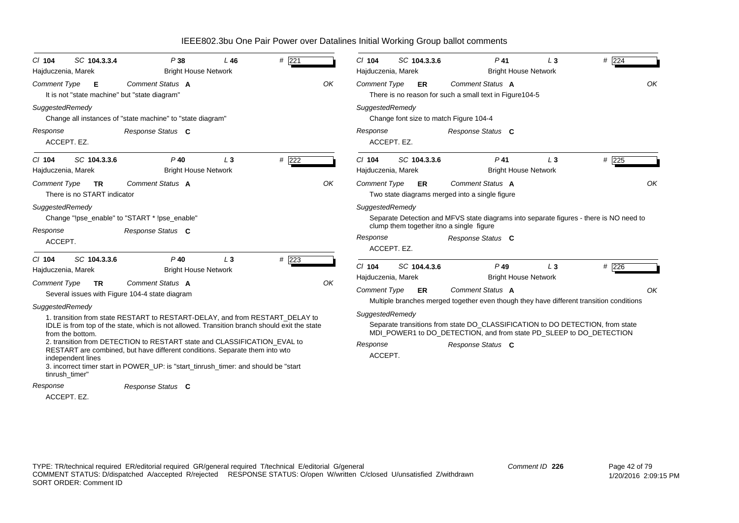| $Cl$ 104<br>Hajduczenia, Marek                                             | SC 104.3.3.4                                                                                                                                    | P38<br><b>Bright House Network</b>                                                                                                                                                                                                                                                                                                                                                                                             | L46   | $#$ 221    |    | $Cl$ 104<br>Hajduczenia, Marek                                                                                        | SC 104.3.3.6                                                                                                                                                                                                                                             | $P$ 41                                                                                                                                                                                                                                                               | $L_3$<br><b>Bright House Network</b> | # 224       |  |  |
|----------------------------------------------------------------------------|-------------------------------------------------------------------------------------------------------------------------------------------------|--------------------------------------------------------------------------------------------------------------------------------------------------------------------------------------------------------------------------------------------------------------------------------------------------------------------------------------------------------------------------------------------------------------------------------|-------|------------|----|-----------------------------------------------------------------------------------------------------------------------|----------------------------------------------------------------------------------------------------------------------------------------------------------------------------------------------------------------------------------------------------------|----------------------------------------------------------------------------------------------------------------------------------------------------------------------------------------------------------------------------------------------------------------------|--------------------------------------|-------------|--|--|
| <b>Comment Type</b>                                                        | Е<br>It is not "state machine" but "state diagram"                                                                                              | Comment Status A                                                                                                                                                                                                                                                                                                                                                                                                               |       |            | OK | Comment Status A<br>OK<br><b>Comment Type</b><br><b>ER</b><br>There is no reason for such a small text in Figure104-5 |                                                                                                                                                                                                                                                          |                                                                                                                                                                                                                                                                      |                                      |             |  |  |
| SuggestedRemedy                                                            |                                                                                                                                                 | Change all instances of "state machine" to "state diagram"                                                                                                                                                                                                                                                                                                                                                                     |       |            |    | SuggestedRemedy                                                                                                       |                                                                                                                                                                                                                                                          | Change font size to match Figure 104-4                                                                                                                                                                                                                               |                                      |             |  |  |
| Response<br>ACCEPT. EZ.                                                    |                                                                                                                                                 | Response Status C                                                                                                                                                                                                                                                                                                                                                                                                              |       |            |    | Response                                                                                                              | ACCEPT. EZ.                                                                                                                                                                                                                                              | Response Status C                                                                                                                                                                                                                                                    |                                      |             |  |  |
| C/ 104<br>Hajduczenia, Marek                                               | SC 104.3.3.6                                                                                                                                    | $P$ 40<br><b>Bright House Network</b>                                                                                                                                                                                                                                                                                                                                                                                          | $L_3$ | # 222      |    | $Cl$ 104<br>Hajduczenia, Marek                                                                                        | SC 104.3.3.6                                                                                                                                                                                                                                             | $P$ 41                                                                                                                                                                                                                                                               | $L_3$<br><b>Bright House Network</b> | $\#$ 225    |  |  |
| <b>Comment Type</b><br>SuggestedRemedy                                     | <b>Comment Status A</b><br>OK<br><b>TR</b><br>There is no START indicator<br>Change "!pse_enable" to "START * !pse_enable"<br>Response Status C |                                                                                                                                                                                                                                                                                                                                                                                                                                |       |            |    |                                                                                                                       | Comment Status A<br><b>Comment Type</b><br>ER<br>Two state diagrams merged into a single figure<br>SuggestedRemedy<br>Separate Detection and MFVS state diagrams into separate figures - there is NO need to<br>clump them together itno a single figure |                                                                                                                                                                                                                                                                      |                                      |             |  |  |
| Response<br>ACCEPT.                                                        |                                                                                                                                                 |                                                                                                                                                                                                                                                                                                                                                                                                                                |       |            |    | Response                                                                                                              | ACCEPT. EZ.                                                                                                                                                                                                                                              | Response Status C                                                                                                                                                                                                                                                    |                                      |             |  |  |
| $CI$ 104<br>Hajduczenia, Marek<br><b>Comment Type</b>                      | SC 104.3.3.6<br><b>TR</b>                                                                                                                       | $P$ 40<br><b>Bright House Network</b><br>Comment Status A<br>Several issues with Figure 104-4 state diagram                                                                                                                                                                                                                                                                                                                    | $L_3$ | $# \; 223$ | OK | C/104<br>Hajduczenia, Marek<br><b>Comment Type</b>                                                                    | SC 104.4.3.6<br>ER                                                                                                                                                                                                                                       | $P$ 49<br>Comment Status A                                                                                                                                                                                                                                           | $L_3$<br><b>Bright House Network</b> | # 226<br>OK |  |  |
| SuggestedRemedy<br>from the bottom.<br>independent lines<br>tinrush_timer" |                                                                                                                                                 | 1. transition from state RESTART to RESTART-DELAY, and from RESTART DELAY to<br>IDLE is from top of the state, which is not allowed. Transition branch should exit the state<br>2. transition from DETECTION to RESTART state and CLASSIFICATION EVAL to<br>RESTART are combined, but have different conditions. Separate them into wto<br>3. incorrect timer start in POWER_UP: is "start_tinrush_timer: and should be "start |       |            |    | SuggestedRemedy<br>Response<br>ACCEPT.                                                                                |                                                                                                                                                                                                                                                          | Multiple branches merged together even though they have different transition conditions<br>Separate transitions from state DO CLASSIFICATION to DO DETECTION, from state<br>MDI_POWER1 to DO_DETECTION, and from state PD_SLEEP to DO_DETECTION<br>Response Status C |                                      |             |  |  |
| Response                                                                   |                                                                                                                                                 | Response Status C                                                                                                                                                                                                                                                                                                                                                                                                              |       |            |    |                                                                                                                       |                                                                                                                                                                                                                                                          |                                                                                                                                                                                                                                                                      |                                      |             |  |  |
|                                                                            |                                                                                                                                                 |                                                                                                                                                                                                                                                                                                                                                                                                                                |       |            |    |                                                                                                                       |                                                                                                                                                                                                                                                          |                                                                                                                                                                                                                                                                      |                                      |             |  |  |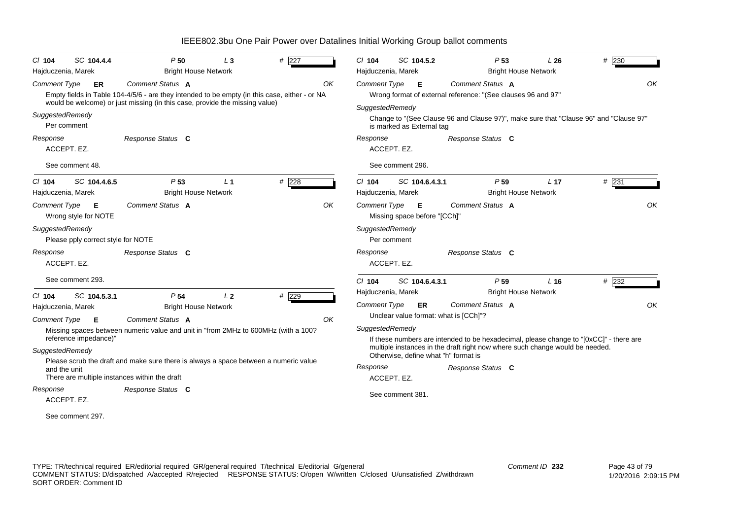| SC 104.4.4<br>$Cl$ 104<br>Hajduczenia, Marek          | P50<br><b>Bright House Network</b>                                                                                | #227<br>$L_3$             |    | $Cl$ 104<br>Hajduczenia, Marek               | SC 104.5.2                           | P <sub>53</sub><br><b>Bright House Network</b>                                         | L26             | # 230   |    |
|-------------------------------------------------------|-------------------------------------------------------------------------------------------------------------------|---------------------------|----|----------------------------------------------|--------------------------------------|----------------------------------------------------------------------------------------|-----------------|---------|----|
| <b>Comment Type</b><br>ER                             | Comment Status A<br>Empty fields in Table 104-4/5/6 - are they intended to be empty (in this case, either - or NA |                           | ΟK | <b>Comment Type</b>                          | E                                    | Comment Status A<br>Wrong format of external reference: "(See clauses 96 and 97"       |                 |         | OK |
| SuggestedRemedy<br>Per comment                        | would be welcome) or just missing (in this case, provide the missing value)                                       |                           |    | SuggestedRemedy<br>is marked as External tag |                                      | Change to "(See Clause 96 and Clause 97)", make sure that "Clause 96" and "Clause 97"  |                 |         |    |
| Response<br>ACCEPT. EZ.                               | Response Status C                                                                                                 |                           |    | Response<br>ACCEPT. EZ.                      |                                      | Response Status C                                                                      |                 |         |    |
| See comment 48.                                       |                                                                                                                   |                           |    | See comment 296.                             |                                      |                                                                                        |                 |         |    |
| SC 104.4.6.5<br>$CI$ 104<br>Hajduczenia, Marek        | P <sub>53</sub><br><b>Bright House Network</b>                                                                    | $#$ 228<br>L <sub>1</sub> |    | $Cl$ 104<br>Hajduczenia, Marek               | SC 104.6.4.3.1                       | P <sub>59</sub><br><b>Bright House Network</b>                                         | L <sub>17</sub> | $#$ 231 |    |
| <b>Comment Type</b><br>Е<br>Wrong style for NOTE      | Comment Status A                                                                                                  |                           | OK | <b>Comment Type</b>                          | - E<br>Missing space before "[CCh]"  | Comment Status A                                                                       |                 |         | OK |
| SuggestedRemedy<br>Please pply correct style for NOTE |                                                                                                                   |                           |    | SuggestedRemedy<br>Per comment               |                                      |                                                                                        |                 |         |    |
| Response<br>ACCEPT. EZ.                               | Response Status C                                                                                                 |                           |    | Response<br>ACCEPT. EZ.                      |                                      | Response Status C                                                                      |                 |         |    |
| See comment 293.                                      |                                                                                                                   |                           |    | $Cl$ 104                                     | SC 104.6.4.3.1                       | P <sub>59</sub>                                                                        | L <sub>16</sub> | #232    |    |
| SC 104.5.3.1<br>$CI$ 104                              | P <sub>54</sub>                                                                                                   | L <sub>2</sub><br># 229   |    | Hajduczenia, Marek                           |                                      | <b>Bright House Network</b><br>Comment Status A                                        |                 |         | OK |
| Hajduczenia, Marek                                    | <b>Bright House Network</b>                                                                                       |                           |    | <b>Comment Type</b>                          | ER                                   | Unclear value format: what is [CCh]"?                                                  |                 |         |    |
| <b>Comment Type</b><br>Е                              | Comment Status A<br>Missing spaces between numeric value and unit in "from 2MHz to 600MHz (with a 100?            |                           | OK | SuggestedRemedy                              |                                      |                                                                                        |                 |         |    |
| reference impedance)"                                 |                                                                                                                   |                           |    |                                              |                                      | If these numbers are intended to be hexadecimal, please change to "[0xCC]" - there are |                 |         |    |
| SuggestedRemedy                                       |                                                                                                                   |                           |    |                                              | Otherwise, define what "h" format is | multiple instances in the draft right now where such change would be needed.           |                 |         |    |
| and the unit                                          | Please scrub the draft and make sure there is always a space between a numeric value                              |                           |    | Response                                     |                                      | Response Status C                                                                      |                 |         |    |
|                                                       | There are multiple instances within the draft                                                                     |                           |    | ACCEPT. EZ.                                  |                                      |                                                                                        |                 |         |    |
| Response                                              | Response Status C                                                                                                 |                           |    | See comment 381.                             |                                      |                                                                                        |                 |         |    |
| ACCEPT. EZ.                                           |                                                                                                                   |                           |    |                                              |                                      |                                                                                        |                 |         |    |
| See comment 297.                                      |                                                                                                                   |                           |    |                                              |                                      |                                                                                        |                 |         |    |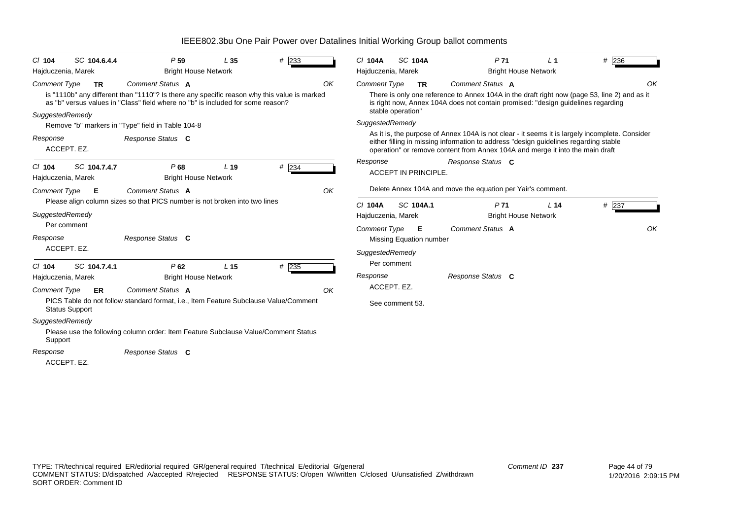| SC 104.6.4.4<br>$CI$ 104                       | P <sub>59</sub>                                                                                                                                                                | L 35            | # 233 |    | <b>SC 104A</b><br>C/ 104A                                                                                                                     | P <sub>71</sub>                                                                                                                                                                                                                                                         | $\sqrt{1}$                  | $#$ 236 |  |  |  |
|------------------------------------------------|--------------------------------------------------------------------------------------------------------------------------------------------------------------------------------|-----------------|-------|----|-----------------------------------------------------------------------------------------------------------------------------------------------|-------------------------------------------------------------------------------------------------------------------------------------------------------------------------------------------------------------------------------------------------------------------------|-----------------------------|---------|--|--|--|
| Hajduczenia, Marek                             | <b>Bright House Network</b>                                                                                                                                                    |                 |       |    | Hajduczenia, Marek                                                                                                                            |                                                                                                                                                                                                                                                                         | <b>Bright House Network</b> |         |  |  |  |
| <b>Comment Type</b><br><b>TR</b>               | Comment Status A                                                                                                                                                               |                 |       | OK | Comment Status A<br>Comment Type<br><b>TR</b><br>There is only one reference to Annex 104A in the draft right now (page 53, line 2) and as it |                                                                                                                                                                                                                                                                         |                             |         |  |  |  |
|                                                | is "1110b" any different than "1110"? Is there any specific reason why this value is marked<br>as "b" versus values in "Class" field where no "b" is included for some reason? |                 |       |    |                                                                                                                                               | is right now, Annex 104A does not contain promised: "design guidelines regarding                                                                                                                                                                                        |                             |         |  |  |  |
| SuggestedRemedy                                |                                                                                                                                                                                |                 |       |    | stable operation"                                                                                                                             |                                                                                                                                                                                                                                                                         |                             |         |  |  |  |
|                                                | Remove "b" markers in "Type" field in Table 104-8                                                                                                                              |                 |       |    | SuggestedRemedy                                                                                                                               |                                                                                                                                                                                                                                                                         |                             |         |  |  |  |
| Response<br>ACCEPT. EZ.                        | Response Status C                                                                                                                                                              |                 |       |    |                                                                                                                                               | As it is, the purpose of Annex 104A is not clear - it seems it is largely incomplete. Consider<br>either filling in missing information to address "design guidelines regarding stable<br>operation" or remove content from Annex 104A and merge it into the main draft |                             |         |  |  |  |
| SC 104.7.4.7<br>$CI$ 104<br>Hajduczenia, Marek | P68<br><b>Bright House Network</b>                                                                                                                                             | L <sub>19</sub> | # 234 |    | Response<br><b>ACCEPT IN PRINCIPLE.</b>                                                                                                       | Response Status C                                                                                                                                                                                                                                                       |                             |         |  |  |  |
| Comment Type<br>- E                            | Comment Status A                                                                                                                                                               |                 |       | OK |                                                                                                                                               | Delete Annex 104A and move the equation per Yair's comment.                                                                                                                                                                                                             |                             |         |  |  |  |
|                                                | Please align column sizes so that PICS number is not broken into two lines                                                                                                     |                 |       |    | <b>SC 104A.1</b><br>$Cl$ 104A                                                                                                                 | P71                                                                                                                                                                                                                                                                     | L <sub>14</sub>             | $#$ 237 |  |  |  |
| SuggestedRemedy                                |                                                                                                                                                                                |                 |       |    | Hajduczenia, Marek                                                                                                                            |                                                                                                                                                                                                                                                                         | <b>Bright House Network</b> |         |  |  |  |
| Per comment                                    |                                                                                                                                                                                |                 |       |    | <b>Comment Type</b><br>- E                                                                                                                    | Comment Status A                                                                                                                                                                                                                                                        |                             | OK      |  |  |  |
| Response                                       | Response Status C                                                                                                                                                              |                 |       |    | Missing Equation number                                                                                                                       |                                                                                                                                                                                                                                                                         |                             |         |  |  |  |
| ACCEPT. EZ.                                    |                                                                                                                                                                                |                 |       |    | SuggestedRemedy                                                                                                                               |                                                                                                                                                                                                                                                                         |                             |         |  |  |  |
| SC 104.7.4.1<br>$CI$ 104                       | P62                                                                                                                                                                            | L <sub>15</sub> | # 235 |    | Per comment                                                                                                                                   |                                                                                                                                                                                                                                                                         |                             |         |  |  |  |
| Hajduczenia, Marek                             | <b>Bright House Network</b>                                                                                                                                                    |                 |       |    | Response                                                                                                                                      | Response Status C                                                                                                                                                                                                                                                       |                             |         |  |  |  |
| <b>Comment Type</b><br>ER                      | Comment Status A                                                                                                                                                               |                 |       | OK | ACCEPT. EZ.                                                                                                                                   |                                                                                                                                                                                                                                                                         |                             |         |  |  |  |
| <b>Status Support</b>                          | PICS Table do not follow standard format, i.e., Item Feature Subclause Value/Comment                                                                                           |                 |       |    | See comment 53.                                                                                                                               |                                                                                                                                                                                                                                                                         |                             |         |  |  |  |
| SuggestedRemedy<br>Support                     | Please use the following column order: Item Feature Subclause Value/Comment Status                                                                                             |                 |       |    |                                                                                                                                               |                                                                                                                                                                                                                                                                         |                             |         |  |  |  |
| Response<br>ACCEPT. EZ.                        | Response Status C                                                                                                                                                              |                 |       |    |                                                                                                                                               |                                                                                                                                                                                                                                                                         |                             |         |  |  |  |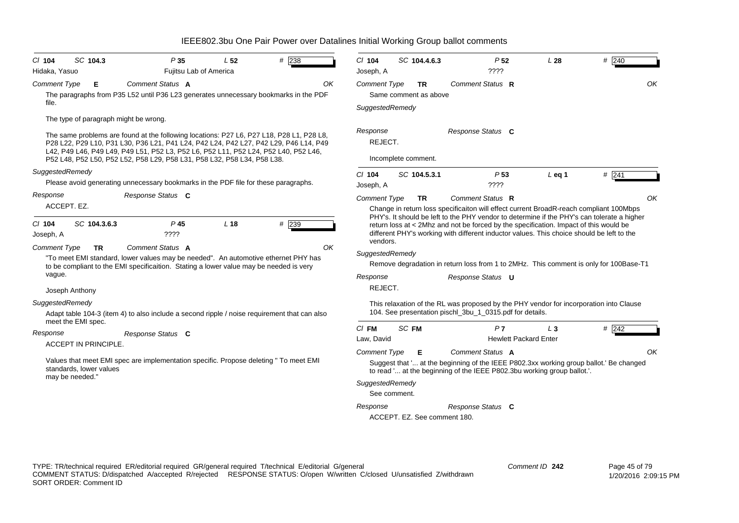| SC 104.3<br>$#$ 238<br>$CI$ 104<br>P35<br>L <sub>52</sub><br>Fujitsu Lab of America<br>Hidaka, Yasuo                                                                                                                                                                                                                                               | # 240<br>$Cl$ 104<br>SC 104.4.6.3<br>P <sub>52</sub><br>L28<br>????<br>Joseph, A                                                                                                                                                                                                                                                                                                                                                 |  |  |  |  |  |  |  |  |
|----------------------------------------------------------------------------------------------------------------------------------------------------------------------------------------------------------------------------------------------------------------------------------------------------------------------------------------------------|----------------------------------------------------------------------------------------------------------------------------------------------------------------------------------------------------------------------------------------------------------------------------------------------------------------------------------------------------------------------------------------------------------------------------------|--|--|--|--|--|--|--|--|
| Comment Type<br>Comment Status A<br>OK<br>Е<br>The paragraphs from P35 L52 until P36 L23 generates unnecessary bookmarks in the PDF<br>file.<br>The type of paragraph might be wrong.                                                                                                                                                              | OK<br><b>Comment Type</b><br>Comment Status R<br>TR<br>Same comment as above<br>SuggestedRemedy                                                                                                                                                                                                                                                                                                                                  |  |  |  |  |  |  |  |  |
| The same problems are found at the following locations: P27 L6, P27 L18, P28 L1, P28 L8,<br>P28 L22, P29 L10, P31 L30, P36 L21, P41 L24, P42 L24, P42 L27, P42 L29, P46 L14, P49<br>L42, P49 L46, P49 L49, P49 L51, P52 L3, P52 L6, P52 L11, P52 L24, P52 L40, P52 L46,<br>P52 L48, P52 L50, P52 L52, P58 L29, P58 L31, P58 L32, P58 L34, P58 L38. | Response<br>Response Status C<br>REJECT.<br>Incomplete comment.                                                                                                                                                                                                                                                                                                                                                                  |  |  |  |  |  |  |  |  |
| SuggestedRemedy<br>Please avoid generating unnecessary bookmarks in the PDF file for these paragraphs.                                                                                                                                                                                                                                             | $#$ 241<br>$Cl$ 104<br>SC 104.5.3.1<br>P <sub>53</sub><br>$L$ eq 1<br>????<br>Joseph, A                                                                                                                                                                                                                                                                                                                                          |  |  |  |  |  |  |  |  |
| Response<br>Response Status C<br>ACCEPT. EZ.                                                                                                                                                                                                                                                                                                       | OK<br>Comment Type<br>Comment Status R<br><b>TR</b><br>Change in return loss specificaiton will effect current BroadR-reach compliant 100Mbps<br>PHY's. It should be left to the PHY vendor to determine if the PHY's can tolerate a higher                                                                                                                                                                                      |  |  |  |  |  |  |  |  |
| L18<br>$#$ 239<br>SC 104.3.6.3<br>$P$ 45<br>CI 104<br>return loss at < 2Mhz and not be forced by the specification. Impact of this would be<br>different PHY's working with different inductor values. This choice should be left to the<br>????<br>Joseph, A<br>vendors.                                                                          |                                                                                                                                                                                                                                                                                                                                                                                                                                  |  |  |  |  |  |  |  |  |
| Comment Status A<br>OK<br><b>Comment Type</b><br><b>TR</b><br>"To meet EMI standard, lower values may be needed". An automotive ethernet PHY has<br>to be compliant to the EMI specificaition. Stating a lower value may be needed is very<br>vague.<br>Joseph Anthony                                                                             | SuggestedRemedy<br>Remove degradation in return loss from 1 to 2MHz. This comment is only for 100Base-T1<br>Response<br>Response Status <b>U</b><br>REJECT.                                                                                                                                                                                                                                                                      |  |  |  |  |  |  |  |  |
| SuggestedRemedy<br>Adapt table 104-3 (item 4) to also include a second ripple / noise requirement that can also<br>meet the EMI spec.                                                                                                                                                                                                              | This relaxation of the RL was proposed by the PHY vendor for incorporation into Clause<br>104. See presentation pischl_3bu_1_0315.pdf for details.                                                                                                                                                                                                                                                                               |  |  |  |  |  |  |  |  |
| Response<br>Response Status C<br>ACCEPT IN PRINCIPLE.<br>Values that meet EMI spec are implementation specific. Propose deleting " To meet EMI<br>standards, lower values<br>may be needed."                                                                                                                                                       | SC FM<br>$CI$ FM<br>P7<br>$#$ 242<br>L <sub>3</sub><br>Law, David<br><b>Hewlett Packard Enter</b><br><b>Comment Type</b><br>Comment Status A<br>OK<br>Е<br>Suggest that ' at the beginning of the IEEE P802.3xx working group ballot.' Be changed<br>to read ' at the beginning of the IEEE P802.3bu working group ballot.'.<br>SuggestedRemedy<br>See comment.<br>Response<br>Response Status C<br>ACCEPT. EZ. See comment 180. |  |  |  |  |  |  |  |  |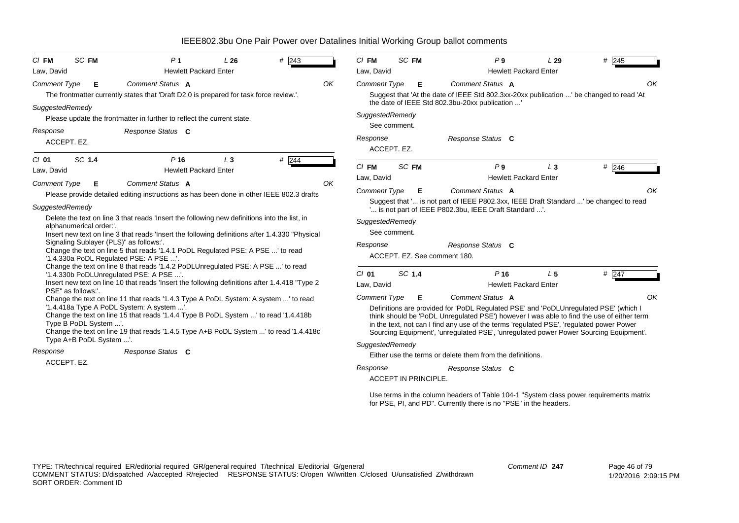| SC FM<br>$CI$ FM                                                                                                                                                                                                                                                                                                                                                     |                                                                                        | P <sub>1</sub>                                                                                                                                                                                                                                                                                                                                                                                                         | L26   | $# \sqrt{243}$ |    | $CI$ FM                                                   |                                                                                                                                                                                                                        | SC FM                       | P <sub>9</sub>                                                                                                                                                                                                           | L29            | # 245    |  |
|----------------------------------------------------------------------------------------------------------------------------------------------------------------------------------------------------------------------------------------------------------------------------------------------------------------------------------------------------------------------|----------------------------------------------------------------------------------------|------------------------------------------------------------------------------------------------------------------------------------------------------------------------------------------------------------------------------------------------------------------------------------------------------------------------------------------------------------------------------------------------------------------------|-------|----------------|----|-----------------------------------------------------------|------------------------------------------------------------------------------------------------------------------------------------------------------------------------------------------------------------------------|-----------------------------|--------------------------------------------------------------------------------------------------------------------------------------------------------------------------------------------------------------------------|----------------|----------|--|
| Law, David                                                                                                                                                                                                                                                                                                                                                           |                                                                                        | <b>Hewlett Packard Enter</b>                                                                                                                                                                                                                                                                                                                                                                                           |       |                |    | Law, David                                                |                                                                                                                                                                                                                        |                             | <b>Hewlett Packard Enter</b>                                                                                                                                                                                             |                |          |  |
| Comment Type<br>SuggestedRemedy                                                                                                                                                                                                                                                                                                                                      | Е                                                                                      | Comment Status A<br>The frontmatter currently states that 'Draft D2.0 is prepared for task force review.'.<br>Please update the frontmatter in further to reflect the current state.                                                                                                                                                                                                                                   |       |                | OK |                                                           | Comment Type<br>Comment Status A<br>Е<br>Suggest that 'At the date of IEEE Std 802.3xx-20xx publication ' be changed to read 'At<br>the date of IEEE Std 802.3bu-20xx publication '<br>SuggestedRemedy<br>See comment. |                             |                                                                                                                                                                                                                          |                |          |  |
| Response<br>ACCEPT. EZ.                                                                                                                                                                                                                                                                                                                                              |                                                                                        | Response Status C                                                                                                                                                                                                                                                                                                                                                                                                      |       |                |    | Response                                                  | ACCEPT. EZ.                                                                                                                                                                                                            |                             | Response Status C                                                                                                                                                                                                        |                |          |  |
| SC 1.4<br>$C/I$ 01                                                                                                                                                                                                                                                                                                                                                   |                                                                                        | $P$ 16                                                                                                                                                                                                                                                                                                                                                                                                                 | $L_3$ | $#$ 244        |    | $Cl$ FM                                                   | SC FM                                                                                                                                                                                                                  |                             | P <sub>9</sub>                                                                                                                                                                                                           |                |          |  |
| Law, David                                                                                                                                                                                                                                                                                                                                                           |                                                                                        | <b>Hewlett Packard Enter</b>                                                                                                                                                                                                                                                                                                                                                                                           |       |                |    | Law, David                                                |                                                                                                                                                                                                                        |                             | <b>Hewlett Packard Enter</b>                                                                                                                                                                                             | $L_3$          | # 246    |  |
| <b>Comment Type</b><br>SuggestedRemedy<br>alphanumerical order:'.                                                                                                                                                                                                                                                                                                    | Е<br>Signaling Sublayer (PLS)" as follows:'.<br>'1.4.330a PoDL Regulated PSE: A PSE '. | <b>Comment Status A</b><br>Please provide detailed editing instructions as has been done in other IEEE 802.3 drafts<br>Delete the text on line 3 that reads 'Insert the following new definitions into the list, in<br>Insert new text on line 3 that reads 'Insert the following definitions after 1.4.330 "Physical<br>Change the text on line 5 that reads '1.4.1 PoDL Regulated PSE: A PSE ' to read               |       |                | OK | <b>Comment Type</b><br>SuggestedRemedy<br>Response        | See comment.                                                                                                                                                                                                           | Е                           | Comment Status A<br>Suggest that ' is not part of IEEE P802.3xx, IEEE Draft Standard ' be changed to read<br>" is not part of IEEE P802.3bu, IEEE Draft Standard ".<br>Response Status C<br>ACCEPT. EZ. See comment 180. |                | OK       |  |
| PSE" as follows:'.                                                                                                                                                                                                                                                                                                                                                   | '1.4.330b PoDLUnregulated PSE: A PSE '.                                                | Change the text on line 8 that reads '1.4.2 PoDLUnregulated PSE: A PSE ' to read<br>Insert new text on line 10 that reads 'Insert the following definitions after 1.4.418 "Type 2                                                                                                                                                                                                                                      |       |                |    | $Cl$ 01<br>Law, David                                     | SC 1.4                                                                                                                                                                                                                 |                             | P <sub>16</sub><br><b>Hewlett Packard Enter</b>                                                                                                                                                                          | L <sub>5</sub> | $\#$ 247 |  |
| Change the text on line 11 that reads '1.4.3 Type A PoDL System: A system ' to read<br>'1.4.418a Type A PoDL System: A system '.<br>Change the text on line 15 that reads '1.4.4 Type B PoDL System ' to read '1.4.418b<br>Type B PoDL System '.<br>Change the text on line 19 that reads '1.4.5 Type A+B PoDL System ' to read '1.4.418c<br>Type A+B PoDL System '. |                                                                                        | <b>Comment Type</b><br>Comment Status A<br>Е<br>Definitions are provided for 'PoDL Regulated PSE' and 'PoDLUnregulated PSE' (which I<br>think should be 'PoDL Unregulated PSE') however I was able to find the use of either term<br>in the text, not can I find any use of the terms 'regulated PSE', 'regulated power Power<br>Sourcing Equipment', 'unregulated PSE', 'unregulated power Power Sourcing Equipment'. |       |                |    |                                                           |                                                                                                                                                                                                                        |                             |                                                                                                                                                                                                                          |                |          |  |
| Response                                                                                                                                                                                                                                                                                                                                                             |                                                                                        | Response Status C                                                                                                                                                                                                                                                                                                                                                                                                      |       |                |    | SuggestedRemedy                                           |                                                                                                                                                                                                                        |                             |                                                                                                                                                                                                                          |                |          |  |
| ACCEPT. EZ.                                                                                                                                                                                                                                                                                                                                                          |                                                                                        |                                                                                                                                                                                                                                                                                                                                                                                                                        |       |                |    | Either use the terms or delete them from the definitions. |                                                                                                                                                                                                                        |                             |                                                                                                                                                                                                                          |                |          |  |
|                                                                                                                                                                                                                                                                                                                                                                      |                                                                                        |                                                                                                                                                                                                                                                                                                                                                                                                                        |       |                |    | Response                                                  |                                                                                                                                                                                                                        | <b>ACCEPT IN PRINCIPLE.</b> | Response Status C                                                                                                                                                                                                        |                |          |  |

Use terms in the column headers of Table 104-1 "System class power requirements matrix for PSE, PI, and PD". Currently there is no "PSE" in the headers.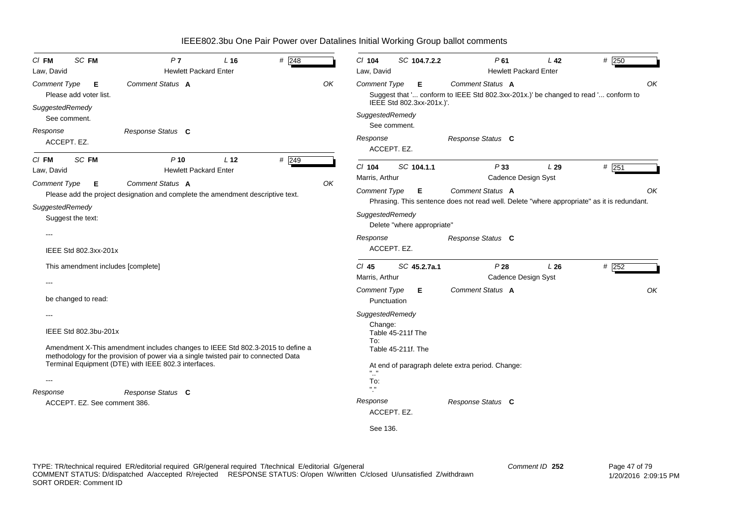| $CI$ FM<br>Law, David                  | SC FM                                                       | P <sub>7</sub><br><b>Hewlett Packard Enter</b>                                                                                                                       | $L$ 16          | # 248 |    | $Cl$ 104<br>Law, David                               | SC 104.7.2.2                            | P61                                                                                                                                        | L <sub>42</sub><br><b>Hewlett Packard Enter</b> | # 250   |
|----------------------------------------|-------------------------------------------------------------|----------------------------------------------------------------------------------------------------------------------------------------------------------------------|-----------------|-------|----|------------------------------------------------------|-----------------------------------------|--------------------------------------------------------------------------------------------------------------------------------------------|-------------------------------------------------|---------|
| <b>Comment Type</b>                    | Е<br>Please add voter list.                                 | Comment Status A                                                                                                                                                     |                 |       | OK | <b>Comment Type</b>                                  | Е.<br>IEEE Std 802.3xx-201x.)'.         | Comment Status A<br>Suggest that ' conform to IEEE Std 802.3xx-201x.)' be changed to read ' conform to                                     |                                                 | OK      |
| SuggestedRemedy<br>Response            | See comment.<br>ACCEPT. EZ.                                 | Response Status C                                                                                                                                                    |                 |       |    | SuggestedRemedy<br>Response<br>ACCEPT. EZ.           | See comment.                            | Response Status C                                                                                                                          |                                                 |         |
| CI FM<br>Law, David                    | SC FM                                                       | $P$ 10<br><b>Hewlett Packard Enter</b>                                                                                                                               | L <sub>12</sub> | # 249 |    | $Cl$ 104<br>Marris, Arthur                           | SC 104.1.1                              | P33                                                                                                                                        | L29<br><b>Cadence Design Syst</b>               | $#$ 251 |
| <b>Comment Type</b><br>SuggestedRemedy | Е<br>Suggest the text:                                      | Comment Status A<br>Please add the project designation and complete the amendment descriptive text.                                                                  |                 |       | OK | <b>Comment Type</b><br>SuggestedRemedy<br>Response   | Е<br>Delete "where appropriate"         | <b>Comment Status A</b><br>Phrasing. This sentence does not read well. Delete "where appropriate" as it is redundant.<br>Response Status C |                                                 | OK      |
|                                        | IEEE Std 802.3xx-201x<br>This amendment includes [complete] |                                                                                                                                                                      |                 |       |    | ACCEPT. EZ.<br>$CI$ 45                               | SC 45.2.7a.1                            | P28                                                                                                                                        | L26                                             | # 252   |
|                                        |                                                             |                                                                                                                                                                      |                 |       |    | Marris, Arthur                                       |                                         |                                                                                                                                            | Cadence Design Syst                             |         |
|                                        | be changed to read:                                         |                                                                                                                                                                      |                 |       |    | <b>Comment Type</b><br>Punctuation                   | Е.                                      | <b>Comment Status A</b>                                                                                                                    |                                                 | OK      |
|                                        | IEEE Std 802.3bu-201x                                       | Amendment X-This amendment includes changes to IEEE Std 802.3-2015 to define a<br>methodology for the provision of power via a single twisted pair to connected Data |                 |       |    | SuggestedRemedy<br>Change:<br>To:                    | Table 45-211f The<br>Table 45-211f. The |                                                                                                                                            |                                                 |         |
| ---<br>Response                        |                                                             | Terminal Equipment (DTE) with IEEE 802.3 interfaces.<br>Response Status C                                                                                            |                 |       |    | $\mathbf{u}$<br>To:<br>$\mathbf{H} \cdot \mathbf{H}$ |                                         | At end of paragraph delete extra period. Change:                                                                                           |                                                 |         |
|                                        | ACCEPT. EZ. See comment 386.                                |                                                                                                                                                                      |                 |       |    | Response<br>ACCEPT. EZ.                              |                                         | Response Status C                                                                                                                          |                                                 |         |
|                                        |                                                             |                                                                                                                                                                      |                 |       |    | See 136.                                             |                                         |                                                                                                                                            |                                                 |         |

TYPE: TR/technical required ER/editorial required GR/general required T/technical E/editorial G/general COMMENT STATUS: D/dispatched A/accepted R/rejected RESPONSE STATUS: O/open W/written C/closed U/unsatisfied Z/withdrawn SORT ORDER: Comment ID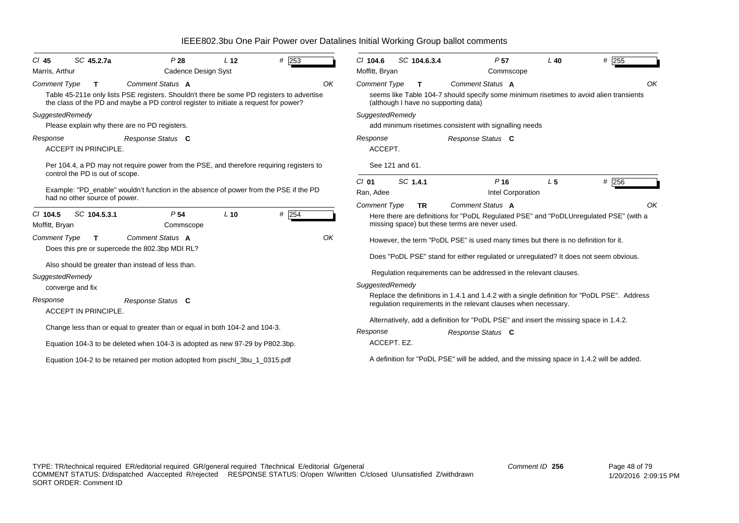| SC 45.2.7a<br>$CI$ 45<br>Marris, Arthur         | P28<br>Cadence Design Syst                                                                                                                                                                            | L <sub>12</sub> | # $253$  |    | $CI$ 104.6<br>Moffitt, Bryan | SC 104.6.3.4                               | P <sub>57</sub><br>Commscope                                                                                                                             | $L$ 40         | # 255                                                                                       |    |
|-------------------------------------------------|-------------------------------------------------------------------------------------------------------------------------------------------------------------------------------------------------------|-----------------|----------|----|------------------------------|--------------------------------------------|----------------------------------------------------------------------------------------------------------------------------------------------------------|----------------|---------------------------------------------------------------------------------------------|----|
| <b>Comment Type</b><br>$\mathbf{T}$             | Comment Status A<br>Table 45-211e only lists PSE registers. Shouldn't there be some PD registers to advertise<br>the class of the PD and maybe a PD control register to initiate a request for power? |                 |          | OK | <b>Comment Type</b>          | T.<br>(although I have no supporting data) | Comment Status A                                                                                                                                         |                | seems like Table 104-7 should specify some minimum risetimes to avoid alien transients      | OK |
| SuggestedRemedy                                 | Please explain why there are no PD registers.                                                                                                                                                         |                 |          |    | SuggestedRemedy              |                                            | add minimum risetimes consistent with signalling needs                                                                                                   |                |                                                                                             |    |
| Response<br><b>ACCEPT IN PRINCIPLE.</b>         | Response Status C                                                                                                                                                                                     |                 |          |    | Response<br>ACCEPT.          |                                            | Response Status C                                                                                                                                        |                |                                                                                             |    |
| control the PD is out of scope.                 | Per 104.4, a PD may not require power from the PSE, and therefore requiring registers to                                                                                                              |                 |          |    |                              | See 121 and 61.                            |                                                                                                                                                          |                |                                                                                             |    |
| had no other source of power.                   | Example: "PD_enable" wouldn't function in the absence of power from the PSE if the PD                                                                                                                 |                 |          |    | $Cl$ 01<br>Ran, Adee         | SC 1.4.1                                   | P <sub>16</sub><br>Intel Corporation                                                                                                                     | L <sub>5</sub> | $#$ 256                                                                                     |    |
| SC 104.5.3.1<br>$CI$ 104.5<br>Moffitt, Bryan    | P <sub>54</sub><br>Commscope                                                                                                                                                                          | $L$ 10          | $\#$ 254 |    | <b>Comment Type</b>          | <b>TR</b>                                  | Comment Status A<br>missing space) but these terms are never used.                                                                                       |                | Here there are definitions for "PoDL Regulated PSE" and "PoDLUnregulated PSE" (with a       | OK |
| <b>Comment Type</b><br>T                        | Comment Status A<br>Does this pre or supercede the 802.3bp MDI RL?                                                                                                                                    |                 |          | OK |                              |                                            | However, the term "PoDL PSE" is used many times but there is no definition for it.                                                                       |                | Does "PoDL PSE" stand for either regulated or unregulated? It does not seem obvious.        |    |
| SuggestedRemedy<br>converge and fix<br>Response | Also should be greater than instead of less than.<br>Response Status C                                                                                                                                |                 |          |    | SuggestedRemedy              |                                            | Regulation requirements can be addressed in the relevant clauses.                                                                                        |                | Replace the definitions in 1.4.1 and 1.4.2 with a single definition for "PoDL PSE". Address |    |
| ACCEPT IN PRINCIPLE.                            |                                                                                                                                                                                                       |                 |          |    |                              |                                            | regulation requirements in the relevant clauses when necessary.<br>Alternatively, add a definition for "PoDL PSE" and insert the missing space in 1.4.2. |                |                                                                                             |    |
|                                                 | Change less than or equal to greater than or equal in both 104-2 and 104-3.<br>Equation 104-3 to be deleted when 104-3 is adopted as new 97-29 by P802.3bp.                                           |                 |          |    | Response                     | ACCEPT. EZ.                                | Response Status C                                                                                                                                        |                |                                                                                             |    |
|                                                 | Equation 104-2 to be retained per motion adopted from pischl_3bu_1_0315.pdf                                                                                                                           |                 |          |    |                              |                                            |                                                                                                                                                          |                | A definition for "PoDL PSE" will be added, and the missing space in 1.4.2 will be added.    |    |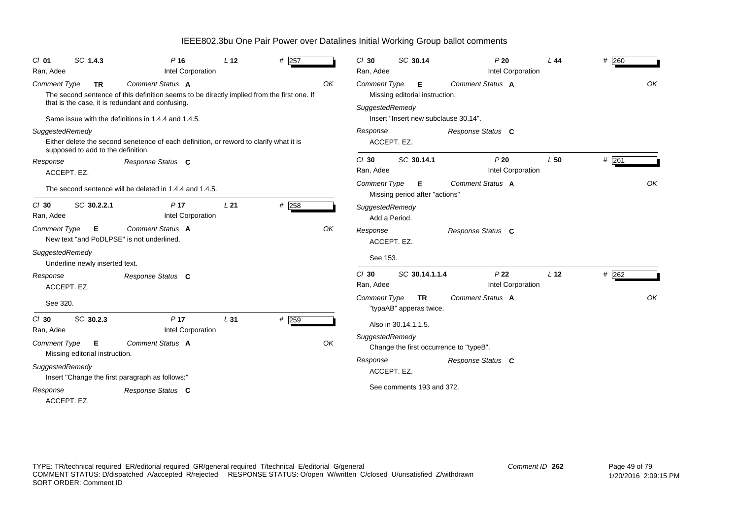| $Cl$ 01                 | SC 1.4.3                             | $P$ 16                                                                                                                                                             | L <sub>12</sub> | # 257   |    | $Cl$ 30              | SC 30.14             |                                      | P20                                     | L44             | # 260   |
|-------------------------|--------------------------------------|--------------------------------------------------------------------------------------------------------------------------------------------------------------------|-----------------|---------|----|----------------------|----------------------|--------------------------------------|-----------------------------------------|-----------------|---------|
| Ran, Adee               |                                      | Intel Corporation                                                                                                                                                  |                 |         |    | Ran, Adee            |                      |                                      | Intel Corporation                       |                 |         |
| Comment Type            | <b>TR</b>                            | Comment Status A<br>The second sentence of this definition seems to be directly implied from the first one. If<br>that is the case, it is redundant and confusing. |                 |         | OK | <b>Comment Type</b>  |                      | Е<br>Missing editorial instruction.  | Comment Status A                        |                 | OK      |
|                         |                                      | Same issue with the definitions in 1.4.4 and 1.4.5.                                                                                                                |                 |         |    | SuggestedRemedy      |                      |                                      | Insert "Insert new subclause 30.14".    |                 |         |
| SuggestedRemedy         | supposed to add to the definition.   | Either delete the second senetence of each definition, or reword to clarify what it is                                                                             |                 |         |    | Response             | ACCEPT. EZ.          |                                      | Response Status C                       |                 |         |
| Response<br>ACCEPT. EZ. |                                      | Response Status C                                                                                                                                                  |                 |         |    | $Cl$ 30<br>Ran, Adee |                      | SC 30.14.1                           | P20<br>Intel Corporation                | L <sub>50</sub> | $#$ 261 |
|                         |                                      | The second sentence will be deleted in 1.4.4 and 1.4.5.                                                                                                            |                 |         |    | <b>Comment Type</b>  |                      | Е<br>Missing period after "actions"  | Comment Status A                        |                 | OK      |
| $Cl$ 30<br>Ran, Adee    | SC 30.2.2.1                          | P <sub>17</sub><br>Intel Corporation                                                                                                                               | L21             | # 258   |    | SuggestedRemedy      | Add a Period.        |                                      |                                         |                 |         |
| <b>Comment Type</b>     | Е                                    | Comment Status A<br>New text "and PoDLPSE" is not underlined.                                                                                                      |                 |         | OK | Response             | ACCEPT. EZ.          |                                      | Response Status C                       |                 |         |
| SuggestedRemedy         | Underline newly inserted text.       |                                                                                                                                                                    |                 |         |    | See 153.             |                      |                                      |                                         |                 |         |
| Response<br>ACCEPT. EZ. |                                      | Response Status C                                                                                                                                                  |                 |         |    | $Cl$ 30<br>Ran, Adee |                      | SC 30.14.1.1.4                       | P <sub>22</sub><br>Intel Corporation    | L <sub>12</sub> | #262    |
| See 320.                |                                      |                                                                                                                                                                    |                 |         |    | <b>Comment Type</b>  |                      | <b>TR</b><br>"typaAB" apperas twice. | Comment Status A                        |                 | OK      |
| $Cl$ 30<br>Ran, Adee    | SC 30.2.3                            | P <sub>17</sub><br>Intel Corporation                                                                                                                               | L <sub>31</sub> | $#$ 259 |    |                      | Also in 30.14.1.1.5. |                                      |                                         |                 |         |
| <b>Comment Type</b>     | E.<br>Missing editorial instruction. | Comment Status A                                                                                                                                                   |                 |         | OK | SuggestedRemedy      |                      |                                      | Change the first occurrence to "typeB". |                 |         |
| SuggestedRemedy         |                                      | Insert "Change the first paragraph as follows:"                                                                                                                    |                 |         |    | Response             | ACCEPT. EZ.          |                                      | Response Status C                       |                 |         |
| Response<br>ACCEPT. EZ. |                                      | Response Status C                                                                                                                                                  |                 |         |    |                      |                      | See comments 193 and 372.            |                                         |                 |         |

TYPE: TR/technical required ER/editorial required GR/general required T/technical E/editorial G/general COMMENT STATUS: D/dispatched A/accepted R/rejected RESPONSE STATUS: O/open W/written C/closed U/unsatisfied Z/withdrawn SORT ORDER: Comment ID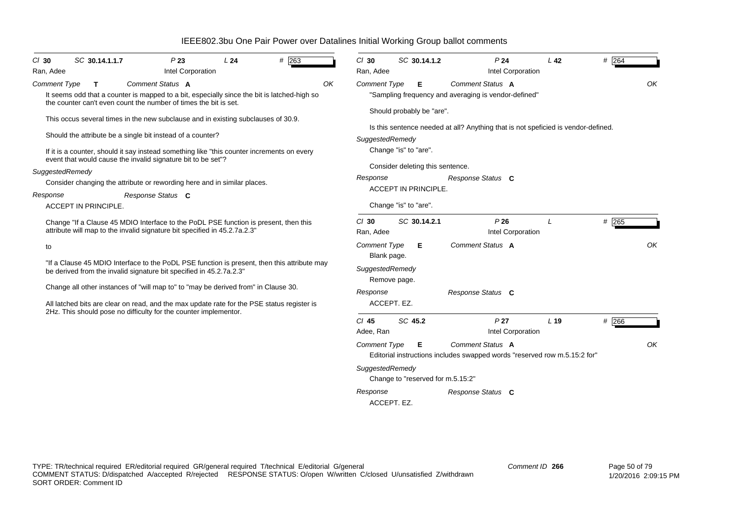| $CI$ 30                     | SC 30.14.1.1.7 | P23                                                                                                                                                                                                                                                                                                                                                                                                            | L24 | # 263 |    | $Cl$ 30                            | SC 30.14.1.2                                                                                                          | P <sub>24</sub>                                                                                        | L <sub>42</sub> | $#$ 264 |
|-----------------------------|----------------|----------------------------------------------------------------------------------------------------------------------------------------------------------------------------------------------------------------------------------------------------------------------------------------------------------------------------------------------------------------------------------------------------------------|-----|-------|----|------------------------------------|-----------------------------------------------------------------------------------------------------------------------|--------------------------------------------------------------------------------------------------------|-----------------|---------|
| Ran, Adee                   |                | Intel Corporation                                                                                                                                                                                                                                                                                                                                                                                              |     |       |    | Ran, Adee                          |                                                                                                                       | Intel Corporation                                                                                      |                 |         |
| <b>Comment Type</b>         | T.             | Comment Status A<br>It seems odd that a counter is mapped to a bit, especially since the bit is latched-high so<br>the counter can't even count the number of times the bit is set.                                                                                                                                                                                                                            |     |       | OK | <b>Comment Type</b>                | Е                                                                                                                     | <b>Comment Status A</b><br>"Sampling frequency and averaging is vendor-defined"                        |                 | OK      |
| SuggestedRemedy<br>Response |                | This occus several times in the new subclause and in existing subclauses of 30.9.<br>Should the attribute be a single bit instead of a counter?<br>If it is a counter, should it say instead something like "this counter increments on every<br>event that would cause the invalid signature bit to be set"?<br>Consider changing the attribute or rewording here and in similar places.<br>Response Status C |     |       |    | SuggestedRemedy<br>Response        | Should probably be "are".<br>Change "is" to "are".<br>Consider deleting this sentence.<br><b>ACCEPT IN PRINCIPLE.</b> | Is this sentence needed at all? Anything that is not speficied is vendor-defined.<br>Response Status C |                 |         |
| <b>ACCEPT IN PRINCIPLE.</b> |                |                                                                                                                                                                                                                                                                                                                                                                                                                |     |       |    |                                    | Change "is" to "are".                                                                                                 |                                                                                                        |                 |         |
|                             |                | Change "If a Clause 45 MDIO Interface to the PoDL PSE function is present, then this<br>attribute will map to the invalid signature bit specified in 45.2.7a.2.3"                                                                                                                                                                                                                                              |     |       |    | $Cl$ 30<br>Ran, Adee               | SC 30.14.2.1                                                                                                          | P26<br>Intel Corporation                                                                               |                 | # 265   |
| to                          |                |                                                                                                                                                                                                                                                                                                                                                                                                                |     |       |    | <b>Comment Type</b><br>Blank page. | Е                                                                                                                     | Comment Status A                                                                                       |                 | OK      |
|                             |                | "If a Clause 45 MDIO Interface to the PoDL PSE function is present, then this attribute may<br>be derived from the invalid signature bit specified in 45.2.7a.2.3"                                                                                                                                                                                                                                             |     |       |    | SuggestedRemedy                    | Remove page.                                                                                                          |                                                                                                        |                 |         |
|                             |                | Change all other instances of "will map to" to "may be derived from" in Clause 30.                                                                                                                                                                                                                                                                                                                             |     |       |    | Response                           |                                                                                                                       | Response Status C                                                                                      |                 |         |
|                             |                | All latched bits are clear on read, and the max update rate for the PSE status register is<br>2Hz. This should pose no difficulty for the counter implementor.                                                                                                                                                                                                                                                 |     |       |    | ACCEPT. EZ.                        |                                                                                                                       |                                                                                                        |                 |         |
|                             |                |                                                                                                                                                                                                                                                                                                                                                                                                                |     |       |    | $Cl$ 45<br>Adee, Ran               | SC 45.2                                                                                                               | P <sub>27</sub><br>Intel Corporation                                                                   | L <sub>19</sub> | # 266   |
|                             |                |                                                                                                                                                                                                                                                                                                                                                                                                                |     |       |    | <b>Comment Type</b>                | Е                                                                                                                     | Comment Status A<br>Editorial instructions includes swapped words "reserved row m.5.15:2 for"          |                 | OK      |
|                             |                |                                                                                                                                                                                                                                                                                                                                                                                                                |     |       |    | SuggestedRemedy                    | Change to "reserved for m.5.15:2"                                                                                     |                                                                                                        |                 |         |
|                             |                |                                                                                                                                                                                                                                                                                                                                                                                                                |     |       |    | Response<br>ACCEPT. EZ.            |                                                                                                                       | Response Status C                                                                                      |                 |         |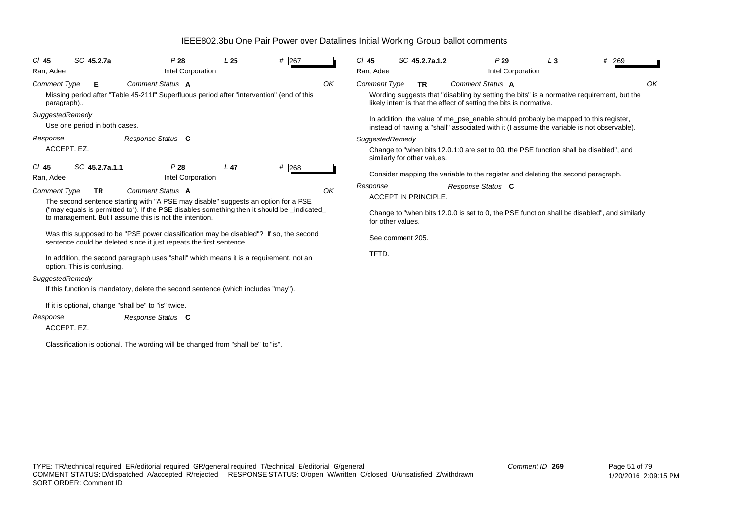| $CI$ 45<br>Ran, Adee              | SC 45.2.7a                    | P28                                                                                                           | Intel Corporation | L <sub>25</sub> | # $267$                                                                                     |    | $CI$ 45<br>Ran, Adee |                             | SC 45.2.7a.1.2                                                               |    |
|-----------------------------------|-------------------------------|---------------------------------------------------------------------------------------------------------------|-------------------|-----------------|---------------------------------------------------------------------------------------------|----|----------------------|-----------------------------|------------------------------------------------------------------------------|----|
| <b>Comment Type</b><br>paragraph) | Е                             | Comment Status A<br>Missing period after "Table 45-211f" Superfluous period after "intervention" (end of this |                   |                 |                                                                                             | OK | <b>Comment Type</b>  |                             | <b>TR</b><br>Wording suggests that "disa<br>likely intent is that the effect | C  |
| SuggestedRemedy                   | Use one period in both cases. |                                                                                                               |                   |                 |                                                                                             |    |                      |                             | In addition, the value of me<br>instead of having a "shall" a                |    |
| Response<br>ACCEPT. EZ.           |                               | Response Status C                                                                                             |                   |                 |                                                                                             |    | SuggestedRemedy      |                             | Change to "when bits 12.0.1<br>similarly for other values.                   |    |
| $CI$ 45<br>Ran, Adee              | SC 45.2.7a.1.1                | P28                                                                                                           | Intel Corporation | L <sub>47</sub> | # 268                                                                                       |    |                      |                             | Consider mapping the varial                                                  |    |
| <b>Comment Type</b>               | <b>TR</b>                     | Comment Status A<br>The second sentence starting with "A PSE may disable" suggests an option for a PSE        |                   |                 |                                                                                             | OK | Response             | <b>ACCEPT IN PRINCIPLE.</b> |                                                                              | Re |
|                                   |                               | to management. But I assume this is not the intention.                                                        |                   |                 | ("may equals is permitted to"). If the PSE disables something then it should be _indicated_ |    |                      | for other values.           | Change to "when bits 12.0.0                                                  |    |
|                                   |                               | sentence could be deleted since it just repeats the first sentence.                                           |                   |                 | Was this supposed to be "PSE power classification may be disabled"? If so, the second       |    |                      | See comment 205.            |                                                                              |    |
|                                   | option. This is confusing.    | In addition, the second paragraph uses "shall" which means it is a requirement, not an                        |                   |                 |                                                                                             |    | TFTD.                |                             |                                                                              |    |
| SuggestedRemedy                   |                               |                                                                                                               |                   |                 |                                                                                             |    |                      |                             |                                                                              |    |
|                                   |                               | If this function is mandatory, delete the second sentence (which includes "may").                             |                   |                 |                                                                                             |    |                      |                             |                                                                              |    |
|                                   |                               | If it is optional, change "shall be" to "is" twice.                                                           |                   |                 |                                                                                             |    |                      |                             |                                                                              |    |
| Response<br>ACCEPT. EZ.           |                               | Response Status C                                                                                             |                   |                 |                                                                                             |    |                      |                             |                                                                              |    |

Classification is optional. The wording will be changed from "shall be" to "is".

| $CI$ 45<br>Ran, Adee | SC 45.2.7a.1.2                                                     | P29<br>Intel Corporation | $L_3$                                                                                                                                                                            | # 269 |
|----------------------|--------------------------------------------------------------------|--------------------------|----------------------------------------------------------------------------------------------------------------------------------------------------------------------------------|-------|
|                      |                                                                    |                          |                                                                                                                                                                                  |       |
| Comment Type         | <b>TR</b>                                                          | Comment Status A         |                                                                                                                                                                                  |       |
|                      | likely intent is that the effect of setting the bits is normative. |                          | Wording suggests that "disabling by setting the bits" is a normative requirement, but the                                                                                        |       |
|                      |                                                                    |                          | In addition, the value of me_pse_enable should probably be mapped to this register,<br>instead of having a "shall" associated with it (I assume the variable is not observable). |       |
| SuggestedRemedy      |                                                                    |                          |                                                                                                                                                                                  |       |
|                      | similarly for other values.                                        |                          | Change to "when bits 12.0.1:0 are set to 00, the PSE function shall be disabled", and                                                                                            |       |
|                      |                                                                    |                          | Consider mapping the variable to the register and deleting the second paragraph.                                                                                                 |       |
| Response             |                                                                    | Response Status C        |                                                                                                                                                                                  |       |
|                      | ACCEPT IN PRINCIPLE.                                               |                          |                                                                                                                                                                                  |       |
|                      | for other values.                                                  |                          | Change to "when bits 12.0.0 is set to 0, the PSE function shall be disabled", and similarly                                                                                      |       |
|                      | See comment 205.                                                   |                          |                                                                                                                                                                                  |       |
| TFTD.                |                                                                    |                          |                                                                                                                                                                                  |       |
|                      |                                                                    |                          |                                                                                                                                                                                  |       |
|                      |                                                                    |                          |                                                                                                                                                                                  |       |
|                      |                                                                    |                          |                                                                                                                                                                                  |       |
|                      |                                                                    |                          |                                                                                                                                                                                  |       |
|                      |                                                                    |                          |                                                                                                                                                                                  |       |
|                      |                                                                    |                          |                                                                                                                                                                                  |       |
|                      |                                                                    |                          |                                                                                                                                                                                  |       |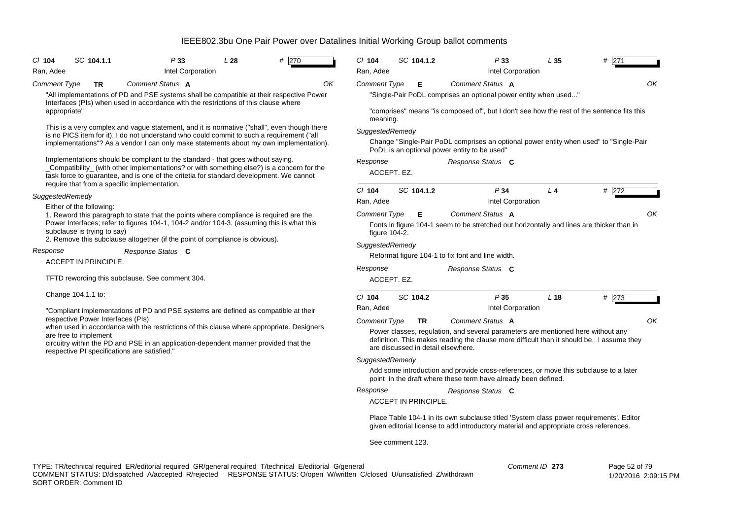| $CI$ 104            | SC 104.1.1                                              | P33                                                                                                                                                                                                                                                                                | L28 | # 270 | $Cl$ 104            | SC 104.1.2                         | P33                                                                                                                                                                               | L <sub>35</sub> | # 271 |    |
|---------------------|---------------------------------------------------------|------------------------------------------------------------------------------------------------------------------------------------------------------------------------------------------------------------------------------------------------------------------------------------|-----|-------|---------------------|------------------------------------|-----------------------------------------------------------------------------------------------------------------------------------------------------------------------------------|-----------------|-------|----|
| Ran, Adee           |                                                         | Intel Corporation                                                                                                                                                                                                                                                                  |     |       | Ran, Adee           |                                    | Intel Corporation                                                                                                                                                                 |                 |       |    |
| <b>Comment Type</b> | <b>TR</b>                                               | Comment Status A                                                                                                                                                                                                                                                                   |     | OK    | <b>Comment Type</b> | Е                                  | Comment Status A                                                                                                                                                                  |                 |       | OK |
|                     |                                                         | "All implementations of PD and PSE systems shall be compatible at their respective Power<br>Interfaces (PIs) when used in accordance with the restrictions of this clause where                                                                                                    |     |       |                     |                                    | "Single-Pair PoDL comprises an optional power entity when used"                                                                                                                   |                 |       |    |
| appropriate"        |                                                         |                                                                                                                                                                                                                                                                                    |     |       | meaning.            |                                    | "comprises" means "is composed of", but I don't see how the rest of the sentence fits this                                                                                        |                 |       |    |
|                     |                                                         | This is a very complex and vague statement, and it is normative ("shall", even though there<br>is no PICS item for it). I do not understand who could commit to such a requirement ("all<br>implementations"? As a vendor I can only make statements about my own implementation). |     |       | SuggestedRemedy     |                                    | Change "Single-Pair PoDL comprises an optional power entity when used" to "Single-Pair<br>PoDL is an optional power entity to be used"                                            |                 |       |    |
|                     |                                                         | Implementations should be compliant to the standard - that goes without saying.<br>_Compatibility_ (with other implementations? or with something else?) is a concern for the<br>task force to guarantee, and is one of the critetia for standard development. We cannot           |     |       | Response            | ACCEPT. EZ.                        | Response Status C                                                                                                                                                                 |                 |       |    |
|                     |                                                         | require that from a specific implementation.                                                                                                                                                                                                                                       |     |       | $Cl$ 104            | SC 104.1.2                         | P34                                                                                                                                                                               | L <sub>4</sub>  | # 272 |    |
| SuggestedRemedy     |                                                         |                                                                                                                                                                                                                                                                                    |     |       | Ran, Adee           |                                    | Intel Corporation                                                                                                                                                                 |                 |       |    |
|                     | Either of the following:<br>subclause is trying to say) | 1. Reword this paragraph to state that the points where compliance is required are the<br>Power Interfaces; refer to figures 104-1, 104-2 and/or 104-3. (assuming this is what this<br>2. Remove this subclause altogether (if the point of compliance is obvious).                |     |       | Comment Type        | Е<br>figure 104-2.                 | Comment Status A<br>Fonts in figure 104-1 seem to be stretched out horizontally and lines are thicker than in                                                                     |                 |       | OK |
| Response            |                                                         | Response Status C                                                                                                                                                                                                                                                                  |     |       | SuggestedRemedy     |                                    |                                                                                                                                                                                   |                 |       |    |
|                     | <b>ACCEPT IN PRINCIPLE.</b>                             |                                                                                                                                                                                                                                                                                    |     |       |                     |                                    | Reformat figure 104-1 to fix font and line width.                                                                                                                                 |                 |       |    |
|                     |                                                         |                                                                                                                                                                                                                                                                                    |     |       | Response            |                                    | Response Status C                                                                                                                                                                 |                 |       |    |
|                     |                                                         | TFTD rewording this subclause. See comment 304.                                                                                                                                                                                                                                    |     |       |                     | ACCEPT. EZ.                        |                                                                                                                                                                                   |                 |       |    |
|                     | Change 104.1.1 to:                                      |                                                                                                                                                                                                                                                                                    |     |       | $CI$ 104            | SC 104.2                           | P35                                                                                                                                                                               | L <sub>18</sub> | # 273 |    |
|                     |                                                         | "Compliant implementations of PD and PSE systems are defined as compatible at their                                                                                                                                                                                                |     |       | Ran, Adee           |                                    | Intel Corporation                                                                                                                                                                 |                 |       |    |
|                     | respective Power Interfaces (PIs)                       | when used in accordance with the restrictions of this clause where appropriate. Designers                                                                                                                                                                                          |     |       | Comment Type        | TR                                 | Comment Status A                                                                                                                                                                  |                 |       | OK |
|                     | are free to implement                                   | circuitry within the PD and PSE in an application-dependent manner provided that the<br>respective PI specifications are satisfied."                                                                                                                                               |     |       |                     | are discussed in detail elsewhere. | Power classes, regulation, and several parameters are mentioned here without any<br>definition. This makes reading the clause more difficult than it should be. I assume they     |                 |       |    |
|                     |                                                         |                                                                                                                                                                                                                                                                                    |     |       | SuggestedRemedy     |                                    |                                                                                                                                                                                   |                 |       |    |
|                     |                                                         |                                                                                                                                                                                                                                                                                    |     |       |                     |                                    | Add some introduction and provide cross-references, or move this subclause to a later<br>point in the draft where these term have already been defined.                           |                 |       |    |
|                     |                                                         |                                                                                                                                                                                                                                                                                    |     |       | Response            |                                    | Response Status C                                                                                                                                                                 |                 |       |    |
|                     |                                                         |                                                                                                                                                                                                                                                                                    |     |       |                     | ACCEPT IN PRINCIPLE.               |                                                                                                                                                                                   |                 |       |    |
|                     |                                                         |                                                                                                                                                                                                                                                                                    |     |       |                     |                                    | Place Table 104-1 in its own subclause titled 'System class power requirements'. Editor<br>given editorial license to add introductory material and appropriate cross references. |                 |       |    |
|                     |                                                         |                                                                                                                                                                                                                                                                                    |     |       |                     | See comment 123.                   |                                                                                                                                                                                   |                 |       |    |
|                     |                                                         |                                                                                                                                                                                                                                                                                    |     |       |                     |                                    |                                                                                                                                                                                   |                 |       |    |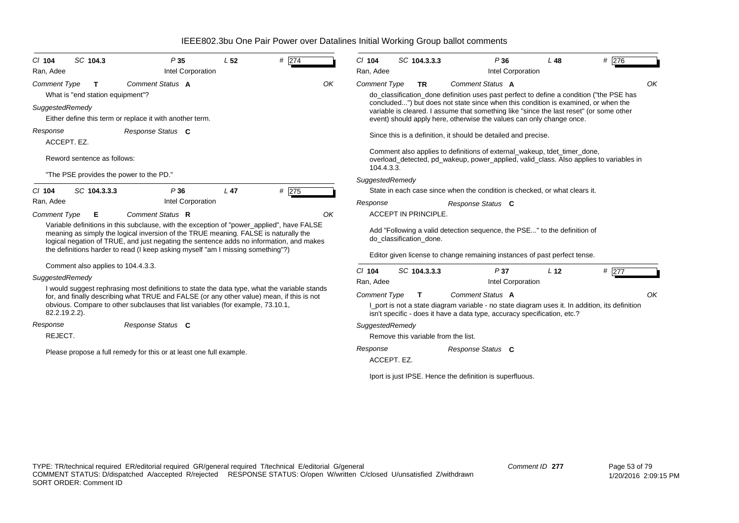| C/ 104<br>Ran, Adee | SC 104.3                                | P35<br>Intel Corporation                                                                                                                                                                                                                                                                                                                                       | L <sub>52</sub> | # 274 |    | $Cl$ 104<br>Ran, Adee   | SC 104.3.3.3                        |                                                                                                                                                                                                                                                      | P36<br>Intel Corporation | $L$ 48          | #276                                                                                           |    |
|---------------------|-----------------------------------------|----------------------------------------------------------------------------------------------------------------------------------------------------------------------------------------------------------------------------------------------------------------------------------------------------------------------------------------------------------------|-----------------|-------|----|-------------------------|-------------------------------------|------------------------------------------------------------------------------------------------------------------------------------------------------------------------------------------------------------------------------------------------------|--------------------------|-----------------|------------------------------------------------------------------------------------------------|----|
| <b>Comment Type</b> | т<br>What is "end station equipment"?   | Comment Status A                                                                                                                                                                                                                                                                                                                                               |                 |       | OK | <b>Comment Type</b>     | <b>TR</b>                           | Comment Status A                                                                                                                                                                                                                                     |                          |                 | do_classification_done definition uses past perfect to define a condition ("the PSE has        | OK |
|                     | SuggestedRemedy                         | Either define this term or replace it with another term.                                                                                                                                                                                                                                                                                                       |                 |       |    |                         |                                     | concluded") but does not state since when this condition is examined, or when the<br>variable is cleared. I assume that something like "since the last reset" (or some other<br>event) should apply here, otherwise the values can only change once. |                          |                 |                                                                                                |    |
| Response            | ACCEPT. EZ.                             | Response Status C                                                                                                                                                                                                                                                                                                                                              |                 |       |    |                         |                                     | Since this is a definition, it should be detailed and precise.                                                                                                                                                                                       |                          |                 |                                                                                                |    |
|                     | Reword sentence as follows:             |                                                                                                                                                                                                                                                                                                                                                                |                 |       |    | 104.4.3.3.              |                                     | Comment also applies to definitions of external_wakeup, tdet_timer_done,                                                                                                                                                                             |                          |                 | overload_detected, pd_wakeup, power_applied, valid_class. Also applies to variables in         |    |
|                     | "The PSE provides the power to the PD." |                                                                                                                                                                                                                                                                                                                                                                |                 |       |    | SuggestedRemedy         |                                     |                                                                                                                                                                                                                                                      |                          |                 |                                                                                                |    |
| $CI$ 104            | SC 104.3.3.3                            | P36                                                                                                                                                                                                                                                                                                                                                            | L <sub>47</sub> | # 275 |    |                         |                                     | State in each case since when the condition is checked, or what clears it.                                                                                                                                                                           |                          |                 |                                                                                                |    |
| Ran, Adee           |                                         | Intel Corporation                                                                                                                                                                                                                                                                                                                                              |                 |       |    | Response                |                                     | Response Status C                                                                                                                                                                                                                                    |                          |                 |                                                                                                |    |
| <b>Comment Type</b> | E.                                      | Comment Status R                                                                                                                                                                                                                                                                                                                                               |                 |       | OK |                         | <b>ACCEPT IN PRINCIPLE.</b>         |                                                                                                                                                                                                                                                      |                          |                 |                                                                                                |    |
|                     |                                         | Variable definitions in this subclause, with the exception of "power_applied", have FALSE<br>meaning as simply the logical inversion of the TRUE meaning. FALSE is naturally the<br>logical negation of TRUE, and just negating the sentence adds no information, and makes<br>the definitions harder to read (I keep asking myself "am I missing something"?) |                 |       |    |                         | do_classification_done.             | Add "Following a valid detection sequence, the PSE" to the definition of                                                                                                                                                                             |                          |                 |                                                                                                |    |
|                     | Comment also applies to 104.4.3.3.      |                                                                                                                                                                                                                                                                                                                                                                |                 |       |    |                         |                                     | Editor given license to change remaining instances of past perfect tense.                                                                                                                                                                            |                          |                 |                                                                                                |    |
|                     | SuggestedRemedy                         |                                                                                                                                                                                                                                                                                                                                                                |                 |       |    | $CI$ 104                | SC 104.3.3.3                        |                                                                                                                                                                                                                                                      | P37                      | L <sub>12</sub> | # 277                                                                                          |    |
|                     |                                         | I would suggest rephrasing most definitions to state the data type, what the variable stands                                                                                                                                                                                                                                                                   |                 |       |    | Ran, Adee               |                                     |                                                                                                                                                                                                                                                      | Intel Corporation        |                 |                                                                                                |    |
|                     | 82.2.19.2.2).                           | for, and finally describing what TRUE and FALSE (or any other value) mean, if this is not<br>obvious. Compare to other subclauses that list variables (for example, 73.10.1,                                                                                                                                                                                   |                 |       |    | <b>Comment Type</b>     | T.                                  | Comment Status A<br>isn't specific - does it have a data type, accuracy specification, etc.?                                                                                                                                                         |                          |                 | I port is not a state diagram variable - no state diagram uses it. In addition, its definition | OK |
| Response<br>REJECT. |                                         | Response Status C                                                                                                                                                                                                                                                                                                                                              |                 |       |    | SuggestedRemedy         | Remove this variable from the list. |                                                                                                                                                                                                                                                      |                          |                 |                                                                                                |    |
|                     |                                         | Please propose a full remedy for this or at least one full example.                                                                                                                                                                                                                                                                                            |                 |       |    | Response<br>ACCEPT. EZ. |                                     | Response Status C                                                                                                                                                                                                                                    |                          |                 |                                                                                                |    |
|                     |                                         |                                                                                                                                                                                                                                                                                                                                                                |                 |       |    |                         |                                     | Iport is just IPSE. Hence the definition is superfluous.                                                                                                                                                                                             |                          |                 |                                                                                                |    |
|                     |                                         |                                                                                                                                                                                                                                                                                                                                                                |                 |       |    |                         |                                     |                                                                                                                                                                                                                                                      |                          |                 |                                                                                                |    |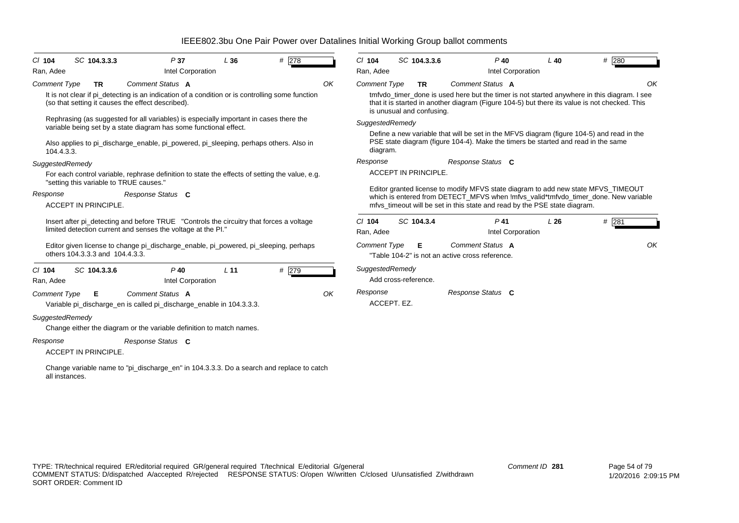| C/ 104<br>Ran, Adee   | SC 104.3.3.3                            | P37<br>Intel Corporation                                                                                                                                                                                                                             | L36             | #278 |    | $Cl$ 104<br>Ran, Adee            | SC 104.3.3.6                           |                                                                     | $P$ 40<br>Intel Corporation | $L$ 40                                                                            | # 280                                                                                                                                                                                              |
|-----------------------|-----------------------------------------|------------------------------------------------------------------------------------------------------------------------------------------------------------------------------------------------------------------------------------------------------|-----------------|------|----|----------------------------------|----------------------------------------|---------------------------------------------------------------------|-----------------------------|-----------------------------------------------------------------------------------|----------------------------------------------------------------------------------------------------------------------------------------------------------------------------------------------------|
| Comment Type          | <b>TR</b>                               | Comment Status A<br>It is not clear if pi_detecting is an indication of a condition or is controlling some function<br>(so that setting it causes the effect described).                                                                             |                 |      | OK | <b>Comment Type</b>              | <b>TR</b><br>is unusual and confusing. | Comment Status A                                                    |                             |                                                                                   | OK<br>tmfydo timer done is used here but the timer is not started anywhere in this diagram. I see<br>that it is started in another diagram (Figure 104-5) but there its value is not checked. This |
| 104.4.3.3.            |                                         | Rephrasing (as suggested for all variables) is especially important in cases there the<br>variable being set by a state diagram has some functional effect.<br>Also applies to pi discharge enable, pi powered, pi sleeping, perhaps others. Also in |                 |      |    | SuggestedRemedy<br>diagram.      |                                        |                                                                     |                             | PSE state diagram (figure 104-4). Make the timers be started and read in the same | Define a new variable that will be set in the MFVS diagram (figure 104-5) and read in the                                                                                                          |
| SuggestedRemedy       | "setting this variable to TRUE causes." | For each control variable, rephrase definition to state the effects of setting the value, e.g.                                                                                                                                                       |                 |      |    | Response                         | <b>ACCEPT IN PRINCIPLE.</b>            | Response Status C                                                   |                             |                                                                                   | Editor granted license to modify MFVS state diagram to add new state MFVS_TIMEOUT                                                                                                                  |
| Response              | <b>ACCEPT IN PRINCIPLE.</b>             | Response Status C<br>Insert after pi_detecting and before TRUE "Controls the circuitry that forces a voltage<br>limited detection current and senses the voltage at the PI."                                                                         |                 |      |    | $Cl$ 104                         | SC 104.3.4                             |                                                                     | $P$ 41                      | mfvs_timeout will be set in this state and read by the PSE state diagram.<br>L26  | which is entered from DETECT MFVS when Imfvs valid*tmfvdo timer done. New variable<br># 281                                                                                                        |
|                       | others 104.3.3.3 and 104.4.3.3.         | Editor given license to change pi_discharge_enable, pi_powered, pi_sleeping, perhaps                                                                                                                                                                 |                 |      |    | Ran, Adee<br><b>Comment Type</b> | Е                                      | Comment Status A<br>"Table 104-2" is not an active cross reference. | Intel Corporation           |                                                                                   | OK                                                                                                                                                                                                 |
| $Cl$ 104<br>Ran, Adee | SC 104.3.3.6                            | $P$ 40<br>Intel Corporation                                                                                                                                                                                                                          | L <sub>11</sub> | #279 |    | SuggestedRemedy                  | Add cross-reference.                   |                                                                     |                             |                                                                                   |                                                                                                                                                                                                    |
| Comment Type          | Е                                       | Comment Status A<br>Variable pi_discharge_en is called pi_discharge_enable in 104.3.3.3.                                                                                                                                                             |                 |      | OK | Response<br>ACCEPT. EZ.          |                                        | Response Status C                                                   |                             |                                                                                   |                                                                                                                                                                                                    |
| SuggestedRemedy       |                                         | Change either the diagram or the variable definition to match names.                                                                                                                                                                                 |                 |      |    |                                  |                                        |                                                                     |                             |                                                                                   |                                                                                                                                                                                                    |
| Response              | <b>ACCEPT IN PRINCIPLE.</b>             | Response Status C                                                                                                                                                                                                                                    |                 |      |    |                                  |                                        |                                                                     |                             |                                                                                   |                                                                                                                                                                                                    |
|                       |                                         | Change variable name to "pi_discharge_en" in 104.3.3.3. Do a search and replace to catch                                                                                                                                                             |                 |      |    |                                  |                                        |                                                                     |                             |                                                                                   |                                                                                                                                                                                                    |

Change variab<br>all instances.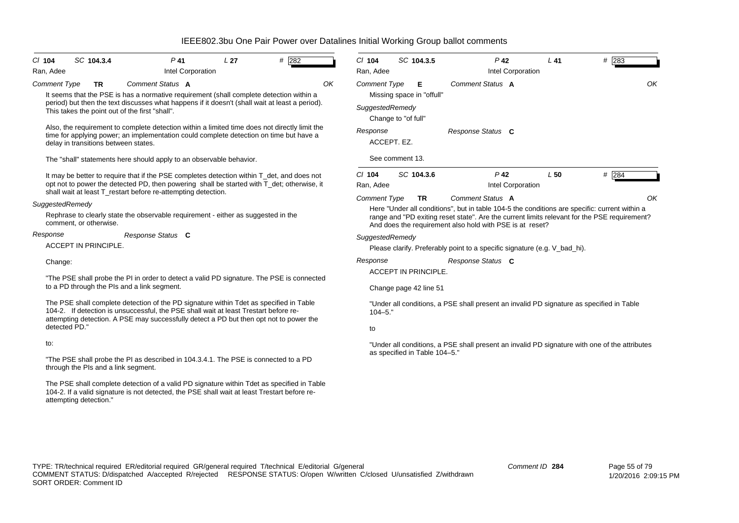| $Cl$ 104<br>Ran, Adee | SC 104.3.4                                                                                                  | P <sub>41</sub>   | Intel Corporation | L <sub>27</sub> | $#$ 282                                                                                                                                                                                    |    | $Cl$ 104<br>Ran, Adee                                             | SC 104.3.5                                            |                   | $P$ 42<br>Intel Corporation                              | $L$ 41                                                                    | # 283                                                                                                                                                                                               |
|-----------------------|-------------------------------------------------------------------------------------------------------------|-------------------|-------------------|-----------------|--------------------------------------------------------------------------------------------------------------------------------------------------------------------------------------------|----|-------------------------------------------------------------------|-------------------------------------------------------|-------------------|----------------------------------------------------------|---------------------------------------------------------------------------|-----------------------------------------------------------------------------------------------------------------------------------------------------------------------------------------------------|
| <b>Comment Type</b>   | TR<br>This takes the point out of the first "shall".                                                        | Comment Status A  |                   |                 | It seems that the PSE is has a normative requirement (shall complete detection within a<br>period) but then the text discusses what happens if it doesn't (shall wait at least a period).  | OK | <b>Comment Type</b><br>SuggestedRemedy                            | Е<br>Missing space in "offull"                        | Comment Status A  |                                                          |                                                                           | OK                                                                                                                                                                                                  |
|                       | delay in transitions between states.<br>The "shall" statements here should apply to an observable behavior. |                   |                   |                 | Also, the requirement to complete detection within a limited time does not directly limit the<br>time for applying power; an implementation could complete detection on time but have a    |    | Change to "of full"<br>Response<br>ACCEPT. EZ.<br>See comment 13. |                                                       | Response Status C |                                                          |                                                                           |                                                                                                                                                                                                     |
|                       | shall wait at least T_restart before re-attempting detection.                                               |                   |                   |                 | It may be better to require that if the PSE completes detection within T_det, and does not<br>opt not to power the detected PD, then powering shall be started with T_det; otherwise, it   |    | $CI$ 104<br>Ran, Adee                                             | SC 104.3.6                                            |                   | $P$ 42<br>Intel Corporation                              | L50                                                                       | $#$ 284                                                                                                                                                                                             |
| SuggestedRemedy       | Rephrase to clearly state the observable requirement - either as suggested in the<br>comment, or otherwise. |                   |                   |                 |                                                                                                                                                                                            |    | <b>Comment Type</b>                                               | <b>TR</b>                                             | Comment Status A  | And does the requirement also hold with PSE is at reset? |                                                                           | ΟK<br>Here "Under all conditions", but in table 104-5 the conditions are specific: current within a<br>range and "PD exiting reset state". Are the current limits relevant for the PSE requirement? |
| Response              | ACCEPT IN PRINCIPLE.                                                                                        | Response Status C |                   |                 |                                                                                                                                                                                            |    | SuggestedRemedy                                                   |                                                       |                   |                                                          | Please clarify. Preferably point to a specific signature (e.g. V_bad_hi). |                                                                                                                                                                                                     |
| Change:               | to a PD through the PIs and a link segment.                                                                 |                   |                   |                 | "The PSE shall probe the PI in order to detect a valid PD signature. The PSE is connected                                                                                                  |    | Response                                                          | <b>ACCEPT IN PRINCIPLE.</b><br>Change page 42 line 51 | Response Status C |                                                          |                                                                           |                                                                                                                                                                                                     |
| detected PD."         | 104-2. If detection is unsuccessful, the PSE shall wait at least Trestart before re-                        |                   |                   |                 | The PSE shall complete detection of the PD signature within Tdet as specified in Table<br>attempting detection. A PSE may successfully detect a PD but then opt not to power the           |    | $104 - 5.$ "                                                      |                                                       |                   |                                                          |                                                                           | "Under all conditions, a PSE shall present an invalid PD signature as specified in Table                                                                                                            |
| to:                   | through the PIs and a link segment.                                                                         |                   |                   |                 | "The PSE shall probe the PI as described in 104.3.4.1. The PSE is connected to a PD                                                                                                        |    | to                                                                | as specified in Table 104-5."                         |                   |                                                          |                                                                           | "Under all conditions, a PSE shall present an invalid PD signature with one of the attributes                                                                                                       |
|                       | attempting detection."                                                                                      |                   |                   |                 | The PSE shall complete detection of a valid PD signature within Tdet as specified in Table<br>104-2. If a valid signature is not detected, the PSE shall wait at least Trestart before re- |    |                                                                   |                                                       |                   |                                                          |                                                                           |                                                                                                                                                                                                     |
|                       |                                                                                                             |                   |                   |                 |                                                                                                                                                                                            |    |                                                                   |                                                       |                   |                                                          |                                                                           |                                                                                                                                                                                                     |
|                       |                                                                                                             |                   |                   |                 |                                                                                                                                                                                            |    |                                                                   |                                                       |                   |                                                          |                                                                           |                                                                                                                                                                                                     |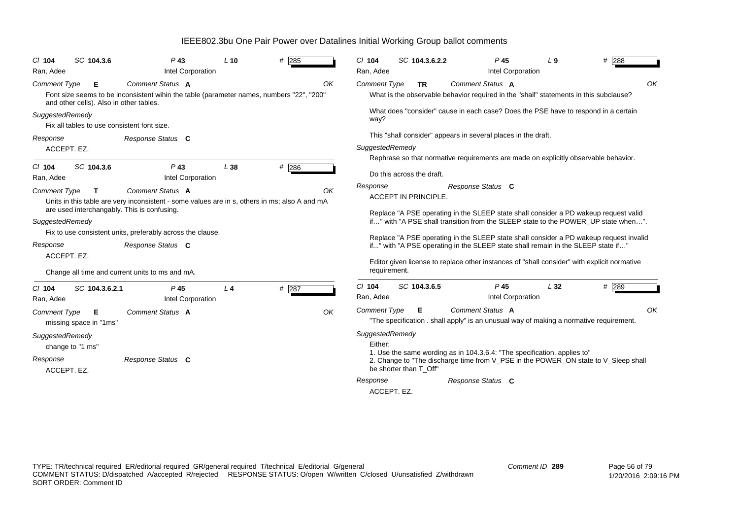| $Cl$ 104              | SC 104.3.6                                  | $P$ 43                                                                                                                                       | $L$ 10 | $#$ 285 | SC 104.3.6.2.2<br># 288<br>$Cl$ 104<br>$P$ 45<br>L <sub>9</sub>                                                                                                            |  |
|-----------------------|---------------------------------------------|----------------------------------------------------------------------------------------------------------------------------------------------|--------|---------|----------------------------------------------------------------------------------------------------------------------------------------------------------------------------|--|
| Ran, Adee             |                                             | Intel Corporation                                                                                                                            |        |         | Intel Corporation<br>Ran, Adee                                                                                                                                             |  |
| <b>Comment Type</b>   | Е                                           | Comment Status A                                                                                                                             |        | OK      | Comment Status A<br>OK<br><b>Comment Type</b><br><b>TR</b>                                                                                                                 |  |
|                       | and other cells). Also in other tables.     | Font size seems to be inconsistent wihin the table (parameter names, numbers "22", "200"                                                     |        |         | What is the observable behavior required in the "shall" statements in this subclause?                                                                                      |  |
| SuggestedRemedy       |                                             |                                                                                                                                              |        |         | What does "consider" cause in each case? Does the PSE have to respond in a certain                                                                                         |  |
|                       | Fix all tables to use consistent font size. |                                                                                                                                              |        |         | way?                                                                                                                                                                       |  |
| Response              |                                             | Response Status C                                                                                                                            |        |         | This "shall consider" appears in several places in the draft.                                                                                                              |  |
| ACCEPT. EZ.           |                                             |                                                                                                                                              |        |         | SuggestedRemedy                                                                                                                                                            |  |
|                       |                                             |                                                                                                                                              |        |         | Rephrase so that normative requirements are made on explicitly observable behavior.                                                                                        |  |
| $CI$ 104<br>Ran, Adee | SC 104.3.6                                  | $P$ 43<br>Intel Corporation                                                                                                                  | L38    | #286    | Do this across the draft.                                                                                                                                                  |  |
|                       |                                             |                                                                                                                                              |        |         | Response<br>Response Status C                                                                                                                                              |  |
| <b>Comment Type</b>   | T.                                          | Comment Status A                                                                                                                             |        | OK      | ACCEPT IN PRINCIPLE.                                                                                                                                                       |  |
|                       |                                             | Units in this table are very inconsistent - some values are in s, others in ms; also A and mA<br>are used interchangably. This is confusing. |        |         |                                                                                                                                                                            |  |
|                       |                                             |                                                                                                                                              |        |         | Replace "A PSE operating in the SLEEP state shall consider a PD wakeup request valid<br>if" with "A PSE shall transition from the SLEEP state to the POWER_UP state when". |  |
| SuggestedRemedy       |                                             | Fix to use consistent units, preferably across the clause.                                                                                   |        |         |                                                                                                                                                                            |  |
|                       |                                             |                                                                                                                                              |        |         | Replace "A PSE operating in the SLEEP state shall consider a PD wakeup request invalid                                                                                     |  |
| Response              |                                             | Response Status C                                                                                                                            |        |         | if" with "A PSE operating in the SLEEP state shall remain in the SLEEP state if"                                                                                           |  |
| ACCEPT. EZ.           |                                             |                                                                                                                                              |        |         | Editor given license to replace other instances of "shall consider" with explicit normative                                                                                |  |
|                       |                                             | Change all time and current units to ms and mA.                                                                                              |        |         | requirement.                                                                                                                                                               |  |
| $Cl$ 104              | SC 104.3.6.2.1                              | P <sub>45</sub>                                                                                                                              | $L_4$  | # 287   | $Cl$ 104<br>SC 104.3.6.5<br>P <sub>45</sub><br>L32<br># 289                                                                                                                |  |
| Ran, Adee             |                                             | Intel Corporation                                                                                                                            |        |         | Intel Corporation<br>Ran, Adee                                                                                                                                             |  |
| <b>Comment Type</b>   | Е                                           | Comment Status A                                                                                                                             |        | OK      | Comment Status A<br>OK<br><b>Comment Type</b><br>Е                                                                                                                         |  |
|                       | missing space in "1ms"                      |                                                                                                                                              |        |         | "The specification . shall apply" is an unusual way of making a normative requirement.                                                                                     |  |
| SuggestedRemedy       |                                             |                                                                                                                                              |        |         | SuggestedRemedy                                                                                                                                                            |  |
|                       | change to "1 ms"                            |                                                                                                                                              |        |         | Either:                                                                                                                                                                    |  |
| Response              |                                             | Response Status C                                                                                                                            |        |         | 1. Use the same wording as in 104.3.6.4: "The specification. applies to"                                                                                                   |  |
| ACCEPT. EZ.           |                                             |                                                                                                                                              |        |         | 2. Change to "The discharge time from V_PSE in the POWER_ON state to V_Sleep shall<br>be shorter than T Off"                                                               |  |
|                       |                                             |                                                                                                                                              |        |         | Response<br>Response Status C                                                                                                                                              |  |
|                       |                                             |                                                                                                                                              |        |         | ACCEPT. EZ.                                                                                                                                                                |  |
|                       |                                             |                                                                                                                                              |        |         |                                                                                                                                                                            |  |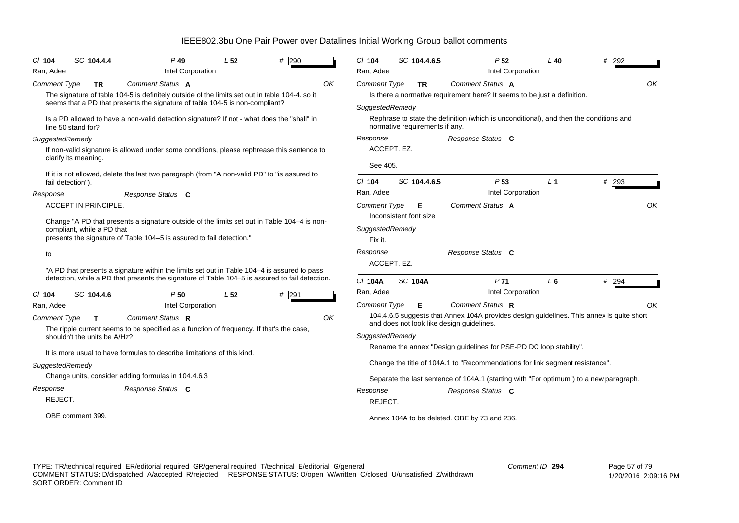| # 290<br>SC 104.4.4<br>$Cl$ 104<br>$P$ 49<br>L <sub>52</sub>                                                                                                                                                                                                                                                                                                           | # 292<br>$Cl$ 104<br>SC 104.4.6.5<br>P <sub>52</sub><br>$L$ 40                                                                                                                                                                                                                                                                                                                                                                                                 |
|------------------------------------------------------------------------------------------------------------------------------------------------------------------------------------------------------------------------------------------------------------------------------------------------------------------------------------------------------------------------|----------------------------------------------------------------------------------------------------------------------------------------------------------------------------------------------------------------------------------------------------------------------------------------------------------------------------------------------------------------------------------------------------------------------------------------------------------------|
| Intel Corporation<br>Ran, Adee                                                                                                                                                                                                                                                                                                                                         | Intel Corporation<br>Ran, Adee                                                                                                                                                                                                                                                                                                                                                                                                                                 |
| Comment Status A<br><b>Comment Type</b><br>OK<br><b>TR</b><br>The signature of table 104-5 is definitely outside of the limits set out in table 104-4. so it<br>seems that a PD that presents the signature of table 104-5 is non-compliant?                                                                                                                           | OK<br>Comment Status A<br><b>Comment Type</b><br><b>TR</b><br>Is there a normative requirement here? It seems to be just a definition.<br>SuggestedRemedy<br>Rephrase to state the definition (which is unconditional), and then the conditions and                                                                                                                                                                                                            |
| Is a PD allowed to have a non-valid detection signature? If not - what does the "shall" in<br>line 50 stand for?                                                                                                                                                                                                                                                       | normative requirements if any.                                                                                                                                                                                                                                                                                                                                                                                                                                 |
| SuggestedRemedy<br>If non-valid signature is allowed under some conditions, please rephrease this sentence to<br>clarify its meaning.                                                                                                                                                                                                                                  | Response<br>Response Status C<br>ACCEPT. EZ.<br>See 405.                                                                                                                                                                                                                                                                                                                                                                                                       |
| If it is not allowed, delete the last two paragraph (from "A non-valid PD" to "is assured to<br>fail detection").<br>Response                                                                                                                                                                                                                                          | SC 104.4.6.5<br>$#$ 293<br>$Cl$ 104<br>P <sub>53</sub><br>L <sub>1</sub><br>Intel Corporation<br>Ran, Adee                                                                                                                                                                                                                                                                                                                                                     |
| Response Status C<br><b>ACCEPT IN PRINCIPLE.</b><br>Change "A PD that presents a signature outside of the limits set out in Table 104–4 is non-<br>compliant, while a PD that<br>presents the signature of Table 104-5 is assured to fail detection."                                                                                                                  | OK<br>Comment Status A<br><b>Comment Type</b><br>Е<br>Inconsistent font size<br>SuggestedRemedy<br>Fix it.                                                                                                                                                                                                                                                                                                                                                     |
| to<br>"A PD that presents a signature within the limits set out in Table 104–4 is assured to pass                                                                                                                                                                                                                                                                      | Response<br>Response Status C<br>ACCEPT. EZ.                                                                                                                                                                                                                                                                                                                                                                                                                   |
| detection, while a PD that presents the signature of Table 104–5 is assured to fail detection.<br>C/ 104<br>SC 104.4.6<br>P50<br>L <sub>52</sub><br>#291                                                                                                                                                                                                               | P <sub>71</sub><br>C/ 104A<br><b>SC 104A</b><br>$L_6$<br># 294<br>Intel Corporation<br>Ran, Adee                                                                                                                                                                                                                                                                                                                                                               |
| Intel Corporation<br>Ran, Adee<br>Comment Status R<br><b>Comment Type</b><br>OK<br>T.<br>The ripple current seems to be specified as a function of frequency. If that's the case,<br>shouldn't the units be A/Hz?<br>It is more usual to have formulas to describe limitations of this kind.<br>SuggestedRemedy<br>Change units, consider adding formulas in 104.4.6.3 | Comment Status R<br><b>Comment Type</b><br>Е<br>OK<br>104.4.6.5 suggests that Annex 104A provides design guidelines. This annex is quite short<br>and does not look like design guidelines.<br>SuggestedRemedy<br>Rename the annex "Design guidelines for PSE-PD DC loop stability".<br>Change the title of 104A.1 to "Recommendations for link segment resistance".<br>Separate the last sentence of 104A.1 (starting with "For optimum") to a new paragraph. |
| Response<br>Response Status C<br>REJECT.<br>OBE comment 399.                                                                                                                                                                                                                                                                                                           | Response<br>Response Status C<br>REJECT.<br>Annex 104A to be deleted. OBE by 73 and 236.                                                                                                                                                                                                                                                                                                                                                                       |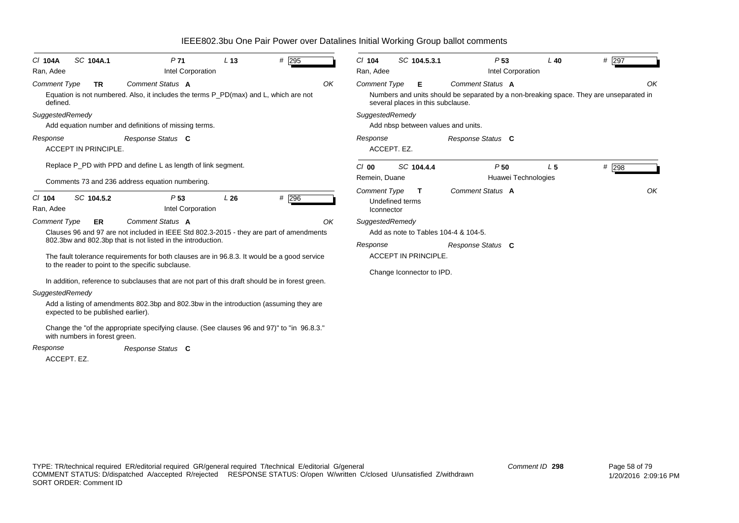| IEEE802.3bu One Pair Power over Datalines Initial Working Group ballot comments |  |  |
|---------------------------------------------------------------------------------|--|--|
|                                                                                 |  |  |

| SC 104A.1<br>P <sub>71</sub><br>L <sub>13</sub><br># 295<br>$CI$ 104A                                                                                          | $Cl$ 104<br>SC 104.5.3.1<br>P <sub>53</sub><br># 297<br>$L$ 40                                                                                                                    |
|----------------------------------------------------------------------------------------------------------------------------------------------------------------|-----------------------------------------------------------------------------------------------------------------------------------------------------------------------------------|
| Intel Corporation<br>Ran, Adee                                                                                                                                 | Intel Corporation<br>Ran, Adee                                                                                                                                                    |
| Comment Status A<br>OK<br><b>Comment Type</b><br><b>TR</b><br>Equation is not numbered. Also, it includes the terms P_PD(max) and L, which are not<br>defined. | Comment Status A<br>OK<br><b>Comment Type</b><br>Е<br>Numbers and units should be separated by a non-breaking space. They are unseparated in<br>several places in this subclause. |
| SuggestedRemedy                                                                                                                                                | SuggestedRemedy                                                                                                                                                                   |
| Add equation number and definitions of missing terms.                                                                                                          | Add nbsp between values and units.                                                                                                                                                |
| Response Status C<br>Response<br><b>ACCEPT IN PRINCIPLE.</b>                                                                                                   | Response<br>Response Status C<br>ACCEPT. EZ.                                                                                                                                      |
| Replace P_PD with PPD and define L as length of link segment.<br>Comments 73 and 236 address equation numbering.                                               | $#$ 298<br>$Cl$ 00<br>SC 104.4.4<br>P <sub>50</sub><br>L <sub>5</sub><br>Huawei Technologies<br>Remein, Duane                                                                     |
| # 296<br>SC 104.5.2<br>P <sub>53</sub><br>L26<br>$CI$ 104<br>Ran, Adee<br>Intel Corporation                                                                    | Comment Status A<br>OK<br><b>Comment Type</b><br>т<br>Undefined terms<br>Iconnector                                                                                               |
| Comment Status A<br>OK<br><b>Comment Type</b><br>ER                                                                                                            | SuggestedRemedy                                                                                                                                                                   |
| Clauses 96 and 97 are not included in IEEE Std 802.3-2015 - they are part of amendments                                                                        | Add as note to Tables 104-4 & 104-5.                                                                                                                                              |
| 802.3bw and 802.3bp that is not listed in the introduction.<br>The fault tolerance requirements for both clauses are in 96.8.3. It would be a good service     | Response<br>Response Status C<br><b>ACCEPT IN PRINCIPLE.</b>                                                                                                                      |
| to the reader to point to the specific subclause.<br>In addition, reference to subclauses that are not part of this draft should be in forest green.           | Change Iconnector to IPD.                                                                                                                                                         |
| SuggestedRemedy                                                                                                                                                |                                                                                                                                                                                   |
| Add a listing of amendments 802.3bp and 802.3bw in the introduction (assuming they are<br>expected to be published earlier).                                   |                                                                                                                                                                                   |
| Change the "of the appropriate specifying clause. (See clauses 96 and 97)" to "in 96.8.3."<br>with numbers in forest green.                                    |                                                                                                                                                                                   |
| Response Status C<br>Response                                                                                                                                  |                                                                                                                                                                                   |
| ACCEPT. EZ.                                                                                                                                                    |                                                                                                                                                                                   |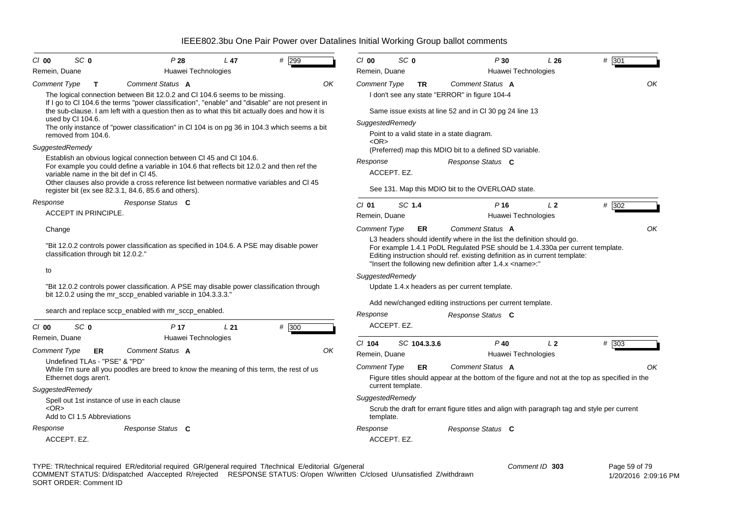| $Cl$ 00<br>SC 0                                                                           | P28<br>L <sub>47</sub>                                                                                                                                                         | #<br>299 | SC <sub>0</sub><br>$Cl$ 00   | P30                                                                                                                                                                                                                                                                                                        | L26            | # 301   |
|-------------------------------------------------------------------------------------------|--------------------------------------------------------------------------------------------------------------------------------------------------------------------------------|----------|------------------------------|------------------------------------------------------------------------------------------------------------------------------------------------------------------------------------------------------------------------------------------------------------------------------------------------------------|----------------|---------|
| Remein, Duane                                                                             | Huawei Technologies                                                                                                                                                            |          | Remein, Duane                | Huawei Technologies                                                                                                                                                                                                                                                                                        |                |         |
| <b>Comment Type</b><br>т                                                                  | Comment Status A                                                                                                                                                               | OK       | <b>Comment Type</b><br>TR.   | Comment Status A                                                                                                                                                                                                                                                                                           |                | OK      |
|                                                                                           | The logical connection between Bit 12.0.2 and Cl 104.6 seems to be missing.<br>If I go to CI 104.6 the terms "power classification", "enable" and "disable" are not present in |          |                              | I don't see any state "ERROR" in figure 104-4                                                                                                                                                                                                                                                              |                |         |
|                                                                                           | the sub-clause. I am left with a question then as to what this bit actually does and how it is                                                                                 |          |                              | Same issue exists at line 52 and in CI 30 pg 24 line 13                                                                                                                                                                                                                                                    |                |         |
| used by Cl 104.6.                                                                         | The only instance of "power classification" in CI 104 is on pg 36 in 104.3 which seems a bit                                                                                   |          | SuggestedRemedy              |                                                                                                                                                                                                                                                                                                            |                |         |
| removed from 104.6.                                                                       |                                                                                                                                                                                |          | $<$ OR $>$                   | Point to a valid state in a state diagram.                                                                                                                                                                                                                                                                 |                |         |
| SuggestedRemedy                                                                           |                                                                                                                                                                                |          |                              | (Preferred) map this MDIO bit to a defined SD variable.                                                                                                                                                                                                                                                    |                |         |
|                                                                                           | Establish an obvious logical connection between CI 45 and CI 104.6.<br>For example you could define a variable in 104.6 that reflects bit 12.0.2 and then ref the              |          | Response                     | Response Status C                                                                                                                                                                                                                                                                                          |                |         |
| variable name in the bit def in CI 45.                                                    |                                                                                                                                                                                |          | ACCEPT. EZ.                  |                                                                                                                                                                                                                                                                                                            |                |         |
|                                                                                           | Other clauses also provide a cross reference list between normative variables and Cl 45<br>register bit (ex see 82.3.1, 84.6, 85.6 and others).                                |          |                              | See 131. Map this MDIO bit to the OVERLOAD state.                                                                                                                                                                                                                                                          |                |         |
| Response                                                                                  | Response Status C                                                                                                                                                              |          | SC 1.4<br>$Cl$ 01            | $P$ 16                                                                                                                                                                                                                                                                                                     | L <sub>2</sub> | # 302   |
| <b>ACCEPT IN PRINCIPLE.</b>                                                               |                                                                                                                                                                                |          | Remein, Duane                | Huawei Technologies                                                                                                                                                                                                                                                                                        |                |         |
| Change                                                                                    |                                                                                                                                                                                |          | <b>Comment Type</b><br>ER    | Comment Status A                                                                                                                                                                                                                                                                                           |                | OK      |
| classification through bit 12.0.2."                                                       | "Bit 12.0.2 controls power classification as specified in 104.6. A PSE may disable power                                                                                       |          |                              | L3 headers should identify where in the list the definition should go.<br>For example 1.4.1 PoDL Regulated PSE should be 1.4.330a per current template.<br>Editing instruction should ref. existing definition as in current template:<br>"Insert the following new definition after 1.4.x <name>:"</name> |                |         |
| to                                                                                        |                                                                                                                                                                                |          | SuggestedRemedy              |                                                                                                                                                                                                                                                                                                            |                |         |
|                                                                                           | "Bit 12.0.2 controls power classification. A PSE may disable power classification through<br>bit 12.0.2 using the mr_sccp_enabled variable in 104.3.3.3."                      |          |                              | Update 1.4.x headers as per current template.                                                                                                                                                                                                                                                              |                |         |
|                                                                                           |                                                                                                                                                                                |          |                              | Add new/changed editing instructions per current template.                                                                                                                                                                                                                                                 |                |         |
|                                                                                           | search and replace sccp_enabled with mr_sccp_enabled.                                                                                                                          |          | Response                     | Response Status C                                                                                                                                                                                                                                                                                          |                |         |
| SC <sub>0</sub><br>$Cl$ 00                                                                | P <sub>17</sub><br>L21                                                                                                                                                         | # 300    | ACCEPT. EZ.                  |                                                                                                                                                                                                                                                                                                            |                |         |
| Remein, Duane                                                                             | Huawei Technologies                                                                                                                                                            |          | CI 104<br>SC 104.3.3.6       | $P$ 40                                                                                                                                                                                                                                                                                                     | L <sub>2</sub> | $#$ 303 |
| Comment Type<br>ER<br>Undefined TLAs - "PSE" & "PD"                                       | Comment Status A                                                                                                                                                               | OK       | Remein, Duane                | Huawei Technologies                                                                                                                                                                                                                                                                                        |                |         |
|                                                                                           | While I'm sure all you poodles are breed to know the meaning of this term, the rest of us                                                                                      |          | <b>Comment Type</b><br>ER    | Comment Status A                                                                                                                                                                                                                                                                                           |                | OK      |
| Ethernet dogs aren't.                                                                     |                                                                                                                                                                                |          |                              | Figure titles should appear at the bottom of the figure and not at the top as specified in the                                                                                                                                                                                                             |                |         |
| SuggestedRemedy                                                                           |                                                                                                                                                                                |          | current template.            |                                                                                                                                                                                                                                                                                                            |                |         |
| Spell out 1st instance of use in each clause<br>$<$ OR $>$<br>Add to CI 1.5 Abbreviations |                                                                                                                                                                                |          | SuggestedRemedy<br>template. | Scrub the draft for errant figure titles and align with paragraph tag and style per current                                                                                                                                                                                                                |                |         |
| Response                                                                                  | Response Status C                                                                                                                                                              |          | Response                     | Response Status C                                                                                                                                                                                                                                                                                          |                |         |
|                                                                                           |                                                                                                                                                                                |          |                              |                                                                                                                                                                                                                                                                                                            |                |         |

TYPE: TR/technical required ER/editorial required GR/general required T/technical E/editorial G/general COMMENT STATUS: D/dispatched A/accepted R/rejected RESPONSE STATUS: O/open W/written C/closed U/unsatisfied Z/withdrawn SORT ORDER: Comment ID *Comment ID* **303**

 Page 59 of 79 1/20/2016 2:09:16 PM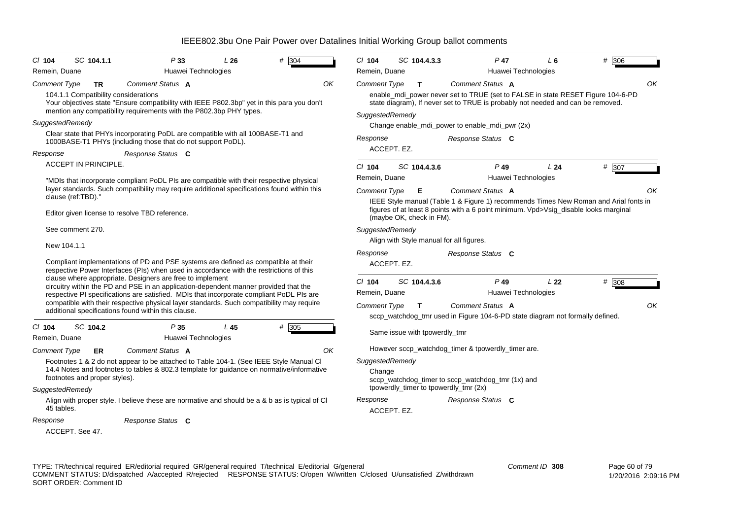| # 304<br>CI 104<br>SC 104.1.1<br>P33<br>L26                                                                                                                                                                                                               | # 306<br>$Cl$ 104<br>SC 104.4.3.3<br>$P$ 47<br>$L_6$                                                                                                                                                                                         |
|-----------------------------------------------------------------------------------------------------------------------------------------------------------------------------------------------------------------------------------------------------------|----------------------------------------------------------------------------------------------------------------------------------------------------------------------------------------------------------------------------------------------|
| Remein, Duane<br>Huawei Technologies                                                                                                                                                                                                                      | Remein, Duane<br>Huawei Technologies                                                                                                                                                                                                         |
| Comment Status A<br>OΚ<br>Comment Type<br>TR<br>104.1.1 Compatibility considerations<br>Your objectives state "Ensure compatibility with IEEE P802.3bp" yet in this para you don't<br>mention any compatibility requirements with the P802.3bp PHY types. | OK<br>Comment Status A<br><b>Comment Type</b><br>T.<br>enable_mdi_power never set to TRUE (set to FALSE in state RESET Figure 104-6-PD<br>state diagram), If never set to TRUE is probably not needed and can be removed.<br>SuggestedRemedy |
| <b>SuggestedRemedy</b>                                                                                                                                                                                                                                    | Change enable_mdi_power to enable_mdi_pwr (2x)                                                                                                                                                                                               |
| Clear state that PHYs incorporating PoDL are compatible with all 100BASE-T1 and<br>1000BASE-T1 PHYs (including those that do not support PoDL).                                                                                                           | Response<br>Response Status C                                                                                                                                                                                                                |
| Response<br>Response Status C                                                                                                                                                                                                                             | ACCEPT. EZ.                                                                                                                                                                                                                                  |
| <b>ACCEPT IN PRINCIPLE.</b>                                                                                                                                                                                                                               | # 307<br>$Cl$ 104<br>SC 104.4.3.6<br>$P$ 49<br>L24                                                                                                                                                                                           |
| "MDIs that incorporate compliant PoDL PIs are compatible with their respective physical                                                                                                                                                                   | Huawei Technologies<br>Remein, Duane                                                                                                                                                                                                         |
| layer standards. Such compatibility may require additional specifications found within this<br>clause (ref:TBD)."                                                                                                                                         | Comment Status A<br>OK<br><b>Comment Type</b><br>Е                                                                                                                                                                                           |
| Editor given license to resolve TBD reference.                                                                                                                                                                                                            | IEEE Style manual (Table 1 & Figure 1) recommends Times New Roman and Arial fonts in<br>figures of at least 8 points with a 6 point minimum. Vpd>Vsig_disable looks marginal<br>(maybe OK, check in FM).                                     |
| See comment 270.                                                                                                                                                                                                                                          | SuggestedRemedy                                                                                                                                                                                                                              |
| New 104.1.1                                                                                                                                                                                                                                               | Align with Style manual for all figures.                                                                                                                                                                                                     |
|                                                                                                                                                                                                                                                           | Response<br>Response Status C                                                                                                                                                                                                                |
| Compliant implementations of PD and PSE systems are defined as compatible at their<br>respective Power Interfaces (PIs) when used in accordance with the restrictions of this                                                                             | ACCEPT. EZ.                                                                                                                                                                                                                                  |
| clause where appropriate. Designers are free to implement<br>circuitry within the PD and PSE in an application-dependent manner provided that the<br>respective PI specifications are satisfied. MDIs that incorporate compliant PoDL PIs are             | SC 104.4.3.6<br>$P$ 49<br>L <sub>22</sub><br># 308<br>$CI$ 104<br>Huawei Technologies<br>Remein, Duane                                                                                                                                       |
| compatible with their respective physical layer standards. Such compatibility may require<br>additional specifications found within this clause.                                                                                                          | OK<br><b>Comment Type</b><br>Comment Status A<br>$\mathbf{T}$<br>sccp_watchdog_tmr used in Figure 104-6-PD state diagram not formally defined.                                                                                               |
| SC 104.2<br>P35<br>L45<br># 305<br>CI 104<br>Remein, Duane<br>Huawei Technologies                                                                                                                                                                         | Same issue with tpowerdly_tmr                                                                                                                                                                                                                |
| Comment Status A<br>ΟK<br><b>Comment Type</b><br><b>ER</b>                                                                                                                                                                                                | However sccp_watchdog_timer & tpowerdly_timer are.                                                                                                                                                                                           |
| Footnotes 1 & 2 do not appear to be attached to Table 104-1. (See IEEE Style Manual CI                                                                                                                                                                    | SuggestedRemedy                                                                                                                                                                                                                              |
| 14.4 Notes and footnotes to tables & 802.3 template for guidance on normative/informative<br>footnotes and proper styles).                                                                                                                                | Change<br>sccp_watchdog_timer to sccp_watchdog_tmr (1x) and                                                                                                                                                                                  |
| SuggestedRemedy                                                                                                                                                                                                                                           | tpowerdly_timer to tpowerdly_tmr (2x)                                                                                                                                                                                                        |
| Align with proper style. I believe these are normative and should be a & b as is typical of CI<br>45 tables.                                                                                                                                              | Response<br>Response Status C<br>ACCEPT. EZ.                                                                                                                                                                                                 |
| Response<br>Response Status C                                                                                                                                                                                                                             |                                                                                                                                                                                                                                              |
| ACCEPT. See 47.                                                                                                                                                                                                                                           |                                                                                                                                                                                                                                              |
|                                                                                                                                                                                                                                                           |                                                                                                                                                                                                                                              |

TYPE: TR/technical required ER/editorial required GR/general required T/technical E/editorial G/general COMMENT STATUS: D/dispatched A/accepted R/rejected RESPONSE STATUS: O/open W/written C/closed U/unsatisfied Z/withdrawn SORT ORDER: Comment ID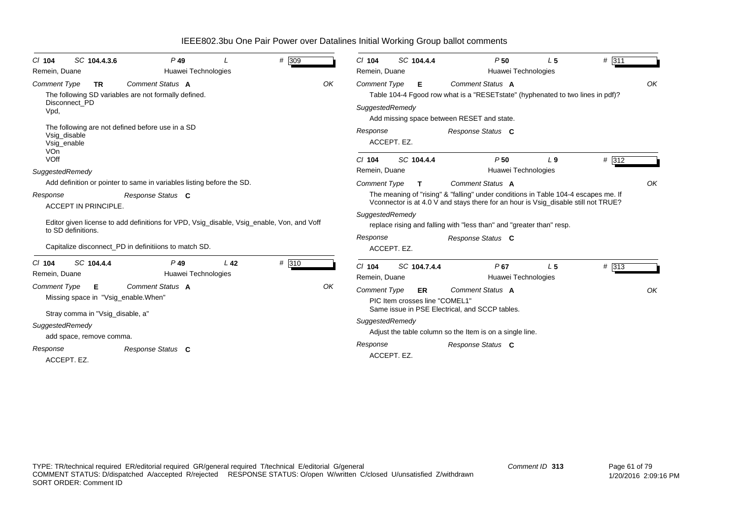| SC 104.4.3.6<br>$P$ 49<br>$Cl$ 104<br>Huawei Technologies<br>Remein, Duane                                                                                                      | # 309 | SC 104.4.4<br>$CI$ 104<br>Remein, Duane                     | P50<br>L <sub>5</sub><br>Huawei Technologies                                                                                                                                                                                                     | # 311 |
|---------------------------------------------------------------------------------------------------------------------------------------------------------------------------------|-------|-------------------------------------------------------------|--------------------------------------------------------------------------------------------------------------------------------------------------------------------------------------------------------------------------------------------------|-------|
| Comment Status A<br><b>Comment Type</b><br><b>TR</b><br>The following SD variables are not formally defined.<br>Disconnect PD<br>Vpd,                                           | OK    | <b>Comment Type</b><br>Е<br>SuggestedRemedy                 | Comment Status A<br>Table 104-4 Fgood row what is a "RESET state" (hyphenated to two lines in pdf)?<br>Add missing space between RESET and state.                                                                                                | OK    |
| The following are not defined before use in a SD<br>Vsig_disable<br>Vsig_enable<br><b>VOn</b><br>VOff                                                                           |       | Response<br>ACCEPT. EZ.<br>$Cl$ 104<br>SC 104.4.4           | Response Status C<br>P50<br>L <sub>9</sub>                                                                                                                                                                                                       | # 312 |
| SuggestedRemedy                                                                                                                                                                 |       | Remein, Duane                                               | Huawei Technologies                                                                                                                                                                                                                              |       |
| Add definition or pointer to same in variables listing before the SD.                                                                                                           |       | <b>Comment Type</b><br>T.                                   | Comment Status A                                                                                                                                                                                                                                 | OK    |
| Response<br>Response Status C<br><b>ACCEPT IN PRINCIPLE.</b><br>Editor given license to add definitions for VPD, Vsig_disable, Vsig_enable, Von, and Voff<br>to SD definitions. |       | SuggestedRemedy                                             | The meaning of "rising" & "falling" under conditions in Table 104-4 escapes me. If<br>Vconnector is at 4.0 V and stays there for an hour is Vsig_disable still not TRUE?<br>replace rising and falling with "less than" and "greater than" resp. |       |
| Capitalize disconnect PD in definitiions to match SD.                                                                                                                           |       | Response<br>ACCEPT. EZ.                                     | Response Status C                                                                                                                                                                                                                                |       |
| SC 104.4.4<br>$P$ 49<br>L <sub>42</sub><br>$CI$ 104<br>Huawei Technologies<br>Remein, Duane                                                                                     | # 310 | C/ 104<br>SC 104.7.4.4<br>Remein, Duane                     | P67<br>L <sub>5</sub><br>Huawei Technologies                                                                                                                                                                                                     | # 313 |
| <b>Comment Status A</b><br><b>Comment Type</b><br>Е.<br>Missing space in "Vsig_enable. When"<br>Stray comma in "Vsig_disable, a"                                                | OK    | <b>Comment Type</b><br>ER<br>PIC Item crosses line "COMEL1" | Comment Status A<br>Same issue in PSE Electrical, and SCCP tables.                                                                                                                                                                               | OK    |
| SuggestedRemedy<br>add space, remove comma.                                                                                                                                     |       | SuggestedRemedy                                             | Adjust the table column so the Item is on a single line.                                                                                                                                                                                         |       |
| Response<br>Response Status C<br>ACCEPT. EZ.                                                                                                                                    |       | Response<br>ACCEPT. EZ.                                     | Response Status C                                                                                                                                                                                                                                |       |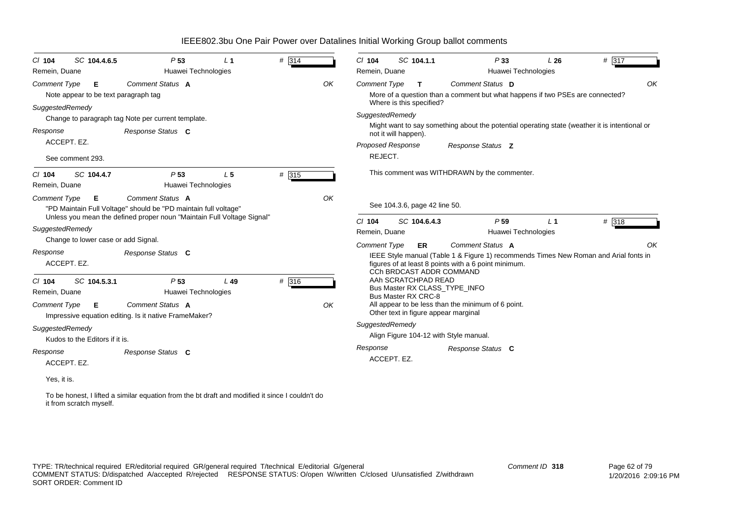| SC 104.4.6.5<br>$CI$ 104                                         | P <sub>53</sub>                                                                                                                                               | L <sub>1</sub> | # 314 |    | $CI$ 104                 | SC 104.1.1                               |                                                      | P33                 | L26                                                                           | # 317                                                                                         |
|------------------------------------------------------------------|---------------------------------------------------------------------------------------------------------------------------------------------------------------|----------------|-------|----|--------------------------|------------------------------------------|------------------------------------------------------|---------------------|-------------------------------------------------------------------------------|-----------------------------------------------------------------------------------------------|
| Remein, Duane                                                    | Huawei Technologies                                                                                                                                           |                |       |    | Remein, Duane            |                                          |                                                      | Huawei Technologies |                                                                               |                                                                                               |
| <b>Comment Type</b><br>Е<br>Note appear to be text paragraph tag | Comment Status A                                                                                                                                              |                |       | OK | <b>Comment Type</b>      | $\mathbf{T}$<br>Where is this specified? | Comment Status D                                     |                     | More of a question than a comment but what happens if two PSEs are connected? | OK                                                                                            |
| SuggestedRemedy                                                  |                                                                                                                                                               |                |       |    | SuggestedRemedy          |                                          |                                                      |                     |                                                                               |                                                                                               |
|                                                                  | Change to paragraph tag Note per current template.                                                                                                            |                |       |    |                          |                                          |                                                      |                     |                                                                               | Might want to say something about the potential operating state (weather it is intentional or |
| Response                                                         | Response Status C                                                                                                                                             |                |       |    |                          | not it will happen).                     |                                                      |                     |                                                                               |                                                                                               |
| ACCEPT. EZ.                                                      |                                                                                                                                                               |                |       |    | <b>Proposed Response</b> |                                          | Response Status Z                                    |                     |                                                                               |                                                                                               |
| See comment 293.                                                 |                                                                                                                                                               |                |       |    | REJECT.                  |                                          |                                                      |                     |                                                                               |                                                                                               |
| SC 104.4.7<br>$Cl$ 104<br>Remein, Duane                          | P <sub>53</sub><br>Huawei Technologies                                                                                                                        | L <sub>5</sub> | # 315 |    |                          |                                          | This comment was WITHDRAWN by the commenter.         |                     |                                                                               |                                                                                               |
| <b>Comment Type</b><br>Е                                         | Comment Status A<br>"PD Maintain Full Voltage" should be "PD maintain full voltage"<br>Unless you mean the defined proper noun "Maintain Full Voltage Signal" |                |       | OK |                          | See 104.3.6, page 42 line 50.            |                                                      |                     |                                                                               |                                                                                               |
|                                                                  |                                                                                                                                                               |                |       |    | $Cl$ 104                 | SC 104.6.4.3                             |                                                      | P <sub>59</sub>     | L <sub>1</sub>                                                                | # 318                                                                                         |
| SuggestedRemedy<br>Change to lower case or add Signal.           |                                                                                                                                                               |                |       |    | Remein, Duane            |                                          |                                                      | Huawei Technologies |                                                                               |                                                                                               |
|                                                                  |                                                                                                                                                               |                |       |    | <b>Comment Type</b>      | <b>ER</b>                                | Comment Status A                                     |                     |                                                                               | OK                                                                                            |
| Response<br>ACCEPT. EZ.                                          | Response Status C                                                                                                                                             |                |       |    |                          | CCh BRDCAST ADDR COMMAND                 | figures of at least 8 points with a 6 point minimum. |                     |                                                                               | IEEE Style manual (Table 1 & Figure 1) recommends Times New Roman and Arial fonts in          |
| SC 104.5.3.1<br>$CI$ 104                                         | P <sub>53</sub>                                                                                                                                               | L49            | # 316 |    |                          | AAh SCRATCHPAD READ                      | Bus Master RX CLASS TYPE INFO                        |                     |                                                                               |                                                                                               |
| Remein, Duane                                                    | Huawei Technologies                                                                                                                                           |                |       |    |                          | <b>Bus Master RX CRC-8</b>               |                                                      |                     |                                                                               |                                                                                               |
| <b>Comment Type</b><br>E                                         | Comment Status A<br>Impressive equation editing. Is it native FrameMaker?                                                                                     |                |       | OK |                          | Other text in figure appear marginal     | All appear to be less than the minimum of 6 point.   |                     |                                                                               |                                                                                               |
| SuggestedRemedy                                                  |                                                                                                                                                               |                |       |    | SuggestedRemedy          |                                          |                                                      |                     |                                                                               |                                                                                               |
| Kudos to the Editors if it is.                                   |                                                                                                                                                               |                |       |    |                          |                                          | Align Figure 104-12 with Style manual.               |                     |                                                                               |                                                                                               |
| Response                                                         | Response Status C                                                                                                                                             |                |       |    | Response                 |                                          | Response Status C                                    |                     |                                                                               |                                                                                               |
| ACCEPT. EZ.                                                      |                                                                                                                                                               |                |       |    |                          | ACCEPT. EZ.                              |                                                      |                     |                                                                               |                                                                                               |
| Yes, it is.                                                      |                                                                                                                                                               |                |       |    |                          |                                          |                                                      |                     |                                                                               |                                                                                               |

To be honest, I lifted a similar equation from the bt draft and modified it since I couldn't do it from scratch myself.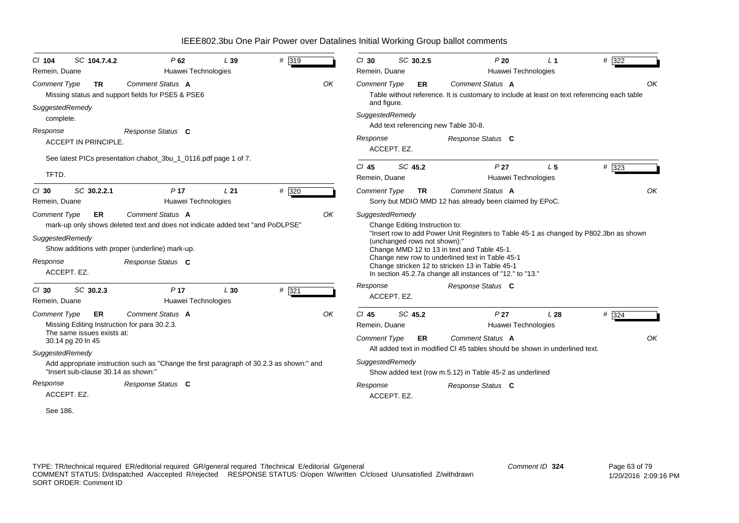| SC 104.7.4.2<br>C/ 104<br>Remein, Duane                                                                                                                | P62<br>Huawei Technologies                                                                                                                                                 | L39             | # 319 |    | $Cl$ 30<br>Remein, Duane                        | SC 30.2.5                                                      | P20<br>Huawei Technologies                                                                                                                                                                                                                                                                              | L <sub>1</sub> | # 322       |
|--------------------------------------------------------------------------------------------------------------------------------------------------------|----------------------------------------------------------------------------------------------------------------------------------------------------------------------------|-----------------|-------|----|-------------------------------------------------|----------------------------------------------------------------|---------------------------------------------------------------------------------------------------------------------------------------------------------------------------------------------------------------------------------------------------------------------------------------------------------|----------------|-------------|
| Comment Type<br><b>TR</b>                                                                                                                              | Comment Status A<br>Missing status and support fields for PSE5 & PSE6                                                                                                      |                 |       | OK | <b>Comment Type</b><br>and figure.              | <b>ER</b>                                                      | Comment Status A<br>Table without reference. It is customary to include at least on text referencing each table                                                                                                                                                                                         |                | OK          |
| SuggestedRemedy<br>complete.                                                                                                                           |                                                                                                                                                                            |                 |       |    | SuggestedRemedy                                 |                                                                | Add text referencing new Table 30-8.                                                                                                                                                                                                                                                                    |                |             |
| Response<br>ACCEPT IN PRINCIPLE.                                                                                                                       | Response Status C                                                                                                                                                          |                 |       |    | Response                                        | ACCEPT. EZ.                                                    | Response Status C                                                                                                                                                                                                                                                                                       |                |             |
| TFTD.                                                                                                                                                  | See latest PICs presentation chabot_3bu_1_0116.pdf page 1 of 7.                                                                                                            |                 |       |    | $CI$ 45<br>Remein, Duane                        | SC 45.2                                                        | P <sub>27</sub><br>Huawei Technologies                                                                                                                                                                                                                                                                  | L <sub>5</sub> | # 323       |
| SC 30.2.2.1<br>$Cl$ 30<br>Remein, Duane                                                                                                                | P <sub>17</sub><br>Huawei Technologies                                                                                                                                     | L <sub>21</sub> | # 320 |    | <b>Comment Type</b>                             | <b>TR</b>                                                      | Comment Status A<br>Sorry but MDIO MMD 12 has already been claimed by EPoC.                                                                                                                                                                                                                             |                | OK          |
| <b>Comment Type</b><br><b>ER</b><br>SuggestedRemedy<br>Response<br>ACCEPT. EZ.                                                                         | Comment Status A<br>mark-up only shows deleted text and does not indicate added text "and PoDLPSE"<br>Show additions with proper (underline) mark-up.<br>Response Status C |                 |       | OK | SuggestedRemedy                                 | Change Editing Instruction to:<br>(unchanged rows not shown):" | "Insert row to add Power Unit Registers to Table 45-1 as changed by P802.3bn as shown<br>Change MMD 12 to 13 in text and Table 45-1.<br>Change new row to underlined text in Table 45-1<br>Change stricken 12 to stricken 13 in Table 45-1<br>In section 45.2.7a change all instances of "12." to "13." |                |             |
| SC 30.2.3<br>$Cl$ 30<br>Remein, Duane                                                                                                                  | P <sub>17</sub><br>Huawei Technologies                                                                                                                                     | L30             | # 321 |    | Response                                        | ACCEPT. EZ.                                                    | Response Status C                                                                                                                                                                                                                                                                                       |                |             |
| <b>Comment Type</b><br><b>ER</b><br>Missing Editing Instruction for para 30.2.3.<br>The same issues exists at:<br>30.14 pg 20 ln 45<br>SuggestedRemedy | Comment Status A                                                                                                                                                           |                 |       | OK | $CI$ 45<br>Remein, Duane<br><b>Comment Type</b> | SC 45.2<br><b>ER</b>                                           | P <sub>27</sub><br>Huawei Technologies<br>Comment Status A<br>All added text in modified CI 45 tables should be shown in underlined text.                                                                                                                                                               | L28            | # 324<br>OK |
| "Insert sub-clause 30.14 as shown:"                                                                                                                    | Add appropriate instruction such as "Change the first paragraph of 30.2.3 as shown:" and                                                                                   |                 |       |    | SuggestedRemedy                                 |                                                                | Show added text (row m.5.12) in Table 45-2 as underlined                                                                                                                                                                                                                                                |                |             |
| Response<br>ACCEPT. EZ.                                                                                                                                | Response Status C                                                                                                                                                          |                 |       |    | Response                                        | ACCEPT. EZ.                                                    | Response Status C                                                                                                                                                                                                                                                                                       |                |             |

See 186.

TYPE: TR/technical required ER/editorial required GR/general required T/technical E/editorial G/general COMMENT STATUS: D/dispatched A/accepted R/rejected RESPONSE STATUS: O/open W/written C/closed U/unsatisfied Z/withdrawn SORT ORDER: Comment ID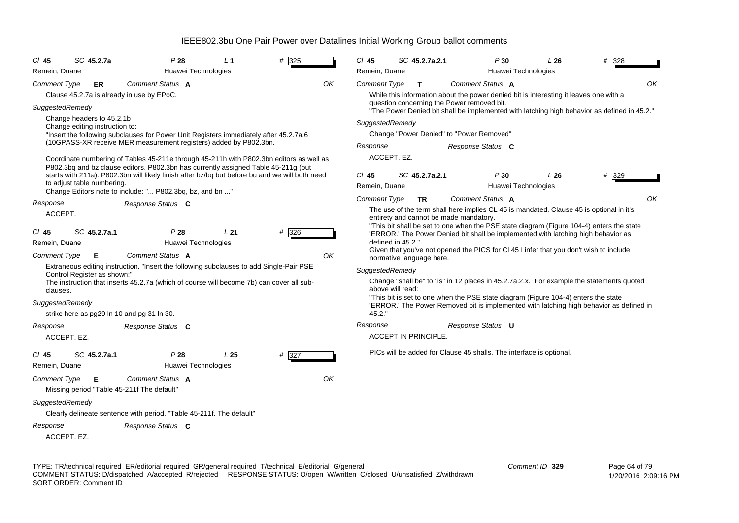| $CI$ 45<br>Remein, Duane | SC 45.2.7a                                                  | P28                                                                                                                                                                                  | L <sub>1</sub><br>Huawei Technologies | # 325 | $CI$ 45<br>Remein, Duane | SC 45.2.7a.2.1              | P30                                                                                                                                                                           | L26<br>Huawei Technologies | # 328 |
|--------------------------|-------------------------------------------------------------|--------------------------------------------------------------------------------------------------------------------------------------------------------------------------------------|---------------------------------------|-------|--------------------------|-----------------------------|-------------------------------------------------------------------------------------------------------------------------------------------------------------------------------|----------------------------|-------|
|                          |                                                             | Comment Status A                                                                                                                                                                     |                                       |       | ΟK                       |                             | Comment Status A                                                                                                                                                              |                            | OK    |
| Comment Type             | ER.                                                         | Clause 45.2.7a is already in use by EPoC.                                                                                                                                            |                                       |       | Comment Type             | $\mathbf{T}$                | While this information about the power denied bit is interesting it leaves one with a<br>question concerning the Power removed bit.                                           |                            |       |
| SuggestedRemedy          |                                                             |                                                                                                                                                                                      |                                       |       |                          |                             | "The Power Denied bit shall be implemented with latching high behavior as defined in 45.2."                                                                                   |                            |       |
|                          | Change headers to 45.2.1b<br>Change editing instruction to: |                                                                                                                                                                                      |                                       |       |                          | SuggestedRemedy             |                                                                                                                                                                               |                            |       |
|                          |                                                             | "Insert the following subclauses for Power Unit Registers immediately after 45.2.7a.6                                                                                                |                                       |       |                          |                             | Change "Power Denied" to "Power Removed"                                                                                                                                      |                            |       |
|                          |                                                             | (10GPASS-XR receive MER measurement registers) added by P802.3bn.                                                                                                                    |                                       |       | Response                 |                             | Response Status C                                                                                                                                                             |                            |       |
|                          |                                                             | Coordinate numbering of Tables 45-211e through 45-211h with P802.3bn editors as well as                                                                                              |                                       |       |                          | ACCEPT. EZ.                 |                                                                                                                                                                               |                            |       |
|                          |                                                             | P802.3bq and bz clause editors. P802.3bn has currently assigned Table 45-211g (but<br>starts with 211a). P802.3bn will likely finish after bz/bq but before bu and we will both need |                                       |       | $Cl$ 45                  | SC 45.2.7a.2.1              | P30                                                                                                                                                                           | L26                        | # 329 |
|                          | to adjust table numbering.                                  | Change Editors note to include: " P802.3bq, bz, and bn "                                                                                                                             |                                       |       | Remein, Duane            |                             |                                                                                                                                                                               | Huawei Technologies        |       |
| Response                 |                                                             | Response Status C                                                                                                                                                                    |                                       |       | <b>Comment Type</b>      | TR.                         | Comment Status A                                                                                                                                                              |                            | OK    |
| ACCEPT.                  |                                                             |                                                                                                                                                                                      |                                       |       |                          |                             | The use of the term shall here implies CL 45 is mandated. Clause 45 is optional in it's<br>entirety and cannot be made mandatory.                                             |                            |       |
| $CI$ 45<br>Remein, Duane | SC 45.2.7a.1                                                | P28<br>Huawei Technologies                                                                                                                                                           | L21                                   | # 326 |                          | defined in 45.2."           | "This bit shall be set to one when the PSE state diagram (Figure 104-4) enters the state<br>'ERROR.' The Power Denied bit shall be implemented with latching high behavior as |                            |       |
| <b>Comment Type</b>      | Е                                                           | Comment Status A                                                                                                                                                                     |                                       |       | OK                       | normative language here.    | Given that you've not opened the PICS for CI 45 I infer that you don't wish to include                                                                                        |                            |       |
|                          | Control Register as shown:"                                 | Extraneous editing instruction. "Insert the following subclauses to add Single-Pair PSE                                                                                              |                                       |       |                          | SuggestedRemedy             |                                                                                                                                                                               |                            |       |
| clauses.                 |                                                             | The instruction that inserts 45.2.7a (which of course will become 7b) can cover all sub-                                                                                             |                                       |       |                          | above will read:            | Change "shall be" to "is" in 12 places in 45.2.7a.2.x. For example the statements quoted                                                                                      |                            |       |
| SuggestedRemedy          |                                                             | strike here as pg29 In 10 and pg 31 In 30.                                                                                                                                           |                                       |       | 45.2."                   |                             | "This bit is set to one when the PSE state diagram (Figure 104-4) enters the state<br>'ERROR.' The Power Removed bit is implemented with latching high behavior as defined in |                            |       |
| Response                 |                                                             | Response Status C                                                                                                                                                                    |                                       |       | Response                 |                             | Response Status U                                                                                                                                                             |                            |       |
|                          | ACCEPT. EZ.                                                 |                                                                                                                                                                                      |                                       |       |                          | <b>ACCEPT IN PRINCIPLE.</b> |                                                                                                                                                                               |                            |       |
| $CI$ 45<br>Remein, Duane | SC 45.2.7a.1                                                | P28<br>Huawei Technologies                                                                                                                                                           | L <sub>25</sub>                       | # 327 |                          |                             | PICs will be added for Clause 45 shalls. The interface is optional.                                                                                                           |                            |       |
| <b>Comment Type</b>      | Е                                                           | Comment Status A<br>Missing period "Table 45-211f The default"                                                                                                                       |                                       |       | OK                       |                             |                                                                                                                                                                               |                            |       |
| SuggestedRemedy          |                                                             | Clearly delineate sentence with period. "Table 45-211f. The default"                                                                                                                 |                                       |       |                          |                             |                                                                                                                                                                               |                            |       |
| Response                 | ACCEPT. EZ.                                                 | Response Status C                                                                                                                                                                    |                                       |       |                          |                             |                                                                                                                                                                               |                            |       |
|                          |                                                             |                                                                                                                                                                                      |                                       |       |                          |                             |                                                                                                                                                                               |                            |       |

TYPE: TR/technical required ER/editorial required GR/general required T/technical E/editorial G/general COMMENT STATUS: D/dispatched A/accepted R/rejected RESPONSE STATUS: O/open W/written C/closed U/unsatisfied Z/withdrawn SORT ORDER: Comment ID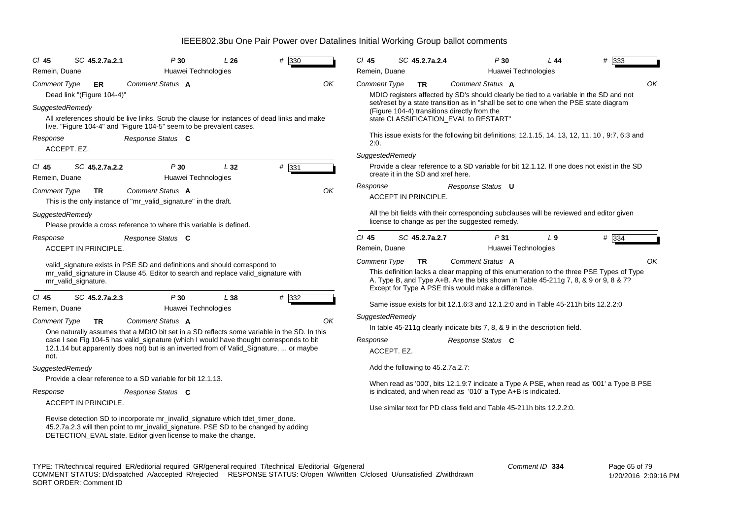| $CI$ 45<br>SC 45.2.7a.2.1<br>P30<br>L26<br>Remein, Duane<br>Huawei Technologies                                                                                                                                                                                      | # 330 | CI 45<br>Remein, Duane   | SC 45.2.7a.2.4                     | P30                                                                                                                                                                                                                                                                                          | L 44<br>Huawei Technologies           | # 333                                                                                          |
|----------------------------------------------------------------------------------------------------------------------------------------------------------------------------------------------------------------------------------------------------------------------|-------|--------------------------|------------------------------------|----------------------------------------------------------------------------------------------------------------------------------------------------------------------------------------------------------------------------------------------------------------------------------------------|---------------------------------------|------------------------------------------------------------------------------------------------|
| Comment Status A<br><b>Comment Type</b><br>ER<br>Dead link "(Figure 104-4)"<br>SuggestedRemedy<br>All xreferences should be live links. Scrub the clause for instances of dead links and make<br>live. "Figure 104-4" and "Figure 104-5" seem to be prevalent cases. | OK    | <b>Comment Type</b>      | TR                                 | Comment Status A<br>MDIO registers affected by SD's should clearly be tied to a variable in the SD and not<br>set/reset by a state transition as in "shall be set to one when the PSE state diagram<br>(Figure 104-4) transitions directly from the<br>state CLASSIFICATION_EVAL to RESTART" |                                       | OK                                                                                             |
| Response<br>Response Status C<br>ACCEPT. EZ.                                                                                                                                                                                                                         |       | 2:0.<br>SuggestedRemedy  |                                    |                                                                                                                                                                                                                                                                                              |                                       | This issue exists for the following bit definitions; 12.1.15, 14, 13, 12, 11, 10, 9:7, 6:3 and |
| SC 45.2.7a.2.2<br>P30<br>L32<br>$CI$ 45<br>Huawei Technologies<br>Remein, Duane                                                                                                                                                                                      | # 331 |                          | create it in the SD and xref here. |                                                                                                                                                                                                                                                                                              |                                       | Provide a clear reference to a SD variable for bit 12.1.12. If one does not exist in the SD    |
| <b>Comment Type</b><br>Comment Status A<br><b>TR</b><br>This is the only instance of "mr_valid_signature" in the draft.                                                                                                                                              | OK    | Response                 | <b>ACCEPT IN PRINCIPLE.</b>        | Response Status <b>U</b>                                                                                                                                                                                                                                                                     |                                       |                                                                                                |
| SuggestedRemedy<br>Please provide a cross reference to where this variable is defined.                                                                                                                                                                               |       |                          |                                    | All the bit fields with their corresponding subclauses will be reviewed and editor given<br>license to change as per the suggested remedy.                                                                                                                                                   |                                       |                                                                                                |
| Response<br>Response Status C<br><b>ACCEPT IN PRINCIPLE.</b>                                                                                                                                                                                                         |       | $Cl$ 45<br>Remein, Duane | SC 45.2.7a.2.7                     | P31                                                                                                                                                                                                                                                                                          | L <sub>9</sub><br>Huawei Technologies | # 334                                                                                          |
| valid_signature exists in PSE SD and definitions and should correspond to<br>mr_valid_signature in Clause 45. Editor to search and replace valid_signature with<br>mr_valid_signature.                                                                               |       | <b>Comment Type</b>      | <b>TR</b>                          | Comment Status A<br>A, Type B, and Type A+B. Are the bits shown in Table 45-211g 7, 8, & 9 or 9, 8 & 7?<br>Except for Type A PSE this would make a difference.                                                                                                                               |                                       | OK<br>This definition lacks a clear mapping of this enumeration to the three PSE Types of Type |
| SC 45.2.7a.2.3<br>P30<br>$CI$ 45<br>L 38<br>Remein, Duane<br>Huawei Technologies                                                                                                                                                                                     | # 332 |                          |                                    | Same issue exists for bit 12.1.6:3 and 12.1.2:0 and in Table 45-211h bits 12.2.2:0                                                                                                                                                                                                           |                                       |                                                                                                |
| Comment Status A<br><b>Comment Type</b><br><b>TR</b><br>One naturally assumes that a MDIO bit set in a SD reflects some variable in the SD. In this                                                                                                                  | OK    | SuggestedRemedy          |                                    | In table 45-211g clearly indicate bits 7, 8, & 9 in the description field.                                                                                                                                                                                                                   |                                       |                                                                                                |
| case I see Fig 104-5 has valid_signature (which I would have thought corresponds to bit<br>12.1.14 but apparently does not) but is an inverted from of Valid_Signature,  or maybe<br>not.                                                                            |       | Response<br>ACCEPT. EZ.  |                                    | Response Status C                                                                                                                                                                                                                                                                            |                                       |                                                                                                |
| SuggestedRemedy                                                                                                                                                                                                                                                      |       |                          | Add the following to 45.2.7a.2.7:  |                                                                                                                                                                                                                                                                                              |                                       |                                                                                                |
| Provide a clear reference to a SD variable for bit 12.1.13.                                                                                                                                                                                                          |       |                          |                                    |                                                                                                                                                                                                                                                                                              |                                       | When read as '000', bits 12.1.9:7 indicate a Type A PSE, when read as '001' a Type B PSE       |
| Response<br>Response Status C                                                                                                                                                                                                                                        |       |                          |                                    | is indicated, and when read as '010' a Type A+B is indicated.                                                                                                                                                                                                                                |                                       |                                                                                                |
| ACCEPT IN PRINCIPLE.                                                                                                                                                                                                                                                 |       |                          |                                    | Use similar text for PD class field and Table 45-211h bits 12.2.2:0.                                                                                                                                                                                                                         |                                       |                                                                                                |
| Revise detection SD to incorporate mr_invalid_signature which tdet_timer_done.<br>45.2.7a.2.3 will then point to mr_invalid_signature. PSE SD to be changed by adding<br>DETECTION_EVAL state. Editor given license to make the change.                              |       |                          |                                    |                                                                                                                                                                                                                                                                                              |                                       |                                                                                                |

TYPE: TR/technical required ER/editorial required GR/general required T/technical E/editorial G/general COMMENT STATUS: D/dispatched A/accepted R/rejected RESPONSE STATUS: O/open W/written C/closed U/unsatisfied Z/withdrawn SORT ORDER: Comment ID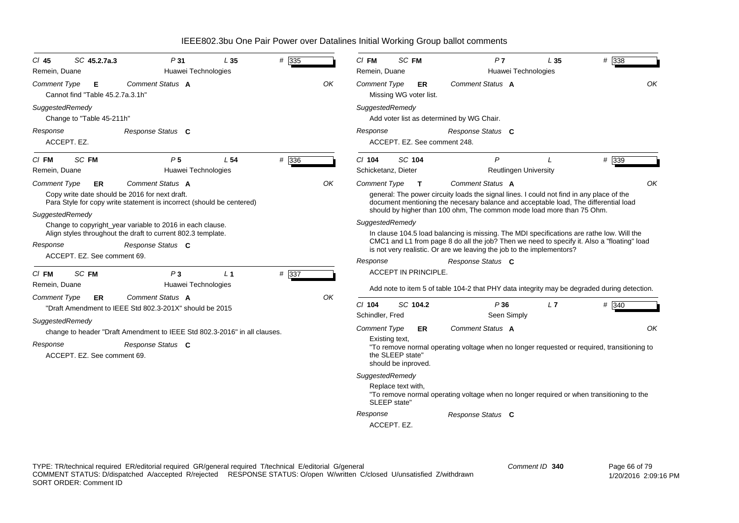| $CI$ 45<br>Remein, Duane | SC 45.2.7a.3                          | P31<br>Huawei Technologies                                                                                                                     | L35             | # 335   |    | $Cl$ FM<br>Remein, Duane              | SC FM                                   | P <sub>7</sub><br>Huawei Technologies                                                                                                                                                                                                                            | L <sub>35</sub> | # 338 |
|--------------------------|---------------------------------------|------------------------------------------------------------------------------------------------------------------------------------------------|-----------------|---------|----|---------------------------------------|-----------------------------------------|------------------------------------------------------------------------------------------------------------------------------------------------------------------------------------------------------------------------------------------------------------------|-----------------|-------|
| <b>Comment Type</b>      | Е<br>Cannot find "Table 45.2.7a.3.1h" | Comment Status A                                                                                                                               |                 |         | OK | <b>Comment Type</b>                   | ER.<br>Missing WG voter list.           | Comment Status A                                                                                                                                                                                                                                                 |                 | OK    |
| SuggestedRemedy          | Change to "Table 45-211h"             |                                                                                                                                                |                 |         |    | SuggestedRemedy                       |                                         | Add voter list as determined by WG Chair.                                                                                                                                                                                                                        |                 |       |
| Response                 | ACCEPT. EZ.                           | Response Status C                                                                                                                              |                 |         |    | Response                              | ACCEPT. EZ. See comment 248.            | Response Status C                                                                                                                                                                                                                                                |                 |       |
| $CI$ FM                  | SC FM                                 | P <sub>5</sub>                                                                                                                                 | L <sub>54</sub> | $#$ 336 |    | $Cl$ 104                              | SC 104                                  | P                                                                                                                                                                                                                                                                | $\prime$        | # 339 |
| Remein, Duane            |                                       | Huawei Technologies                                                                                                                            |                 |         |    | Schicketanz, Dieter                   |                                         | <b>Reutlingen University</b>                                                                                                                                                                                                                                     |                 |       |
| <b>Comment Type</b>      | ER                                    | Comment Status A                                                                                                                               |                 |         | ΟK | Comment Type                          | $\mathbf{T}$                            | Comment Status A                                                                                                                                                                                                                                                 |                 | OK    |
|                          |                                       | Copy write date should be 2016 for next draft.<br>Para Style for copy write statement is incorrect (should be centered)                        |                 |         |    |                                       |                                         | general: The power circuity loads the signal lines. I could not find in any place of the<br>document mentioning the necesary balance and acceptable load, The differential load<br>should by higher than 100 ohm, The common mode load more than 75 Ohm.         |                 |       |
| SuggestedRemedy          |                                       |                                                                                                                                                |                 |         |    | SuggestedRemedy                       |                                         |                                                                                                                                                                                                                                                                  |                 |       |
| Response                 |                                       | Change to copyright_year variable to 2016 in each clause.<br>Align styles throughout the draft to current 802.3 template.<br>Response Status C |                 |         |    |                                       |                                         | In clause 104.5 load balancing is missing. The MDI specifications are rathe low. Will the<br>CMC1 and L1 from page 8 do all the job? Then we need to specify it. Also a "floating" load<br>is not very realistic. Or are we leaving the job to the implementors? |                 |       |
|                          | ACCEPT. EZ. See comment 69.           |                                                                                                                                                |                 |         |    | Response                              |                                         | Response Status C                                                                                                                                                                                                                                                |                 |       |
| $CI$ FM                  | SC FM                                 | $P_3$                                                                                                                                          | L <sub>1</sub>  | # 337   |    |                                       | <b>ACCEPT IN PRINCIPLE.</b>             |                                                                                                                                                                                                                                                                  |                 |       |
| Remein, Duane            |                                       | Huawei Technologies                                                                                                                            |                 |         |    |                                       |                                         | Add note to item 5 of table 104-2 that PHY data integrity may be degraded during detection.                                                                                                                                                                      |                 |       |
| <b>Comment Type</b>      | ER                                    | Comment Status A<br>"Draft Amendment to IEEE Std 802.3-201X" should be 2015                                                                    |                 |         | OK | $Cl$ 104<br>Schindler, Fred           | SC 104.2                                | P36<br>Seen Simply                                                                                                                                                                                                                                               | L7              | # 340 |
| SuggestedRemedy          |                                       |                                                                                                                                                |                 |         |    |                                       |                                         |                                                                                                                                                                                                                                                                  |                 |       |
|                          |                                       | change to header "Draft Amendment to IEEE Std 802.3-2016" in all clauses.                                                                      |                 |         |    | <b>Comment Type</b><br>Existing text, | ER                                      | Comment Status A                                                                                                                                                                                                                                                 |                 | OK    |
| Response                 | ACCEPT. EZ. See comment 69.           | Response Status C                                                                                                                              |                 |         |    |                                       | the SLEEP state"<br>should be inproved. | "To remove normal operating voltage when no longer requested or required, transitioning to                                                                                                                                                                       |                 |       |
|                          |                                       |                                                                                                                                                |                 |         |    | SuggestedRemedy                       |                                         |                                                                                                                                                                                                                                                                  |                 |       |
|                          |                                       |                                                                                                                                                |                 |         |    | SLEEP state"                          | Replace text with,                      | "To remove normal operating voltage when no longer required or when transitioning to the                                                                                                                                                                         |                 |       |
|                          |                                       |                                                                                                                                                |                 |         |    | Response                              |                                         | Response Status C                                                                                                                                                                                                                                                |                 |       |
|                          |                                       |                                                                                                                                                |                 |         |    |                                       | ACCEPT. EZ.                             |                                                                                                                                                                                                                                                                  |                 |       |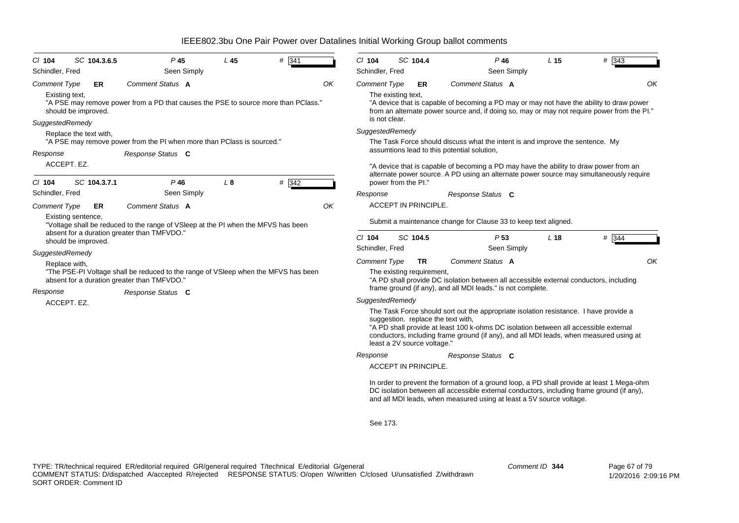| $CI$ 104            | SC 104.3.6.5                          | P <sub>45</sub>                                                                                                                   | L <sub>45</sub> | # 341 | $Cl$ 104                  |                                     | SC 104.4                    | $P$ 46                                                                                                                                                                                                                                                                                                        | L <sub>15</sub> | # 343 |
|---------------------|---------------------------------------|-----------------------------------------------------------------------------------------------------------------------------------|-----------------|-------|---------------------------|-------------------------------------|-----------------------------|---------------------------------------------------------------------------------------------------------------------------------------------------------------------------------------------------------------------------------------------------------------------------------------------------------------|-----------------|-------|
| Schindler, Fred     |                                       | Seen Simply                                                                                                                       |                 |       | Schindler, Fred           |                                     |                             | Seen Simply                                                                                                                                                                                                                                                                                                   |                 |       |
| <b>Comment Type</b> | ER                                    | <b>Comment Status A</b>                                                                                                           |                 |       | OK<br><b>Comment Type</b> |                                     | ER.                         | Comment Status A                                                                                                                                                                                                                                                                                              |                 | OK    |
|                     | Existing text.<br>should be improved. | "A PSE may remove power from a PD that causes the PSE to source more than PClass."                                                |                 |       |                           | The existing text,<br>is not clear. |                             | "A device that is capable of becoming a PD may or may not have the ability to draw power<br>from an alternate power source and, if doing so, may or may not require power from the PI."                                                                                                                       |                 |       |
| SuggestedRemedy     |                                       |                                                                                                                                   |                 |       | SuggestedRemedy           |                                     |                             |                                                                                                                                                                                                                                                                                                               |                 |       |
|                     | Replace the text with,                | "A PSE may remove power from the PI when more than PClass is sourced."                                                            |                 |       |                           |                                     |                             | The Task Force should discuss what the intent is and improve the sentence. My                                                                                                                                                                                                                                 |                 |       |
|                     |                                       |                                                                                                                                   |                 |       |                           |                                     |                             | assumtions lead to this potential solution,                                                                                                                                                                                                                                                                   |                 |       |
| Response            |                                       | Response Status C                                                                                                                 |                 |       |                           |                                     |                             |                                                                                                                                                                                                                                                                                                               |                 |       |
|                     | ACCEPT. EZ.                           |                                                                                                                                   |                 |       |                           |                                     |                             | "A device that is capable of becoming a PD may have the ability to draw power from an                                                                                                                                                                                                                         |                 |       |
| $CI$ 104            | SC 104.3.7.1                          | $P$ 46                                                                                                                            | $L_{\rm 8}$     | # 342 |                           | power from the PI."                 |                             | alternate power source. A PD using an alternate power source may simultaneously require                                                                                                                                                                                                                       |                 |       |
| Schindler, Fred     |                                       | Seen Simply                                                                                                                       |                 |       | Response                  |                                     |                             | Response Status C                                                                                                                                                                                                                                                                                             |                 |       |
| <b>Comment Type</b> | ER.                                   | <b>Comment Status A</b>                                                                                                           |                 |       | OK                        |                                     | <b>ACCEPT IN PRINCIPLE.</b> |                                                                                                                                                                                                                                                                                                               |                 |       |
|                     | Existing sentence.                    | "Voltage shall be reduced to the range of VSIeep at the PI when the MFVS has been                                                 |                 |       |                           |                                     |                             | Submit a maintenance change for Clause 33 to keep text aligned.                                                                                                                                                                                                                                               |                 |       |
|                     | should be improved.                   | absent for a duration greater than TMFVDO."                                                                                       |                 |       | $Cl$ 104                  |                                     | SC 104.5                    | P <sub>53</sub>                                                                                                                                                                                                                                                                                               | L <sub>18</sub> | # 344 |
| SuggestedRemedy     |                                       |                                                                                                                                   |                 |       | Schindler, Fred           |                                     |                             | Seen Simply                                                                                                                                                                                                                                                                                                   |                 |       |
|                     | Replace with,                         |                                                                                                                                   |                 |       | <b>Comment Type</b>       |                                     | <b>TR</b>                   | Comment Status A                                                                                                                                                                                                                                                                                              |                 | OK    |
|                     |                                       | "The PSE-PI Voltage shall be reduced to the range of VSIeep when the MFVS has been<br>absent for a duration greater than TMFVDO." |                 |       |                           |                                     | The existing requirement,   | "A PD shall provide DC isolation between all accessible external conductors, including                                                                                                                                                                                                                        |                 |       |
| Response            |                                       | Response Status C                                                                                                                 |                 |       |                           |                                     |                             | frame ground (if any), and all MDI leads." is not complete.                                                                                                                                                                                                                                                   |                 |       |
|                     | ACCEPT. EZ.                           |                                                                                                                                   |                 |       | SuggestedRemedy           |                                     |                             |                                                                                                                                                                                                                                                                                                               |                 |       |
|                     |                                       |                                                                                                                                   |                 |       |                           |                                     | least a 2V source voltage." | The Task Force should sort out the appropriate isolation resistance. I have provide a<br>suggestion. replace the text with,<br>"A PD shall provide at least 100 k-ohms DC isolation between all accessible external<br>conductors, including frame ground (if any), and all MDI leads, when measured using at |                 |       |
|                     |                                       |                                                                                                                                   |                 |       | Response                  |                                     |                             | Response Status C                                                                                                                                                                                                                                                                                             |                 |       |

ACCEPT IN PRINCIPLE.

In order to prevent the formation of a ground loop, a PD shall provide at least 1 Mega-ohm DC isolation between all accessible external conductors, including frame ground (if any), and all MDI leads, when measured using at least a 5V source voltage.

See 173.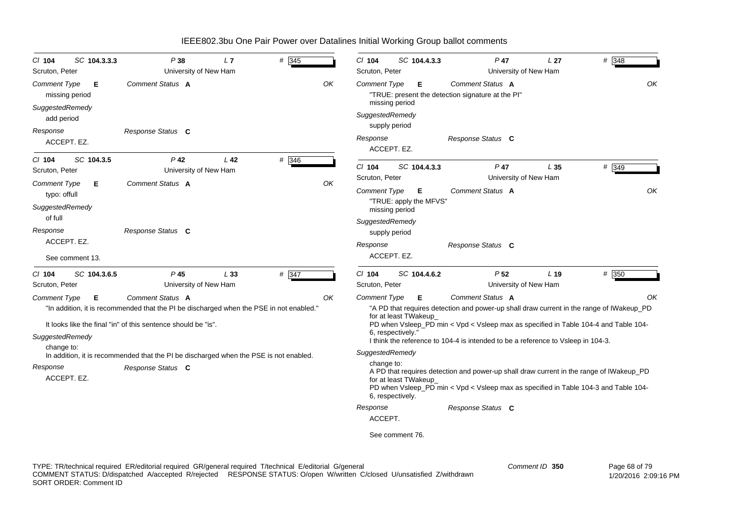| $Cl$ 104<br>Scruton, Peter                                                                                                                                                                                                               | SC 104.3.3.3                   | P38<br>University of New Ham                                                          | L7              | # 345              |    | $Cl$ 104<br>Scruton, Peter                                                                                                                                                                                                                                                                                                                                       | SC 104.4.3.3                                                   | $P$ 47<br>University of New Ham                                       | L <sub>27</sub> | # 348 |  |
|------------------------------------------------------------------------------------------------------------------------------------------------------------------------------------------------------------------------------------------|--------------------------------|---------------------------------------------------------------------------------------|-----------------|--------------------|----|------------------------------------------------------------------------------------------------------------------------------------------------------------------------------------------------------------------------------------------------------------------------------------------------------------------------------------------------------------------|----------------------------------------------------------------|-----------------------------------------------------------------------|-----------------|-------|--|
| Comment Type<br>SuggestedRemedy                                                                                                                                                                                                          | Е<br>missing period            | Comment Status A                                                                      |                 |                    | OK | <b>Comment Type</b>                                                                                                                                                                                                                                                                                                                                              | Е<br>missing period                                            | Comment Status A<br>"TRUE: present the detection signature at the PI" |                 | OK    |  |
| add period                                                                                                                                                                                                                               |                                |                                                                                       |                 |                    |    | SuggestedRemedy                                                                                                                                                                                                                                                                                                                                                  | supply period                                                  |                                                                       |                 |       |  |
| Response                                                                                                                                                                                                                                 | ACCEPT. EZ.                    | Response Status C                                                                     |                 |                    |    | Response                                                                                                                                                                                                                                                                                                                                                         | ACCEPT. EZ.                                                    | Response Status C                                                     |                 |       |  |
| $CI$ 104<br>Scruton, Peter                                                                                                                                                                                                               | SC 104.3.5                     | $P$ 42<br>University of New Ham                                                       | L <sub>42</sub> | # 346              |    | $Cl$ 104<br>Scruton, Peter                                                                                                                                                                                                                                                                                                                                       | SC 104.4.3.3                                                   | $P$ 47<br>University of New Ham                                       | L <sub>35</sub> | # 349 |  |
| <b>Comment Type</b><br>typo: offull<br>SuggestedRemedy<br>of full<br>Response                                                                                                                                                            | Е                              | Comment Status A<br>Response Status C                                                 |                 |                    | OK | Comment Type<br>SuggestedRemedy                                                                                                                                                                                                                                                                                                                                  | Е<br>"TRUE: apply the MFVS"<br>missing period<br>supply period | <b>Comment Status A</b>                                               |                 | OK    |  |
|                                                                                                                                                                                                                                          | ACCEPT. EZ.<br>See comment 13. |                                                                                       |                 |                    |    | Response                                                                                                                                                                                                                                                                                                                                                         | ACCEPT. EZ.                                                    | Response Status C                                                     |                 |       |  |
| $Cl$ 104<br>Scruton, Peter                                                                                                                                                                                                               | SC 104.3.6.5                   | $P$ 45<br>University of New Ham                                                       | L33             | $# \overline{347}$ |    | $Cl$ 104<br>Scruton, Peter                                                                                                                                                                                                                                                                                                                                       | SC 104.4.6.2                                                   | P <sub>52</sub><br>University of New Ham                              | L 19            | # 350 |  |
| <b>Comment Status A</b><br><b>Comment Type</b><br>Е<br>OK<br>"In addition, it is recommended that the PI be discharged when the PSE in not enabled."<br>It looks like the final "in" of this sentence should be "is".<br>SuggestedRemedy |                                |                                                                                       |                 |                    |    | Comment Status A<br><b>Comment Type</b><br>Е<br>"A PD that requires detection and power-up shall draw current in the range of IWakeup_PD<br>for at least TWakeup<br>PD when Vsleep_PD min < Vpd < Vsleep max as specified in Table 104-4 and Table 104-<br>6. respectively."<br>I think the reference to 104-4 is intended to be a reference to Vsleep in 104-3. |                                                                |                                                                       |                 |       |  |
| change to:                                                                                                                                                                                                                               |                                | In addition, it is recommended that the PI be discharged when the PSE is not enabled. |                 |                    |    | SuggestedRemedy                                                                                                                                                                                                                                                                                                                                                  |                                                                |                                                                       |                 |       |  |
| Response                                                                                                                                                                                                                                 | ACCEPT. EZ.                    | Response Status C                                                                     |                 |                    |    | change to:<br>A PD that requires detection and power-up shall draw current in the range of IWakeup_PD<br>for at least TWakeup_<br>PD when Vsleep PD min < Vpd < Vsleep max as specified in Table 104-3 and Table 104-<br>6, respectively.                                                                                                                        |                                                                |                                                                       |                 |       |  |
|                                                                                                                                                                                                                                          |                                |                                                                                       |                 |                    |    | Response                                                                                                                                                                                                                                                                                                                                                         |                                                                | Response Status C                                                     |                 |       |  |
|                                                                                                                                                                                                                                          |                                |                                                                                       |                 |                    |    | ACCEPT.                                                                                                                                                                                                                                                                                                                                                          |                                                                |                                                                       |                 |       |  |
|                                                                                                                                                                                                                                          |                                |                                                                                       |                 |                    |    |                                                                                                                                                                                                                                                                                                                                                                  | See comment 76.                                                |                                                                       |                 |       |  |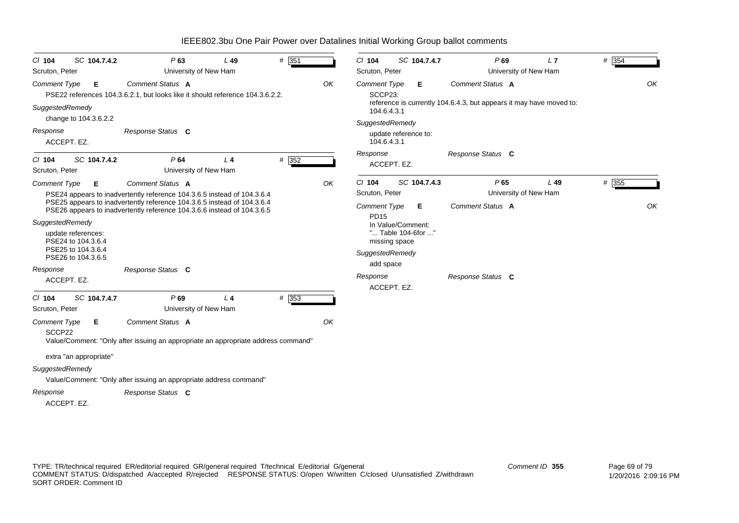| SC 104.7.4.2<br>CI 104<br>Scruton, Peter                                                                                                                       | P63<br>$L$ 49<br>University of New Ham                                                                                                                                                                                                                                 | # 351       | SC 104.7.4.7<br>$CI$ 104<br>Scruton, Peter                                                                                                                                                    | P69<br>L7<br>University of New Ham                                                      | # 354       |
|----------------------------------------------------------------------------------------------------------------------------------------------------------------|------------------------------------------------------------------------------------------------------------------------------------------------------------------------------------------------------------------------------------------------------------------------|-------------|-----------------------------------------------------------------------------------------------------------------------------------------------------------------------------------------------|-----------------------------------------------------------------------------------------|-------------|
| <b>Comment Type</b><br>Е<br>SuggestedRemedy                                                                                                                    | Comment Status A<br>PSE22 references 104.3.6.2.1, but looks like it should reference 104.3.6.2.2.                                                                                                                                                                      | OK          | <b>Comment Type</b><br>Е<br>SCCP23:<br>104.6.4.3.1                                                                                                                                            | Comment Status A<br>reference is currently 104.6.4.3, but appears it may have moved to: | OK          |
| change to 104.3.6.2.2<br>Response<br>ACCEPT. EZ.                                                                                                               | Response Status C                                                                                                                                                                                                                                                      |             | SuggestedRemedy<br>update reference to:<br>104.6.4.3.1                                                                                                                                        |                                                                                         |             |
| SC 104.7.4.2<br>C/ 104<br>Scruton, Peter                                                                                                                       | P64<br>L <sub>4</sub><br>University of New Ham                                                                                                                                                                                                                         | # 352       | Response<br>ACCEPT. EZ.                                                                                                                                                                       | Response Status C                                                                       |             |
| <b>Comment Type</b><br>Е<br>SuggestedRemedy<br>update references:<br>PSE24 to 104.3.6.4<br>PSE25 to 104.3.6.4<br>PSE26 to 104.3.6.5<br>Response<br>ACCEPT. EZ. | Comment Status A<br>PSE24 appears to inadvertently reference 104.3.6.5 instead of 104.3.6.4<br>PSE25 appears to inadvertently reference 104.3.6.5 instead of 104.3.6.4<br>PSE26 appears to inadvertently reference 104.3.6.6 instead of 104.3.6.5<br>Response Status C | OK          | $Cl$ 104<br>SC 104.7.4.3<br>Scruton, Peter<br><b>Comment Type</b><br>Е<br><b>PD15</b><br>In Value/Comment:<br>" Table 104-6for "<br>missing space<br>SuggestedRemedy<br>add space<br>Response | P65<br>$L$ 49<br>University of New Ham<br>Comment Status A<br>Response Status C         | # 355<br>OK |
| SC 104.7.4.7<br>$Cl$ 104<br>Scruton, Peter<br><b>Comment Type</b><br>Е.<br>SCCP22<br>extra "an appropriate"<br>SuggestedRemedy<br>Response                     | P69<br>L <sub>4</sub><br>University of New Ham<br>Comment Status A<br>Value/Comment: "Only after issuing an appropriate an appropriate address command"<br>Value/Comment: "Only after issuing an appropriate address command"<br>Response Status C                     | # 353<br>OK | ACCEPT. EZ.                                                                                                                                                                                   |                                                                                         |             |

ACCEPT. EZ.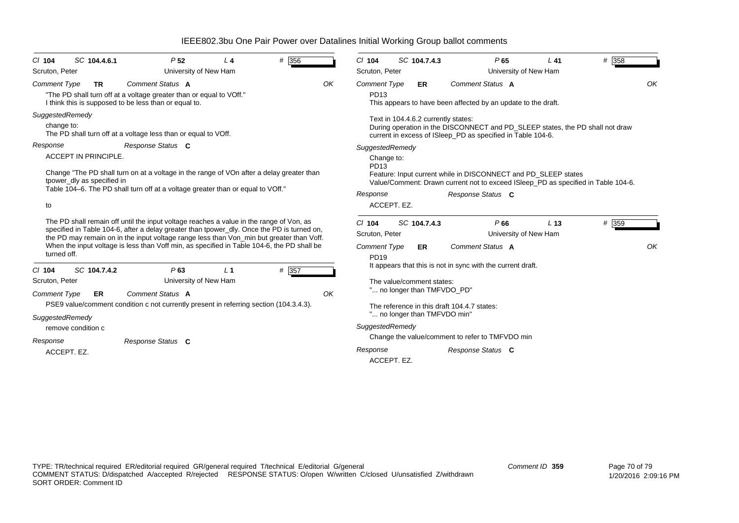| # 356<br>SC 104.4.6.1<br>P <sub>52</sub><br>$CI$ 104<br>L <sub>4</sub><br>Scruton, Peter<br>University of New Ham                                                                                                                                                                                                                                                                              | SC 104.7.4.3<br># 358<br>$Cl$ 104<br>P65<br>$L$ 41<br>University of New Ham<br>Scruton, Peter                                                                                                                                                |  |  |  |  |  |  |
|------------------------------------------------------------------------------------------------------------------------------------------------------------------------------------------------------------------------------------------------------------------------------------------------------------------------------------------------------------------------------------------------|----------------------------------------------------------------------------------------------------------------------------------------------------------------------------------------------------------------------------------------------|--|--|--|--|--|--|
| Comment Status A<br>OK<br><b>Comment Type</b><br><b>TR</b><br>"The PD shall turn off at a voltage greater than or equal to VOff."<br>I think this is supposed to be less than or equal to.                                                                                                                                                                                                     | OK<br>Comment Status A<br><b>Comment Type</b><br><b>ER</b><br>PD13<br>This appears to have been affected by an update to the draft.                                                                                                          |  |  |  |  |  |  |
| SuggestedRemedy<br>change to:<br>The PD shall turn off at a voltage less than or equal to VOff.                                                                                                                                                                                                                                                                                                | Text in 104.4.6.2 currently states:<br>During operation in the DISCONNECT and PD_SLEEP states, the PD shall not draw<br>current in excess of ISIeep_PD as specified in Table 104-6.                                                          |  |  |  |  |  |  |
| Response Status C<br>Response<br><b>ACCEPT IN PRINCIPLE.</b><br>Change "The PD shall turn on at a voltage in the range of VOn after a delay greater than<br>tpower_dly as specified in<br>Table 104–6. The PD shall turn off at a voltage greater than or equal to VOff."<br>to                                                                                                                | SuggestedRemedy<br>Change to:<br>PD13<br>Feature: Input current while in DISCONNECT and PD SLEEP states<br>Value/Comment: Drawn current not to exceed ISIeep PD as specified in Table 104-6.<br>Response<br>Response Status C<br>ACCEPT. EZ. |  |  |  |  |  |  |
| The PD shall remain off until the input voltage reaches a value in the range of Von, as<br>specified in Table 104-6, after a delay greater than tpower_dly. Once the PD is turned on,<br>the PD may remain on in the input voltage range less than Von_min but greater than Voff.<br>When the input voltage is less than Voff min, as specified in Table 104-6, the PD shall be<br>turned off. | # 359<br>$Cl$ 104<br>SC 104.7.4.3<br>P66<br>L <sub>13</sub><br>Scruton, Peter<br>University of New Ham<br><b>Comment Status A</b><br><b>Comment Type</b><br>ER<br><b>PD19</b>                                                                |  |  |  |  |  |  |
| # 357<br>SC 104.7.4.2<br>P63<br>L <sub>1</sub><br>$Cl$ 104<br>Scruton, Peter<br>University of New Ham<br>Comment Status A<br><b>Comment Type</b><br>OK<br><b>ER</b>                                                                                                                                                                                                                            | It appears that this is not in sync with the current draft.<br>The value/comment states:<br>" no longer than TMFVDO PD"                                                                                                                      |  |  |  |  |  |  |
| PSE9 value/comment condition c not currently present in referring section (104.3.4.3).<br>SuggestedRemedy<br>remove condition c<br>Response Status C<br>Response                                                                                                                                                                                                                               | The reference in this draft 104.4.7 states:<br>" no longer than TMFVDO min"<br>SuggestedRemedy<br>Change the value/comment to refer to TMFVDO min                                                                                            |  |  |  |  |  |  |
| ACCEPT. EZ.                                                                                                                                                                                                                                                                                                                                                                                    | Response<br>Response Status C<br>ACCEPT. EZ.                                                                                                                                                                                                 |  |  |  |  |  |  |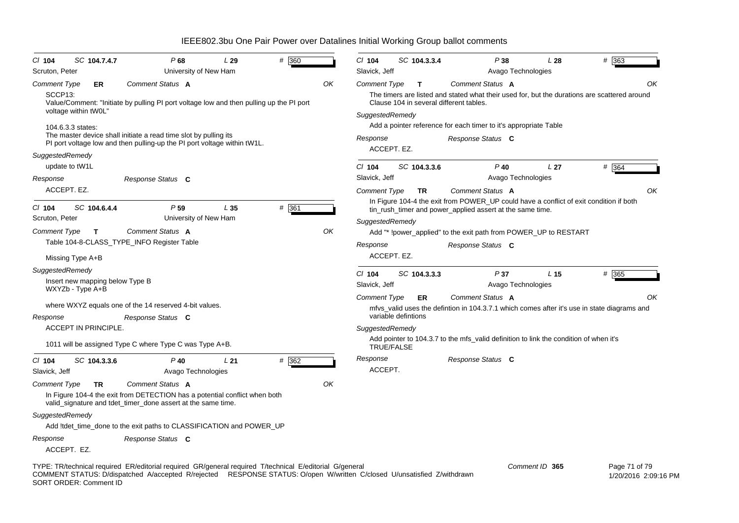| $CI$ 104                       | SC 104.7.4.7                  |                                                                                                                                                                                                                                    | P68                                      | L29 | # 360              |    | $Cl$ 104                                                                                                                                            |  | SC 104.3.3.4 | P38                                                                                                                                                         |                    | L28             | #<br>363      |                      |
|--------------------------------|-------------------------------|------------------------------------------------------------------------------------------------------------------------------------------------------------------------------------------------------------------------------------|------------------------------------------|-----|--------------------|----|-----------------------------------------------------------------------------------------------------------------------------------------------------|--|--------------|-------------------------------------------------------------------------------------------------------------------------------------------------------------|--------------------|-----------------|---------------|----------------------|
| Scruton, Peter                 |                               |                                                                                                                                                                                                                                    | University of New Ham                    |     |                    |    | Slavick, Jeff                                                                                                                                       |  |              |                                                                                                                                                             | Avago Technologies |                 |               |                      |
| <b>Comment Type</b><br>SCCP13: | ER<br>voltage within tW0L"    | Comment Status A<br>Value/Comment: "Initiate by pulling PI port voltage low and then pulling up the PI port                                                                                                                        |                                          |     |                    | OK | <b>Comment Type</b><br>SuggestedRemedy                                                                                                              |  | т            | Comment Status A<br>The timers are listed and stated what their used for, but the durations are scattered around<br>Clause 104 in several different tables. |                    |                 |               | ΟK                   |
|                                | 104.6.3.3 states:             | The master device shall initiate a read time slot by pulling its<br>PI port voltage low and then pulling-up the PI port voltage within tW1L.                                                                                       |                                          |     |                    |    | Response<br>ACCEPT. EZ.                                                                                                                             |  |              | Add a pointer reference for each timer to it's appropriate Table<br>Response Status C                                                                       |                    |                 |               |                      |
| SuggestedRemedy                | update to tW1L                |                                                                                                                                                                                                                                    |                                          |     |                    |    | $CI$ 104                                                                                                                                            |  | SC 104.3.3.6 | $P$ 40                                                                                                                                                      |                    | L <sub>27</sub> | # 364         |                      |
| Response                       |                               | Response Status C                                                                                                                                                                                                                  |                                          |     |                    |    | Slavick, Jeff                                                                                                                                       |  |              |                                                                                                                                                             | Avago Technologies |                 |               |                      |
| ACCEPT. EZ.                    |                               |                                                                                                                                                                                                                                    |                                          |     |                    |    | Comment Type                                                                                                                                        |  | <b>TR</b>    | Comment Status A                                                                                                                                            |                    |                 |               | OK                   |
| $Cl$ 104<br>Scruton, Peter     | SC 104.6.4.4                  |                                                                                                                                                                                                                                    | P <sub>59</sub><br>University of New Ham | L35 | $# \overline{361}$ |    | In Figure 104-4 the exit from POWER_UP could have a conflict of exit condition if both<br>tin_rush_timer and power_applied assert at the same time. |  |              |                                                                                                                                                             |                    |                 |               |                      |
| <b>Comment Type</b>            | $\mathbf{T}$                  | Comment Status A                                                                                                                                                                                                                   |                                          |     |                    | OK | SuggestedRemedy                                                                                                                                     |  |              | Add "* !power_applied" to the exit path from POWER_UP to RESTART                                                                                            |                    |                 |               |                      |
|                                |                               | Table 104-8-CLASS_TYPE_INFO Register Table                                                                                                                                                                                         |                                          |     |                    |    | Response                                                                                                                                            |  |              | Response Status C                                                                                                                                           |                    |                 |               |                      |
|                                | Missing Type A+B              |                                                                                                                                                                                                                                    |                                          |     |                    |    | ACCEPT. EZ.                                                                                                                                         |  |              |                                                                                                                                                             |                    |                 |               |                      |
| SuggestedRemedy                |                               |                                                                                                                                                                                                                                    |                                          |     |                    |    | $Cl$ 104                                                                                                                                            |  | SC 104.3.3.3 | P37                                                                                                                                                         |                    | L <sub>15</sub> | # 365         |                      |
|                                | WXYZb - Type A+B              | Insert new mapping below Type B                                                                                                                                                                                                    |                                          |     |                    |    | Slavick, Jeff                                                                                                                                       |  |              |                                                                                                                                                             | Avago Technologies |                 |               |                      |
|                                |                               | where WXYZ equals one of the 14 reserved 4-bit values.                                                                                                                                                                             |                                          |     |                    |    | <b>Comment Type</b>                                                                                                                                 |  | ER           | Comment Status A<br>mfys_valid uses the defintion in 104.3.7.1 which comes after it's use in state diagrams and                                             |                    |                 |               | OK                   |
| Response                       |                               | Response Status C                                                                                                                                                                                                                  |                                          |     |                    |    | variable defintions                                                                                                                                 |  |              |                                                                                                                                                             |                    |                 |               |                      |
| <b>ACCEPT IN PRINCIPLE.</b>    |                               |                                                                                                                                                                                                                                    |                                          |     |                    |    | SuggestedRemedy                                                                                                                                     |  |              |                                                                                                                                                             |                    |                 |               |                      |
|                                |                               | 1011 will be assigned Type C where Type C was Type A+B.                                                                                                                                                                            |                                          |     |                    |    | <b>TRUE/FALSE</b>                                                                                                                                   |  |              | Add pointer to 104.3.7 to the mfs_valid definition to link the condition of when it's                                                                       |                    |                 |               |                      |
| $CI$ 104                       | SC 104.3.3.6                  |                                                                                                                                                                                                                                    | $P$ 40                                   | L21 | # 362              |    | Response                                                                                                                                            |  |              | Response Status C                                                                                                                                           |                    |                 |               |                      |
| Slavick, Jeff                  |                               |                                                                                                                                                                                                                                    | Avago Technologies                       |     |                    |    | ACCEPT.                                                                                                                                             |  |              |                                                                                                                                                             |                    |                 |               |                      |
| <b>Comment Type</b>            | <b>TR</b>                     | Comment Status A                                                                                                                                                                                                                   |                                          |     |                    | OK |                                                                                                                                                     |  |              |                                                                                                                                                             |                    |                 |               |                      |
|                                |                               | In Figure 104-4 the exit from DETECTION has a potential conflict when both<br>valid_signature and tdet_timer_done assert at the same time.                                                                                         |                                          |     |                    |    |                                                                                                                                                     |  |              |                                                                                                                                                             |                    |                 |               |                      |
| SuggestedRemedy                |                               |                                                                                                                                                                                                                                    |                                          |     |                    |    |                                                                                                                                                     |  |              |                                                                                                                                                             |                    |                 |               |                      |
|                                |                               | Add !tdet_time_done to the exit paths to CLASSIFICATION and POWER_UP                                                                                                                                                               |                                          |     |                    |    |                                                                                                                                                     |  |              |                                                                                                                                                             |                    |                 |               |                      |
| Response                       | ACCEPT. EZ.                   | Response Status C                                                                                                                                                                                                                  |                                          |     |                    |    |                                                                                                                                                     |  |              |                                                                                                                                                             |                    |                 |               |                      |
|                                | <b>SORT ORDER: Comment ID</b> | TYPE: TR/technical required ER/editorial required GR/general required T/technical E/editorial G/general<br>COMMENT STATUS: D/dispatched A/accepted R/rejected RESPONSE STATUS: O/open W/written C/closed U/unsatisfied Z/withdrawn |                                          |     |                    |    |                                                                                                                                                     |  |              |                                                                                                                                                             | Comment ID 365     |                 | Page 71 of 79 | 1/20/2016 2:09:16 PM |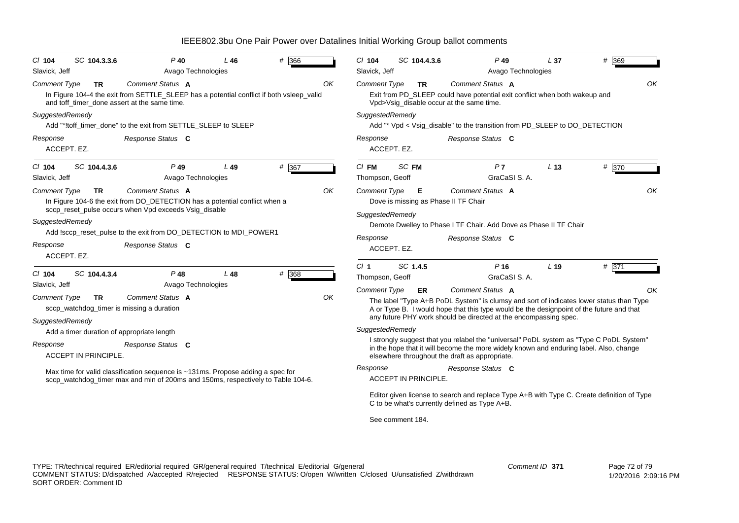| $Cl$ 104                                                                                                                                 | SC 104.3.3.6                | $P$ 40                                                                     | L46    | # 366 |          | $Cl$ 104                                                                                                                                 | SC 104.4.3.6                                                                                                           | $P$ 49                                                                                                                                                                              | L <sub>37</sub> | # 369   |  |  |  |
|------------------------------------------------------------------------------------------------------------------------------------------|-----------------------------|----------------------------------------------------------------------------|--------|-------|----------|------------------------------------------------------------------------------------------------------------------------------------------|------------------------------------------------------------------------------------------------------------------------|-------------------------------------------------------------------------------------------------------------------------------------------------------------------------------------|-----------------|---------|--|--|--|
| Slavick, Jeff<br>Avago Technologies                                                                                                      |                             |                                                                            |        |       |          | Slavick, Jeff<br>Avago Technologies                                                                                                      |                                                                                                                        |                                                                                                                                                                                     |                 |         |  |  |  |
| <b>Comment Type</b>                                                                                                                      | <b>TR</b>                   | Comment Status A                                                           |        |       | OK       | <b>Comment Type</b>                                                                                                                      | TR                                                                                                                     | Comment Status A                                                                                                                                                                    |                 | OK      |  |  |  |
| In Figure 104-4 the exit from SETTLE_SLEEP has a potential conflict if both vsleep_valid<br>and toff timer done assert at the same time. |                             |                                                                            |        |       |          |                                                                                                                                          | Exit from PD_SLEEP could have potential exit conflict when both wakeup and<br>Vpd>Vsig_disable occur at the same time. |                                                                                                                                                                                     |                 |         |  |  |  |
| SuggestedRemedy                                                                                                                          |                             |                                                                            |        |       |          | SuggestedRemedy                                                                                                                          |                                                                                                                        |                                                                                                                                                                                     |                 |         |  |  |  |
| Add "*!toff_timer_done" to the exit from SETTLE_SLEEP to SLEEP                                                                           |                             |                                                                            |        |       |          | Add "* Vpd < Vsig_disable" to the transition from PD_SLEEP to DO_DETECTION                                                               |                                                                                                                        |                                                                                                                                                                                     |                 |         |  |  |  |
| Response Status C<br>Response                                                                                                            |                             |                                                                            |        |       |          | Response<br>Response Status C                                                                                                            |                                                                                                                        |                                                                                                                                                                                     |                 |         |  |  |  |
|                                                                                                                                          | ACCEPT. EZ.                 |                                                                            |        |       |          |                                                                                                                                          | ACCEPT. EZ.                                                                                                            |                                                                                                                                                                                     |                 |         |  |  |  |
| $CI$ 104                                                                                                                                 | SC 104.4.3.6                | $P$ 49                                                                     | $L$ 49 | # 367 |          | $CI$ FM                                                                                                                                  | SC FM                                                                                                                  | P <sub>7</sub>                                                                                                                                                                      | L <sub>13</sub> | # $370$ |  |  |  |
| Slavick, Jeff                                                                                                                            |                             | Avago Technologies                                                         |        |       |          | Thompson, Geoff                                                                                                                          |                                                                                                                        | GraCaSI S. A.                                                                                                                                                                       |                 |         |  |  |  |
| <b>Comment Type</b>                                                                                                                      | <b>TR</b>                   | Comment Status A                                                           |        |       | OK       | OK<br>Comment Status A<br><b>Comment Type</b><br>Е                                                                                       |                                                                                                                        |                                                                                                                                                                                     |                 |         |  |  |  |
|                                                                                                                                          |                             | In Figure 104-6 the exit from DO_DETECTION has a potential conflict when a |        |       |          | Dove is missing as Phase II TF Chair                                                                                                     |                                                                                                                        |                                                                                                                                                                                     |                 |         |  |  |  |
|                                                                                                                                          |                             | sccp_reset_pulse occurs when Vpd exceeds Vsig_disable                      |        |       |          | SuggestedRemedy                                                                                                                          |                                                                                                                        |                                                                                                                                                                                     |                 |         |  |  |  |
| SuggestedRemedy                                                                                                                          |                             |                                                                            |        |       |          | Demote Dwelley to Phase I TF Chair. Add Dove as Phase II TF Chair                                                                        |                                                                                                                        |                                                                                                                                                                                     |                 |         |  |  |  |
|                                                                                                                                          |                             | Add !sccp_reset_pulse to the exit from DO_DETECTION to MDI_POWER1          |        |       |          | Response<br>Response Status C                                                                                                            |                                                                                                                        |                                                                                                                                                                                     |                 |         |  |  |  |
| Response<br>Response Status C                                                                                                            |                             |                                                                            |        |       |          | ACCEPT. EZ.                                                                                                                              |                                                                                                                        |                                                                                                                                                                                     |                 |         |  |  |  |
|                                                                                                                                          | ACCEPT. EZ.                 |                                                                            |        |       |          |                                                                                                                                          |                                                                                                                        |                                                                                                                                                                                     |                 |         |  |  |  |
| $Cl$ 104                                                                                                                                 | SC 104.4.3.4                | $P$ 48                                                                     | L48    | # 368 |          | $CI$ 1                                                                                                                                   | SC 1.4.5                                                                                                               | P <sub>16</sub>                                                                                                                                                                     | L <sub>19</sub> | # 371   |  |  |  |
| Slavick, Jeff                                                                                                                            |                             | Avago Technologies                                                         |        |       |          | Thompson, Geoff                                                                                                                          |                                                                                                                        | GraCaSI S. A.                                                                                                                                                                       |                 |         |  |  |  |
|                                                                                                                                          |                             | Comment Status A                                                           |        |       | OK       | <b>Comment Type</b>                                                                                                                      | ER.                                                                                                                    | Comment Status A                                                                                                                                                                    |                 | OK      |  |  |  |
| <b>Comment Type</b><br><b>TR</b><br>sccp_watchdog_timer is missing a duration                                                            |                             |                                                                            |        |       |          |                                                                                                                                          |                                                                                                                        | The label "Type A+B PoDL System" is clumsy and sort of indicates lower status than Type<br>A or Type B. I would hope that this type would be the designpoint of the future and that |                 |         |  |  |  |
|                                                                                                                                          |                             |                                                                            |        |       |          |                                                                                                                                          |                                                                                                                        | any future PHY work should be directed at the encompassing spec.                                                                                                                    |                 |         |  |  |  |
| SuggestedRemedy                                                                                                                          |                             |                                                                            |        |       |          | SuggestedRemedy                                                                                                                          |                                                                                                                        |                                                                                                                                                                                     |                 |         |  |  |  |
| Add a timer duration of appropriate length                                                                                               |                             |                                                                            |        |       |          |                                                                                                                                          | I strongly suggest that you relabel the "universal" PoDL system as "Type C PoDL System"                                |                                                                                                                                                                                     |                 |         |  |  |  |
| Response                                                                                                                                 | <b>ACCEPT IN PRINCIPLE.</b> | Response Status C                                                          |        |       |          | in the hope that it will become the more widely known and enduring label. Also, change<br>elsewhere throughout the draft as appropriate. |                                                                                                                        |                                                                                                                                                                                     |                 |         |  |  |  |
| Max time for valid classification sequence is ~131ms. Propose adding a spec for                                                          |                             |                                                                            |        |       | Response |                                                                                                                                          | Response Status C                                                                                                      |                                                                                                                                                                                     |                 |         |  |  |  |
| sccp_watchdog_timer max and min of 200ms and 150ms, respectively to Table 104-6.                                                         |                             |                                                                            |        |       |          |                                                                                                                                          | <b>ACCEPT IN PRINCIPLE.</b>                                                                                            |                                                                                                                                                                                     |                 |         |  |  |  |
|                                                                                                                                          |                             |                                                                            |        |       |          |                                                                                                                                          |                                                                                                                        | Editor given license to search and replace Type A+B with Type C. Create definition of Type<br>C to be what's currently defined as Type A+B.                                         |                 |         |  |  |  |
|                                                                                                                                          |                             |                                                                            |        |       |          |                                                                                                                                          | See comment 184.                                                                                                       |                                                                                                                                                                                     |                 |         |  |  |  |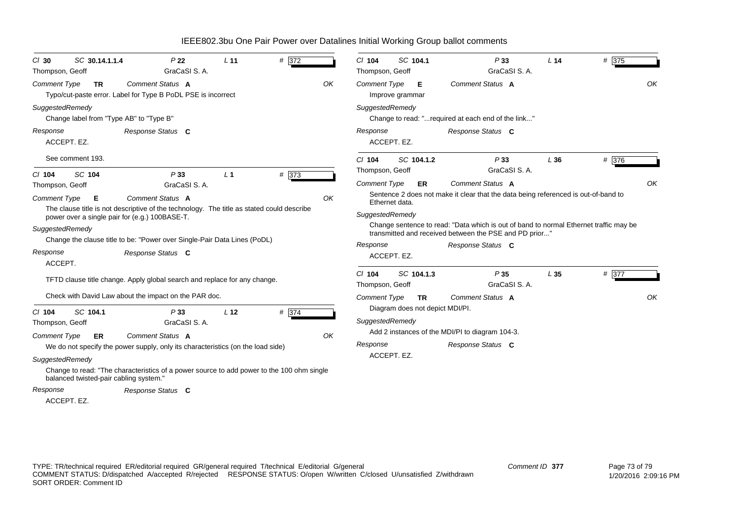| SC 30.14.1.1.4<br>$CI$ 30<br>Thompson, Geoff | P <sub>22</sub><br>GraCaSI S.A.                                                                                                             | L <sub>11</sub> | # 372 |    | $Cl$ 104<br>Thompson, Geoff            | SC 104.1                        | P33<br>GraCaSI S. A.                                                                                                                            | L <sub>14</sub> | # 375 |    |
|----------------------------------------------|---------------------------------------------------------------------------------------------------------------------------------------------|-----------------|-------|----|----------------------------------------|---------------------------------|-------------------------------------------------------------------------------------------------------------------------------------------------|-----------------|-------|----|
| <b>Comment Type</b><br><b>TR</b>             | Comment Status A<br>Typo/cut-paste error. Label for Type B PoDL PSE is incorrect                                                            |                 |       | OK | <b>Comment Type</b><br>Improve grammar | Е                               | Comment Status A                                                                                                                                |                 |       | OK |
| SuggestedRemedy                              | Change label from "Type AB" to "Type B"                                                                                                     |                 |       |    | SuggestedRemedy                        |                                 | Change to read: "required at each end of the link"                                                                                              |                 |       |    |
| Response<br>ACCEPT. EZ.                      | Response Status C                                                                                                                           |                 |       |    | Response<br>ACCEPT. EZ.                |                                 | Response Status C                                                                                                                               |                 |       |    |
| See comment 193.                             |                                                                                                                                             |                 |       |    | $Cl$ 104<br>Thompson, Geoff            | SC 104.1.2                      | P33<br>GraCaSI S. A.                                                                                                                            | L36             | # 376 |    |
| SC 104<br>$Cl$ 104<br>Thompson, Geoff        | P33<br>GraCaSI S. A.                                                                                                                        | L <sub>1</sub>  | # 373 |    | <b>Comment Type</b>                    | ER                              | Comment Status A                                                                                                                                |                 |       | OK |
| <b>Comment Type</b><br>Е                     | Comment Status A                                                                                                                            |                 |       | OK | Ethernet data.                         |                                 | Sentence 2 does not make it clear that the data being referenced is out-of-band to                                                              |                 |       |    |
|                                              | The clause title is not descriptive of the technology. The title as stated could describe<br>power over a single pair for (e.g.) 100BASE-T. |                 |       |    | SuggestedRemedy                        |                                 |                                                                                                                                                 |                 |       |    |
| SuggestedRemedy                              |                                                                                                                                             |                 |       |    |                                        |                                 | Change sentence to read: "Data which is out of band to normal Ethernet traffic may be<br>transmitted and received between the PSE and PD prior" |                 |       |    |
|                                              | Change the clause title to be: "Power over Single-Pair Data Lines (PoDL)                                                                    |                 |       |    | Response                               |                                 | Response Status C                                                                                                                               |                 |       |    |
| Response<br>ACCEPT.                          | Response Status C                                                                                                                           |                 |       |    | ACCEPT. EZ.                            |                                 |                                                                                                                                                 |                 |       |    |
|                                              | TFTD clause title change. Apply global search and replace for any change.                                                                   |                 |       |    | $CI$ 104<br>Thompson, Geoff            | SC 104.1.3                      | P35<br>GraCaSI S.A.                                                                                                                             | L35             | # 377 |    |
|                                              | Check with David Law about the impact on the PAR doc.                                                                                       |                 |       |    | <b>Comment Type</b>                    | <b>TR</b>                       | Comment Status A                                                                                                                                |                 |       | OK |
| SC 104.1<br>$Cl$ 104                         | P33                                                                                                                                         | L <sub>12</sub> | # 374 |    |                                        | Diagram does not depict MDI/PI. |                                                                                                                                                 |                 |       |    |
| Thompson, Geoff                              | GraCaSI S.A.                                                                                                                                |                 |       |    | SuggestedRemedy                        |                                 |                                                                                                                                                 |                 |       |    |
| <b>Comment Type</b><br>ER                    | Comment Status A                                                                                                                            |                 |       | OK |                                        |                                 | Add 2 instances of the MDI/PI to diagram 104-3.                                                                                                 |                 |       |    |
|                                              | We do not specify the power supply, only its characteristics (on the load side)                                                             |                 |       |    | Response                               |                                 | Response Status C                                                                                                                               |                 |       |    |
| SuggestedRemedy                              |                                                                                                                                             |                 |       |    | ACCEPT. EZ.                            |                                 |                                                                                                                                                 |                 |       |    |
| balanced twisted-pair cabling system."       | Change to read: "The characteristics of a power source to add power to the 100 ohm single                                                   |                 |       |    |                                        |                                 |                                                                                                                                                 |                 |       |    |
| Response                                     | Response Status C                                                                                                                           |                 |       |    |                                        |                                 |                                                                                                                                                 |                 |       |    |
| ACCEPT. EZ.                                  |                                                                                                                                             |                 |       |    |                                        |                                 |                                                                                                                                                 |                 |       |    |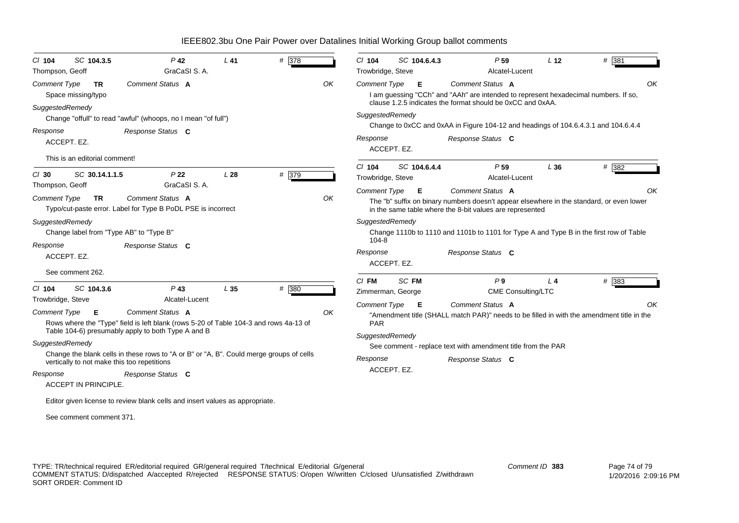| $CI$ 104            | SC 104.3.5                    | $P$ 42                                                                                  | $L$ 41          | # 378 |    | $Cl$ 104            | SC 104.6.4.3      | P <sub>59</sub>                                                                           | L <sub>12</sub> | # 381   |
|---------------------|-------------------------------|-----------------------------------------------------------------------------------------|-----------------|-------|----|---------------------|-------------------|-------------------------------------------------------------------------------------------|-----------------|---------|
| Thompson, Geoff     |                               | GraCaSI S.A.                                                                            |                 |       |    | Trowbridge, Steve   |                   | Alcatel-Lucent                                                                            |                 |         |
| <b>Comment Type</b> | <b>TR</b>                     | Comment Status A                                                                        |                 |       | OK | <b>Comment Type</b> | Е.                | Comment Status A                                                                          |                 | OK      |
|                     | Space missing/typo            |                                                                                         |                 |       |    |                     |                   | I am guessing "CCh" and "AAh" are intended to represent hexadecimal numbers. If so,       |                 |         |
| SuggestedRemedy     |                               |                                                                                         |                 |       |    |                     |                   | clause 1.2.5 indicates the format should be 0xCC and 0xAA.                                |                 |         |
|                     |                               | Change "offull" to read "awful" (whoops, no I mean "of full")                           |                 |       |    | SuggestedRemedy     |                   |                                                                                           |                 |         |
| Response            |                               | Response Status C                                                                       |                 |       |    |                     |                   | Change to 0xCC and 0xAA in Figure 104-12 and headings of 104.6.4.3.1 and 104.6.4.4        |                 |         |
| ACCEPT. EZ.         |                               |                                                                                         |                 |       |    | Response            |                   | Response Status C                                                                         |                 |         |
|                     |                               |                                                                                         |                 |       |    |                     | ACCEPT. EZ.       |                                                                                           |                 |         |
|                     | This is an editorial comment! |                                                                                         |                 |       |    |                     |                   |                                                                                           |                 |         |
| $Cl$ 30             | SC 30.14.1.1.5                | P <sub>22</sub>                                                                         | L <sub>28</sub> | # 379 |    | $Cl$ 104            | SC 104.6.4.4      | P <sub>59</sub>                                                                           | L36             | $#$ 382 |
| Thompson, Geoff     |                               | GraCaSI S.A.                                                                            |                 |       |    | Trowbridge, Steve   |                   | Alcatel-Lucent                                                                            |                 |         |
|                     |                               |                                                                                         |                 |       |    | <b>Comment Type</b> | Е                 | Comment Status A                                                                          |                 | OK      |
| <b>Comment Type</b> | TR.                           | Comment Status A                                                                        |                 |       | OK |                     |                   | The "b" suffix on binary numbers doesn't appear elsewhere in the standard, or even lower  |                 |         |
|                     |                               | Typo/cut-paste error. Label for Type B PoDL PSE is incorrect                            |                 |       |    |                     |                   | in the same table where the 8-bit values are represented                                  |                 |         |
| SuggestedRemedy     |                               |                                                                                         |                 |       |    | SuggestedRemedy     |                   |                                                                                           |                 |         |
|                     |                               | Change label from "Type AB" to "Type B"                                                 |                 |       |    |                     |                   | Change 1110b to 1110 and 1101b to 1101 for Type A and Type B in the first row of Table    |                 |         |
| Response            |                               | Response Status C                                                                       |                 |       |    | $104 - 8$           |                   |                                                                                           |                 |         |
| ACCEPT. EZ.         |                               |                                                                                         |                 |       |    | Response            |                   | Response Status C                                                                         |                 |         |
|                     |                               |                                                                                         |                 |       |    |                     | ACCEPT. EZ.       |                                                                                           |                 |         |
|                     | See comment 262.              |                                                                                         |                 |       |    | $CI$ FM             | SC FM             | P <sub>9</sub>                                                                            | $L_4$           | # 383   |
| $Cl$ 104            | SC 104.3.6                    | $P$ 43                                                                                  | L <sub>35</sub> | # 380 |    |                     | Zimmerman, George | CME Consulting/LTC                                                                        |                 |         |
| Trowbridge, Steve   |                               | Alcatel-Lucent                                                                          |                 |       |    | Comment Type        | Е                 | Comment Status A                                                                          |                 | OK      |
| <b>Comment Type</b> | E                             | Comment Status A                                                                        |                 |       | OK |                     |                   | "Amendment title (SHALL match PAR)" needs to be filled in with the amendment title in the |                 |         |
|                     |                               | Rows where the "Type" field is left blank (rows 5-20 of Table 104-3 and rows 4a-13 of   |                 |       |    | <b>PAR</b>          |                   |                                                                                           |                 |         |
|                     |                               | Table 104-6) presumably apply to both Type A and B                                      |                 |       |    | SuggestedRemedy     |                   |                                                                                           |                 |         |
| SuggestedRemedy     |                               |                                                                                         |                 |       |    |                     |                   | See comment - replace text with amendment title from the PAR                              |                 |         |
|                     |                               | Change the blank cells in these rows to "A or B" or "A, B". Could merge groups of cells |                 |       |    | Response            |                   |                                                                                           |                 |         |
|                     |                               | vertically to not make this too repetitions                                             |                 |       |    |                     |                   | Response Status C                                                                         |                 |         |
| Response            |                               | Response Status C                                                                       |                 |       |    |                     | ACCEPT. EZ.       |                                                                                           |                 |         |
|                     | <b>ACCEPT IN PRINCIPLE</b>    |                                                                                         |                 |       |    |                     |                   |                                                                                           |                 |         |
|                     |                               | Editor given license to review blank cells and insert values as appropriate.            |                 |       |    |                     |                   |                                                                                           |                 |         |
|                     |                               |                                                                                         |                 |       |    |                     |                   |                                                                                           |                 |         |
|                     | See comment comment 371.      |                                                                                         |                 |       |    |                     |                   |                                                                                           |                 |         |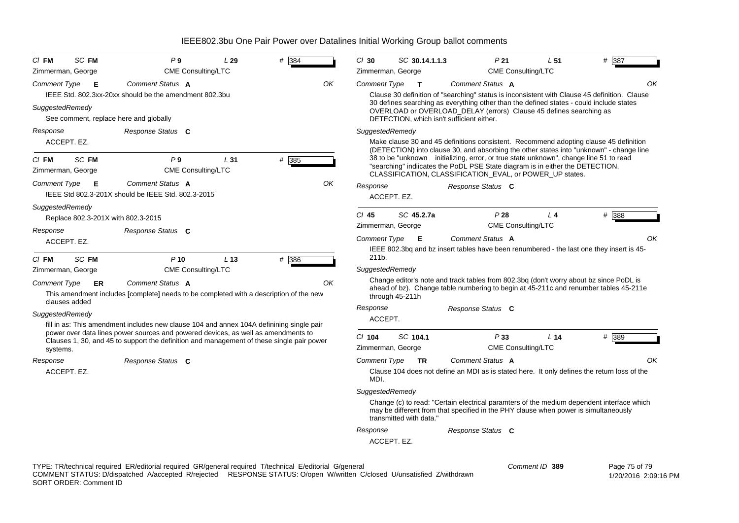| $CI$ FM             | <b>SC FM</b>                       | P9                                                                                                                                                                             | L29             | # 384 |    | $Cl$ 30             | SC 30.14.1.1.3          |                                                                                                                                                                                                                                                                                                                               | P <sub>21</sub>                                                                             | L <sub>51</sub>                                                                                                                                                                  | # 387         |  |  |  |
|---------------------|------------------------------------|--------------------------------------------------------------------------------------------------------------------------------------------------------------------------------|-----------------|-------|----|---------------------|-------------------------|-------------------------------------------------------------------------------------------------------------------------------------------------------------------------------------------------------------------------------------------------------------------------------------------------------------------------------|---------------------------------------------------------------------------------------------|----------------------------------------------------------------------------------------------------------------------------------------------------------------------------------|---------------|--|--|--|
|                     | Zimmerman, George                  | <b>CME Consulting/LTC</b>                                                                                                                                                      |                 |       |    | Zimmerman, George   |                         |                                                                                                                                                                                                                                                                                                                               | <b>CME Consulting/LTC</b>                                                                   |                                                                                                                                                                                  |               |  |  |  |
| <b>Comment Type</b> | Е                                  | Comment Status A                                                                                                                                                               |                 |       | OK | Comment Type        | $\mathbf{T}$            | Comment Status A                                                                                                                                                                                                                                                                                                              |                                                                                             |                                                                                                                                                                                  | OK            |  |  |  |
|                     |                                    | IEEE Std. 802.3xx-20xx should be the amendment 802.3bu                                                                                                                         |                 |       |    |                     |                         | Clause 30 definition of "searching" status is inconsistent with Clause 45 definition. Clause                                                                                                                                                                                                                                  |                                                                                             |                                                                                                                                                                                  |               |  |  |  |
| SuggestedRemedy     |                                    | See comment, replace here and globally                                                                                                                                         |                 |       |    |                     |                         | 30 defines searching as everything other than the defined states - could include states<br>OVERLOAD or OVERLOAD_DELAY (errors) Clause 45 defines searching as<br>DETECTION, which isn't sufficient either.                                                                                                                    |                                                                                             |                                                                                                                                                                                  |               |  |  |  |
| Response            |                                    | Response Status C                                                                                                                                                              |                 |       |    | SuggestedRemedy     |                         |                                                                                                                                                                                                                                                                                                                               |                                                                                             |                                                                                                                                                                                  |               |  |  |  |
|                     | ACCEPT. EZ.                        |                                                                                                                                                                                |                 |       |    |                     |                         | Make clause 30 and 45 definitions consistent. Recommend adopting clause 45 definition                                                                                                                                                                                                                                         |                                                                                             |                                                                                                                                                                                  |               |  |  |  |
| $CI$ FM             | <b>SC FM</b><br>Zimmerman, George  | P9<br><b>CME Consulting/LTC</b>                                                                                                                                                | L31             | # 385 |    |                     |                         | (DETECTION) into clause 30, and absorbing the other states into "unknown" - change line<br>38 to be "unknown initializing, error, or true state unknown", change line 51 to read<br>"searching" indiicates the PoDL PSE State diagram is in either the DETECTION,<br>CLASSIFICATION, CLASSIFICATION_EVAL, or POWER_UP states. |                                                                                             |                                                                                                                                                                                  |               |  |  |  |
| <b>Comment Type</b> | Е                                  | Comment Status A<br>IEEE Std 802.3-201X should be IEEE Std. 802.3-2015                                                                                                         |                 |       | OK | Response            | ACCEPT. EZ.             | Response Status C                                                                                                                                                                                                                                                                                                             |                                                                                             |                                                                                                                                                                                  |               |  |  |  |
| SuggestedRemedy     | Replace 802.3-201X with 802.3-2015 |                                                                                                                                                                                |                 |       |    | $Cl$ 45             | SC 45.2.7a              |                                                                                                                                                                                                                                                                                                                               | P28                                                                                         | L <sub>4</sub>                                                                                                                                                                   | # 388         |  |  |  |
| Response            |                                    | Response Status C                                                                                                                                                              |                 |       |    | Zimmerman, George   |                         |                                                                                                                                                                                                                                                                                                                               | <b>CME Consulting/LTC</b>                                                                   |                                                                                                                                                                                  |               |  |  |  |
|                     | ACCEPT. EZ.                        |                                                                                                                                                                                |                 |       |    | <b>Comment Type</b> | Е                       | Comment Status A                                                                                                                                                                                                                                                                                                              |                                                                                             |                                                                                                                                                                                  | ΟK            |  |  |  |
|                     |                                    |                                                                                                                                                                                |                 |       |    | 211b.               |                         | IEEE 802.3bg and bz insert tables have been renumbered - the last one they insert is 45-                                                                                                                                                                                                                                      |                                                                                             |                                                                                                                                                                                  |               |  |  |  |
| $CI$ FM             | <b>SC FM</b>                       | $P$ 10                                                                                                                                                                         | L <sub>13</sub> | # 386 |    | SuggestedRemedy     |                         |                                                                                                                                                                                                                                                                                                                               |                                                                                             |                                                                                                                                                                                  |               |  |  |  |
|                     | Zimmerman, George                  | <b>CME Consulting/LTC</b>                                                                                                                                                      |                 |       |    |                     |                         | Change editor's note and track tables from 802.3bq (don't worry about bz since PoDL is                                                                                                                                                                                                                                        |                                                                                             |                                                                                                                                                                                  |               |  |  |  |
| <b>Comment Type</b> | ER<br>clauses added                | Comment Status A<br>This amendment includes [complete] needs to be completed with a description of the new                                                                     |                 |       | ΟK |                     | through 45-211h         | ahead of bz). Change table numbering to begin at 45-211c and renumber tables 45-211e                                                                                                                                                                                                                                          |                                                                                             |                                                                                                                                                                                  |               |  |  |  |
| SuggestedRemedy     |                                    |                                                                                                                                                                                |                 |       |    | Response            |                         | Response Status C                                                                                                                                                                                                                                                                                                             |                                                                                             |                                                                                                                                                                                  |               |  |  |  |
|                     |                                    | fill in as: This amendment includes new clause 104 and annex 104A definining single pair                                                                                       |                 |       |    | ACCEPT.             |                         |                                                                                                                                                                                                                                                                                                                               |                                                                                             |                                                                                                                                                                                  |               |  |  |  |
|                     |                                    | power over data lines power sources and powered devices, as well as amendments to<br>Clauses 1, 30, and 45 to support the definition and management of these single pair power |                 |       |    | $CI$ 104            | SC 104.1                |                                                                                                                                                                                                                                                                                                                               | P33                                                                                         | L <sub>14</sub>                                                                                                                                                                  | # 389         |  |  |  |
| systems.            |                                    |                                                                                                                                                                                |                 |       |    | Zimmerman, George   |                         |                                                                                                                                                                                                                                                                                                                               | <b>CME Consulting/LTC</b>                                                                   |                                                                                                                                                                                  |               |  |  |  |
| Response            |                                    | Response Status C                                                                                                                                                              |                 |       |    | <b>Comment Type</b> | <b>TR</b>               | Comment Status A                                                                                                                                                                                                                                                                                                              |                                                                                             |                                                                                                                                                                                  | ΟK            |  |  |  |
|                     | ACCEPT. EZ.                        |                                                                                                                                                                                |                 |       |    | MDI.                |                         |                                                                                                                                                                                                                                                                                                                               | Clause 104 does not define an MDI as is stated here. It only defines the return loss of the |                                                                                                                                                                                  |               |  |  |  |
|                     |                                    |                                                                                                                                                                                |                 |       |    | SuggestedRemedy     |                         |                                                                                                                                                                                                                                                                                                                               |                                                                                             |                                                                                                                                                                                  |               |  |  |  |
|                     |                                    |                                                                                                                                                                                |                 |       |    |                     | transmitted with data." |                                                                                                                                                                                                                                                                                                                               |                                                                                             | Change (c) to read: "Certain electrical paramters of the medium dependent interface which<br>may be different from that specified in the PHY clause when power is simultaneously |               |  |  |  |
|                     |                                    |                                                                                                                                                                                |                 |       |    | Response            |                         | Response Status C                                                                                                                                                                                                                                                                                                             |                                                                                             |                                                                                                                                                                                  |               |  |  |  |
|                     |                                    |                                                                                                                                                                                |                 |       |    |                     | ACCEPT. EZ.             |                                                                                                                                                                                                                                                                                                                               |                                                                                             |                                                                                                                                                                                  |               |  |  |  |
|                     |                                    | TYPE: TR/technical required ER/editorial required GR/general required T/technical E/editorial G/general                                                                        |                 |       |    |                     |                         |                                                                                                                                                                                                                                                                                                                               | Comment ID 389                                                                              |                                                                                                                                                                                  | Page 75 of 79 |  |  |  |

COMMENT STATUS: D/dispatched A/accepted R/rejected RESPONSE STATUS: O/open W/written C/closed U/unsatisfied Z/withdrawn SORT ORDER: Comment ID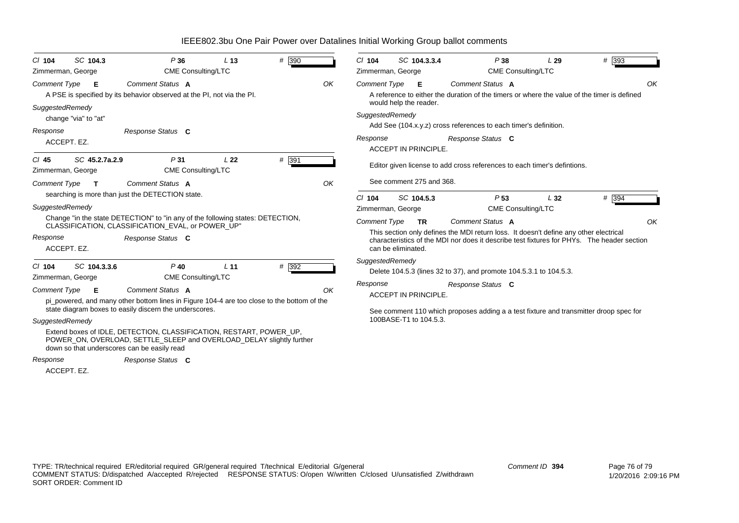| SC 104.3<br>$Cl$ 104<br>Zimmerman, George       | P36<br><b>CME Consulting/LTC</b>                                                                                                                                                                                | L <sub>13</sub> | # 390 |    | $Cl$ 104<br>SC 104.3.3.4<br>Zimmerman, George                        | P38<br><b>CME Consulting/LTC</b>                                                                                                                                                                        | L29 | $#$ 393 |
|-------------------------------------------------|-----------------------------------------------------------------------------------------------------------------------------------------------------------------------------------------------------------------|-----------------|-------|----|----------------------------------------------------------------------|---------------------------------------------------------------------------------------------------------------------------------------------------------------------------------------------------------|-----|---------|
| <b>Comment Type</b><br>E<br>SuggestedRemedy     | Comment Status A<br>A PSE is specified by its behavior observed at the PI, not via the PI.                                                                                                                      |                 |       | OK | <b>Comment Type</b><br>- E<br>would help the reader.                 | Comment Status A<br>A reference to either the duration of the timers or where the value of the timer is defined                                                                                         |     | OK      |
| change "via" to "at"<br>Response<br>ACCEPT. EZ. | Response Status C                                                                                                                                                                                               |                 |       |    | SuggestedRemedy<br>Response<br><b>ACCEPT IN PRINCIPLE.</b>           | Add See (104.x.y.z) cross references to each timer's definition.<br>Response Status C                                                                                                                   |     |         |
| SC 45.2.7a.2.9<br>C/ 45<br>Zimmerman, George    | P <sub>31</sub><br><b>CME Consulting/LTC</b>                                                                                                                                                                    | L <sub>22</sub> | # 391 |    |                                                                      | Editor given license to add cross references to each timer's defintions.                                                                                                                                |     |         |
| Comment Type<br>$\mathbf{T}$<br>SuggestedRemedy | Comment Status A<br>searching is more than just the DETECTION state.                                                                                                                                            |                 |       | OK | See comment 275 and 368.<br>SC 104.5.3<br>C/104<br>Zimmerman, George | P <sub>53</sub><br>CME Consulting/LTC                                                                                                                                                                   | L32 | $#$ 394 |
| Response<br>ACCEPT. EZ.                         | Change "in the state DETECTION" to "in any of the following states: DETECTION,<br>CLASSIFICATION, CLASSIFICATION EVAL, or POWER UP"<br>Response Status C                                                        |                 |       |    | <b>Comment Type</b><br><b>TR</b><br>can be eliminated.               | Comment Status A<br>This section only defines the MDI return loss. It doesn't define any other electrical<br>characteristics of the MDI nor does it describe test fixtures for PHYs. The header section |     | OK      |
| $Cl$ 104<br>SC 104.3.3.6<br>Zimmerman, George   | $P$ 40<br><b>CME Consulting/LTC</b>                                                                                                                                                                             | L <sub>11</sub> | # 392 |    | SuggestedRemedy                                                      | Delete 104.5.3 (lines 32 to 37), and promote 104.5.3.1 to 104.5.3.                                                                                                                                      |     |         |
| <b>Comment Type</b><br>Е                        | Comment Status A<br>pi_powered, and many other bottom lines in Figure 104-4 are too close to the bottom of the<br>state diagram boxes to easily discern the underscores.                                        |                 |       | OK | Response<br><b>ACCEPT IN PRINCIPLE.</b>                              | Response Status C<br>See comment 110 which proposes adding a a test fixture and transmitter droop spec for                                                                                              |     |         |
| SuggestedRemedy<br>Response                     | Extend boxes of IDLE, DETECTION, CLASSIFICATION, RESTART, POWER_UP,<br>POWER_ON, OVERLOAD, SETTLE_SLEEP and OVERLOAD_DELAY slightly further<br>down so that underscores can be easily read<br>Response Status C |                 |       |    | 100BASE-T1 to 104.5.3.                                               |                                                                                                                                                                                                         |     |         |
| ACCEPT. EZ.                                     |                                                                                                                                                                                                                 |                 |       |    |                                                                      |                                                                                                                                                                                                         |     |         |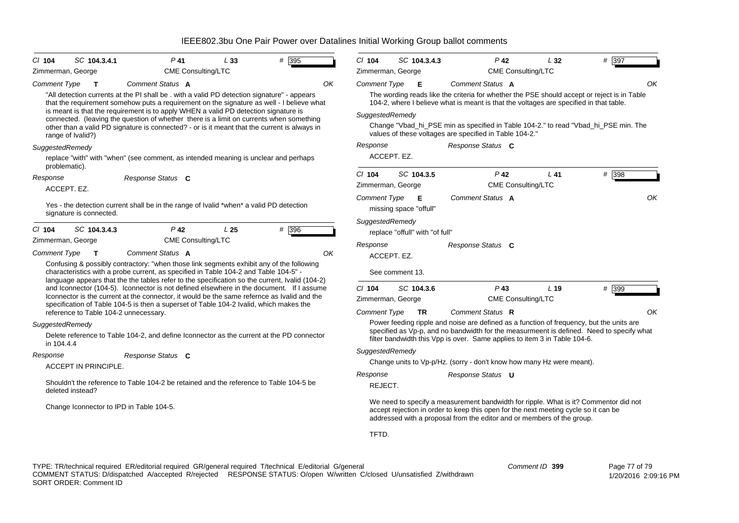| $CI$ 104                                                                                                                                                                                                                                                                                                                                                                                                                     | SC 104.3.4.1                     | $P$ 41                                                                                                                                                                                                                                                                                                                                                                                                                                                                                         | L33                             | # 395                                        | $Cl$ 104                                                | SC 104.3.4.3                                       | $P$ 42                                                                                                                                                                                                                                                                                                                                                      | L32 | # 397 |
|------------------------------------------------------------------------------------------------------------------------------------------------------------------------------------------------------------------------------------------------------------------------------------------------------------------------------------------------------------------------------------------------------------------------------|----------------------------------|------------------------------------------------------------------------------------------------------------------------------------------------------------------------------------------------------------------------------------------------------------------------------------------------------------------------------------------------------------------------------------------------------------------------------------------------------------------------------------------------|---------------------------------|----------------------------------------------|---------------------------------------------------------|----------------------------------------------------|-------------------------------------------------------------------------------------------------------------------------------------------------------------------------------------------------------------------------------------------------------------------------------------------------------------------------------------------------------------|-----|-------|
| Zimmerman, George                                                                                                                                                                                                                                                                                                                                                                                                            |                                  | <b>CME Consulting/LTC</b>                                                                                                                                                                                                                                                                                                                                                                                                                                                                      |                                 |                                              |                                                         | Zimmerman, George                                  | CME Consulting/LTC                                                                                                                                                                                                                                                                                                                                          |     |       |
| <b>Comment Type</b>                                                                                                                                                                                                                                                                                                                                                                                                          | $\mathbf T$<br>range of Ivalid?) | Comment Status A<br>"All detection currents at the PI shall be . with a valid PD detection signature" - appears<br>that the requirement somehow puts a requirement on the signature as well - I believe what<br>is meant is that the requirement is to apply WHEN a valid PD detection signature is<br>connected. (leaving the question of whether there is a limit on currents when something<br>other than a valid PD signature is connected? - or is it meant that the current is always in |                                 | OK                                           | <b>Comment Type</b><br>SuggestedRemedy<br>Response      | Е                                                  | Comment Status A<br>The wording reads like the criteria for whether the PSE should accept or reject is in Table<br>104-2, where I believe what is meant is that the voltages are specified in that table.<br>Change "Vbad_hi_PSE min as specified in Table 104-2." to read "Vbad_hi_PSE min. The<br>values of these voltages are specified in Table 104-2." |     | OK    |
| SuggestedRemedy                                                                                                                                                                                                                                                                                                                                                                                                              | problematic).                    | replace "with" with "when" (see comment, as intended meaning is unclear and perhaps                                                                                                                                                                                                                                                                                                                                                                                                            |                                 |                                              |                                                         | ACCEPT. EZ.                                        | Response Status C                                                                                                                                                                                                                                                                                                                                           |     |       |
| Response                                                                                                                                                                                                                                                                                                                                                                                                                     | ACCEPT. EZ.                      | Response Status C                                                                                                                                                                                                                                                                                                                                                                                                                                                                              |                                 |                                              | $Cl$ 104                                                | SC 104.3.5<br>Zimmerman, George                    | $P$ 42<br>CME Consulting/LTC                                                                                                                                                                                                                                                                                                                                | L41 | # 398 |
|                                                                                                                                                                                                                                                                                                                                                                                                                              | signature is connected.          | Yes - the detection current shall be in the range of Ivalid *when* a valid PD detection                                                                                                                                                                                                                                                                                                                                                                                                        |                                 |                                              | <b>Comment Type</b>                                     | Е<br>missing space "offull"                        | Comment Status A                                                                                                                                                                                                                                                                                                                                            |     | OK    |
| $CI$ 104<br>Zimmerman, George                                                                                                                                                                                                                                                                                                                                                                                                | SC 104.3.4.3                     | $P$ 42<br><b>CME Consulting/LTC</b>                                                                                                                                                                                                                                                                                                                                                                                                                                                            | L <sub>25</sub>                 | # 396                                        | Response                                                | SuggestedRemedy<br>replace "offull" with "of full" | Response Status C                                                                                                                                                                                                                                                                                                                                           |     |       |
| <b>Comment Type</b>                                                                                                                                                                                                                                                                                                                                                                                                          | $\mathbf{T}$                     | Comment Status A<br>Confusing & possibly contractory: "when those link segments exhibit any of the following<br>characteristics with a probe current, as specified in Table 104-2 and Table 104-5" -                                                                                                                                                                                                                                                                                           |                                 | OK                                           |                                                         | ACCEPT. EZ.<br>See comment 13.                     |                                                                                                                                                                                                                                                                                                                                                             |     |       |
| language appears that the the tables refer to the specification so the current, Ivalid (104-2)<br>and Iconnector (104-5). Iconnector is not defined elsewhere in the document. If I assume<br>Iconnector is the current at the connector, it would be the same refernce as Ivalid and the<br>specification of Table 104-5 is then a superset of Table 104-2 Ivalid, which makes the<br>reference to Table 104-2 unnecessary. |                                  |                                                                                                                                                                                                                                                                                                                                                                                                                                                                                                | $Cl$ 104<br><b>Comment Type</b> | SC 104.3.6<br>Zimmerman, George<br><b>TR</b> | $P$ 43<br><b>CME Consulting/LTC</b><br>Comment Status R | L <sub>19</sub>                                    | # 399<br>OK                                                                                                                                                                                                                                                                                                                                                 |     |       |
| SuggestedRemedy<br>in 104.4.4                                                                                                                                                                                                                                                                                                                                                                                                |                                  | Delete reference to Table 104-2, and define Iconnector as the current at the PD connector                                                                                                                                                                                                                                                                                                                                                                                                      |                                 |                                              |                                                         |                                                    | Power feeding ripple and noise are defined as a function of frequency, but the units are<br>specified as Vp-p, and no bandwidth for the measurmeent is defined. Need to specify what<br>filter bandwidth this Vpp is over. Same applies to item 3 in Table 104-6.                                                                                           |     |       |
| Response                                                                                                                                                                                                                                                                                                                                                                                                                     | ACCEPT IN PRINCIPLE.             | Response Status C                                                                                                                                                                                                                                                                                                                                                                                                                                                                              |                                 |                                              | SuggestedRemedy                                         |                                                    | Change units to Vp-p/Hz. (sorry - don't know how many Hz were meant).                                                                                                                                                                                                                                                                                       |     |       |
|                                                                                                                                                                                                                                                                                                                                                                                                                              | deleted instead?                 | Shouldn't the reference to Table 104-2 be retained and the reference to Table 104-5 be                                                                                                                                                                                                                                                                                                                                                                                                         |                                 |                                              | Response<br>REJECT.                                     |                                                    | Response Status <b>U</b>                                                                                                                                                                                                                                                                                                                                    |     |       |
|                                                                                                                                                                                                                                                                                                                                                                                                                              |                                  | Change Iconnector to IPD in Table 104-5.                                                                                                                                                                                                                                                                                                                                                                                                                                                       |                                 |                                              |                                                         |                                                    | We need to specify a measurement bandwidth for ripple. What is it? Commentor did not<br>accept rejection in order to keep this open for the next meeting cycle so it can be<br>addressed with a proposal from the editor and or members of the group.                                                                                                       |     |       |
|                                                                                                                                                                                                                                                                                                                                                                                                                              |                                  |                                                                                                                                                                                                                                                                                                                                                                                                                                                                                                |                                 |                                              | TFTD.                                                   |                                                    |                                                                                                                                                                                                                                                                                                                                                             |     |       |

TYPE: TR/technical required ER/editorial required GR/general required T/technical E/editorial G/general COMMENT STATUS: D/dispatched A/accepted R/rejected RESPONSE STATUS: O/open W/written C/closed U/unsatisfied Z/withdrawn SORT ORDER: Comment ID *Comment ID* **399**

 Page 77 of 79 1/20/2016 2:09:16 PM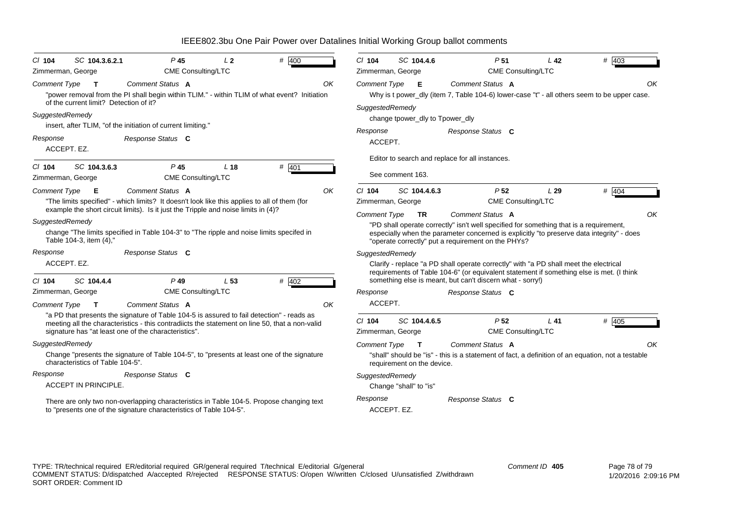| IEEE802.3bu One Pair Power over Datalines Initial Working Group ballot comments |  |  |  |  |
|---------------------------------------------------------------------------------|--|--|--|--|
|                                                                                 |  |  |  |  |

| SC 104.3.6.2.1<br>$Cl$ 104<br>Zimmerman, George                               | $P$ 45<br><b>CME Consulting/LTC</b>                                                                                                                                                                                                                 | L <sub>2</sub>  | # $400$ | $Cl$ 104            | SC 104.4.6                                                                                                                                                                                                           | P <sub>51</sub>                                                                                                                                                                                                                           | L <sub>42</sub> | $# \overline{403}$ |  |  |
|-------------------------------------------------------------------------------|-----------------------------------------------------------------------------------------------------------------------------------------------------------------------------------------------------------------------------------------------------|-----------------|---------|---------------------|----------------------------------------------------------------------------------------------------------------------------------------------------------------------------------------------------------------------|-------------------------------------------------------------------------------------------------------------------------------------------------------------------------------------------------------------------------------------------|-----------------|--------------------|--|--|
| <b>Comment Type</b><br>$\mathbf{T}$<br>of the current limit? Detection of it? | Comment Status A<br>"power removal from the PI shall begin within TLIM." - within TLIM of what event? Initiation                                                                                                                                    |                 |         | OK                  | <b>CME Consulting/LTC</b><br>Zimmerman, George<br><b>Comment Status A</b><br>Comment Type <b>E</b><br>Why is t power_dly (item 7, Table 104-6) lower-case "t" - all others seem to be upper case.<br>SuggestedRemedy |                                                                                                                                                                                                                                           |                 |                    |  |  |
| SuggestedRemedy                                                               |                                                                                                                                                                                                                                                     |                 |         |                     | change tpower_dly to Tpower_dly                                                                                                                                                                                      |                                                                                                                                                                                                                                           |                 |                    |  |  |
|                                                                               | insert, after TLIM, "of the initiation of current limiting."                                                                                                                                                                                        |                 |         | Response            |                                                                                                                                                                                                                      | Response Status C                                                                                                                                                                                                                         |                 |                    |  |  |
| Response<br>ACCEPT. EZ.                                                       | Response Status C                                                                                                                                                                                                                                   |                 |         | ACCEPT.             |                                                                                                                                                                                                                      |                                                                                                                                                                                                                                           |                 |                    |  |  |
|                                                                               |                                                                                                                                                                                                                                                     |                 |         |                     |                                                                                                                                                                                                                      | Editor to search and replace for all instances.                                                                                                                                                                                           |                 |                    |  |  |
| SC 104.3.6.3<br>$Cl$ 104<br>Zimmerman, George                                 | P <sub>45</sub><br>CME Consulting/LTC                                                                                                                                                                                                               | L <sub>18</sub> | # 401   |                     | See comment 163.                                                                                                                                                                                                     |                                                                                                                                                                                                                                           |                 |                    |  |  |
| Comment Type<br>E                                                             | Comment Status A                                                                                                                                                                                                                                    |                 |         | ΟK<br>$Cl$ 104      | SC 104.4.6.3                                                                                                                                                                                                         | P <sub>52</sub>                                                                                                                                                                                                                           | L29             | # 404              |  |  |
|                                                                               | "The limits specified" - which limits? It doesn't look like this applies to all of them (for                                                                                                                                                        |                 |         |                     | Zimmerman, George                                                                                                                                                                                                    | <b>CME Consulting/LTC</b>                                                                                                                                                                                                                 |                 |                    |  |  |
|                                                                               | example the short circuit limits). Is it just the Tripple and noise limits in (4)?                                                                                                                                                                  |                 |         | <b>Comment Type</b> | <b>TR</b>                                                                                                                                                                                                            | Comment Status A                                                                                                                                                                                                                          |                 | OK                 |  |  |
| SuggestedRemedy<br>Table 104-3, item (4),'                                    | change "The limits specified in Table 104-3" to "The ripple and noise limits specifed in                                                                                                                                                            |                 |         |                     |                                                                                                                                                                                                                      | "PD shall operate correctly" isn't well specified for something that is a requirement,<br>especially when the parameter concerned is explicitly "to preserve data integrity" - does<br>"operate correctly" put a requirement on the PHYs? |                 |                    |  |  |
| Response                                                                      | Response Status C                                                                                                                                                                                                                                   |                 |         | SuggestedRemedy     |                                                                                                                                                                                                                      |                                                                                                                                                                                                                                           |                 |                    |  |  |
| ACCEPT. EZ.                                                                   |                                                                                                                                                                                                                                                     |                 |         |                     |                                                                                                                                                                                                                      | Clarify - replace "a PD shall operate correctly" with "a PD shall meet the electrical<br>requirements of Table 104-6" (or equivalent statement if something else is met. (I think                                                         |                 |                    |  |  |
| $Cl$ 104<br>SC 104.4.4                                                        | $P$ 49<br>CME Consulting/LTC                                                                                                                                                                                                                        | L <sub>53</sub> | # $402$ |                     |                                                                                                                                                                                                                      | something else is meant, but can't discern what - sorry!)                                                                                                                                                                                 |                 |                    |  |  |
| Zimmerman, George                                                             |                                                                                                                                                                                                                                                     |                 |         | Response<br>ACCEPT. |                                                                                                                                                                                                                      | Response Status C                                                                                                                                                                                                                         |                 |                    |  |  |
| <b>Comment Type</b><br>$\mathbf{T}$                                           | Comment Status A                                                                                                                                                                                                                                    |                 |         | OK                  |                                                                                                                                                                                                                      |                                                                                                                                                                                                                                           |                 |                    |  |  |
|                                                                               | "a PD that presents the signature of Table 104-5 is assured to fail detection" - reads as<br>meeting all the characteristics - this contradiicts the statement on line 50, that a non-valid<br>signature has "at least one of the characteristics". |                 |         | $Cl$ 104            | SC 104.4.6.5<br>Zimmerman, George                                                                                                                                                                                    | P <sub>52</sub><br><b>CME Consulting/LTC</b>                                                                                                                                                                                              | L41             | $# \overline{405}$ |  |  |
| SuggestedRemedy                                                               |                                                                                                                                                                                                                                                     |                 |         | <b>Comment Type</b> | $\mathbf{T}$                                                                                                                                                                                                         | Comment Status A                                                                                                                                                                                                                          |                 | OK                 |  |  |
| characteristics of Table 104-5".                                              | Change "presents the signature of Table 104-5", to "presents at least one of the signature                                                                                                                                                          |                 |         |                     | requirement on the device.                                                                                                                                                                                           | "shall" should be "is" - this is a statement of fact, a definition of an equation, not a testable                                                                                                                                         |                 |                    |  |  |
| Response                                                                      | Response Status C                                                                                                                                                                                                                                   |                 |         | SuggestedRemedy     |                                                                                                                                                                                                                      |                                                                                                                                                                                                                                           |                 |                    |  |  |
| <b>ACCEPT IN PRINCIPLE.</b>                                                   |                                                                                                                                                                                                                                                     |                 |         |                     | Change "shall" to "is"                                                                                                                                                                                               |                                                                                                                                                                                                                                           |                 |                    |  |  |
|                                                                               | There are only two non-overlapping characteristics in Table 104-5. Propose changing text<br>to "presents one of the signature characteristics of Table 104-5".                                                                                      |                 |         | Response            | ACCEPT. EZ.                                                                                                                                                                                                          | Response Status C                                                                                                                                                                                                                         |                 |                    |  |  |